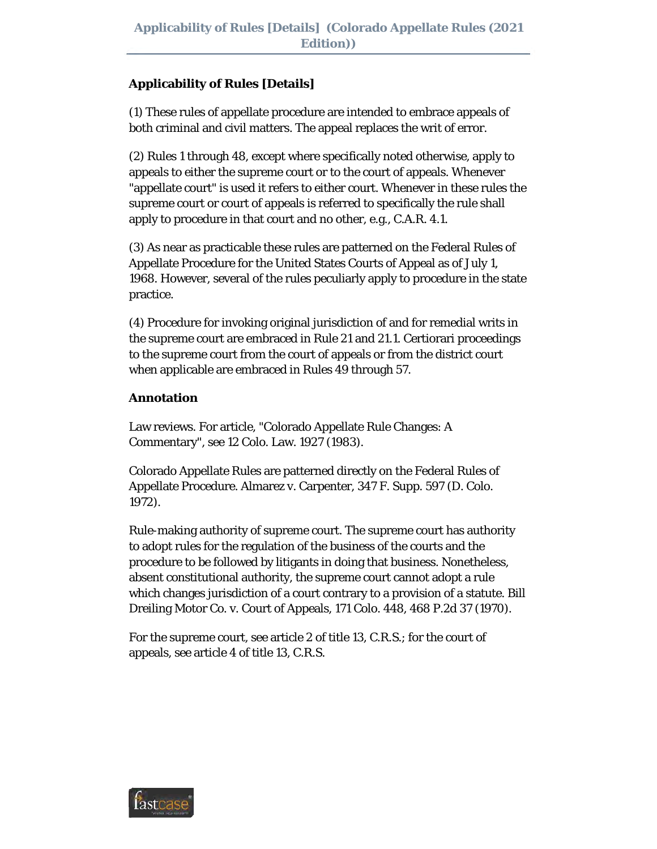# **Applicability of Rules [Details]**

(1) These rules of appellate procedure are intended to embrace appeals of both criminal and civil matters. The appeal replaces the writ of error.

(2) Rules 1 through 48, except where specifically noted otherwise, apply to appeals to either the supreme court or to the court of appeals. Whenever "appellate court" is used it refers to either court. Whenever in these rules the supreme court or court of appeals is referred to specifically the rule shall apply to procedure in that court and no other, e.g., C.A.R. 4.1.

(3) As near as practicable these rules are patterned on the Federal Rules of Appellate Procedure for the United States Courts of Appeal as of July 1, 1968. However, several of the rules peculiarly apply to procedure in the state practice.

(4) Procedure for invoking original jurisdiction of and for remedial writs in the supreme court are embraced in Rule 21 and 21.1. Certiorari proceedings to the supreme court from the court of appeals or from the district court when applicable are embraced in Rules 49 through 57.

## **Annotation**

Law reviews. For article, "Colorado Appellate Rule Changes: A Commentary", see 12 Colo. Law. 1927 (1983).

Colorado Appellate Rules are patterned directly on the Federal Rules of Appellate Procedure. Almarez v. Carpenter, 347 F. Supp. 597 (D. Colo. 1972).

Rule-making authority of supreme court. The supreme court has authority to adopt rules for the regulation of the business of the courts and the procedure to be followed by litigants in doing that business. Nonetheless, absent constitutional authority, the supreme court cannot adopt a rule which changes jurisdiction of a court contrary to a provision of a statute. Bill Dreiling Motor Co. v. Court of Appeals, 171 Colo. 448, 468 P.2d 37 (1970).

For the supreme court, see article 2 of title 13, C.R.S.; for the court of appeals, see article 4 of title 13, C.R.S.

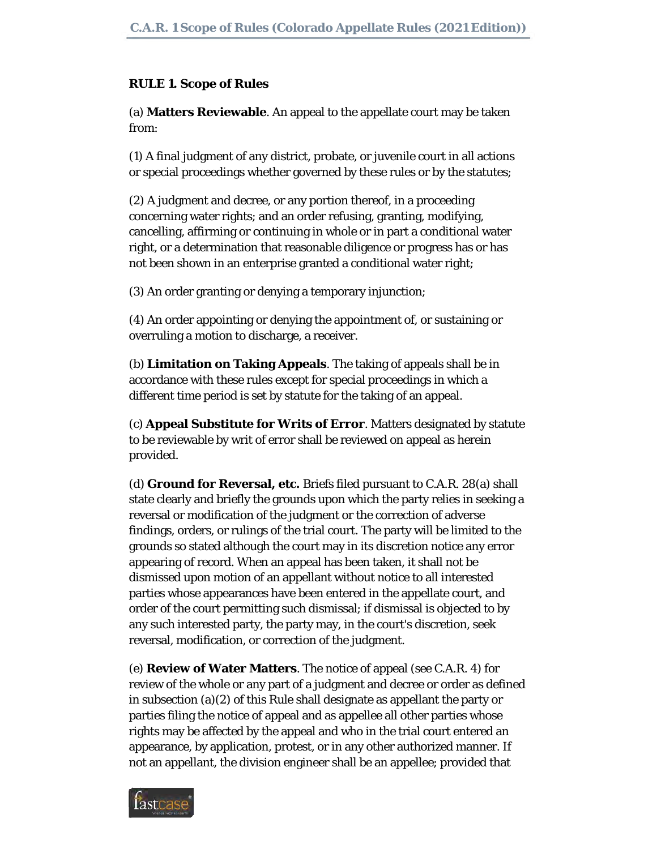## **RULE 1. Scope of Rules**

(a) **Matters Reviewable**. An appeal to the appellate court may be taken from:

(1) A final judgment of any district, probate, or juvenile court in all actions or special proceedings whether governed by these rules or by the statutes;

(2) A judgment and decree, or any portion thereof, in a proceeding concerning water rights; and an order refusing, granting, modifying, cancelling, affirming or continuing in whole or in part a conditional water right, or a determination that reasonable diligence or progress has or has not been shown in an enterprise granted a conditional water right;

(3) An order granting or denying a temporary injunction;

(4) An order appointing or denying the appointment of, or sustaining or overruling a motion to discharge, a receiver.

(b) **Limitation on Taking Appeals**. The taking of appeals shall be in accordance with these rules except for special proceedings in which a different time period is set by statute for the taking of an appeal.

(c) **Appeal Substitute for Writs of Error**. Matters designated by statute to be reviewable by writ of error shall be reviewed on appeal as herein provided.

(d) **Ground for Reversal, etc.** Briefs filed pursuant to C.A.R. 28(a) shall state clearly and briefly the grounds upon which the party relies in seeking a reversal or modification of the judgment or the correction of adverse findings, orders, or rulings of the trial court. The party will be limited to the grounds so stated although the court may in its discretion notice any error appearing of record. When an appeal has been taken, it shall not be dismissed upon motion of an appellant without notice to all interested parties whose appearances have been entered in the appellate court, and order of the court permitting such dismissal; if dismissal is objected to by any such interested party, the party may, in the court's discretion, seek reversal, modification, or correction of the judgment.

(e) **Review of Water Matters**. The notice of appeal (see C.A.R. 4) for review of the whole or any part of a judgment and decree or order as defined in subsection (a)(2) of this Rule shall designate as appellant the party or parties filing the notice of appeal and as appellee all other parties whose rights may be affected by the appeal and who in the trial court entered an appearance, by application, protest, or in any other authorized manner. If not an appellant, the division engineer shall be an appellee; provided that

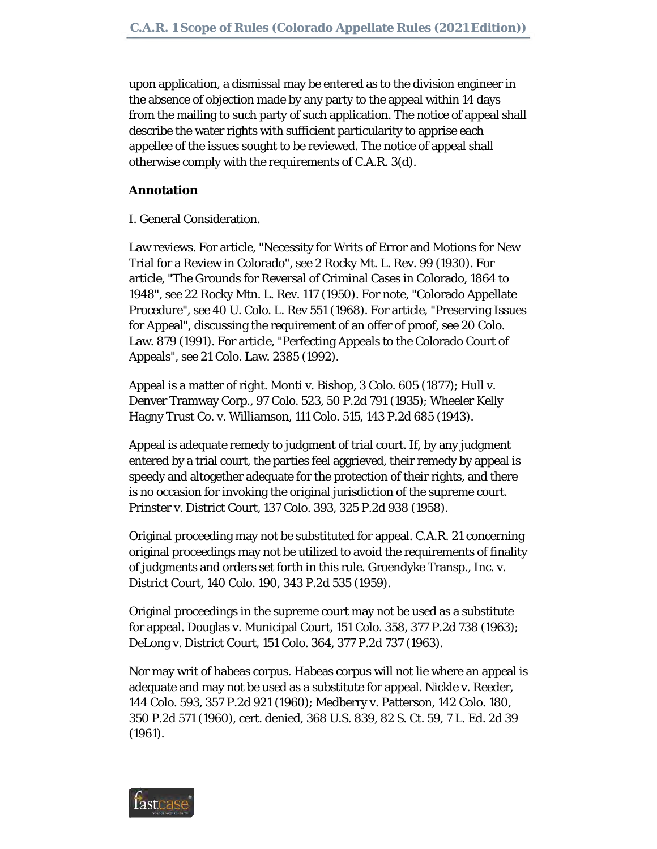upon application, a dismissal may be entered as to the division engineer in the absence of objection made by any party to the appeal within 14 days from the mailing to such party of such application. The notice of appeal shall describe the water rights with sufficient particularity to apprise each appellee of the issues sought to be reviewed. The notice of appeal shall otherwise comply with the requirements of C.A.R. 3(d).

## **Annotation**

I. General Consideration.

Law reviews. For article, "Necessity for Writs of Error and Motions for New Trial for a Review in Colorado", see 2 Rocky Mt. L. Rev. 99 (1930). For article, "The Grounds for Reversal of Criminal Cases in Colorado, 1864 to 1948", see 22 Rocky Mtn. L. Rev. 117 (1950). For note, "Colorado Appellate Procedure", see 40 U. Colo. L. Rev 551 (1968). For article, "Preserving Issues for Appeal", discussing the requirement of an offer of proof, see 20 Colo. Law. 879 (1991). For article, "Perfecting Appeals to the Colorado Court of Appeals", see 21 Colo. Law. 2385 (1992).

Appeal is a matter of right. Monti v. Bishop, 3 Colo. 605 (1877); Hull v. Denver Tramway Corp., 97 Colo. 523, 50 P.2d 791 (1935); Wheeler Kelly Hagny Trust Co. v. Williamson, 111 Colo. 515, 143 P.2d 685 (1943).

Appeal is adequate remedy to judgment of trial court. If, by any judgment entered by a trial court, the parties feel aggrieved, their remedy by appeal is speedy and altogether adequate for the protection of their rights, and there is no occasion for invoking the original jurisdiction of the supreme court. Prinster v. District Court, 137 Colo. 393, 325 P.2d 938 (1958).

Original proceeding may not be substituted for appeal. C.A.R. 21 concerning original proceedings may not be utilized to avoid the requirements of finality of judgments and orders set forth in this rule. Groendyke Transp., Inc. v. District Court, 140 Colo. 190, 343 P.2d 535 (1959).

Original proceedings in the supreme court may not be used as a substitute for appeal. Douglas v. Municipal Court, 151 Colo. 358, 377 P.2d 738 (1963); DeLong v. District Court, 151 Colo. 364, 377 P.2d 737 (1963).

Nor may writ of habeas corpus. Habeas corpus will not lie where an appeal is adequate and may not be used as a substitute for appeal. Nickle v. Reeder, 144 Colo. 593, 357 P.2d 921 (1960); Medberry v. Patterson, 142 Colo. 180, 350 P.2d 571 (1960), cert. denied, 368 U.S. 839, 82 S. Ct. 59, 7 L. Ed. 2d 39 (1961).

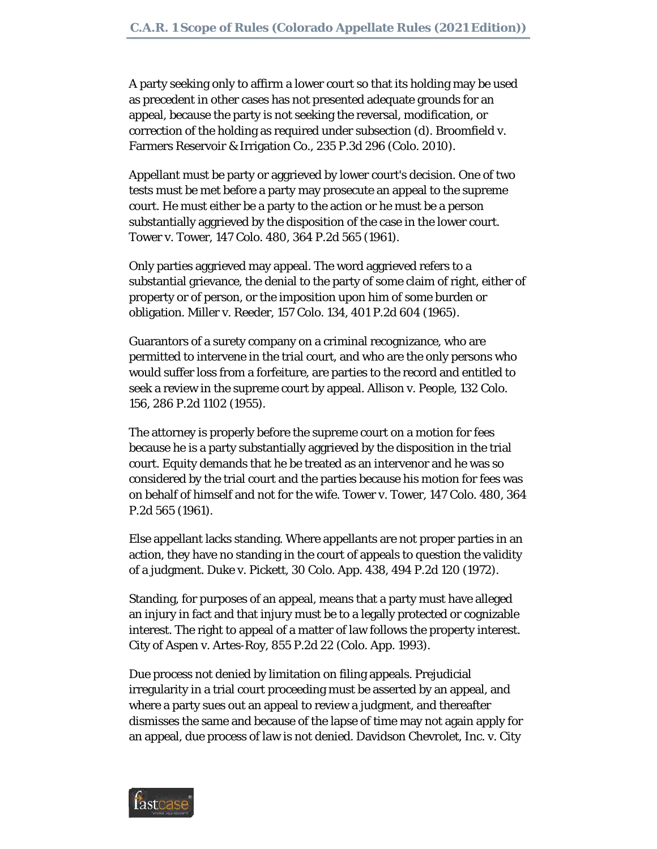A party seeking only to affirm a lower court so that its holding may be used as precedent in other cases has not presented adequate grounds for an appeal, because the party is not seeking the reversal, modification, or correction of the holding as required under subsection (d). Broomfield v. Farmers Reservoir & Irrigation Co., 235 P.3d 296 (Colo. 2010).

Appellant must be party or aggrieved by lower court's decision. One of two tests must be met before a party may prosecute an appeal to the supreme court. He must either be a party to the action or he must be a person substantially aggrieved by the disposition of the case in the lower court. Tower v. Tower, 147 Colo. 480, 364 P.2d 565 (1961).

Only parties aggrieved may appeal. The word aggrieved refers to a substantial grievance, the denial to the party of some claim of right, either of property or of person, or the imposition upon him of some burden or obligation. Miller v. Reeder, 157 Colo. 134, 401 P.2d 604 (1965).

Guarantors of a surety company on a criminal recognizance, who are permitted to intervene in the trial court, and who are the only persons who would suffer loss from a forfeiture, are parties to the record and entitled to seek a review in the supreme court by appeal. Allison v. People, 132 Colo. 156, 286 P.2d 1102 (1955).

The attorney is properly before the supreme court on a motion for fees because he is a party substantially aggrieved by the disposition in the trial court. Equity demands that he be treated as an intervenor and he was so considered by the trial court and the parties because his motion for fees was on behalf of himself and not for the wife. Tower v. Tower, 147 Colo. 480, 364 P.2d 565 (1961).

Else appellant lacks standing. Where appellants are not proper parties in an action, they have no standing in the court of appeals to question the validity of a judgment. Duke v. Pickett, 30 Colo. App. 438, 494 P.2d 120 (1972).

Standing, for purposes of an appeal, means that a party must have alleged an injury in fact and that injury must be to a legally protected or cognizable interest. The right to appeal of a matter of law follows the property interest. City of Aspen v. Artes-Roy, 855 P.2d 22 (Colo. App. 1993).

Due process not denied by limitation on filing appeals. Prejudicial irregularity in a trial court proceeding must be asserted by an appeal, and where a party sues out an appeal to review a judgment, and thereafter dismisses the same and because of the lapse of time may not again apply for an appeal, due process of law is not denied. Davidson Chevrolet, Inc. v. City

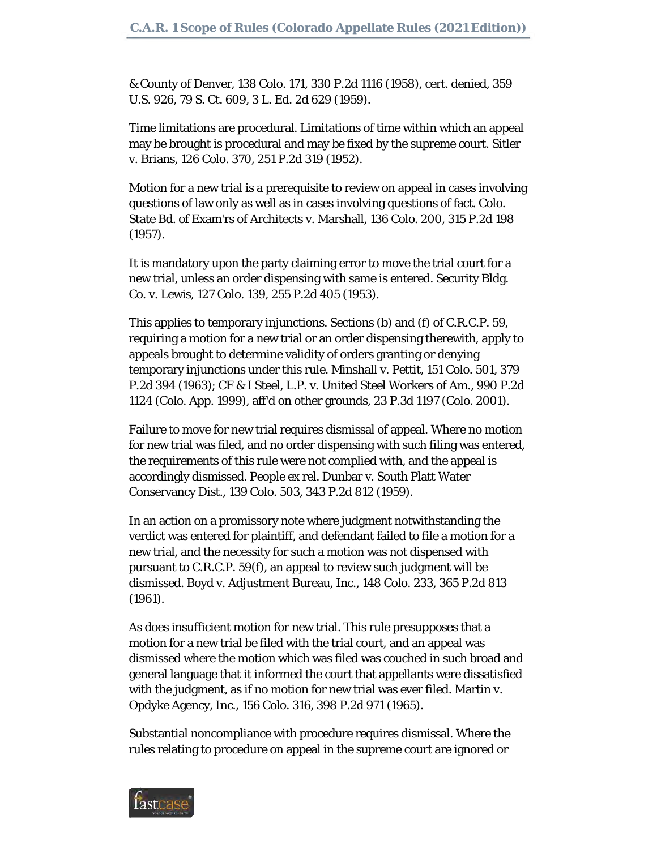& County of Denver, 138 Colo. 171, 330 P.2d 1116 (1958), cert. denied, 359 U.S. 926, 79 S. Ct. 609, 3 L. Ed. 2d 629 (1959).

Time limitations are procedural. Limitations of time within which an appeal may be brought is procedural and may be fixed by the supreme court. Sitler v. Brians, 126 Colo. 370, 251 P.2d 319 (1952).

Motion for a new trial is a prerequisite to review on appeal in cases involving questions of law only as well as in cases involving questions of fact. Colo. State Bd. of Exam'rs of Architects v. Marshall, 136 Colo. 200, 315 P.2d 198 (1957).

It is mandatory upon the party claiming error to move the trial court for a new trial, unless an order dispensing with same is entered. Security Bldg. Co. v. Lewis, 127 Colo. 139, 255 P.2d 405 (1953).

This applies to temporary injunctions. Sections (b) and (f) of C.R.C.P. 59, requiring a motion for a new trial or an order dispensing therewith, apply to appeals brought to determine validity of orders granting or denying temporary injunctions under this rule. Minshall v. Pettit, 151 Colo. 501, 379 P.2d 394 (1963); CF & I Steel, L.P. v. United Steel Workers of Am., 990 P.2d 1124 (Colo. App. 1999), aff'd on other grounds, 23 P.3d 1197 (Colo. 2001).

Failure to move for new trial requires dismissal of appeal. Where no motion for new trial was filed, and no order dispensing with such filing was entered, the requirements of this rule were not complied with, and the appeal is accordingly dismissed. People ex rel. Dunbar v. South Platt Water Conservancy Dist., 139 Colo. 503, 343 P.2d 812 (1959).

In an action on a promissory note where judgment notwithstanding the verdict was entered for plaintiff, and defendant failed to file a motion for a new trial, and the necessity for such a motion was not dispensed with pursuant to C.R.C.P. 59(f), an appeal to review such judgment will be dismissed. Boyd v. Adjustment Bureau, Inc., 148 Colo. 233, 365 P.2d 813 (1961).

As does insufficient motion for new trial. This rule presupposes that a motion for a new trial be filed with the trial court, and an appeal was dismissed where the motion which was filed was couched in such broad and general language that it informed the court that appellants were dissatisfied with the judgment, as if no motion for new trial was ever filed. Martin v. Opdyke Agency, Inc., 156 Colo. 316, 398 P.2d 971 (1965).

Substantial noncompliance with procedure requires dismissal. Where the rules relating to procedure on appeal in the supreme court are ignored or

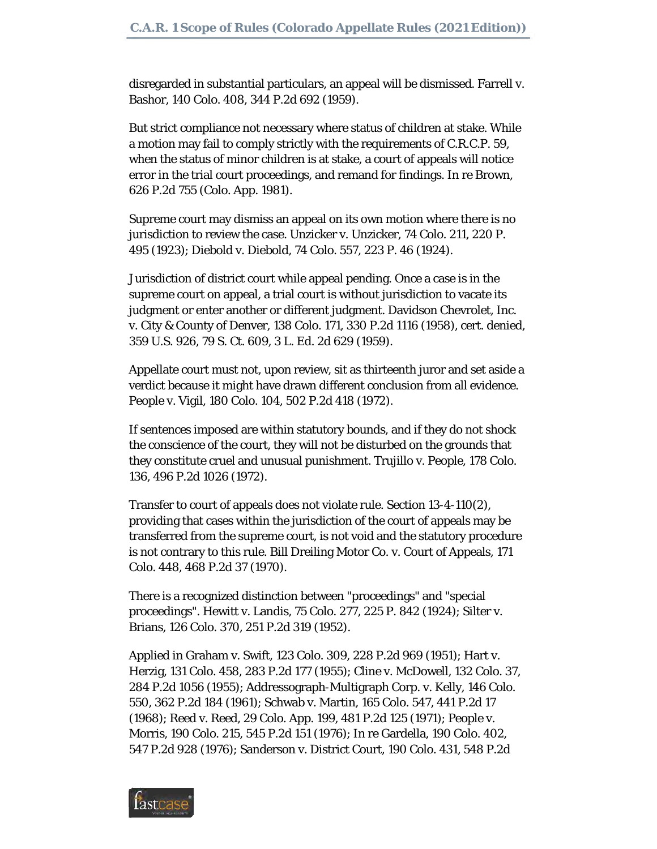disregarded in substantial particulars, an appeal will be dismissed. Farrell v. Bashor, 140 Colo. 408, 344 P.2d 692 (1959).

But strict compliance not necessary where status of children at stake. While a motion may fail to comply strictly with the requirements of C.R.C.P. 59, when the status of minor children is at stake, a court of appeals will notice error in the trial court proceedings, and remand for findings. In re Brown, 626 P.2d 755 (Colo. App. 1981).

Supreme court may dismiss an appeal on its own motion where there is no jurisdiction to review the case. Unzicker v. Unzicker, 74 Colo. 211, 220 P. 495 (1923); Diebold v. Diebold, 74 Colo. 557, 223 P. 46 (1924).

Jurisdiction of district court while appeal pending. Once a case is in the supreme court on appeal, a trial court is without jurisdiction to vacate its judgment or enter another or different judgment. Davidson Chevrolet, Inc. v. City & County of Denver, 138 Colo. 171, 330 P.2d 1116 (1958), cert. denied, 359 U.S. 926, 79 S. Ct. 609, 3 L. Ed. 2d 629 (1959).

Appellate court must not, upon review, sit as thirteenth juror and set aside a verdict because it might have drawn different conclusion from all evidence. People v. Vigil, 180 Colo. 104, 502 P.2d 418 (1972).

If sentences imposed are within statutory bounds, and if they do not shock the conscience of the court, they will not be disturbed on the grounds that they constitute cruel and unusual punishment. Trujillo v. People, 178 Colo. 136, 496 P.2d 1026 (1972).

Transfer to court of appeals does not violate rule. Section 13-4-110(2), providing that cases within the jurisdiction of the court of appeals may be transferred from the supreme court, is not void and the statutory procedure is not contrary to this rule. Bill Dreiling Motor Co. v. Court of Appeals, 171 Colo. 448, 468 P.2d 37 (1970).

There is a recognized distinction between "proceedings" and "special proceedings". Hewitt v. Landis, 75 Colo. 277, 225 P. 842 (1924); Silter v. Brians, 126 Colo. 370, 251 P.2d 319 (1952).

Applied in Graham v. Swift, 123 Colo. 309, 228 P.2d 969 (1951); Hart v. Herzig, 131 Colo. 458, 283 P.2d 177 (1955); Cline v. McDowell, 132 Colo. 37, 284 P.2d 1056 (1955); Addressograph-Multigraph Corp. v. Kelly, 146 Colo. 550, 362 P.2d 184 (1961); Schwab v. Martin, 165 Colo. 547, 441 P.2d 17 (1968); Reed v. Reed, 29 Colo. App. 199, 481 P.2d 125 (1971); People v. Morris, 190 Colo. 215, 545 P.2d 151 (1976); In re Gardella, 190 Colo. 402, 547 P.2d 928 (1976); Sanderson v. District Court, 190 Colo. 431, 548 P.2d

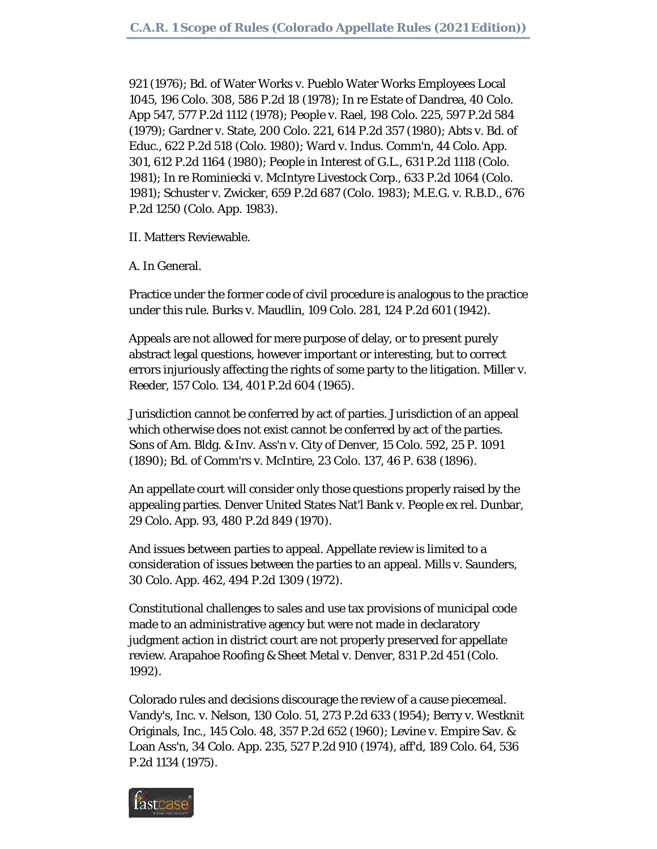921 (1976); Bd. of Water Works v. Pueblo Water Works Employees Local 1045, 196 Colo. 308, 586 P.2d 18 (1978); In re Estate of Dandrea, 40 Colo. App 547, 577 P.2d 1112 (1978); People v. Rael, 198 Colo. 225, 597 P.2d 584 (1979); Gardner v. State, 200 Colo. 221, 614 P.2d 357 (1980); Abts v. Bd. of Educ., 622 P.2d 518 (Colo. 1980); Ward v. Indus. Comm'n, 44 Colo. App. 301, 612 P.2d 1164 (1980); People in Interest of G.L., 631 P.2d 1118 (Colo. 1981); In re Rominiecki v. McIntyre Livestock Corp., 633 P.2d 1064 (Colo. 1981); Schuster v. Zwicker, 659 P.2d 687 (Colo. 1983); M.E.G. v. R.B.D., 676 P.2d 1250 (Colo. App. 1983).

II. Matters Reviewable.

A. In General.

Practice under the former code of civil procedure is analogous to the practice under this rule. Burks v. Maudlin, 109 Colo. 281, 124 P.2d 601 (1942).

Appeals are not allowed for mere purpose of delay, or to present purely abstract legal questions, however important or interesting, but to correct errors injuriously affecting the rights of some party to the litigation. Miller v. Reeder, 157 Colo. 134, 401 P.2d 604 (1965).

Jurisdiction cannot be conferred by act of parties. Jurisdiction of an appeal which otherwise does not exist cannot be conferred by act of the parties. Sons of Am. Bldg. & Inv. Ass'n v. City of Denver, 15 Colo. 592, 25 P. 1091 (1890); Bd. of Comm'rs v. McIntire, 23 Colo. 137, 46 P. 638 (1896).

An appellate court will consider only those questions properly raised by the appealing parties. Denver United States Nat'l Bank v. People ex rel. Dunbar, 29 Colo. App. 93, 480 P.2d 849 (1970).

And issues between parties to appeal. Appellate review is limited to a consideration of issues between the parties to an appeal. Mills v. Saunders, 30 Colo. App. 462, 494 P.2d 1309 (1972).

Constitutional challenges to sales and use tax provisions of municipal code made to an administrative agency but were not made in declaratory judgment action in district court are not properly preserved for appellate review. Arapahoe Roofing & Sheet Metal v. Denver, 831 P.2d 451 (Colo. 1992).

Colorado rules and decisions discourage the review of a cause piecemeal. Vandy's, Inc. v. Nelson, 130 Colo. 51, 273 P.2d 633 (1954); Berry v. Westknit Originals, Inc., 145 Colo. 48, 357 P.2d 652 (1960); Levine v. Empire Sav. & Loan Ass'n, 34 Colo. App. 235, 527 P.2d 910 (1974), aff'd, 189 Colo. 64, 536 P.2d 1134 (1975).

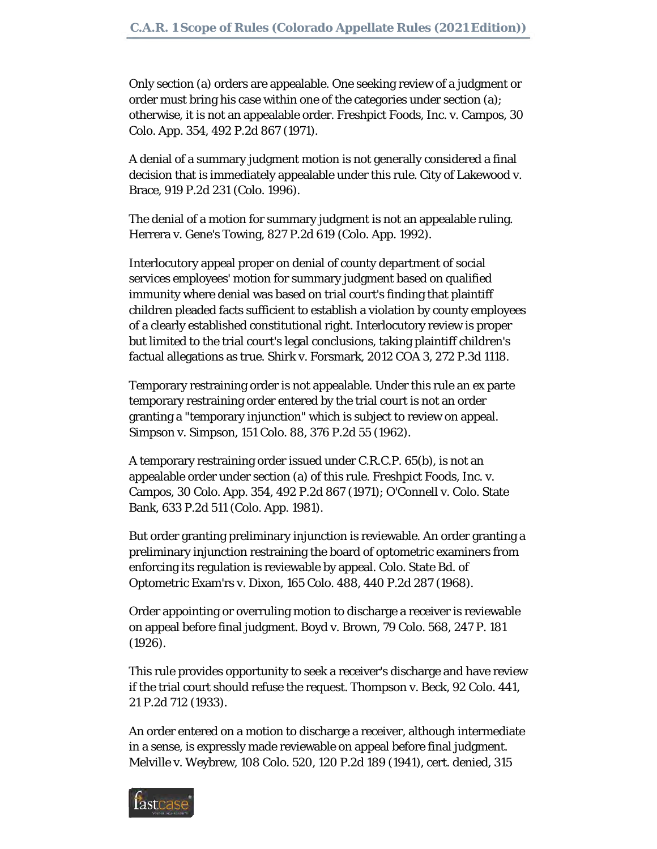Only section (a) orders are appealable. One seeking review of a judgment or order must bring his case within one of the categories under section (a); otherwise, it is not an appealable order. Freshpict Foods, Inc. v. Campos, 30 Colo. App. 354, 492 P.2d 867 (1971).

A denial of a summary judgment motion is not generally considered a final decision that is immediately appealable under this rule. City of Lakewood v. Brace, 919 P.2d 231 (Colo. 1996).

The denial of a motion for summary judgment is not an appealable ruling. Herrera v. Gene's Towing, 827 P.2d 619 (Colo. App. 1992).

Interlocutory appeal proper on denial of county department of social services employees' motion for summary judgment based on qualified immunity where denial was based on trial court's finding that plaintiff children pleaded facts sufficient to establish a violation by county employees of a clearly established constitutional right. Interlocutory review is proper but limited to the trial court's legal conclusions, taking plaintiff children's factual allegations as true. Shirk v. Forsmark, 2012 COA 3, 272 P.3d 1118.

Temporary restraining order is not appealable. Under this rule an ex parte temporary restraining order entered by the trial court is not an order granting a "temporary injunction" which is subject to review on appeal. Simpson v. Simpson, 151 Colo. 88, 376 P.2d 55 (1962).

A temporary restraining order issued under C.R.C.P. 65(b), is not an appealable order under section (a) of this rule. Freshpict Foods, Inc. v. Campos, 30 Colo. App. 354, 492 P.2d 867 (1971); O'Connell v. Colo. State Bank, 633 P.2d 511 (Colo. App. 1981).

But order granting preliminary injunction is reviewable. An order granting a preliminary injunction restraining the board of optometric examiners from enforcing its regulation is reviewable by appeal. Colo. State Bd. of Optometric Exam'rs v. Dixon, 165 Colo. 488, 440 P.2d 287 (1968).

Order appointing or overruling motion to discharge a receiver is reviewable on appeal before final judgment. Boyd v. Brown, 79 Colo. 568, 247 P. 181 (1926).

This rule provides opportunity to seek a receiver's discharge and have review if the trial court should refuse the request. Thompson v. Beck, 92 Colo. 441, 21 P.2d 712 (1933).

An order entered on a motion to discharge a receiver, although intermediate in a sense, is expressly made reviewable on appeal before final judgment. Melville v. Weybrew, 108 Colo. 520, 120 P.2d 189 (1941), cert. denied, 315

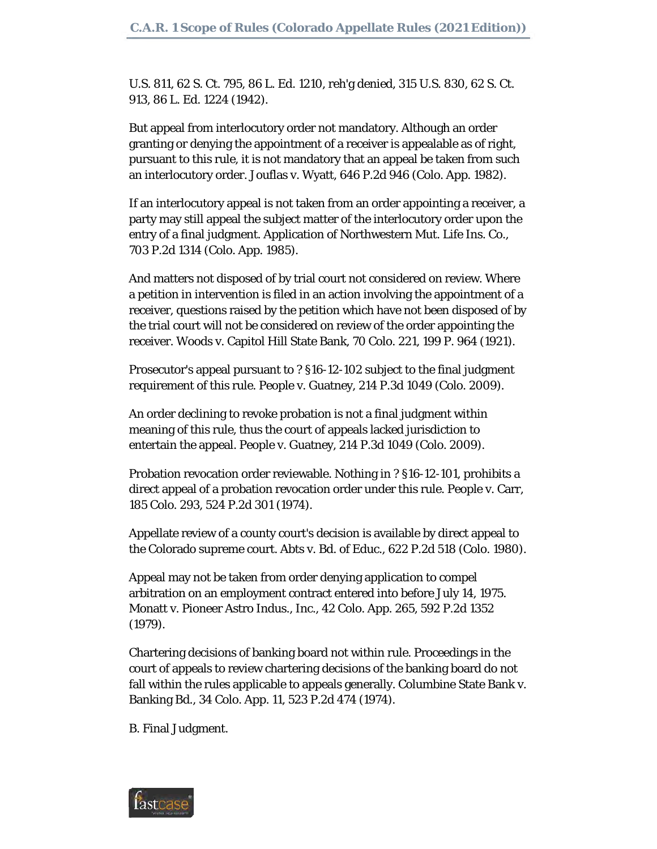U.S. 811, 62 S. Ct. 795, 86 L. Ed. 1210, reh'g denied, 315 U.S. 830, 62 S. Ct. 913, 86 L. Ed. 1224 (1942).

But appeal from interlocutory order not mandatory. Although an order granting or denying the appointment of a receiver is appealable as of right, pursuant to this rule, it is not mandatory that an appeal be taken from such an interlocutory order. Jouflas v. Wyatt, 646 P.2d 946 (Colo. App. 1982).

If an interlocutory appeal is not taken from an order appointing a receiver, a party may still appeal the subject matter of the interlocutory order upon the entry of a final judgment. Application of Northwestern Mut. Life Ins. Co., 703 P.2d 1314 (Colo. App. 1985).

And matters not disposed of by trial court not considered on review. Where a petition in intervention is filed in an action involving the appointment of a receiver, questions raised by the petition which have not been disposed of by the trial court will not be considered on review of the order appointing the receiver. Woods v. Capitol Hill State Bank, 70 Colo. 221, 199 P. 964 (1921).

Prosecutor's appeal pursuant to ? §16-12-102 subject to the final judgment requirement of this rule. People v. Guatney, 214 P.3d 1049 (Colo. 2009).

An order declining to revoke probation is not a final judgment within meaning of this rule, thus the court of appeals lacked jurisdiction to entertain the appeal. People v. Guatney, 214 P.3d 1049 (Colo. 2009).

Probation revocation order reviewable. Nothing in ? §16-12-101, prohibits a direct appeal of a probation revocation order under this rule. People v. Carr, 185 Colo. 293, 524 P.2d 301 (1974).

Appellate review of a county court's decision is available by direct appeal to the Colorado supreme court. Abts v. Bd. of Educ., 622 P.2d 518 (Colo. 1980).

Appeal may not be taken from order denying application to compel arbitration on an employment contract entered into before July 14, 1975. Monatt v. Pioneer Astro Indus., Inc., 42 Colo. App. 265, 592 P.2d 1352 (1979).

Chartering decisions of banking board not within rule. Proceedings in the court of appeals to review chartering decisions of the banking board do not fall within the rules applicable to appeals generally. Columbine State Bank v. Banking Bd., 34 Colo. App. 11, 523 P.2d 474 (1974).

B. Final Judgment.

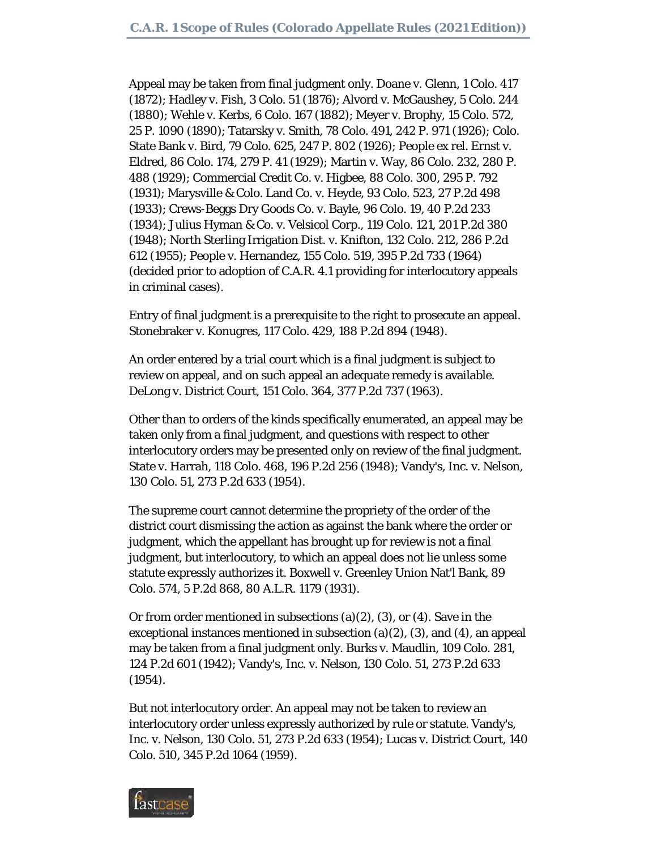Appeal may be taken from final judgment only. Doane v. Glenn, 1 Colo. 417 (1872); Hadley v. Fish, 3 Colo. 51 (1876); Alvord v. McGaushey, 5 Colo. 244 (1880); Wehle v. Kerbs, 6 Colo. 167 (1882); Meyer v. Brophy, 15 Colo. 572, 25 P. 1090 (1890); Tatarsky v. Smith, 78 Colo. 491, 242 P. 971 (1926); Colo. State Bank v. Bird, 79 Colo. 625, 247 P. 802 (1926); People ex rel. Ernst v. Eldred, 86 Colo. 174, 279 P. 41 (1929); Martin v. Way, 86 Colo. 232, 280 P. 488 (1929); Commercial Credit Co. v. Higbee, 88 Colo. 300, 295 P. 792 (1931); Marysville & Colo. Land Co. v. Heyde, 93 Colo. 523, 27 P.2d 498 (1933); Crews-Beggs Dry Goods Co. v. Bayle, 96 Colo. 19, 40 P.2d 233 (1934); Julius Hyman & Co. v. Velsicol Corp., 119 Colo. 121, 201 P.2d 380 (1948); North Sterling Irrigation Dist. v. Knifton, 132 Colo. 212, 286 P.2d 612 (1955); People v. Hernandez, 155 Colo. 519, 395 P.2d 733 (1964) (decided prior to adoption of C.A.R. 4.1 providing for interlocutory appeals in criminal cases).

Entry of final judgment is a prerequisite to the right to prosecute an appeal. Stonebraker v. Konugres, 117 Colo. 429, 188 P.2d 894 (1948).

An order entered by a trial court which is a final judgment is subject to review on appeal, and on such appeal an adequate remedy is available. DeLong v. District Court, 151 Colo. 364, 377 P.2d 737 (1963).

Other than to orders of the kinds specifically enumerated, an appeal may be taken only from a final judgment, and questions with respect to other interlocutory orders may be presented only on review of the final judgment. State v. Harrah, 118 Colo. 468, 196 P.2d 256 (1948); Vandy's, Inc. v. Nelson, 130 Colo. 51, 273 P.2d 633 (1954).

The supreme court cannot determine the propriety of the order of the district court dismissing the action as against the bank where the order or judgment, which the appellant has brought up for review is not a final judgment, but interlocutory, to which an appeal does not lie unless some statute expressly authorizes it. Boxwell v. Greenley Union Nat'l Bank, 89 Colo. 574, 5 P.2d 868, 80 A.L.R. 1179 (1931).

Or from order mentioned in subsections (a)(2), (3), or (4). Save in the exceptional instances mentioned in subsection (a)(2), (3), and (4), an appeal may be taken from a final judgment only. Burks v. Maudlin, 109 Colo. 281, 124 P.2d 601 (1942); Vandy's, Inc. v. Nelson, 130 Colo. 51, 273 P.2d 633 (1954).

But not interlocutory order. An appeal may not be taken to review an interlocutory order unless expressly authorized by rule or statute. Vandy's, Inc. v. Nelson, 130 Colo. 51, 273 P.2d 633 (1954); Lucas v. District Court, 140 Colo. 510, 345 P.2d 1064 (1959).

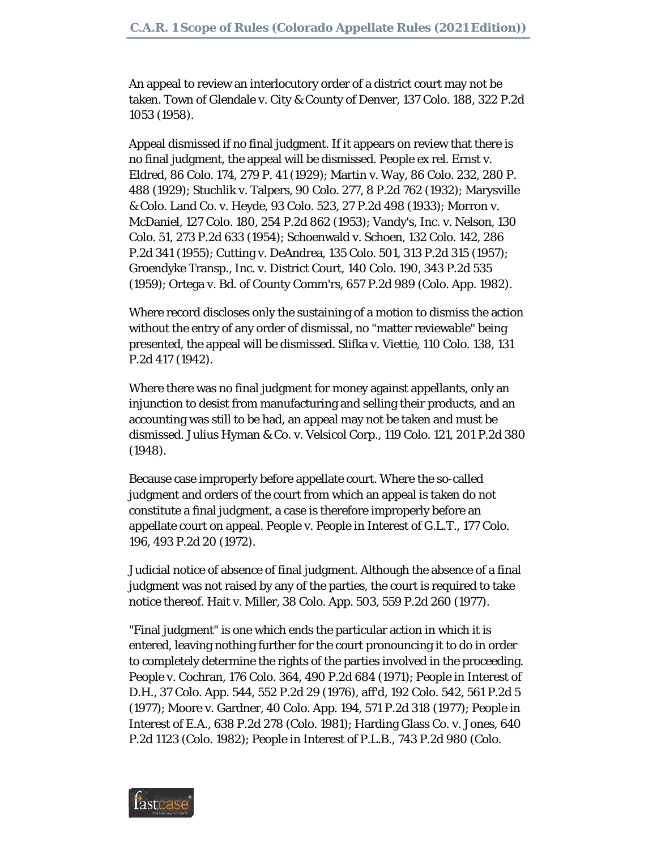An appeal to review an interlocutory order of a district court may not be taken. Town of Glendale v. City & County of Denver, 137 Colo. 188, 322 P.2d 1053 (1958).

Appeal dismissed if no final judgment. If it appears on review that there is no final judgment, the appeal will be dismissed. People ex rel. Ernst v. Eldred, 86 Colo. 174, 279 P. 41 (1929); Martin v. Way, 86 Colo. 232, 280 P. 488 (1929); Stuchlik v. Talpers, 90 Colo. 277, 8 P.2d 762 (1932); Marysville & Colo. Land Co. v. Heyde, 93 Colo. 523, 27 P.2d 498 (1933); Morron v. McDaniel, 127 Colo. 180, 254 P.2d 862 (1953); Vandy's, Inc. v. Nelson, 130 Colo. 51, 273 P.2d 633 (1954); Schoenwald v. Schoen, 132 Colo. 142, 286 P.2d 341 (1955); Cutting v. DeAndrea, 135 Colo. 501, 313 P.2d 315 (1957); Groendyke Transp., Inc. v. District Court, 140 Colo. 190, 343 P.2d 535 (1959); Ortega v. Bd. of County Comm'rs, 657 P.2d 989 (Colo. App. 1982).

Where record discloses only the sustaining of a motion to dismiss the action without the entry of any order of dismissal, no "matter reviewable" being presented, the appeal will be dismissed. Slifka v. Viettie, 110 Colo. 138, 131 P.2d 417 (1942).

Where there was no final judgment for money against appellants, only an injunction to desist from manufacturing and selling their products, and an accounting was still to be had, an appeal may not be taken and must be dismissed. Julius Hyman & Co. v. Velsicol Corp., 119 Colo. 121, 201 P.2d 380 (1948).

Because case improperly before appellate court. Where the so-called judgment and orders of the court from which an appeal is taken do not constitute a final judgment, a case is therefore improperly before an appellate court on appeal. People v. People in Interest of G.L.T., 177 Colo. 196, 493 P.2d 20 (1972).

Judicial notice of absence of final judgment. Although the absence of a final judgment was not raised by any of the parties, the court is required to take notice thereof. Hait v. Miller, 38 Colo. App. 503, 559 P.2d 260 (1977).

"Final judgment" is one which ends the particular action in which it is entered, leaving nothing further for the court pronouncing it to do in order to completely determine the rights of the parties involved in the proceeding. People v. Cochran, 176 Colo. 364, 490 P.2d 684 (1971); People in Interest of D.H., 37 Colo. App. 544, 552 P.2d 29 (1976), aff'd, 192 Colo. 542, 561 P.2d 5 (1977); Moore v. Gardner, 40 Colo. App. 194, 571 P.2d 318 (1977); People in Interest of E.A., 638 P.2d 278 (Colo. 1981); Harding Glass Co. v. Jones, 640 P.2d 1123 (Colo. 1982); People in Interest of P.L.B., 743 P.2d 980 (Colo.

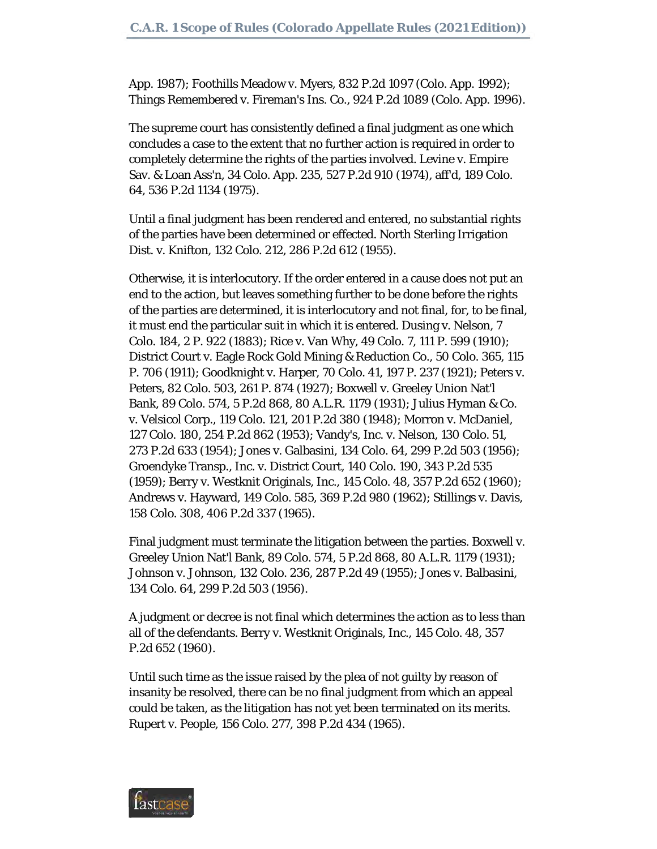App. 1987); Foothills Meadow v. Myers, 832 P.2d 1097 (Colo. App. 1992); Things Remembered v. Fireman's Ins. Co., 924 P.2d 1089 (Colo. App. 1996).

The supreme court has consistently defined a final judgment as one which concludes a case to the extent that no further action is required in order to completely determine the rights of the parties involved. Levine v. Empire Sav. & Loan Ass'n, 34 Colo. App. 235, 527 P.2d 910 (1974), aff'd, 189 Colo. 64, 536 P.2d 1134 (1975).

Until a final judgment has been rendered and entered, no substantial rights of the parties have been determined or effected. North Sterling Irrigation Dist. v. Knifton, 132 Colo. 212, 286 P.2d 612 (1955).

Otherwise, it is interlocutory. If the order entered in a cause does not put an end to the action, but leaves something further to be done before the rights of the parties are determined, it is interlocutory and not final, for, to be final, it must end the particular suit in which it is entered. Dusing v. Nelson, 7 Colo. 184, 2 P. 922 (1883); Rice v. Van Why, 49 Colo. 7, 111 P. 599 (1910); District Court v. Eagle Rock Gold Mining & Reduction Co., 50 Colo. 365, 115 P. 706 (1911); Goodknight v. Harper, 70 Colo. 41, 197 P. 237 (1921); Peters v. Peters, 82 Colo. 503, 261 P. 874 (1927); Boxwell v. Greeley Union Nat'l Bank, 89 Colo. 574, 5 P.2d 868, 80 A.L.R. 1179 (1931); Julius Hyman & Co. v. Velsicol Corp., 119 Colo. 121, 201 P.2d 380 (1948); Morron v. McDaniel, 127 Colo. 180, 254 P.2d 862 (1953); Vandy's, Inc. v. Nelson, 130 Colo. 51, 273 P.2d 633 (1954); Jones v. Galbasini, 134 Colo. 64, 299 P.2d 503 (1956); Groendyke Transp., Inc. v. District Court, 140 Colo. 190, 343 P.2d 535 (1959); Berry v. Westknit Originals, Inc., 145 Colo. 48, 357 P.2d 652 (1960); Andrews v. Hayward, 149 Colo. 585, 369 P.2d 980 (1962); Stillings v. Davis, 158 Colo. 308, 406 P.2d 337 (1965).

Final judgment must terminate the litigation between the parties. Boxwell v. Greeley Union Nat'l Bank, 89 Colo. 574, 5 P.2d 868, 80 A.L.R. 1179 (1931); Johnson v. Johnson, 132 Colo. 236, 287 P.2d 49 (1955); Jones v. Balbasini, 134 Colo. 64, 299 P.2d 503 (1956).

A judgment or decree is not final which determines the action as to less than all of the defendants. Berry v. Westknit Originals, Inc., 145 Colo. 48, 357 P.2d 652 (1960).

Until such time as the issue raised by the plea of not guilty by reason of insanity be resolved, there can be no final judgment from which an appeal could be taken, as the litigation has not yet been terminated on its merits. Rupert v. People, 156 Colo. 277, 398 P.2d 434 (1965).

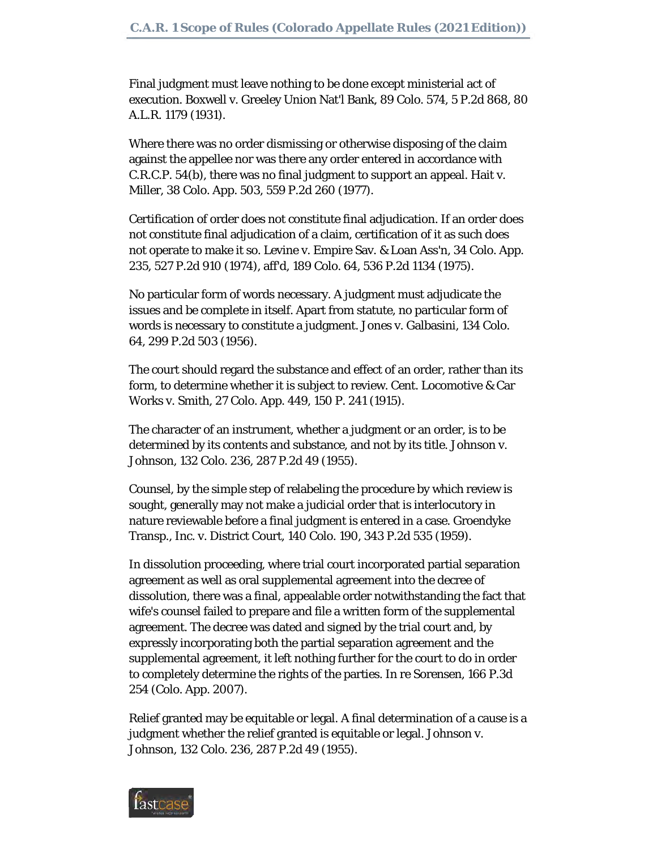Final judgment must leave nothing to be done except ministerial act of execution. Boxwell v. Greeley Union Nat'l Bank, 89 Colo. 574, 5 P.2d 868, 80 A.L.R. 1179 (1931).

Where there was no order dismissing or otherwise disposing of the claim against the appellee nor was there any order entered in accordance with C.R.C.P. 54(b), there was no final judgment to support an appeal. Hait v. Miller, 38 Colo. App. 503, 559 P.2d 260 (1977).

Certification of order does not constitute final adjudication. If an order does not constitute final adjudication of a claim, certification of it as such does not operate to make it so. Levine v. Empire Sav. & Loan Ass'n, 34 Colo. App. 235, 527 P.2d 910 (1974), aff'd, 189 Colo. 64, 536 P.2d 1134 (1975).

No particular form of words necessary. A judgment must adjudicate the issues and be complete in itself. Apart from statute, no particular form of words is necessary to constitute a judgment. Jones v. Galbasini, 134 Colo. 64, 299 P.2d 503 (1956).

The court should regard the substance and effect of an order, rather than its form, to determine whether it is subject to review. Cent. Locomotive & Car Works v. Smith, 27 Colo. App. 449, 150 P. 241 (1915).

The character of an instrument, whether a judgment or an order, is to be determined by its contents and substance, and not by its title. Johnson v. Johnson, 132 Colo. 236, 287 P.2d 49 (1955).

Counsel, by the simple step of relabeling the procedure by which review is sought, generally may not make a judicial order that is interlocutory in nature reviewable before a final judgment is entered in a case. Groendyke Transp., Inc. v. District Court, 140 Colo. 190, 343 P.2d 535 (1959).

In dissolution proceeding, where trial court incorporated partial separation agreement as well as oral supplemental agreement into the decree of dissolution, there was a final, appealable order notwithstanding the fact that wife's counsel failed to prepare and file a written form of the supplemental agreement. The decree was dated and signed by the trial court and, by expressly incorporating both the partial separation agreement and the supplemental agreement, it left nothing further for the court to do in order to completely determine the rights of the parties. In re Sorensen, 166 P.3d 254 (Colo. App. 2007).

Relief granted may be equitable or legal. A final determination of a cause is a judgment whether the relief granted is equitable or legal. Johnson v. Johnson, 132 Colo. 236, 287 P.2d 49 (1955).

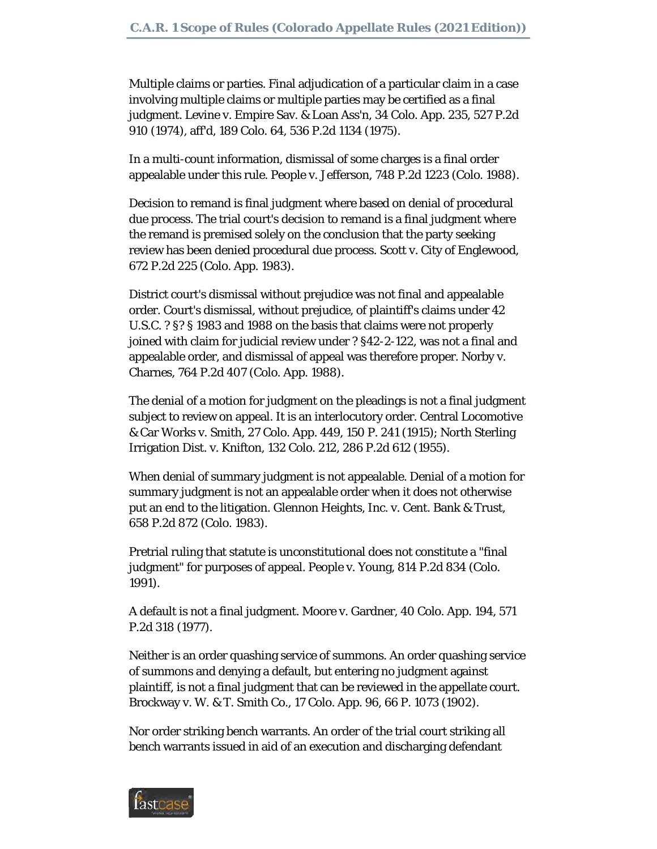Multiple claims or parties. Final adjudication of a particular claim in a case involving multiple claims or multiple parties may be certified as a final judgment. Levine v. Empire Sav. & Loan Ass'n, 34 Colo. App. 235, 527 P.2d 910 (1974), aff'd, 189 Colo. 64, 536 P.2d 1134 (1975).

In a multi-count information, dismissal of some charges is a final order appealable under this rule. People v. Jefferson, 748 P.2d 1223 (Colo. 1988).

Decision to remand is final judgment where based on denial of procedural due process. The trial court's decision to remand is a final judgment where the remand is premised solely on the conclusion that the party seeking review has been denied procedural due process. Scott v. City of Englewood, 672 P.2d 225 (Colo. App. 1983).

District court's dismissal without prejudice was not final and appealable order. Court's dismissal, without prejudice, of plaintiff's claims under 42 U.S.C. ? §? § 1983 and 1988 on the basis that claims were not properly joined with claim for judicial review under ? §42-2-122, was not a final and appealable order, and dismissal of appeal was therefore proper. Norby v. Charnes, 764 P.2d 407 (Colo. App. 1988).

The denial of a motion for judgment on the pleadings is not a final judgment subject to review on appeal. It is an interlocutory order. Central Locomotive & Car Works v. Smith, 27 Colo. App. 449, 150 P. 241 (1915); North Sterling Irrigation Dist. v. Knifton, 132 Colo. 212, 286 P.2d 612 (1955).

When denial of summary judgment is not appealable. Denial of a motion for summary judgment is not an appealable order when it does not otherwise put an end to the litigation. Glennon Heights, Inc. v. Cent. Bank & Trust, 658 P.2d 872 (Colo. 1983).

Pretrial ruling that statute is unconstitutional does not constitute a "final judgment" for purposes of appeal. People v. Young, 814 P.2d 834 (Colo. 1991).

A default is not a final judgment. Moore v. Gardner, 40 Colo. App. 194, 571 P.2d 318 (1977).

Neither is an order quashing service of summons. An order quashing service of summons and denying a default, but entering no judgment against plaintiff, is not a final judgment that can be reviewed in the appellate court. Brockway v. W. & T. Smith Co., 17 Colo. App. 96, 66 P. 1073 (1902).

Nor order striking bench warrants. An order of the trial court striking all bench warrants issued in aid of an execution and discharging defendant

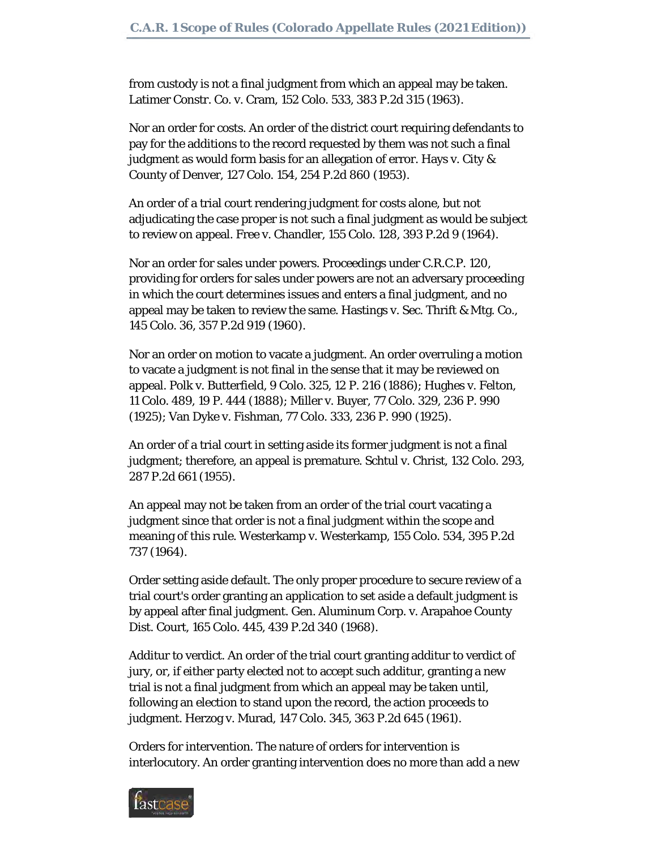from custody is not a final judgment from which an appeal may be taken. Latimer Constr. Co. v. Cram, 152 Colo. 533, 383 P.2d 315 (1963).

Nor an order for costs. An order of the district court requiring defendants to pay for the additions to the record requested by them was not such a final judgment as would form basis for an allegation of error. Hays v. City & County of Denver, 127 Colo. 154, 254 P.2d 860 (1953).

An order of a trial court rendering judgment for costs alone, but not adjudicating the case proper is not such a final judgment as would be subject to review on appeal. Free v. Chandler, 155 Colo. 128, 393 P.2d 9 (1964).

Nor an order for sales under powers. Proceedings under C.R.C.P. 120, providing for orders for sales under powers are not an adversary proceeding in which the court determines issues and enters a final judgment, and no appeal may be taken to review the same. Hastings v. Sec. Thrift & Mtg. Co., 145 Colo. 36, 357 P.2d 919 (1960).

Nor an order on motion to vacate a judgment. An order overruling a motion to vacate a judgment is not final in the sense that it may be reviewed on appeal. Polk v. Butterfield, 9 Colo. 325, 12 P. 216 (1886); Hughes v. Felton, 11 Colo. 489, 19 P. 444 (1888); Miller v. Buyer, 77 Colo. 329, 236 P. 990 (1925); Van Dyke v. Fishman, 77 Colo. 333, 236 P. 990 (1925).

An order of a trial court in setting aside its former judgment is not a final judgment; therefore, an appeal is premature. Schtul v. Christ, 132 Colo. 293, 287 P.2d 661 (1955).

An appeal may not be taken from an order of the trial court vacating a judgment since that order is not a final judgment within the scope and meaning of this rule. Westerkamp v. Westerkamp, 155 Colo. 534, 395 P.2d 737 (1964).

Order setting aside default. The only proper procedure to secure review of a trial court's order granting an application to set aside a default judgment is by appeal after final judgment. Gen. Aluminum Corp. v. Arapahoe County Dist. Court, 165 Colo. 445, 439 P.2d 340 (1968).

Additur to verdict. An order of the trial court granting additur to verdict of jury, or, if either party elected not to accept such additur, granting a new trial is not a final judgment from which an appeal may be taken until, following an election to stand upon the record, the action proceeds to judgment. Herzog v. Murad, 147 Colo. 345, 363 P.2d 645 (1961).

Orders for intervention. The nature of orders for intervention is interlocutory. An order granting intervention does no more than add a new

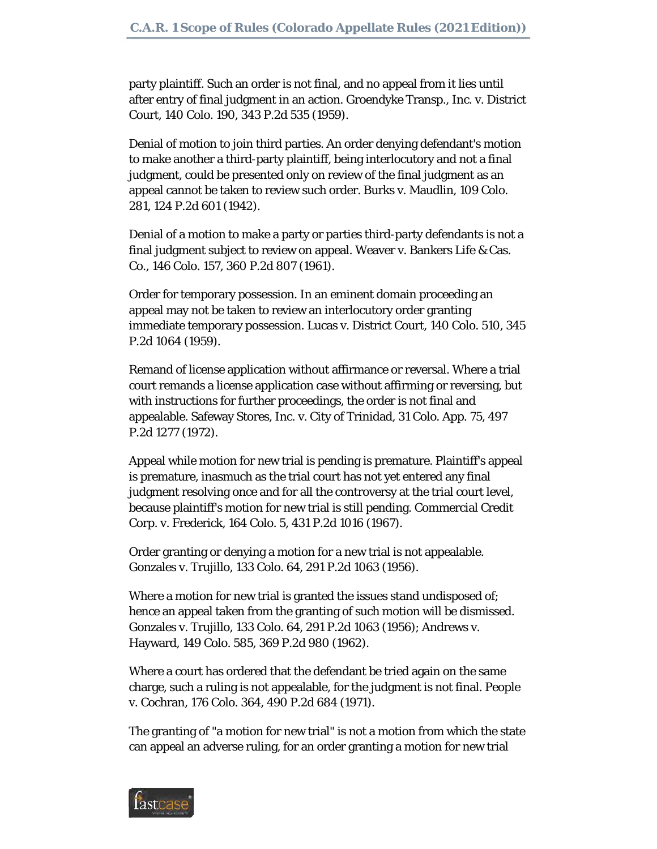party plaintiff. Such an order is not final, and no appeal from it lies until after entry of final judgment in an action. Groendyke Transp., Inc. v. District Court, 140 Colo. 190, 343 P.2d 535 (1959).

Denial of motion to join third parties. An order denying defendant's motion to make another a third-party plaintiff, being interlocutory and not a final judgment, could be presented only on review of the final judgment as an appeal cannot be taken to review such order. Burks v. Maudlin, 109 Colo. 281, 124 P.2d 601 (1942).

Denial of a motion to make a party or parties third-party defendants is not a final judgment subject to review on appeal. Weaver v. Bankers Life & Cas. Co., 146 Colo. 157, 360 P.2d 807 (1961).

Order for temporary possession. In an eminent domain proceeding an appeal may not be taken to review an interlocutory order granting immediate temporary possession. Lucas v. District Court, 140 Colo. 510, 345 P.2d 1064 (1959).

Remand of license application without affirmance or reversal. Where a trial court remands a license application case without affirming or reversing, but with instructions for further proceedings, the order is not final and appealable. Safeway Stores, Inc. v. City of Trinidad, 31 Colo. App. 75, 497 P.2d 1277 (1972).

Appeal while motion for new trial is pending is premature. Plaintiff's appeal is premature, inasmuch as the trial court has not yet entered any final judgment resolving once and for all the controversy at the trial court level, because plaintiff's motion for new trial is still pending. Commercial Credit Corp. v. Frederick, 164 Colo. 5, 431 P.2d 1016 (1967).

Order granting or denying a motion for a new trial is not appealable. Gonzales v. Trujillo, 133 Colo. 64, 291 P.2d 1063 (1956).

Where a motion for new trial is granted the issues stand undisposed of; hence an appeal taken from the granting of such motion will be dismissed. Gonzales v. Trujillo, 133 Colo. 64, 291 P.2d 1063 (1956); Andrews v. Hayward, 149 Colo. 585, 369 P.2d 980 (1962).

Where a court has ordered that the defendant be tried again on the same charge, such a ruling is not appealable, for the judgment is not final. People v. Cochran, 176 Colo. 364, 490 P.2d 684 (1971).

The granting of "a motion for new trial" is not a motion from which the state can appeal an adverse ruling, for an order granting a motion for new trial

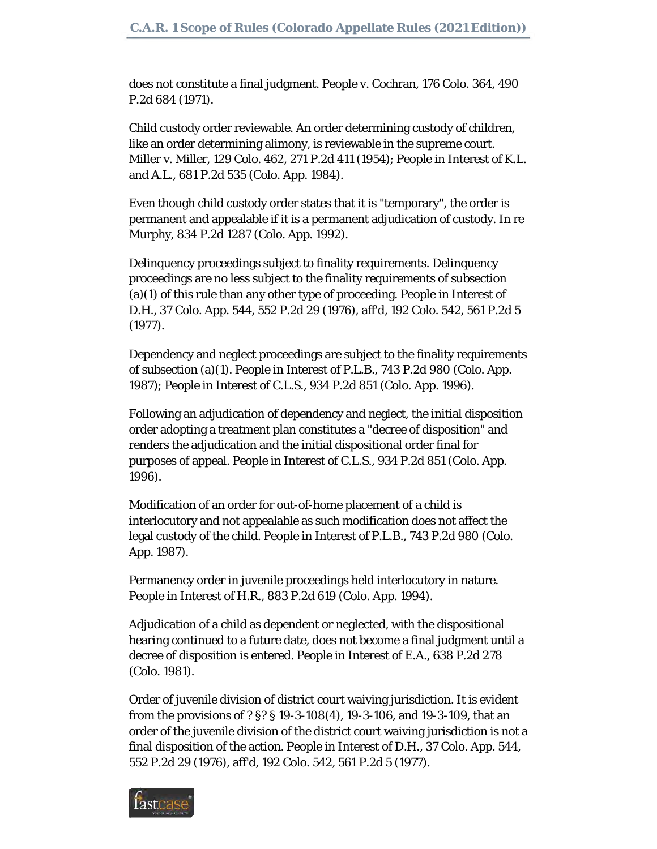does not constitute a final judgment. People v. Cochran, 176 Colo. 364, 490 P.2d 684 (1971).

Child custody order reviewable. An order determining custody of children, like an order determining alimony, is reviewable in the supreme court. Miller v. Miller, 129 Colo. 462, 271 P.2d 411 (1954); People in Interest of K.L. and A.L., 681 P.2d 535 (Colo. App. 1984).

Even though child custody order states that it is "temporary", the order is permanent and appealable if it is a permanent adjudication of custody. In re Murphy, 834 P.2d 1287 (Colo. App. 1992).

Delinquency proceedings subject to finality requirements. Delinquency proceedings are no less subject to the finality requirements of subsection (a)(1) of this rule than any other type of proceeding. People in Interest of D.H., 37 Colo. App. 544, 552 P.2d 29 (1976), aff'd, 192 Colo. 542, 561 P.2d 5 (1977).

Dependency and neglect proceedings are subject to the finality requirements of subsection (a)(1). People in Interest of P.L.B., 743 P.2d 980 (Colo. App. 1987); People in Interest of C.L.S., 934 P.2d 851 (Colo. App. 1996).

Following an adjudication of dependency and neglect, the initial disposition order adopting a treatment plan constitutes a "decree of disposition" and renders the adjudication and the initial dispositional order final for purposes of appeal. People in Interest of C.L.S., 934 P.2d 851 (Colo. App. 1996).

Modification of an order for out-of-home placement of a child is interlocutory and not appealable as such modification does not affect the legal custody of the child. People in Interest of P.L.B., 743 P.2d 980 (Colo. App. 1987).

Permanency order in juvenile proceedings held interlocutory in nature. People in Interest of H.R., 883 P.2d 619 (Colo. App. 1994).

Adjudication of a child as dependent or neglected, with the dispositional hearing continued to a future date, does not become a final judgment until a decree of disposition is entered. People in Interest of E.A., 638 P.2d 278 (Colo. 1981).

Order of juvenile division of district court waiving jurisdiction. It is evident from the provisions of ? §? § 19-3-108(4), 19-3-106, and 19-3-109, that an order of the juvenile division of the district court waiving jurisdiction is not a final disposition of the action. People in Interest of D.H., 37 Colo. App. 544, 552 P.2d 29 (1976), aff'd, 192 Colo. 542, 561 P.2d 5 (1977).

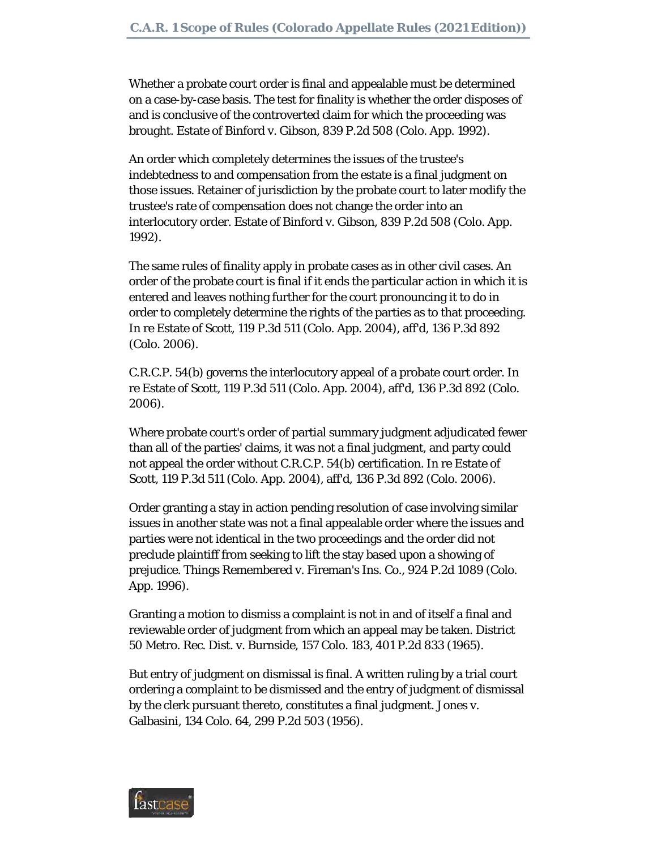Whether a probate court order is final and appealable must be determined on a case-by-case basis. The test for finality is whether the order disposes of and is conclusive of the controverted claim for which the proceeding was brought. Estate of Binford v. Gibson, 839 P.2d 508 (Colo. App. 1992).

An order which completely determines the issues of the trustee's indebtedness to and compensation from the estate is a final judgment on those issues. Retainer of jurisdiction by the probate court to later modify the trustee's rate of compensation does not change the order into an interlocutory order. Estate of Binford v. Gibson, 839 P.2d 508 (Colo. App. 1992).

The same rules of finality apply in probate cases as in other civil cases. An order of the probate court is final if it ends the particular action in which it is entered and leaves nothing further for the court pronouncing it to do in order to completely determine the rights of the parties as to that proceeding. In re Estate of Scott, 119 P.3d 511 (Colo. App. 2004), aff'd, 136 P.3d 892 (Colo. 2006).

C.R.C.P. 54(b) governs the interlocutory appeal of a probate court order. In re Estate of Scott, 119 P.3d 511 (Colo. App. 2004), aff'd, 136 P.3d 892 (Colo. 2006).

Where probate court's order of partial summary judgment adjudicated fewer than all of the parties' claims, it was not a final judgment, and party could not appeal the order without C.R.C.P. 54(b) certification. In re Estate of Scott, 119 P.3d 511 (Colo. App. 2004), aff'd, 136 P.3d 892 (Colo. 2006).

Order granting a stay in action pending resolution of case involving similar issues in another state was not a final appealable order where the issues and parties were not identical in the two proceedings and the order did not preclude plaintiff from seeking to lift the stay based upon a showing of prejudice. Things Remembered v. Fireman's Ins. Co., 924 P.2d 1089 (Colo. App. 1996).

Granting a motion to dismiss a complaint is not in and of itself a final and reviewable order of judgment from which an appeal may be taken. District 50 Metro. Rec. Dist. v. Burnside, 157 Colo. 183, 401 P.2d 833 (1965).

But entry of judgment on dismissal is final. A written ruling by a trial court ordering a complaint to be dismissed and the entry of judgment of dismissal by the clerk pursuant thereto, constitutes a final judgment. Jones v. Galbasini, 134 Colo. 64, 299 P.2d 503 (1956).

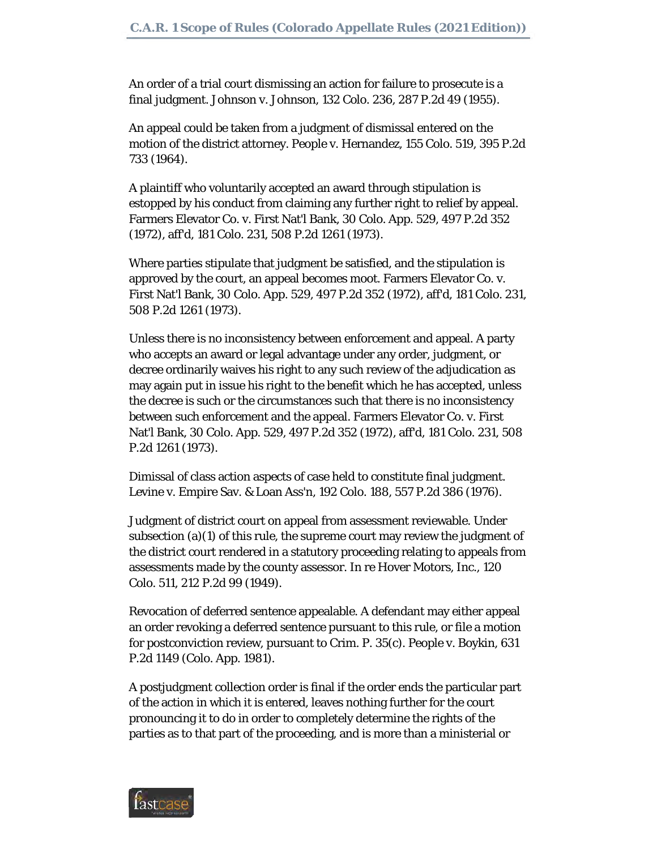An order of a trial court dismissing an action for failure to prosecute is a final judgment. Johnson v. Johnson, 132 Colo. 236, 287 P.2d 49 (1955).

An appeal could be taken from a judgment of dismissal entered on the motion of the district attorney. People v. Hernandez, 155 Colo. 519, 395 P.2d 733 (1964).

A plaintiff who voluntarily accepted an award through stipulation is estopped by his conduct from claiming any further right to relief by appeal. Farmers Elevator Co. v. First Nat'l Bank, 30 Colo. App. 529, 497 P.2d 352 (1972), aff'd, 181 Colo. 231, 508 P.2d 1261 (1973).

Where parties stipulate that judgment be satisfied, and the stipulation is approved by the court, an appeal becomes moot. Farmers Elevator Co. v. First Nat'l Bank, 30 Colo. App. 529, 497 P.2d 352 (1972), aff'd, 181 Colo. 231, 508 P.2d 1261 (1973).

Unless there is no inconsistency between enforcement and appeal. A party who accepts an award or legal advantage under any order, judgment, or decree ordinarily waives his right to any such review of the adjudication as may again put in issue his right to the benefit which he has accepted, unless the decree is such or the circumstances such that there is no inconsistency between such enforcement and the appeal. Farmers Elevator Co. v. First Nat'l Bank, 30 Colo. App. 529, 497 P.2d 352 (1972), aff'd, 181 Colo. 231, 508 P.2d 1261 (1973).

Dimissal of class action aspects of case held to constitute final judgment. Levine v. Empire Sav. & Loan Ass'n, 192 Colo. 188, 557 P.2d 386 (1976).

Judgment of district court on appeal from assessment reviewable. Under subsection (a)(1) of this rule, the supreme court may review the judgment of the district court rendered in a statutory proceeding relating to appeals from assessments made by the county assessor. In re Hover Motors, Inc., 120 Colo. 511, 212 P.2d 99 (1949).

Revocation of deferred sentence appealable. A defendant may either appeal an order revoking a deferred sentence pursuant to this rule, or file a motion for postconviction review, pursuant to Crim. P. 35(c). People v. Boykin, 631 P.2d 1149 (Colo. App. 1981).

A postjudgment collection order is final if the order ends the particular part of the action in which it is entered, leaves nothing further for the court pronouncing it to do in order to completely determine the rights of the parties as to that part of the proceeding, and is more than a ministerial or

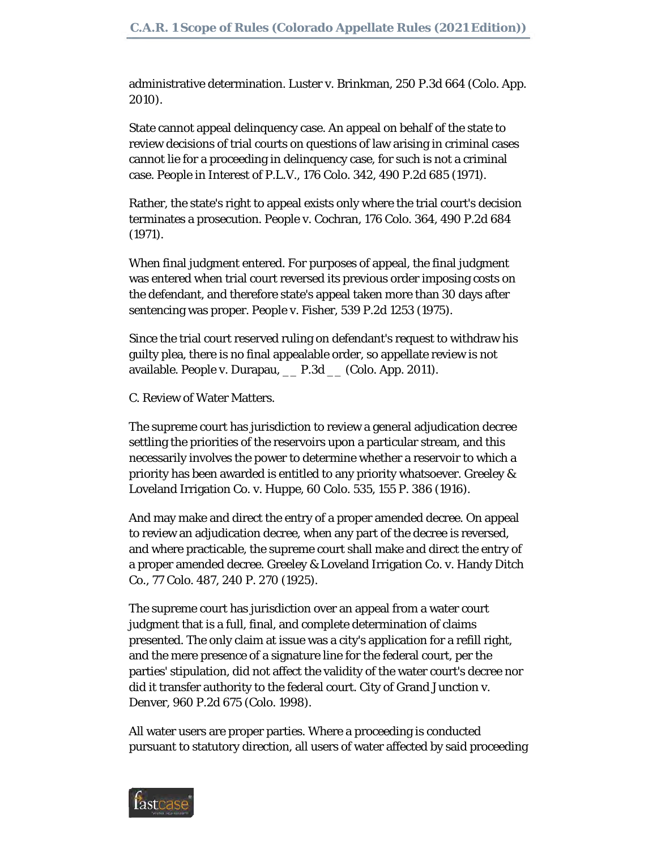administrative determination. Luster v. Brinkman, 250 P.3d 664 (Colo. App. 2010).

State cannot appeal delinquency case. An appeal on behalf of the state to review decisions of trial courts on questions of law arising in criminal cases cannot lie for a proceeding in delinquency case, for such is not a criminal case. People in Interest of P.L.V., 176 Colo. 342, 490 P.2d 685 (1971).

Rather, the state's right to appeal exists only where the trial court's decision terminates a prosecution. People v. Cochran, 176 Colo. 364, 490 P.2d 684 (1971).

When final judgment entered. For purposes of appeal, the final judgment was entered when trial court reversed its previous order imposing costs on the defendant, and therefore state's appeal taken more than 30 days after sentencing was proper. People v. Fisher, 539 P.2d 1253 (1975).

Since the trial court reserved ruling on defendant's request to withdraw his guilty plea, there is no final appealable order, so appellate review is not available. People v. Durapau, \_\_ P.3d \_\_ (Colo. App. 2011).

C. Review of Water Matters.

The supreme court has jurisdiction to review a general adjudication decree settling the priorities of the reservoirs upon a particular stream, and this necessarily involves the power to determine whether a reservoir to which a priority has been awarded is entitled to any priority whatsoever. Greeley & Loveland Irrigation Co. v. Huppe, 60 Colo. 535, 155 P. 386 (1916).

And may make and direct the entry of a proper amended decree. On appeal to review an adjudication decree, when any part of the decree is reversed, and where practicable, the supreme court shall make and direct the entry of a proper amended decree. Greeley & Loveland Irrigation Co. v. Handy Ditch Co., 77 Colo. 487, 240 P. 270 (1925).

The supreme court has jurisdiction over an appeal from a water court judgment that is a full, final, and complete determination of claims presented. The only claim at issue was a city's application for a refill right, and the mere presence of a signature line for the federal court, per the parties' stipulation, did not affect the validity of the water court's decree nor did it transfer authority to the federal court. City of Grand Junction v. Denver, 960 P.2d 675 (Colo. 1998).

All water users are proper parties. Where a proceeding is conducted pursuant to statutory direction, all users of water affected by said proceeding

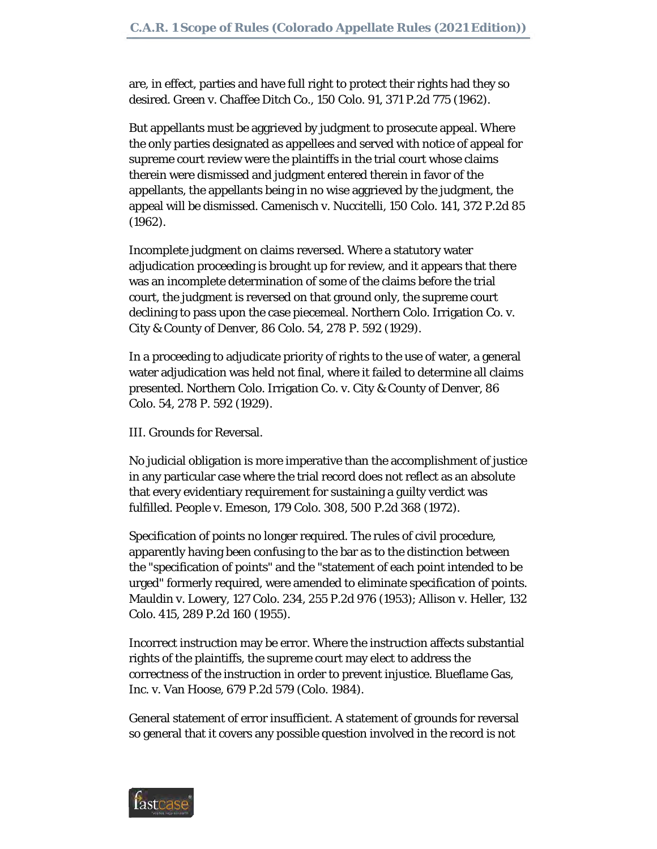are, in effect, parties and have full right to protect their rights had they so desired. Green v. Chaffee Ditch Co., 150 Colo. 91, 371 P.2d 775 (1962).

But appellants must be aggrieved by judgment to prosecute appeal. Where the only parties designated as appellees and served with notice of appeal for supreme court review were the plaintiffs in the trial court whose claims therein were dismissed and judgment entered therein in favor of the appellants, the appellants being in no wise aggrieved by the judgment, the appeal will be dismissed. Camenisch v. Nuccitelli, 150 Colo. 141, 372 P.2d 85 (1962).

Incomplete judgment on claims reversed. Where a statutory water adjudication proceeding is brought up for review, and it appears that there was an incomplete determination of some of the claims before the trial court, the judgment is reversed on that ground only, the supreme court declining to pass upon the case piecemeal. Northern Colo. Irrigation Co. v. City & County of Denver, 86 Colo. 54, 278 P. 592 (1929).

In a proceeding to adjudicate priority of rights to the use of water, a general water adjudication was held not final, where it failed to determine all claims presented. Northern Colo. Irrigation Co. v. City & County of Denver, 86 Colo. 54, 278 P. 592 (1929).

III. Grounds for Reversal.

No judicial obligation is more imperative than the accomplishment of justice in any particular case where the trial record does not reflect as an absolute that every evidentiary requirement for sustaining a guilty verdict was fulfilled. People v. Emeson, 179 Colo. 308, 500 P.2d 368 (1972).

Specification of points no longer required. The rules of civil procedure, apparently having been confusing to the bar as to the distinction between the "specification of points" and the "statement of each point intended to be urged" formerly required, were amended to eliminate specification of points. Mauldin v. Lowery, 127 Colo. 234, 255 P.2d 976 (1953); Allison v. Heller, 132 Colo. 415, 289 P.2d 160 (1955).

Incorrect instruction may be error. Where the instruction affects substantial rights of the plaintiffs, the supreme court may elect to address the correctness of the instruction in order to prevent injustice. Blueflame Gas, Inc. v. Van Hoose, 679 P.2d 579 (Colo. 1984).

General statement of error insufficient. A statement of grounds for reversal so general that it covers any possible question involved in the record is not

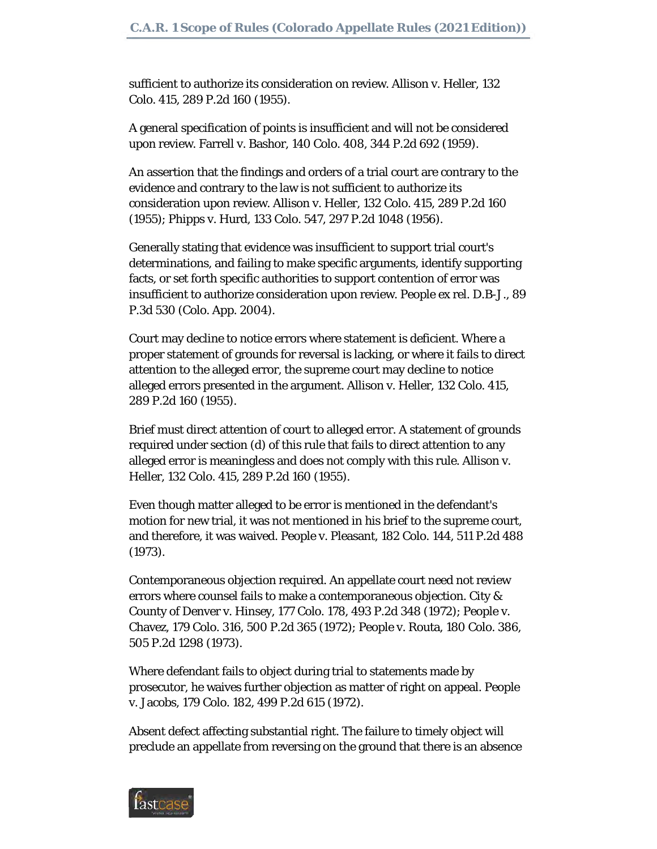sufficient to authorize its consideration on review. Allison v. Heller, 132 Colo. 415, 289 P.2d 160 (1955).

A general specification of points is insufficient and will not be considered upon review. Farrell v. Bashor, 140 Colo. 408, 344 P.2d 692 (1959).

An assertion that the findings and orders of a trial court are contrary to the evidence and contrary to the law is not sufficient to authorize its consideration upon review. Allison v. Heller, 132 Colo. 415, 289 P.2d 160 (1955); Phipps v. Hurd, 133 Colo. 547, 297 P.2d 1048 (1956).

Generally stating that evidence was insufficient to support trial court's determinations, and failing to make specific arguments, identify supporting facts, or set forth specific authorities to support contention of error was insufficient to authorize consideration upon review. People ex rel. D.B-J., 89 P.3d 530 (Colo. App. 2004).

Court may decline to notice errors where statement is deficient. Where a proper statement of grounds for reversal is lacking, or where it fails to direct attention to the alleged error, the supreme court may decline to notice alleged errors presented in the argument. Allison v. Heller, 132 Colo. 415, 289 P.2d 160 (1955).

Brief must direct attention of court to alleged error. A statement of grounds required under section (d) of this rule that fails to direct attention to any alleged error is meaningless and does not comply with this rule. Allison v. Heller, 132 Colo. 415, 289 P.2d 160 (1955).

Even though matter alleged to be error is mentioned in the defendant's motion for new trial, it was not mentioned in his brief to the supreme court, and therefore, it was waived. People v. Pleasant, 182 Colo. 144, 511 P.2d 488 (1973).

Contemporaneous objection required. An appellate court need not review errors where counsel fails to make a contemporaneous objection. City & County of Denver v. Hinsey, 177 Colo. 178, 493 P.2d 348 (1972); People v. Chavez, 179 Colo. 316, 500 P.2d 365 (1972); People v. Routa, 180 Colo. 386, 505 P.2d 1298 (1973).

Where defendant fails to object during trial to statements made by prosecutor, he waives further objection as matter of right on appeal. People v. Jacobs, 179 Colo. 182, 499 P.2d 615 (1972).

Absent defect affecting substantial right. The failure to timely object will preclude an appellate from reversing on the ground that there is an absence

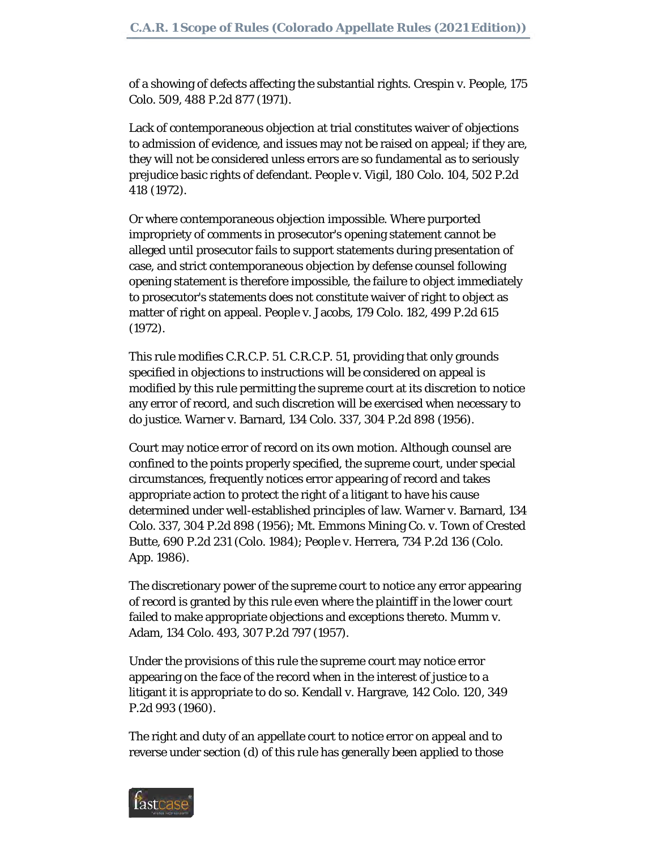of a showing of defects affecting the substantial rights. Crespin v. People, 175 Colo. 509, 488 P.2d 877 (1971).

Lack of contemporaneous objection at trial constitutes waiver of objections to admission of evidence, and issues may not be raised on appeal; if they are, they will not be considered unless errors are so fundamental as to seriously prejudice basic rights of defendant. People v. Vigil, 180 Colo. 104, 502 P.2d 418 (1972).

Or where contemporaneous objection impossible. Where purported impropriety of comments in prosecutor's opening statement cannot be alleged until prosecutor fails to support statements during presentation of case, and strict contemporaneous objection by defense counsel following opening statement is therefore impossible, the failure to object immediately to prosecutor's statements does not constitute waiver of right to object as matter of right on appeal. People v. Jacobs, 179 Colo. 182, 499 P.2d 615 (1972).

This rule modifies C.R.C.P. 51. C.R.C.P. 51, providing that only grounds specified in objections to instructions will be considered on appeal is modified by this rule permitting the supreme court at its discretion to notice any error of record, and such discretion will be exercised when necessary to do justice. Warner v. Barnard, 134 Colo. 337, 304 P.2d 898 (1956).

Court may notice error of record on its own motion. Although counsel are confined to the points properly specified, the supreme court, under special circumstances, frequently notices error appearing of record and takes appropriate action to protect the right of a litigant to have his cause determined under well-established principles of law. Warner v. Barnard, 134 Colo. 337, 304 P.2d 898 (1956); Mt. Emmons Mining Co. v. Town of Crested Butte, 690 P.2d 231 (Colo. 1984); People v. Herrera, 734 P.2d 136 (Colo. App. 1986).

The discretionary power of the supreme court to notice any error appearing of record is granted by this rule even where the plaintiff in the lower court failed to make appropriate objections and exceptions thereto. Mumm v. Adam, 134 Colo. 493, 307 P.2d 797 (1957).

Under the provisions of this rule the supreme court may notice error appearing on the face of the record when in the interest of justice to a litigant it is appropriate to do so. Kendall v. Hargrave, 142 Colo. 120, 349 P.2d 993 (1960).

The right and duty of an appellate court to notice error on appeal and to reverse under section (d) of this rule has generally been applied to those

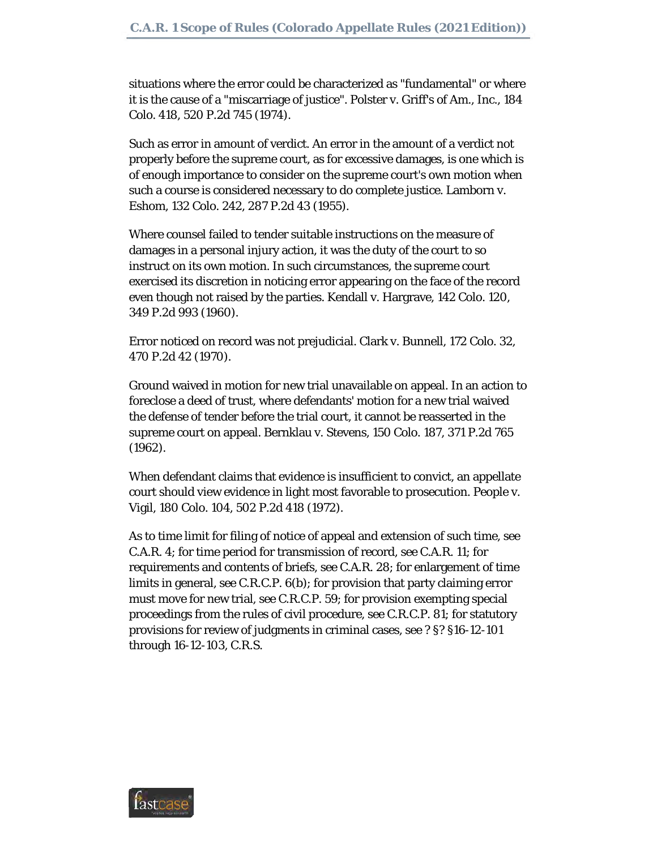situations where the error could be characterized as "fundamental" or where it is the cause of a "miscarriage of justice". Polster v. Griff's of Am., Inc., 184 Colo. 418, 520 P.2d 745 (1974).

Such as error in amount of verdict. An error in the amount of a verdict not properly before the supreme court, as for excessive damages, is one which is of enough importance to consider on the supreme court's own motion when such a course is considered necessary to do complete justice. Lamborn v. Eshom, 132 Colo. 242, 287 P.2d 43 (1955).

Where counsel failed to tender suitable instructions on the measure of damages in a personal injury action, it was the duty of the court to so instruct on its own motion. In such circumstances, the supreme court exercised its discretion in noticing error appearing on the face of the record even though not raised by the parties. Kendall v. Hargrave, 142 Colo. 120, 349 P.2d 993 (1960).

Error noticed on record was not prejudicial. Clark v. Bunnell, 172 Colo. 32, 470 P.2d 42 (1970).

Ground waived in motion for new trial unavailable on appeal. In an action to foreclose a deed of trust, where defendants' motion for a new trial waived the defense of tender before the trial court, it cannot be reasserted in the supreme court on appeal. Bernklau v. Stevens, 150 Colo. 187, 371 P.2d 765 (1962).

When defendant claims that evidence is insufficient to convict, an appellate court should view evidence in light most favorable to prosecution. People v. Vigil, 180 Colo. 104, 502 P.2d 418 (1972).

As to time limit for filing of notice of appeal and extension of such time, see C.A.R. 4; for time period for transmission of record, see C.A.R. 11; for requirements and contents of briefs, see C.A.R. 28; for enlargement of time limits in general, see C.R.C.P. 6(b); for provision that party claiming error must move for new trial, see C.R.C.P. 59; for provision exempting special proceedings from the rules of civil procedure, see C.R.C.P. 81; for statutory provisions for review of judgments in criminal cases, see ? §? §16-12-101 through 16-12-103, C.R.S.

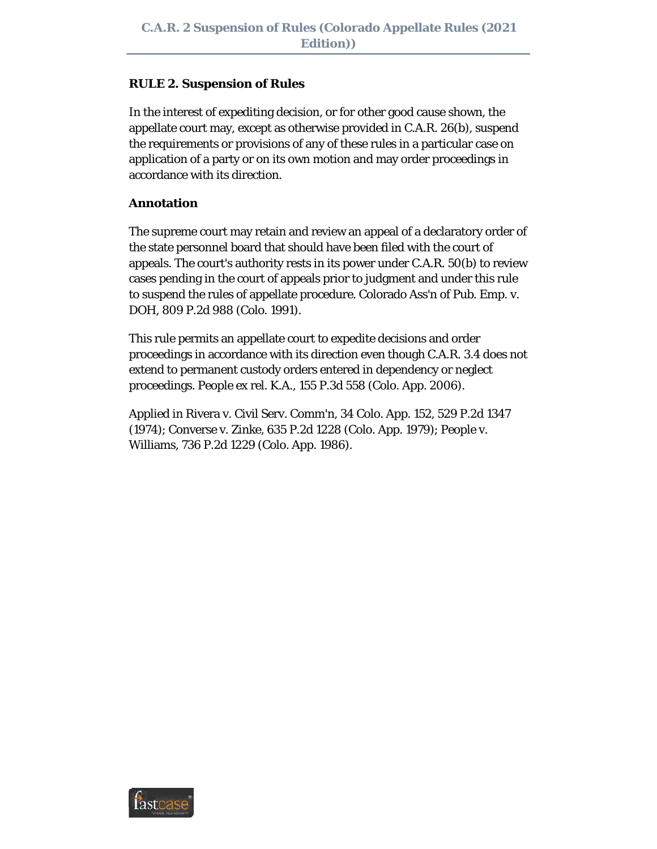## **RULE 2. Suspension of Rules**

In the interest of expediting decision, or for other good cause shown, the appellate court may, except as otherwise provided in C.A.R. 26(b), suspend the requirements or provisions of any of these rules in a particular case on application of a party or on its own motion and may order proceedings in accordance with its direction.

#### **Annotation**

The supreme court may retain and review an appeal of a declaratory order of the state personnel board that should have been filed with the court of appeals. The court's authority rests in its power under C.A.R. 50(b) to review cases pending in the court of appeals prior to judgment and under this rule to suspend the rules of appellate procedure. Colorado Ass'n of Pub. Emp. v. DOH, 809 P.2d 988 (Colo. 1991).

This rule permits an appellate court to expedite decisions and order proceedings in accordance with its direction even though C.A.R. 3.4 does not extend to permanent custody orders entered in dependency or neglect proceedings. People ex rel. K.A., 155 P.3d 558 (Colo. App. 2006).

Applied in Rivera v. Civil Serv. Comm'n, 34 Colo. App. 152, 529 P.2d 1347 (1974); Converse v. Zinke, 635 P.2d 1228 (Colo. App. 1979); People v. Williams, 736 P.2d 1229 (Colo. App. 1986).

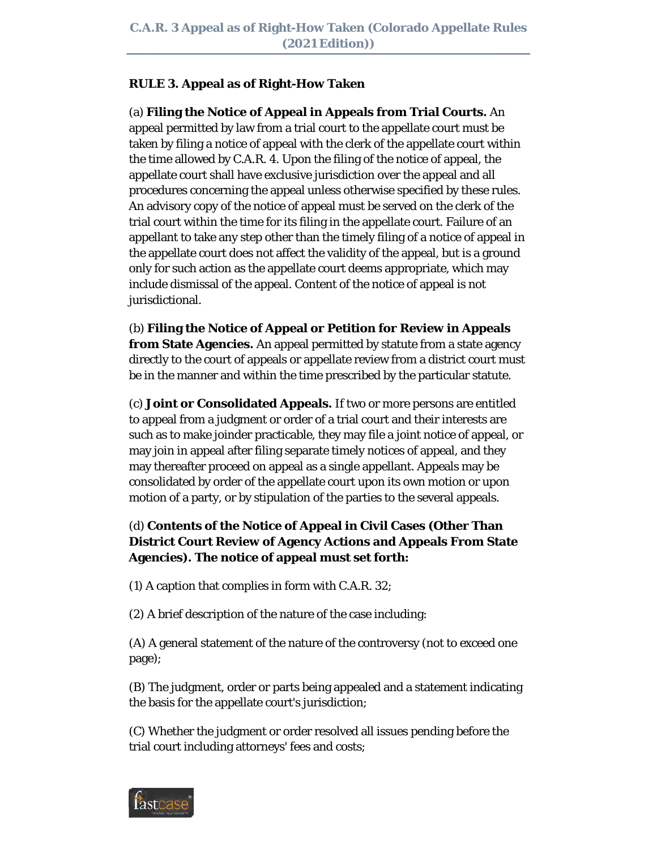## **RULE 3. Appeal as of Right-How Taken**

(a) **Filing the Notice of Appeal in Appeals from Trial Courts.** An appeal permitted by law from a trial court to the appellate court must be taken by filing a notice of appeal with the clerk of the appellate court within the time allowed by C.A.R. 4. Upon the filing of the notice of appeal, the appellate court shall have exclusive jurisdiction over the appeal and all procedures concerning the appeal unless otherwise specified by these rules. An advisory copy of the notice of appeal must be served on the clerk of the trial court within the time for its filing in the appellate court. Failure of an appellant to take any step other than the timely filing of a notice of appeal in the appellate court does not affect the validity of the appeal, but is a ground only for such action as the appellate court deems appropriate, which may include dismissal of the appeal. Content of the notice of appeal is not jurisdictional.

(b) **Filing the Notice of Appeal or Petition for Review in Appeals from State Agencies.** An appeal permitted by statute from a state agency directly to the court of appeals or appellate review from a district court must be in the manner and within the time prescribed by the particular statute.

(c) **Joint or Consolidated Appeals.** If two or more persons are entitled to appeal from a judgment or order of a trial court and their interests are such as to make joinder practicable, they may file a joint notice of appeal, or may join in appeal after filing separate timely notices of appeal, and they may thereafter proceed on appeal as a single appellant. Appeals may be consolidated by order of the appellate court upon its own motion or upon motion of a party, or by stipulation of the parties to the several appeals.

(d) **Contents of the Notice of Appeal in Civil Cases (Other Than District Court Review of Agency Actions and Appeals From State Agencies). The notice of appeal must set forth:**

(1) A caption that complies in form with C.A.R. 32;

(2) A brief description of the nature of the case including:

(A) A general statement of the nature of the controversy (not to exceed one page);

(B) The judgment, order or parts being appealed and a statement indicating the basis for the appellate court's jurisdiction;

(C) Whether the judgment or order resolved all issues pending before the trial court including attorneys' fees and costs;

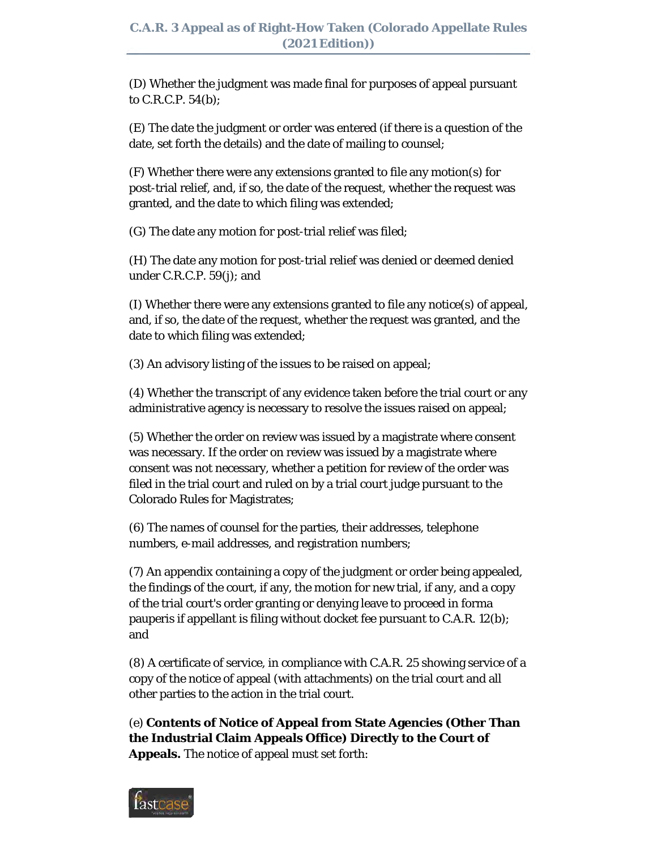(D) Whether the judgment was made final for purposes of appeal pursuant to C.R.C.P. 54(b);

(E) The date the judgment or order was entered (if there is a question of the date, set forth the details) and the date of mailing to counsel;

(F) Whether there were any extensions granted to file any motion(s) for post-trial relief, and, if so, the date of the request, whether the request was granted, and the date to which filing was extended;

(G) The date any motion for post-trial relief was filed;

(H) The date any motion for post-trial relief was denied or deemed denied under C.R.C.P. 59(j); and

(I) Whether there were any extensions granted to file any notice(s) of appeal, and, if so, the date of the request, whether the request was granted, and the date to which filing was extended;

(3) An advisory listing of the issues to be raised on appeal;

(4) Whether the transcript of any evidence taken before the trial court or any administrative agency is necessary to resolve the issues raised on appeal;

(5) Whether the order on review was issued by a magistrate where consent was necessary. If the order on review was issued by a magistrate where consent was not necessary, whether a petition for review of the order was filed in the trial court and ruled on by a trial court judge pursuant to the Colorado Rules for Magistrates;

(6) The names of counsel for the parties, their addresses, telephone numbers, e-mail addresses, and registration numbers;

(7) An appendix containing a copy of the judgment or order being appealed, the findings of the court, if any, the motion for new trial, if any, and a copy of the trial court's order granting or denying leave to proceed in forma pauperis if appellant is filing without docket fee pursuant to C.A.R. 12(b); and

(8) A certificate of service, in compliance with C.A.R. 25 showing service of a copy of the notice of appeal (with attachments) on the trial court and all other parties to the action in the trial court.

(e) **Contents of Notice of Appeal from State Agencies (Other Than the Industrial Claim Appeals Office) Directly to the Court of Appeals.** The notice of appeal must set forth:

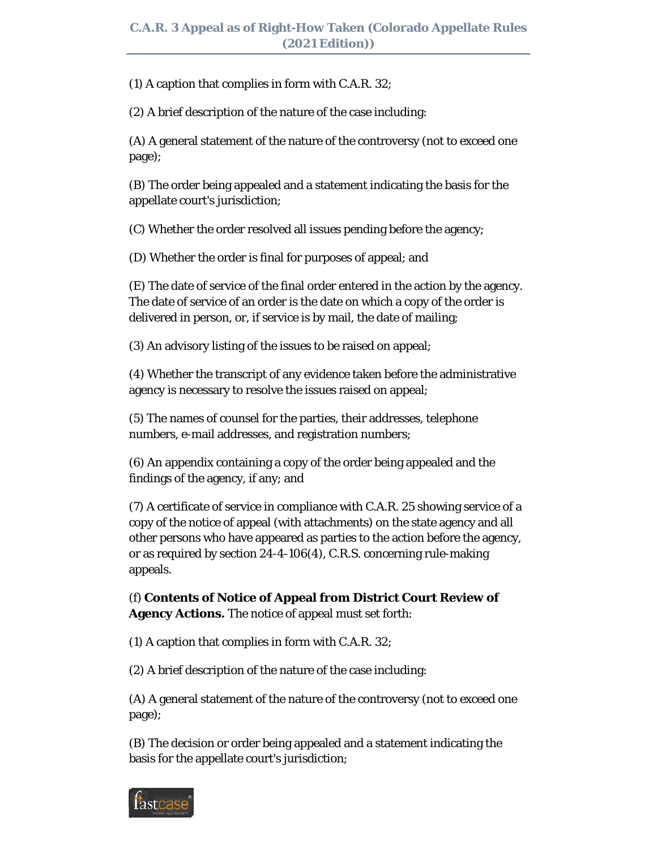(1) A caption that complies in form with C.A.R. 32;

(2) A brief description of the nature of the case including:

(A) A general statement of the nature of the controversy (not to exceed one page);

(B) The order being appealed and a statement indicating the basis for the appellate court's jurisdiction;

(C) Whether the order resolved all issues pending before the agency;

(D) Whether the order is final for purposes of appeal; and

(E) The date of service of the final order entered in the action by the agency. The date of service of an order is the date on which a copy of the order is delivered in person, or, if service is by mail, the date of mailing;

(3) An advisory listing of the issues to be raised on appeal;

(4) Whether the transcript of any evidence taken before the administrative agency is necessary to resolve the issues raised on appeal;

(5) The names of counsel for the parties, their addresses, telephone numbers, e-mail addresses, and registration numbers;

(6) An appendix containing a copy of the order being appealed and the findings of the agency, if any; and

(7) A certificate of service in compliance with C.A.R. 25 showing service of a copy of the notice of appeal (with attachments) on the state agency and all other persons who have appeared as parties to the action before the agency, or as required by section 24-4-106(4), C.R.S. concerning rule-making appeals.

(f) **Contents of Notice of Appeal from District Court Review of Agency Actions.** The notice of appeal must set forth:

(1) A caption that complies in form with C.A.R. 32;

(2) A brief description of the nature of the case including:

(A) A general statement of the nature of the controversy (not to exceed one page);

(B) The decision or order being appealed and a statement indicating the basis for the appellate court's jurisdiction;

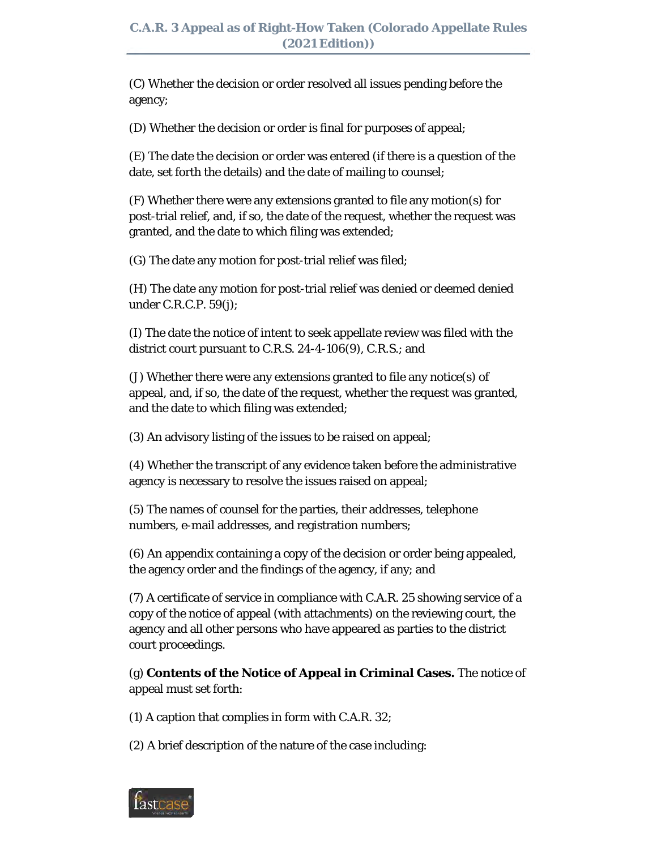(C) Whether the decision or order resolved all issues pending before the agency;

(D) Whether the decision or order is final for purposes of appeal;

(E) The date the decision or order was entered (if there is a question of the date, set forth the details) and the date of mailing to counsel;

(F) Whether there were any extensions granted to file any motion(s) for post-trial relief, and, if so, the date of the request, whether the request was granted, and the date to which filing was extended;

(G) The date any motion for post-trial relief was filed;

(H) The date any motion for post-trial relief was denied or deemed denied under C.R.C.P. 59(j);

(I) The date the notice of intent to seek appellate review was filed with the district court pursuant to C.R.S. 24-4-106(9), C.R.S.; and

(J) Whether there were any extensions granted to file any notice(s) of appeal, and, if so, the date of the request, whether the request was granted, and the date to which filing was extended;

(3) An advisory listing of the issues to be raised on appeal;

(4) Whether the transcript of any evidence taken before the administrative agency is necessary to resolve the issues raised on appeal;

(5) The names of counsel for the parties, their addresses, telephone numbers, e-mail addresses, and registration numbers;

(6) An appendix containing a copy of the decision or order being appealed, the agency order and the findings of the agency, if any; and

(7) A certificate of service in compliance with C.A.R. 25 showing service of a copy of the notice of appeal (with attachments) on the reviewing court, the agency and all other persons who have appeared as parties to the district court proceedings.

(g) **Contents of the Notice of Appeal in Criminal Cases.** The notice of appeal must set forth:

(1) A caption that complies in form with C.A.R. 32;

(2) A brief description of the nature of the case including:

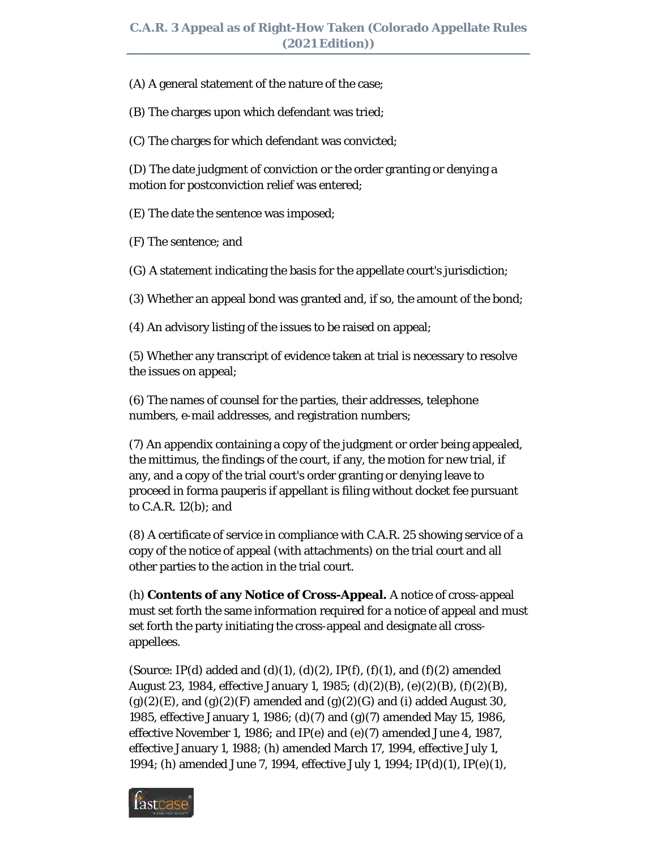(A) A general statement of the nature of the case;

(B) The charges upon which defendant was tried;

(C) The charges for which defendant was convicted;

(D) The date judgment of conviction or the order granting or denying a motion for postconviction relief was entered;

(E) The date the sentence was imposed;

(F) The sentence; and

(G) A statement indicating the basis for the appellate court's jurisdiction;

(3) Whether an appeal bond was granted and, if so, the amount of the bond;

(4) An advisory listing of the issues to be raised on appeal;

(5) Whether any transcript of evidence taken at trial is necessary to resolve the issues on appeal;

(6) The names of counsel for the parties, their addresses, telephone numbers, e-mail addresses, and registration numbers;

(7) An appendix containing a copy of the judgment or order being appealed, the mittimus, the findings of the court, if any, the motion for new trial, if any, and a copy of the trial court's order granting or denying leave to proceed in forma pauperis if appellant is filing without docket fee pursuant to C.A.R. 12(b); and

(8) A certificate of service in compliance with C.A.R. 25 showing service of a copy of the notice of appeal (with attachments) on the trial court and all other parties to the action in the trial court.

(h) **Contents of any Notice of Cross-Appeal.** A notice of cross-appeal must set forth the same information required for a notice of appeal and must set forth the party initiating the cross-appeal and designate all crossappellees.

(Source: IP(d) added and (d)(1), (d)(2), IP(f), (f)(1), and (f)(2) amended August 23, 1984, effective January 1, 1985; (d)(2)(B), (e)(2)(B), (f)(2)(B),  $(g)(2)(E)$ , and  $(g)(2)(F)$  amended and  $(g)(2)(G)$  and (i) added August 30, 1985, effective January 1, 1986; (d)(7) and (g)(7) amended May 15, 1986, effective November 1, 1986; and IP(e) and (e)(7) amended June 4, 1987, effective January 1, 1988; (h) amended March 17, 1994, effective July 1, 1994; (h) amended June 7, 1994, effective July 1, 1994; IP(d)(1), IP(e)(1),

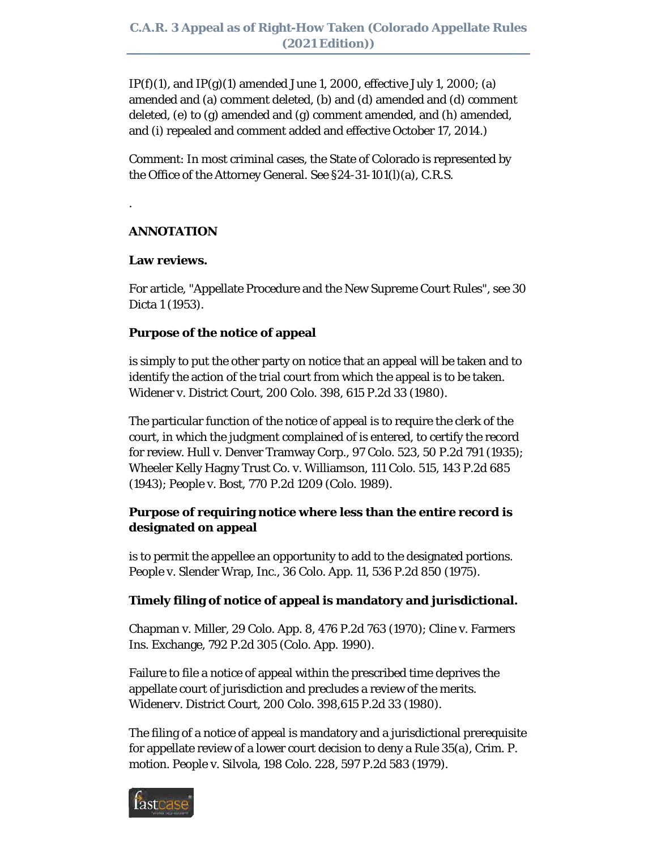IP(f)(1), and IP(g)(1) amended June 1, 2000, effective July 1, 2000; (a) amended and (a) comment deleted, (b) and (d) amended and (d) comment deleted, (e) to (g) amended and (g) comment amended, and (h) amended, and (i) repealed and comment added and effective October 17, 2014.)

Comment: In most criminal cases, the State of Colorado is represented by the Office of the Attorney General. See §24-31-101(l)(a), C.R.S.

.

## **ANNOTATION**

**Law reviews.**

For article, "Appellate Procedure and the New Supreme Court Rules", see 30 Dicta 1 (1953).

**Purpose of the notice of appeal**

is simply to put the other party on notice that an appeal will be taken and to identify the action of the trial court from which the appeal is to be taken. Widener v. District Court, 200 Colo. 398, 615 P.2d 33 (1980).

The particular function of the notice of appeal is to require the clerk of the court, in which the judgment complained of is entered, to certify the record for review. Hull v. Denver Tramway Corp., 97 Colo. 523, 50 P.2d 791 (1935); Wheeler Kelly Hagny Trust Co. v. Williamson, 111 Colo. 515, 143 P.2d 685 (1943); People v. Bost, 770 P.2d 1209 (Colo. 1989).

**Purpose of requiring notice where less than the entire record is designated on appeal**

is to permit the appellee an opportunity to add to the designated portions. People v. Slender Wrap, Inc., 36 Colo. App. 11, 536 P.2d 850 (1975).

**Timely filing of notice of appeal is mandatory and jurisdictional.**

Chapman v. Miller, 29 Colo. App. 8, 476 P.2d 763 (1970); Cline v. Farmers Ins. Exchange, 792 P.2d 305 (Colo. App. 1990).

Failure to file a notice of appeal within the prescribed time deprives the appellate court of jurisdiction and precludes a review of the merits. Widenerv. District Court, 200 Colo. 398,615 P.2d 33 (1980).

The filing of a notice of appeal is mandatory and a jurisdictional prerequisite for appellate review of a lower court decision to deny a Rule 35(a), Crim. P. motion. People v. Silvola, 198 Colo. 228, 597 P.2d 583 (1979).

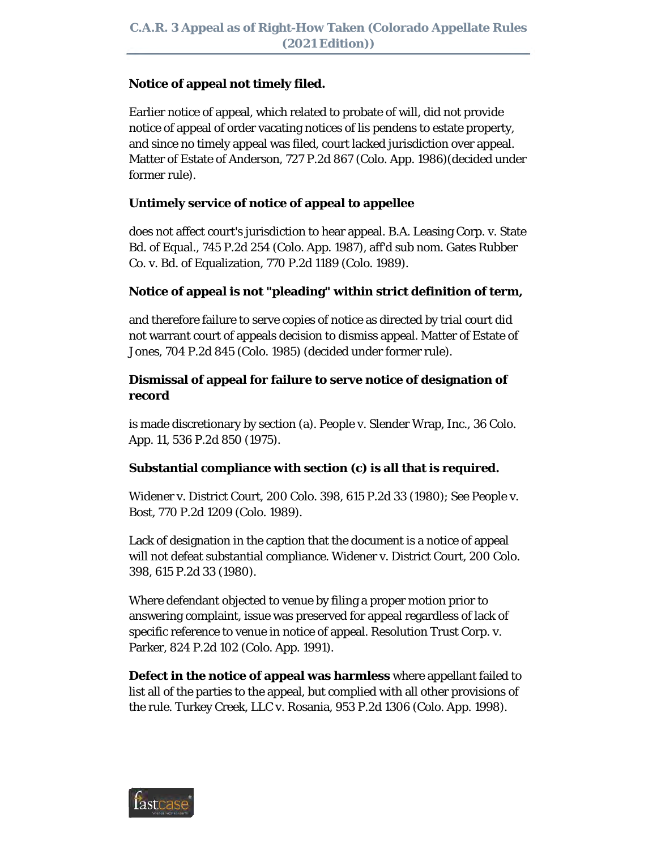**Notice of appeal not timely filed.**

Earlier notice of appeal, which related to probate of will, did not provide notice of appeal of order vacating notices of lis pendens to estate property, and since no timely appeal was filed, court lacked jurisdiction over appeal. Matter of Estate of Anderson, 727 P.2d 867 (Colo. App. 1986)(decided under former rule).

**Untimely service of notice of appeal to appellee**

does not affect court's jurisdiction to hear appeal. B.A. Leasing Corp. v. State Bd. of Equal., 745 P.2d 254 (Colo. App. 1987), aff'd sub nom. Gates Rubber Co. v. Bd. of Equalization, 770 P.2d 1189 (Colo. 1989).

**Notice of appeal is not "pleading" within strict definition of term,**

and therefore failure to serve copies of notice as directed by trial court did not warrant court of appeals decision to dismiss appeal. Matter of Estate of Jones, 704 P.2d 845 (Colo. 1985) (decided under former rule).

**Dismissal of appeal for failure to serve notice of designation of record**

is made discretionary by section (a). People v. Slender Wrap, Inc., 36 Colo. App. 11, 536 P.2d 850 (1975).

**Substantial compliance with section (c) is all that is required.**

Widener v. District Court, 200 Colo. 398, 615 P.2d 33 (1980); See People v. Bost, 770 P.2d 1209 (Colo. 1989).

Lack of designation in the caption that the document is a notice of appeal will not defeat substantial compliance. Widener v. District Court, 200 Colo. 398, 615 P.2d 33 (1980).

Where defendant objected to venue by filing a proper motion prior to answering complaint, issue was preserved for appeal regardless of lack of specific reference to venue in notice of appeal. Resolution Trust Corp. v. Parker, 824 P.2d 102 (Colo. App. 1991).

**Defect in the notice of appeal was harmless** where appellant failed to list all of the parties to the appeal, but complied with all other provisions of the rule. Turkey Creek, LLC v. Rosania, 953 P.2d 1306 (Colo. App. 1998).

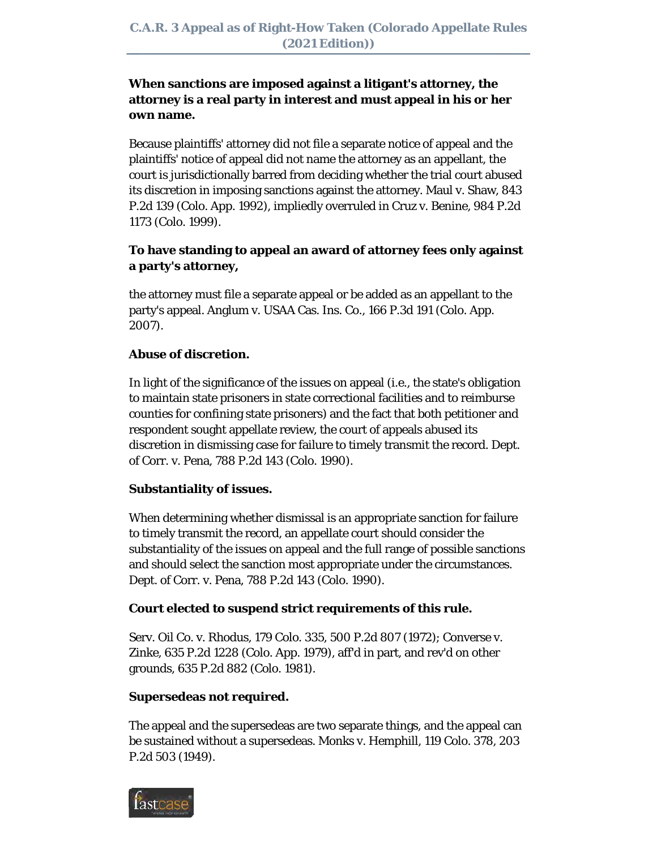**When sanctions are imposed against a litigant's attorney, the attorney is a real party in interest and must appeal in his or her own name.**

Because plaintiffs' attorney did not file a separate notice of appeal and the plaintiffs' notice of appeal did not name the attorney as an appellant, the court is jurisdictionally barred from deciding whether the trial court abused its discretion in imposing sanctions against the attorney. Maul v. Shaw, 843 P.2d 139 (Colo. App. 1992), impliedly overruled in Cruz v. Benine, 984 P.2d 1173 (Colo. 1999).

**To have standing to appeal an award of attorney fees only against a party's attorney,**

the attorney must file a separate appeal or be added as an appellant to the party's appeal. Anglum v. USAA Cas. Ins. Co., 166 P.3d 191 (Colo. App. 2007).

**Abuse of discretion.**

In light of the significance of the issues on appeal (i.e., the state's obligation to maintain state prisoners in state correctional facilities and to reimburse counties for confining state prisoners) and the fact that both petitioner and respondent sought appellate review, the court of appeals abused its discretion in dismissing case for failure to timely transmit the record. Dept. of Corr. v. Pena, 788 P.2d 143 (Colo. 1990).

**Substantiality of issues.**

When determining whether dismissal is an appropriate sanction for failure to timely transmit the record, an appellate court should consider the substantiality of the issues on appeal and the full range of possible sanctions and should select the sanction most appropriate under the circumstances. Dept. of Corr. v. Pena, 788 P.2d 143 (Colo. 1990).

**Court elected to suspend strict requirements of this rule.**

Serv. Oil Co. v. Rhodus, 179 Colo. 335, 500 P.2d 807 (1972); Converse v. Zinke, 635 P.2d 1228 (Colo. App. 1979), aff'd in part, and rev'd on other grounds, 635 P.2d 882 (Colo. 1981).

**Supersedeas not required.**

The appeal and the supersedeas are two separate things, and the appeal can be sustained without a supersedeas. Monks v. Hemphill, 119 Colo. 378, 203 P.2d 503 (1949).

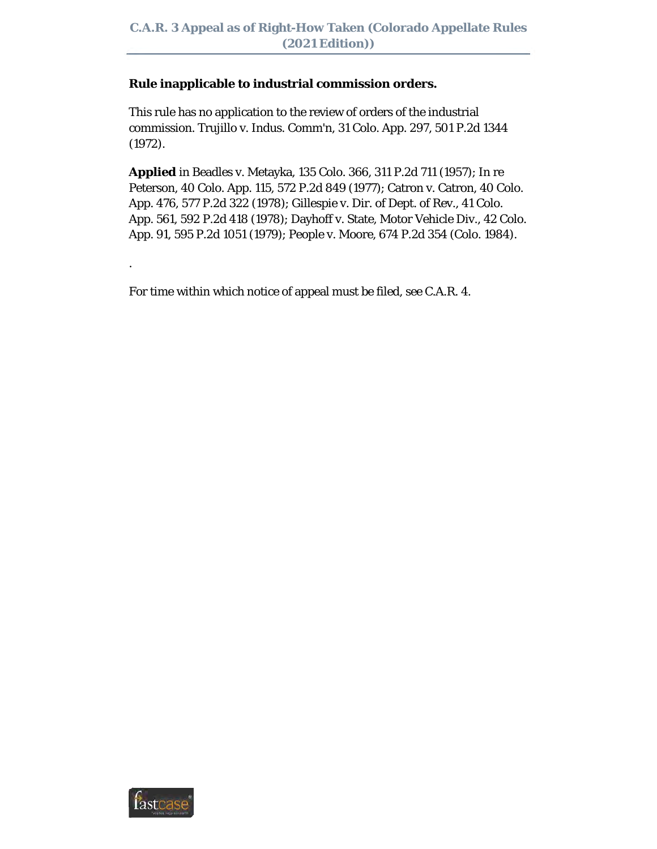**Rule inapplicable to industrial commission orders.**

This rule has no application to the review of orders of the industrial commission. Trujillo v. Indus. Comm'n, 31 Colo. App. 297, 501 P.2d 1344 (1972).

**Applied** in Beadles v. Metayka, 135 Colo. 366, 311 P.2d 711 (1957); In re Peterson, 40 Colo. App. 115, 572 P.2d 849 (1977); Catron v. Catron, 40 Colo. App. 476, 577 P.2d 322 (1978); Gillespie v. Dir. of Dept. of Rev., 41 Colo. App. 561, 592 P.2d 418 (1978); Dayhoff v. State, Motor Vehicle Div., 42 Colo. App. 91, 595 P.2d 1051 (1979); People v. Moore, 674 P.2d 354 (Colo. 1984).

For time within which notice of appeal must be filed, see C.A.R. 4.



.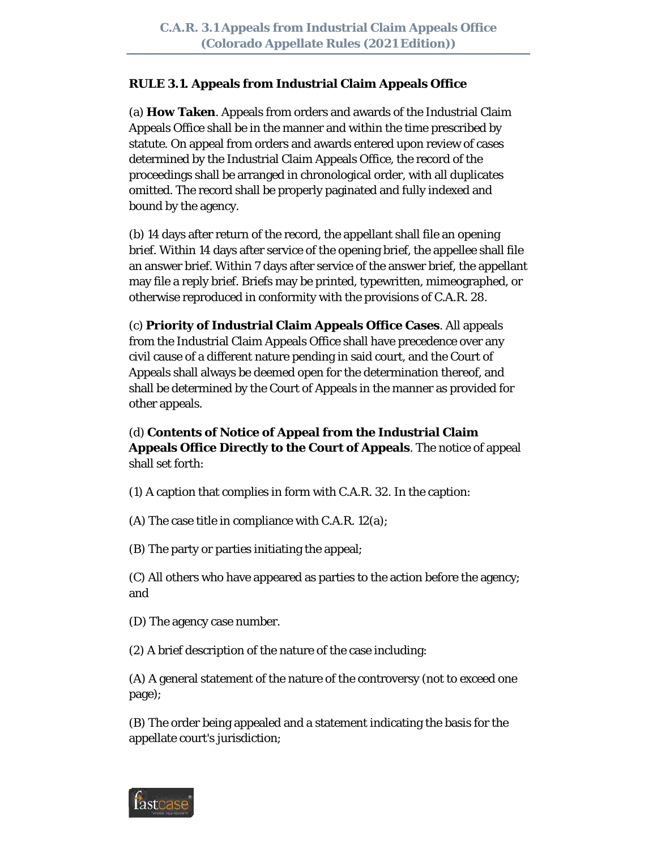## **RULE 3.1. Appeals from Industrial Claim Appeals Office**

(a) **How Taken**. Appeals from orders and awards of the Industrial Claim Appeals Office shall be in the manner and within the time prescribed by statute. On appeal from orders and awards entered upon review of cases determined by the Industrial Claim Appeals Office, the record of the proceedings shall be arranged in chronological order, with all duplicates omitted. The record shall be properly paginated and fully indexed and bound by the agency.

(b) 14 days after return of the record, the appellant shall file an opening brief. Within 14 days after service of the opening brief, the appellee shall file an answer brief. Within 7 days after service of the answer brief, the appellant may file a reply brief. Briefs may be printed, typewritten, mimeographed, or otherwise reproduced in conformity with the provisions of C.A.R. 28.

(c) **Priority of Industrial Claim Appeals Office Cases**. All appeals from the Industrial Claim Appeals Office shall have precedence over any civil cause of a different nature pending in said court, and the Court of Appeals shall always be deemed open for the determination thereof, and shall be determined by the Court of Appeals in the manner as provided for other appeals.

(d) **Contents of Notice of Appeal from the Industrial Claim Appeals Office Directly to the Court of Appeals**. The notice of appeal shall set forth:

(1) A caption that complies in form with C.A.R. 32. In the caption:

(A) The case title in compliance with C.A.R. 12(a);

(B) The party or parties initiating the appeal;

(C) All others who have appeared as parties to the action before the agency; and

(D) The agency case number.

(2) A brief description of the nature of the case including:

(A) A general statement of the nature of the controversy (not to exceed one page);

(B) The order being appealed and a statement indicating the basis for the appellate court's jurisdiction;

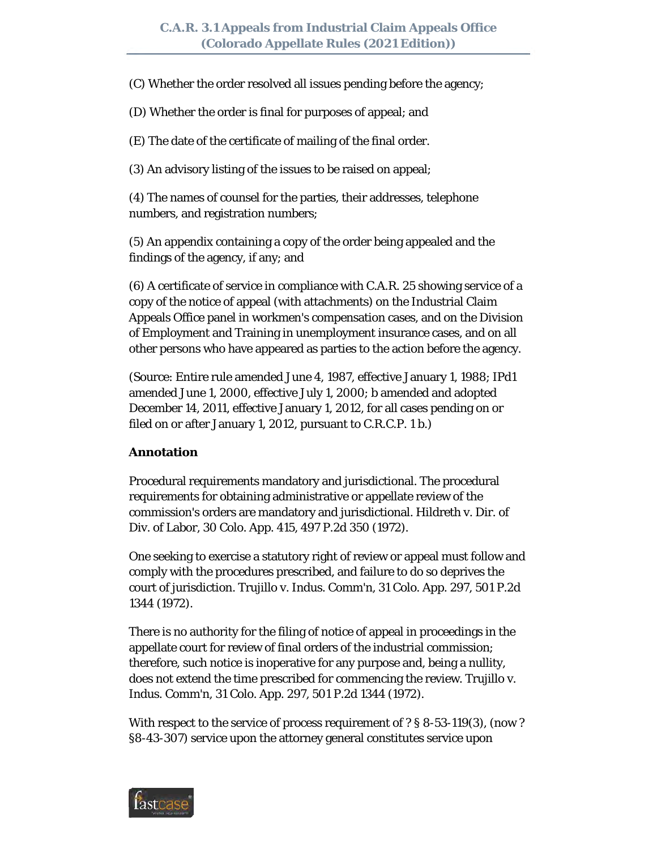(C) Whether the order resolved all issues pending before the agency;

(D) Whether the order is final for purposes of appeal; and

(E) The date of the certificate of mailing of the final order.

(3) An advisory listing of the issues to be raised on appeal;

(4) The names of counsel for the parties, their addresses, telephone numbers, and registration numbers;

(5) An appendix containing a copy of the order being appealed and the findings of the agency, if any; and

(6) A certificate of service in compliance with C.A.R. 25 showing service of a copy of the notice of appeal (with attachments) on the Industrial Claim Appeals Office panel in workmen's compensation cases, and on the Division of Employment and Training in unemployment insurance cases, and on all other persons who have appeared as parties to the action before the agency.

(Source: Entire rule amended June 4, 1987, effective January 1, 1988; IPd1 amended June 1, 2000, effective July 1, 2000; b amended and adopted December 14, 2011, effective January 1, 2012, for all cases pending on or filed on or after January 1, 2012, pursuant to C.R.C.P. 1 b.)

## **Annotation**

Procedural requirements mandatory and jurisdictional. The procedural requirements for obtaining administrative or appellate review of the commission's orders are mandatory and jurisdictional. Hildreth v. Dir. of Div. of Labor, 30 Colo. App. 415, 497 P.2d 350 (1972).

One seeking to exercise a statutory right of review or appeal must follow and comply with the procedures prescribed, and failure to do so deprives the court of jurisdiction. Trujillo v. Indus. Comm'n, 31 Colo. App. 297, 501 P.2d 1344 (1972).

There is no authority for the filing of notice of appeal in proceedings in the appellate court for review of final orders of the industrial commission; therefore, such notice is inoperative for any purpose and, being a nullity, does not extend the time prescribed for commencing the review. Trujillo v. Indus. Comm'n, 31 Colo. App. 297, 501 P.2d 1344 (1972).

With respect to the service of process requirement of ? § 8-53-119(3), (now ? §8-43-307) service upon the attorney general constitutes service upon

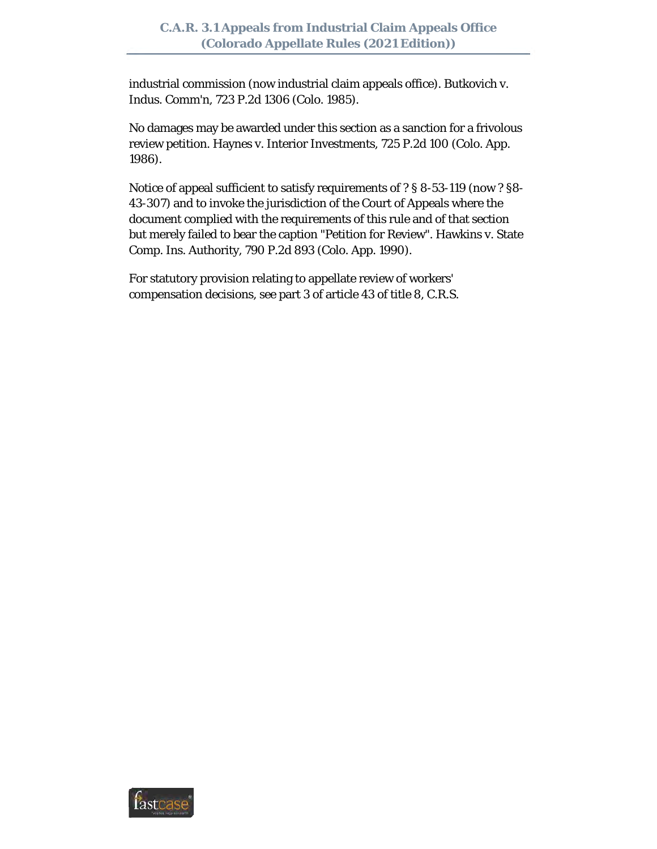industrial commission (now industrial claim appeals office). Butkovich v. Indus. Comm'n, 723 P.2d 1306 (Colo. 1985).

No damages may be awarded under this section as a sanction for a frivolous review petition. Haynes v. Interior Investments, 725 P.2d 100 (Colo. App. 1986).

Notice of appeal sufficient to satisfy requirements of ? § 8-53-119 (now ? §8- 43-307) and to invoke the jurisdiction of the Court of Appeals where the document complied with the requirements of this rule and of that section but merely failed to bear the caption "Petition for Review". Hawkins v. State Comp. Ins. Authority, 790 P.2d 893 (Colo. App. 1990).

For statutory provision relating to appellate review of workers' compensation decisions, see part 3 of article 43 of title 8, C.R.S.

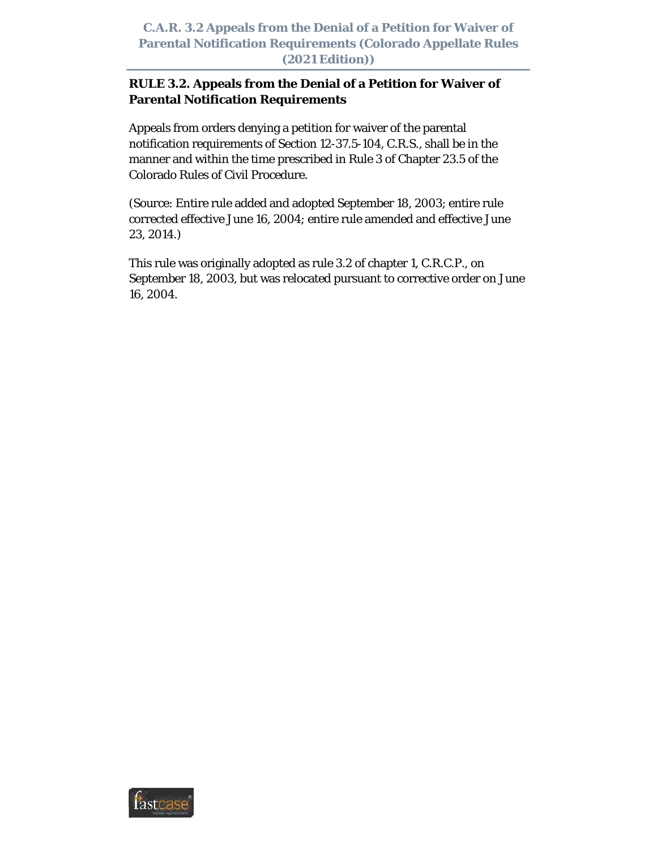**C.A.R. 3.2 Appeals from the Denial of a Petition for Waiver of Parental Notification Requirements (Colorado Appellate Rules (2021 Edition))**

**RULE 3.2. Appeals from the Denial of a Petition for Waiver of Parental Notification Requirements** 

Appeals from orders denying a petition for waiver of the parental notification requirements of Section 12-37.5-104, C.R.S., shall be in the manner and within the time prescribed in Rule 3 of Chapter 23.5 of the Colorado Rules of Civil Procedure.

(Source: Entire rule added and adopted September 18, 2003; entire rule corrected effective June 16, 2004; entire rule amended and effective June 23, 2014.)

This rule was originally adopted as rule 3.2 of chapter 1, C.R.C.P., on September 18, 2003, but was relocated pursuant to corrective order on June 16, 2004.

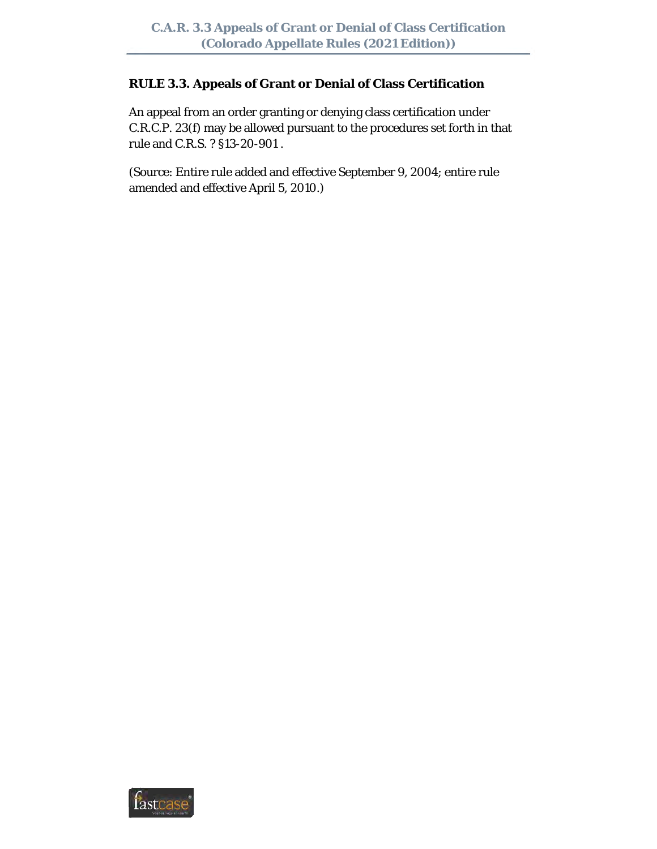**RULE 3.3. Appeals of Grant or Denial of Class Certification** 

An appeal from an order granting or denying class certification under C.R.C.P. 23(f) may be allowed pursuant to the procedures set forth in that rule and C.R.S. ? §13-20-901 .

(Source: Entire rule added and effective September 9, 2004; entire rule amended and effective April 5, 2010.)

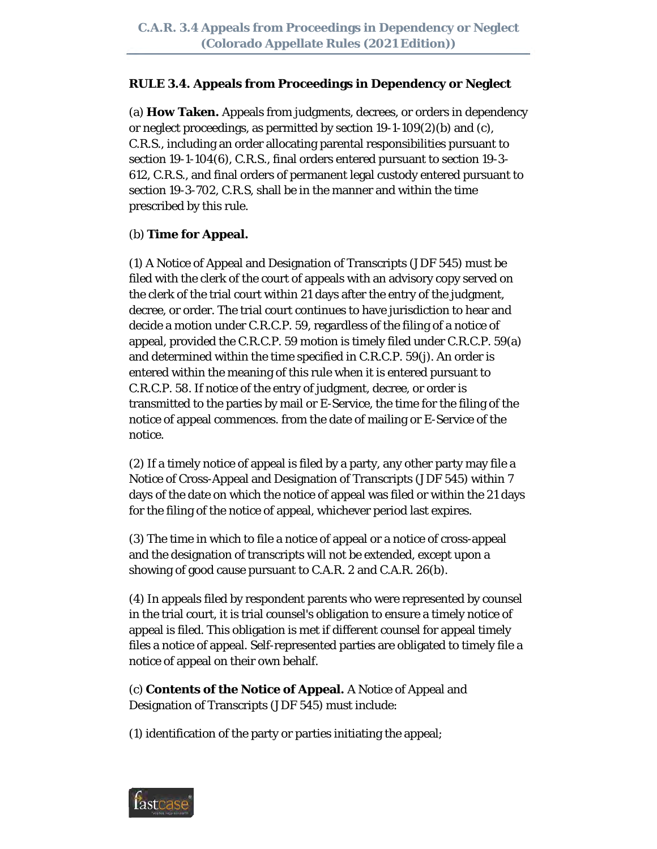# **RULE 3.4. Appeals from Proceedings in Dependency or Neglect**

(a) **How Taken.** Appeals from judgments, decrees, or orders in dependency or neglect proceedings, as permitted by section 19-1-109(2)(b) and (c), C.R.S., including an order allocating parental responsibilities pursuant to section 19-1-104(6), C.R.S., final orders entered pursuant to section 19-3- 612, C.R.S., and final orders of permanent legal custody entered pursuant to section 19-3-702, C.R.S, shall be in the manner and within the time prescribed by this rule.

(b) **Time for Appeal.**

(1) A Notice of Appeal and Designation of Transcripts (JDF 545) must be filed with the clerk of the court of appeals with an advisory copy served on the clerk of the trial court within 21 days after the entry of the judgment, decree, or order. The trial court continues to have jurisdiction to hear and decide a motion under C.R.C.P. 59, regardless of the filing of a notice of appeal, provided the C.R.C.P. 59 motion is timely filed under C.R.C.P. 59(a) and determined within the time specified in C.R.C.P. 59(j). An order is entered within the meaning of this rule when it is entered pursuant to C.R.C.P. 58. If notice of the entry of judgment, decree, or order is transmitted to the parties by mail or E-Service, the time for the filing of the notice of appeal commences. from the date of mailing or E-Service of the notice.

(2) If a timely notice of appeal is filed by a party, any other party may file a Notice of Cross-Appeal and Designation of Transcripts (JDF 545) within 7 days of the date on which the notice of appeal was filed or within the 21 days for the filing of the notice of appeal, whichever period last expires.

(3) The time in which to file a notice of appeal or a notice of cross-appeal and the designation of transcripts will not be extended, except upon a showing of good cause pursuant to C.A.R. 2 and C.A.R. 26(b).

(4) In appeals filed by respondent parents who were represented by counsel in the trial court, it is trial counsel's obligation to ensure a timely notice of appeal is filed. This obligation is met if different counsel for appeal timely files a notice of appeal. Self-represented parties are obligated to timely file a notice of appeal on their own behalf.

(c) **Contents of the Notice of Appeal.** A Notice of Appeal and Designation of Transcripts (JDF 545) must include:

(1) identification of the party or parties initiating the appeal;

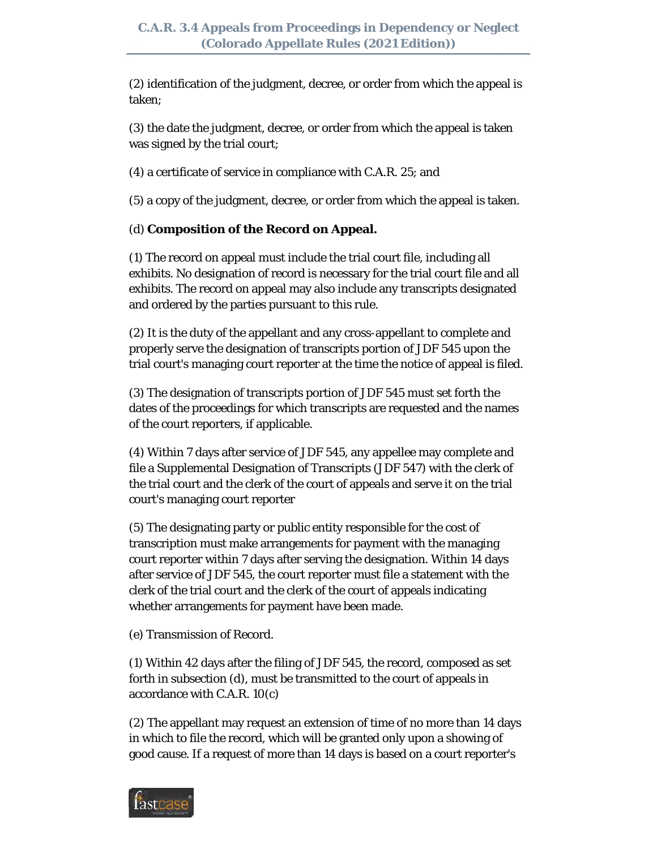(2) identification of the judgment, decree, or order from which the appeal is taken;

(3) the date the judgment, decree, or order from which the appeal is taken was signed by the trial court;

(4) a certificate of service in compliance with C.A.R. 25; and

(5) a copy of the judgment, decree, or order from which the appeal is taken.

(d) **Composition of the Record on Appeal.**

(1) The record on appeal must include the trial court file, including all exhibits. No designation of record is necessary for the trial court file and all exhibits. The record on appeal may also include any transcripts designated and ordered by the parties pursuant to this rule.

(2) It is the duty of the appellant and any cross-appellant to complete and properly serve the designation of transcripts portion of JDF 545 upon the trial court's managing court reporter at the time the notice of appeal is filed.

(3) The designation of transcripts portion of JDF 545 must set forth the dates of the proceedings for which transcripts are requested and the names of the court reporters, if applicable.

(4) Within 7 days after service of JDF 545, any appellee may complete and file a Supplemental Designation of Transcripts (JDF 547) with the clerk of the trial court and the clerk of the court of appeals and serve it on the trial court's managing court reporter

(5) The designating party or public entity responsible for the cost of transcription must make arrangements for payment with the managing court reporter within 7 days after serving the designation. Within 14 days after service of JDF 545, the court reporter must file a statement with the clerk of the trial court and the clerk of the court of appeals indicating whether arrangements for payment have been made.

(e) Transmission of Record.

(1) Within 42 days after the filing of JDF 545, the record, composed as set forth in subsection (d), must be transmitted to the court of appeals in accordance with C.A.R. 10(c)

(2) The appellant may request an extension of time of no more than 14 days in which to file the record, which will be granted only upon a showing of good cause. If a request of more than 14 days is based on a court reporter's

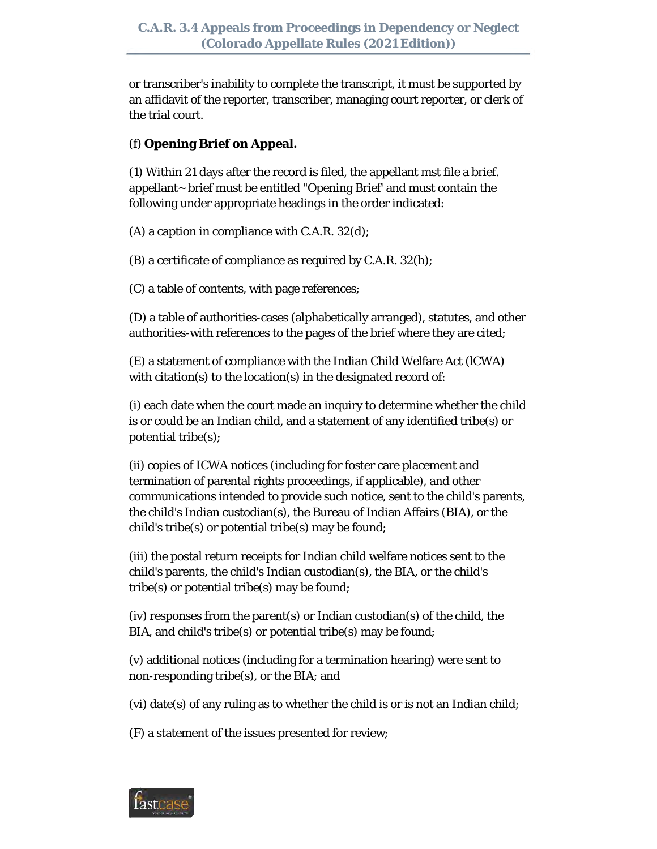or transcriber's inability to complete the transcript, it must be supported by an affidavit of the reporter, transcriber, managing court reporter, or clerk of the trial court.

(f) **Opening Brief on Appeal.**

(1) Within 21 days after the record is filed, the appellant mst file a brief. appellant~ brief must be entitled "Opening Brief' and must contain the following under appropriate headings in the order indicated:

(A) a caption in compliance with C.A.R. 32(d);

(B) a certificate of compliance as required by C.A.R.  $32(h)$ ;

(C) a table of contents, with page references;

(D) a table of authorities-cases (alphabetically arranged), statutes, and other authorities-with references to the pages of the brief where they are cited;

(E) a statement of compliance with the Indian Child Welfare Act (lCWA) with citation(s) to the location(s) in the designated record of:

(i) each date when the court made an inquiry to determine whether the child is or could be an Indian child, and a statement of any identified tribe(s) or potential tribe(s);

(ii) copies of ICWA notices (including for foster care placement and termination of parental rights proceedings, if applicable), and other communications intended to provide such notice, sent to the child's parents, the child's Indian custodian(s), the Bureau of Indian Affairs (BIA), or the child's tribe(s) or potential tribe(s) may be found;

(iii) the postal return receipts for Indian child welfare notices sent to the child's parents, the child's Indian custodian(s), the BIA, or the child's tribe(s) or potential tribe(s) may be found;

(iv) responses from the parent(s) or Indian custodian(s) of the child, the BIA, and child's tribe(s) or potential tribe(s) may be found;

(v) additional notices (including for a termination hearing) were sent to non-responding tribe(s), or the BIA; and

(vi) date(s) of any ruling as to whether the child is or is not an Indian child;

(F) a statement of the issues presented for review;

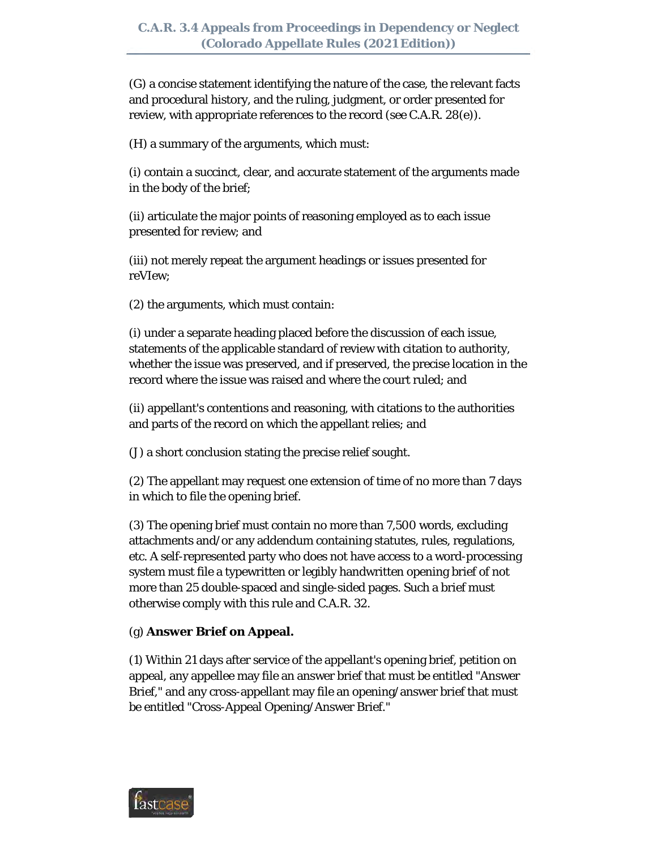(G) a concise statement identifying the nature of the case, the relevant facts and procedural history, and the ruling, judgment, or order presented for review, with appropriate references to the record (see C.A.R. 28(e)).

(H) a summary of the arguments, which must:

(i) contain a succinct, clear, and accurate statement of the arguments made in the body of the brief;

(ii) articulate the major points of reasoning employed as to each issue presented for review; and

(iii) not merely repeat the argument headings or issues presented for reVIew;

(2) the arguments, which must contain:

(i) under a separate heading placed before the discussion of each issue, statements of the applicable standard of review with citation to authority, whether the issue was preserved, and if preserved, the precise location in the record where the issue was raised and where the court ruled; and

(ii) appellant's contentions and reasoning, with citations to the authorities and parts of the record on which the appellant relies; and

(J) a short conclusion stating the precise relief sought.

(2) The appellant may request one extension of time of no more than 7 days in which to file the opening brief.

(3) The opening brief must contain no more than 7,500 words, excluding attachments and/or any addendum containing statutes, rules, regulations, etc. A self-represented party who does not have access to a word-processing system must file a typewritten or legibly handwritten opening brief of not more than 25 double-spaced and single-sided pages. Such a brief must otherwise comply with this rule and C.A.R. 32.

(g) **Answer Brief on Appeal.**

(1) Within 21 days after service of the appellant's opening brief, petition on appeal, any appellee may file an answer brief that must be entitled "Answer Brief," and any cross-appellant may file an opening/answer brief that must be entitled "Cross-Appeal Opening/Answer Brief."

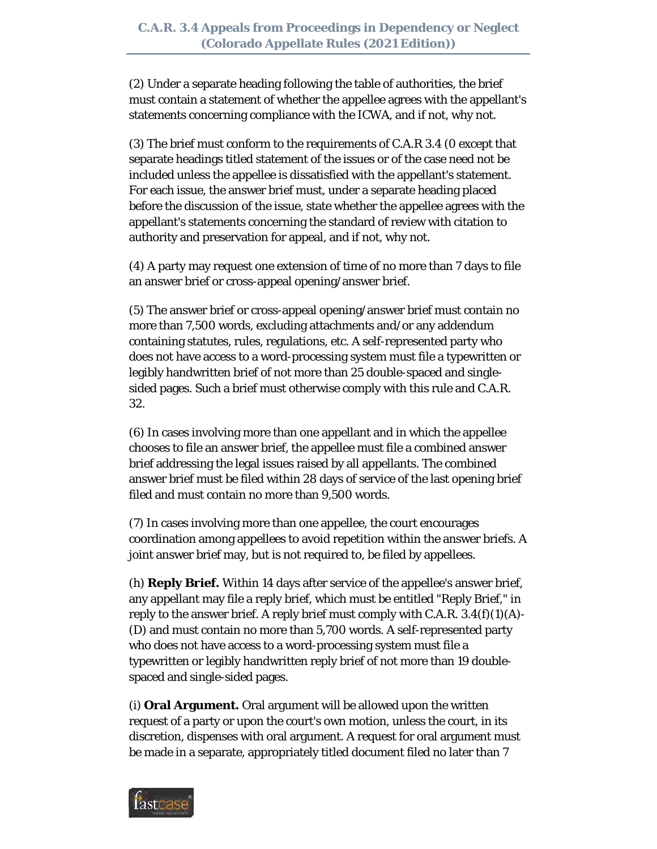(2) Under a separate heading following the table of authorities, the brief must contain a statement of whether the appellee agrees with the appellant's statements concerning compliance with the ICWA, and if not, why not.

(3) The brief must conform to the requirements of C.A.R 3.4 (0 except that separate headings titled statement of the issues or of the case need not be included unless the appellee is dissatisfied with the appellant's statement. For each issue, the answer brief must, under a separate heading placed before the discussion of the issue, state whether the appellee agrees with the appellant's statements concerning the standard of review with citation to authority and preservation for appeal, and if not, why not.

(4) A party may request one extension of time of no more than 7 days to file an answer brief or cross-appeal opening/answer brief.

(5) The answer brief or cross-appeal opening/answer brief must contain no more than 7,500 words, excluding attachments and/or any addendum containing statutes, rules, regulations, etc. A self-represented party who does not have access to a word-processing system must file a typewritten or legibly handwritten brief of not more than 25 double-spaced and singlesided pages. Such a brief must otherwise comply with this rule and C.A.R. 32.

(6) In cases involving more than one appellant and in which the appellee chooses to file an answer brief, the appellee must file a combined answer brief addressing the legal issues raised by all appellants. The combined answer brief must be filed within 28 days of service of the last opening brief filed and must contain no more than 9,500 words.

(7) In cases involving more than one appellee, the court encourages coordination among appellees to avoid repetition within the answer briefs. A joint answer brief may, but is not required to, be filed by appellees.

(h) **Reply Brief.** Within 14 days after service of the appellee's answer brief, any appellant may file a reply brief, which must be entitled "Reply Brief," in reply to the answer brief. A reply brief must comply with C.A.R. 3.4(f)(1)(A)- (D) and must contain no more than 5,700 words. A self-represented party who does not have access to a word-processing system must file a typewritten or legibly handwritten reply brief of not more than 19 doublespaced and single-sided pages.

(i) **Oral Argument.** Oral argument will be allowed upon the written request of a party or upon the court's own motion, unless the court, in its discretion, dispenses with oral argument. A request for oral argument must be made in a separate, appropriately titled document filed no later than 7

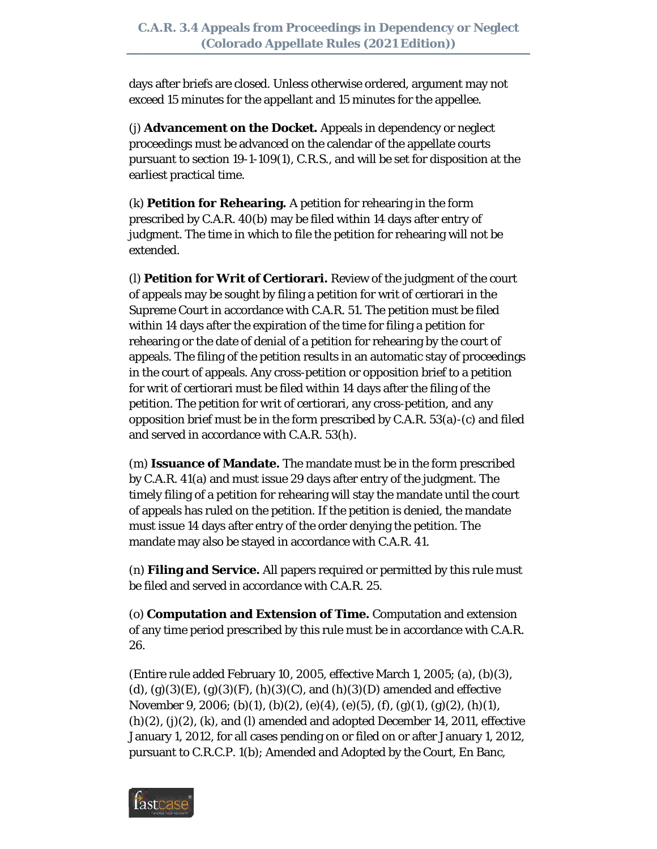days after briefs are closed. Unless otherwise ordered, argument may not exceed 15 minutes for the appellant and 15 minutes for the appellee.

(j) **Advancement on the Docket.** Appeals in dependency or neglect proceedings must be advanced on the calendar of the appellate courts pursuant to section 19-1-109(1), C.R.S., and will be set for disposition at the earliest practical time.

(k) **Petition for Rehearing.** A petition for rehearing in the form prescribed by C.A.R. 40(b) may be filed within 14 days after entry of judgment. The time in which to file the petition for rehearing will not be extended.

(l) **Petition for Writ of Certiorari.** Review of the judgment of the court of appeals may be sought by filing a petition for writ of certiorari in the Supreme Court in accordance with C.A.R. 51. The petition must be filed within 14 days after the expiration of the time for filing a petition for rehearing or the date of denial of a petition for rehearing by the court of appeals. The filing of the petition results in an automatic stay of proceedings in the court of appeals. Any cross-petition or opposition brief to a petition for writ of certiorari must be filed within 14 days after the filing of the petition. The petition for writ of certiorari, any cross-petition, and any opposition brief must be in the form prescribed by C.A.R. 53(a)-(c) and filed and served in accordance with C.A.R. 53(h).

(m) **Issuance of Mandate.** The mandate must be in the form prescribed by C.A.R. 41(a) and must issue 29 days after entry of the judgment. The timely filing of a petition for rehearing will stay the mandate until the court of appeals has ruled on the petition. If the petition is denied, the mandate must issue 14 days after entry of the order denying the petition. The mandate may also be stayed in accordance with C.A.R. 41.

(n) **Filing and Service.** All papers required or permitted by this rule must be filed and served in accordance with C.A.R. 25.

(o) **Computation and Extension of Time.** Computation and extension of any time period prescribed by this rule must be in accordance with C.A.R. 26.

(Entire rule added February 10, 2005, effective March 1, 2005; (a), (b)(3), (d),  $(g)(3)(E)$ ,  $(g)(3)(F)$ ,  $(h)(3)(C)$ , and  $(h)(3)(D)$  amended and effective November 9, 2006; (b)(1), (b)(2), (e)(4), (e)(5), (f), (g)(1), (g)(2), (h)(1),  $(h)(2)$ ,  $(i)(2)$ ,  $(k)$ , and  $(l)$  amended and adopted December 14, 2011, effective January 1, 2012, for all cases pending on or filed on or after January 1, 2012, pursuant to C.R.C.P. 1(b); Amended and Adopted by the Court, En Banc,

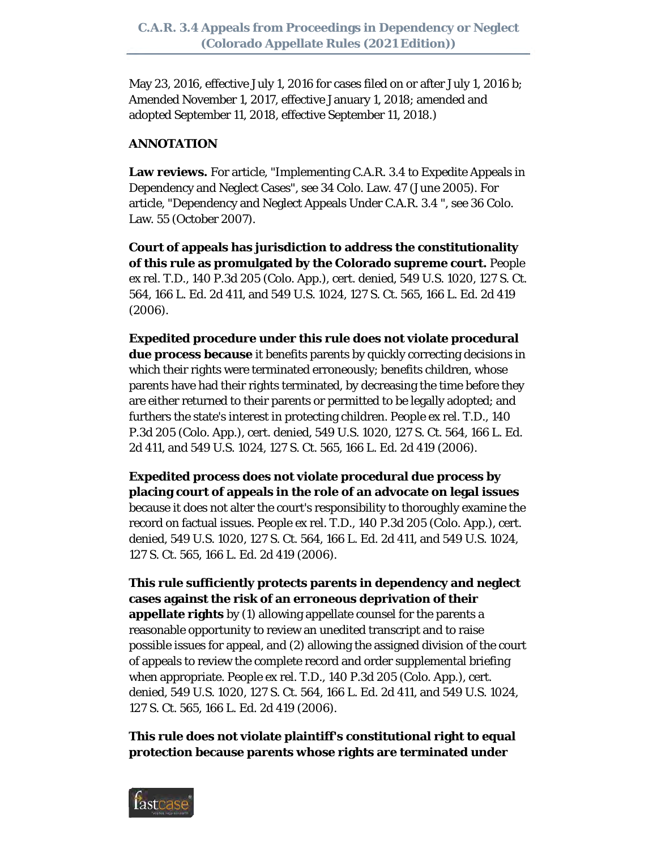May 23, 2016, effective July 1, 2016 for cases filed on or after July 1, 2016 b; Amended November 1, 2017, effective January 1, 2018; amended and adopted September 11, 2018, effective September 11, 2018.)

# **ANNOTATION**

**Law reviews.** For article, "Implementing C.A.R. 3.4 to Expedite Appeals in Dependency and Neglect Cases", see 34 Colo. Law. 47 (June 2005). For article, "Dependency and Neglect Appeals Under C.A.R. 3.4 ", see 36 Colo. Law. 55 (October 2007).

**Court of appeals has jurisdiction to address the constitutionality of this rule as promulgated by the Colorado supreme court.** People ex rel. T.D., 140 P.3d 205 (Colo. App.), cert. denied, 549 U.S. 1020, 127 S. Ct. 564, 166 L. Ed. 2d 411, and 549 U.S. 1024, 127 S. Ct. 565, 166 L. Ed. 2d 419 (2006).

**Expedited procedure under this rule does not violate procedural due process because** it benefits parents by quickly correcting decisions in which their rights were terminated erroneously; benefits children, whose parents have had their rights terminated, by decreasing the time before they are either returned to their parents or permitted to be legally adopted; and furthers the state's interest in protecting children. People ex rel. T.D., 140 P.3d 205 (Colo. App.), cert. denied, 549 U.S. 1020, 127 S. Ct. 564, 166 L. Ed. 2d 411, and 549 U.S. 1024, 127 S. Ct. 565, 166 L. Ed. 2d 419 (2006).

**Expedited process does not violate procedural due process by placing court of appeals in the role of an advocate on legal issues** because it does not alter the court's responsibility to thoroughly examine the record on factual issues. People ex rel. T.D., 140 P.3d 205 (Colo. App.), cert. denied, 549 U.S. 1020, 127 S. Ct. 564, 166 L. Ed. 2d 411, and 549 U.S. 1024, 127 S. Ct. 565, 166 L. Ed. 2d 419 (2006).

**This rule sufficiently protects parents in dependency and neglect cases against the risk of an erroneous deprivation of their appellate rights** by (1) allowing appellate counsel for the parents a reasonable opportunity to review an unedited transcript and to raise possible issues for appeal, and (2) allowing the assigned division of the court of appeals to review the complete record and order supplemental briefing when appropriate. People ex rel. T.D., 140 P.3d 205 (Colo. App.), cert. denied, 549 U.S. 1020, 127 S. Ct. 564, 166 L. Ed. 2d 411, and 549 U.S. 1024, 127 S. Ct. 565, 166 L. Ed. 2d 419 (2006).

**This rule does not violate plaintiff's constitutional right to equal protection because parents whose rights are terminated under** 

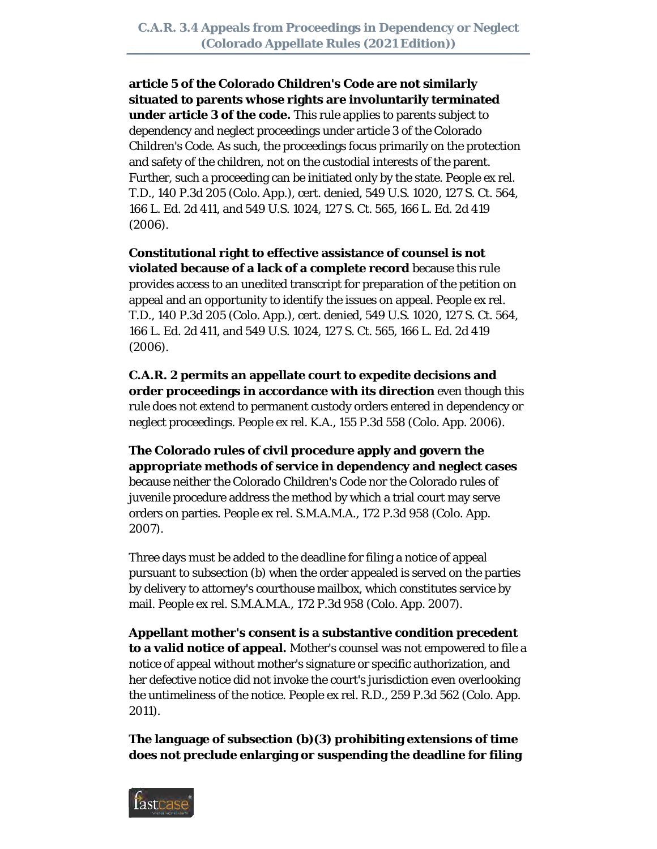**article 5 of the Colorado Children's Code are not similarly situated to parents whose rights are involuntarily terminated under article 3 of the code.** This rule applies to parents subject to dependency and neglect proceedings under article 3 of the Colorado Children's Code. As such, the proceedings focus primarily on the protection and safety of the children, not on the custodial interests of the parent. Further, such a proceeding can be initiated only by the state. People ex rel. T.D., 140 P.3d 205 (Colo. App.), cert. denied, 549 U.S. 1020, 127 S. Ct. 564, 166 L. Ed. 2d 411, and 549 U.S. 1024, 127 S. Ct. 565, 166 L. Ed. 2d 419 (2006).

**Constitutional right to effective assistance of counsel is not violated because of a lack of a complete record** because this rule provides access to an unedited transcript for preparation of the petition on appeal and an opportunity to identify the issues on appeal. People ex rel. T.D., 140 P.3d 205 (Colo. App.), cert. denied, 549 U.S. 1020, 127 S. Ct. 564, 166 L. Ed. 2d 411, and 549 U.S. 1024, 127 S. Ct. 565, 166 L. Ed. 2d 419 (2006).

**C.A.R. 2 permits an appellate court to expedite decisions and order proceedings in accordance with its direction** even though this rule does not extend to permanent custody orders entered in dependency or neglect proceedings. People ex rel. K.A., 155 P.3d 558 (Colo. App. 2006).

**The Colorado rules of civil procedure apply and govern the appropriate methods of service in dependency and neglect cases** because neither the Colorado Children's Code nor the Colorado rules of juvenile procedure address the method by which a trial court may serve orders on parties. People ex rel. S.M.A.M.A., 172 P.3d 958 (Colo. App. 2007).

Three days must be added to the deadline for filing a notice of appeal pursuant to subsection (b) when the order appealed is served on the parties by delivery to attorney's courthouse mailbox, which constitutes service by mail. People ex rel. S.M.A.M.A., 172 P.3d 958 (Colo. App. 2007).

**Appellant mother's consent is a substantive condition precedent to a valid notice of appeal.** Mother's counsel was not empowered to file a notice of appeal without mother's signature or specific authorization, and her defective notice did not invoke the court's jurisdiction even overlooking the untimeliness of the notice. People ex rel. R.D., 259 P.3d 562 (Colo. App. 2011).

**The language of subsection (b)(3) prohibiting extensions of time does not preclude enlarging or suspending the deadline for filing** 

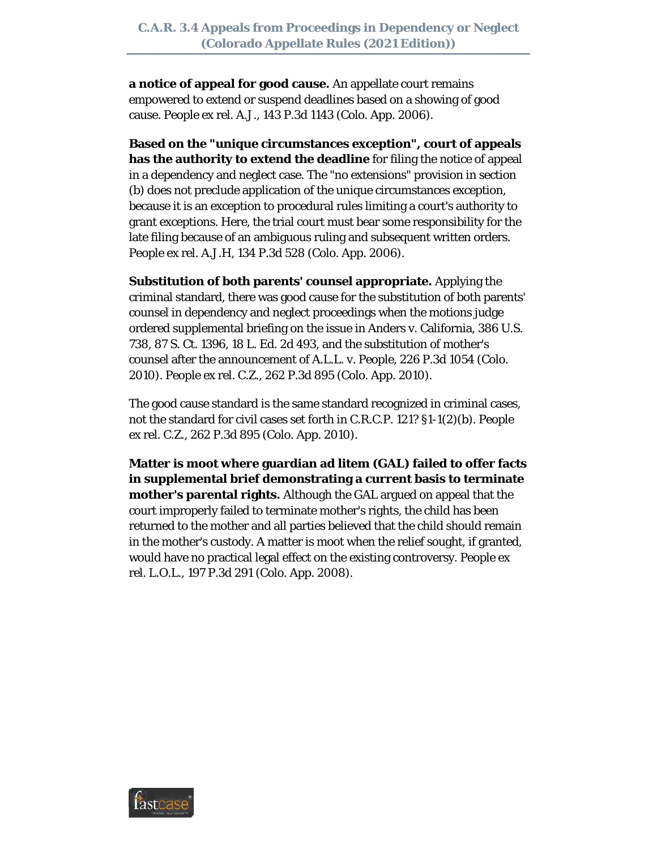**a notice of appeal for good cause.** An appellate court remains empowered to extend or suspend deadlines based on a showing of good cause. People ex rel. A.J., 143 P.3d 1143 (Colo. App. 2006).

**Based on the "unique circumstances exception", court of appeals has the authority to extend the deadline** for filing the notice of appeal in a dependency and neglect case. The "no extensions" provision in section (b) does not preclude application of the unique circumstances exception, because it is an exception to procedural rules limiting a court's authority to grant exceptions. Here, the trial court must bear some responsibility for the late filing because of an ambiguous ruling and subsequent written orders. People ex rel. A.J.H, 134 P.3d 528 (Colo. App. 2006).

**Substitution of both parents' counsel appropriate.** Applying the criminal standard, there was good cause for the substitution of both parents' counsel in dependency and neglect proceedings when the motions judge ordered supplemental briefing on the issue in Anders v. California, 386 U.S. 738, 87 S. Ct. 1396, 18 L. Ed. 2d 493, and the substitution of mother's counsel after the announcement of A.L.L. v. People, 226 P.3d 1054 (Colo. 2010). People ex rel. C.Z., 262 P.3d 895 (Colo. App. 2010).

The good cause standard is the same standard recognized in criminal cases, not the standard for civil cases set forth in C.R.C.P. 121? §1-1(2)(b). People ex rel. C.Z., 262 P.3d 895 (Colo. App. 2010).

**Matter is moot where guardian ad litem (GAL) failed to offer facts in supplemental brief demonstrating a current basis to terminate mother's parental rights.** Although the GAL argued on appeal that the court improperly failed to terminate mother's rights, the child has been returned to the mother and all parties believed that the child should remain in the mother's custody. A matter is moot when the relief sought, if granted, would have no practical legal effect on the existing controversy. People ex rel. L.O.L., 197 P.3d 291 (Colo. App. 2008).

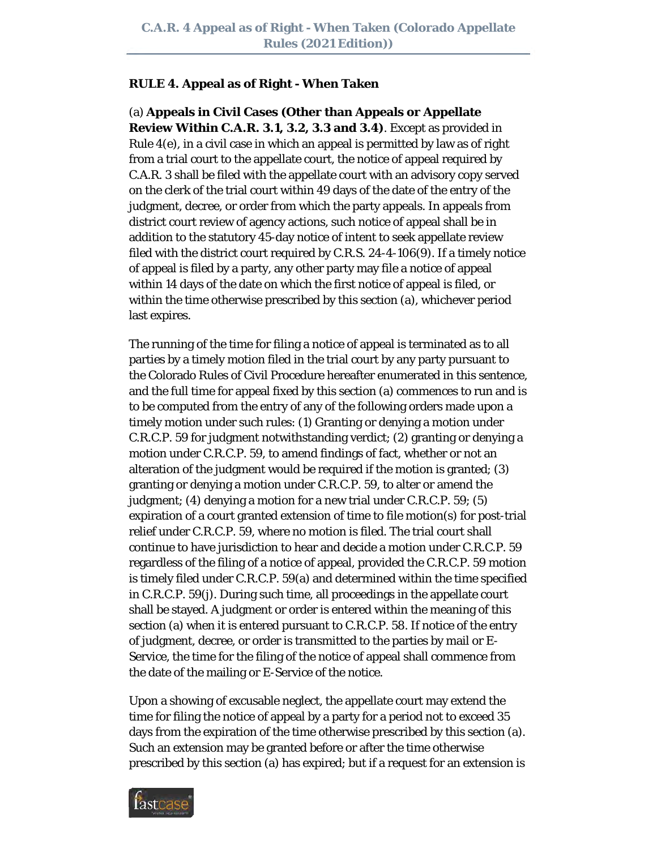## **RULE 4. Appeal as of Right - When Taken**

(a) **Appeals in Civil Cases (Other than Appeals or Appellate Review Within C.A.R. 3.1, 3.2, 3.3 and 3.4)**. Except as provided in Rule 4(e), in a civil case in which an appeal is permitted by law as of right from a trial court to the appellate court, the notice of appeal required by C.A.R. 3 shall be filed with the appellate court with an advisory copy served on the clerk of the trial court within 49 days of the date of the entry of the judgment, decree, or order from which the party appeals. In appeals from district court review of agency actions, such notice of appeal shall be in addition to the statutory 45-day notice of intent to seek appellate review filed with the district court required by C.R.S. 24-4-106(9). If a timely notice of appeal is filed by a party, any other party may file a notice of appeal within 14 days of the date on which the first notice of appeal is filed, or within the time otherwise prescribed by this section (a), whichever period last expires.

The running of the time for filing a notice of appeal is terminated as to all parties by a timely motion filed in the trial court by any party pursuant to the Colorado Rules of Civil Procedure hereafter enumerated in this sentence, and the full time for appeal fixed by this section (a) commences to run and is to be computed from the entry of any of the following orders made upon a timely motion under such rules: (1) Granting or denying a motion under C.R.C.P. 59 for judgment notwithstanding verdict; (2) granting or denying a motion under C.R.C.P. 59, to amend findings of fact, whether or not an alteration of the judgment would be required if the motion is granted; (3) granting or denying a motion under C.R.C.P. 59, to alter or amend the judgment; (4) denying a motion for a new trial under C.R.C.P. 59; (5) expiration of a court granted extension of time to file motion(s) for post-trial relief under C.R.C.P. 59, where no motion is filed. The trial court shall continue to have jurisdiction to hear and decide a motion under C.R.C.P. 59 regardless of the filing of a notice of appeal, provided the C.R.C.P. 59 motion is timely filed under C.R.C.P. 59(a) and determined within the time specified in C.R.C.P. 59(j). During such time, all proceedings in the appellate court shall be stayed. A judgment or order is entered within the meaning of this section (a) when it is entered pursuant to C.R.C.P. 58. If notice of the entry of judgment, decree, or order is transmitted to the parties by mail or E-Service, the time for the filing of the notice of appeal shall commence from the date of the mailing or E-Service of the notice.

Upon a showing of excusable neglect, the appellate court may extend the time for filing the notice of appeal by a party for a period not to exceed 35 days from the expiration of the time otherwise prescribed by this section (a). Such an extension may be granted before or after the time otherwise prescribed by this section (a) has expired; but if a request for an extension is

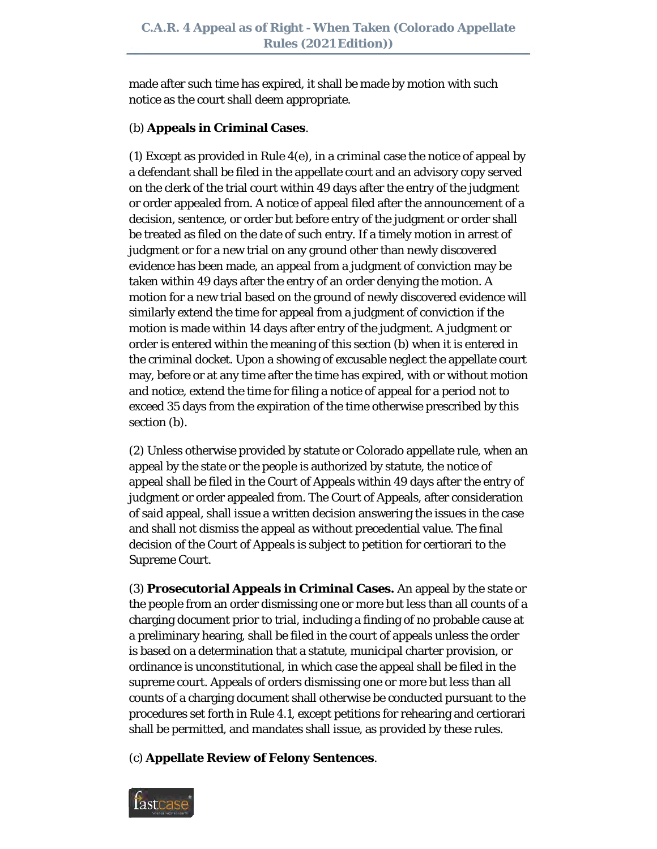made after such time has expired, it shall be made by motion with such notice as the court shall deem appropriate.

(b) **Appeals in Criminal Cases**.

(1) Except as provided in Rule 4(e), in a criminal case the notice of appeal by a defendant shall be filed in the appellate court and an advisory copy served on the clerk of the trial court within 49 days after the entry of the judgment or order appealed from. A notice of appeal filed after the announcement of a decision, sentence, or order but before entry of the judgment or order shall be treated as filed on the date of such entry. If a timely motion in arrest of judgment or for a new trial on any ground other than newly discovered evidence has been made, an appeal from a judgment of conviction may be taken within 49 days after the entry of an order denying the motion. A motion for a new trial based on the ground of newly discovered evidence will similarly extend the time for appeal from a judgment of conviction if the motion is made within 14 days after entry of the judgment. A judgment or order is entered within the meaning of this section (b) when it is entered in the criminal docket. Upon a showing of excusable neglect the appellate court may, before or at any time after the time has expired, with or without motion and notice, extend the time for filing a notice of appeal for a period not to exceed 35 days from the expiration of the time otherwise prescribed by this section (b).

(2) Unless otherwise provided by statute or Colorado appellate rule, when an appeal by the state or the people is authorized by statute, the notice of appeal shall be filed in the Court of Appeals within 49 days after the entry of judgment or order appealed from. The Court of Appeals, after consideration of said appeal, shall issue a written decision answering the issues in the case and shall not dismiss the appeal as without precedential value. The final decision of the Court of Appeals is subject to petition for certiorari to the Supreme Court.

(3) **Prosecutorial Appeals in Criminal Cases.** An appeal by the state or the people from an order dismissing one or more but less than all counts of a charging document prior to trial, including a finding of no probable cause at a preliminary hearing, shall be filed in the court of appeals unless the order is based on a determination that a statute, municipal charter provision, or ordinance is unconstitutional, in which case the appeal shall be filed in the supreme court. Appeals of orders dismissing one or more but less than all counts of a charging document shall otherwise be conducted pursuant to the procedures set forth in Rule 4.1, except petitions for rehearing and certiorari shall be permitted, and mandates shall issue, as provided by these rules.

(c) **Appellate Review of Felony Sentences**.

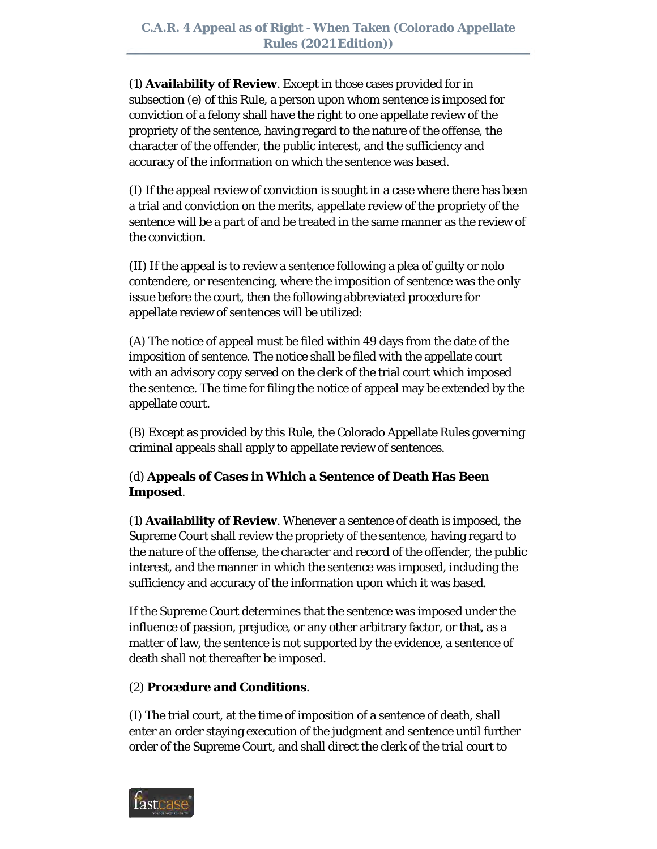(1) **Availability of Review**. Except in those cases provided for in subsection (e) of this Rule, a person upon whom sentence is imposed for conviction of a felony shall have the right to one appellate review of the propriety of the sentence, having regard to the nature of the offense, the character of the offender, the public interest, and the sufficiency and accuracy of the information on which the sentence was based.

(I) If the appeal review of conviction is sought in a case where there has been a trial and conviction on the merits, appellate review of the propriety of the sentence will be a part of and be treated in the same manner as the review of the conviction.

(II) If the appeal is to review a sentence following a plea of guilty or nolo contendere, or resentencing, where the imposition of sentence was the only issue before the court, then the following abbreviated procedure for appellate review of sentences will be utilized:

(A) The notice of appeal must be filed within 49 days from the date of the imposition of sentence. The notice shall be filed with the appellate court with an advisory copy served on the clerk of the trial court which imposed the sentence. The time for filing the notice of appeal may be extended by the appellate court.

(B) Except as provided by this Rule, the Colorado Appellate Rules governing criminal appeals shall apply to appellate review of sentences.

(d) **Appeals of Cases in Which a Sentence of Death Has Been Imposed**.

(1) **Availability of Review**. Whenever a sentence of death is imposed, the Supreme Court shall review the propriety of the sentence, having regard to the nature of the offense, the character and record of the offender, the public interest, and the manner in which the sentence was imposed, including the sufficiency and accuracy of the information upon which it was based.

If the Supreme Court determines that the sentence was imposed under the influence of passion, prejudice, or any other arbitrary factor, or that, as a matter of law, the sentence is not supported by the evidence, a sentence of death shall not thereafter be imposed.

(2) **Procedure and Conditions**.

(I) The trial court, at the time of imposition of a sentence of death, shall enter an order staying execution of the judgment and sentence until further order of the Supreme Court, and shall direct the clerk of the trial court to

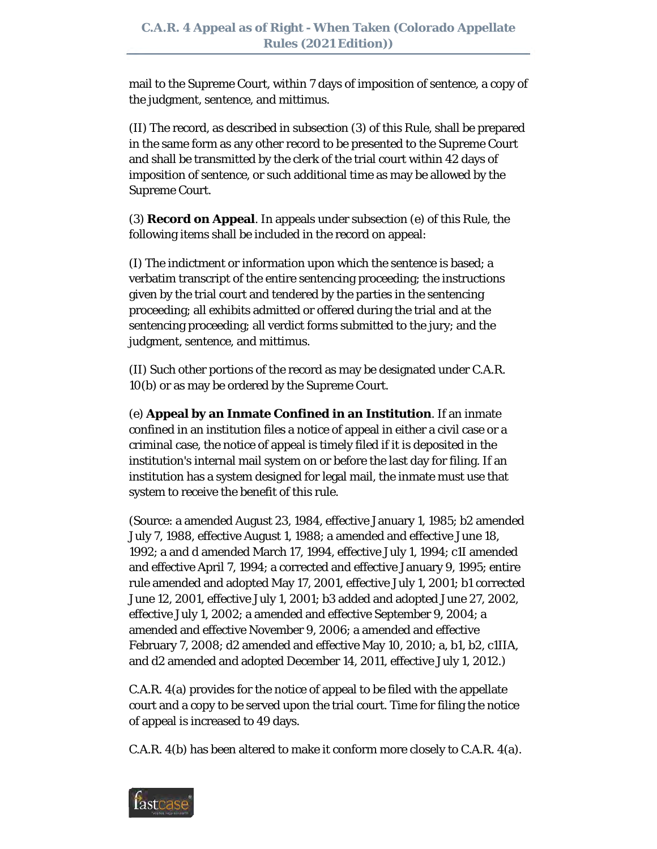mail to the Supreme Court, within 7 days of imposition of sentence, a copy of the judgment, sentence, and mittimus.

(II) The record, as described in subsection (3) of this Rule, shall be prepared in the same form as any other record to be presented to the Supreme Court and shall be transmitted by the clerk of the trial court within 42 days of imposition of sentence, or such additional time as may be allowed by the Supreme Court.

(3) **Record on Appeal**. In appeals under subsection (e) of this Rule, the following items shall be included in the record on appeal:

(I) The indictment or information upon which the sentence is based; a verbatim transcript of the entire sentencing proceeding; the instructions given by the trial court and tendered by the parties in the sentencing proceeding; all exhibits admitted or offered during the trial and at the sentencing proceeding; all verdict forms submitted to the jury; and the judgment, sentence, and mittimus.

(II) Such other portions of the record as may be designated under C.A.R. 10(b) or as may be ordered by the Supreme Court.

(e) **Appeal by an Inmate Confined in an Institution**. If an inmate confined in an institution files a notice of appeal in either a civil case or a criminal case, the notice of appeal is timely filed if it is deposited in the institution's internal mail system on or before the last day for filing. If an institution has a system designed for legal mail, the inmate must use that system to receive the benefit of this rule.

(Source: a amended August 23, 1984, effective January 1, 1985; b2 amended July 7, 1988, effective August 1, 1988; a amended and effective June 18, 1992; a and d amended March 17, 1994, effective July 1, 1994; c1I amended and effective April 7, 1994; a corrected and effective January 9, 1995; entire rule amended and adopted May 17, 2001, effective July 1, 2001; b1 corrected June 12, 2001, effective July 1, 2001; b3 added and adopted June 27, 2002, effective July 1, 2002; a amended and effective September 9, 2004; a amended and effective November 9, 2006; a amended and effective February 7, 2008; d2 amended and effective May 10, 2010; a, b1, b2, c1IIA, and d2 amended and adopted December 14, 2011, effective July 1, 2012.)

C.A.R. 4(a) provides for the notice of appeal to be filed with the appellate court and a copy to be served upon the trial court. Time for filing the notice of appeal is increased to 49 days.

C.A.R. 4(b) has been altered to make it conform more closely to C.A.R. 4(a).

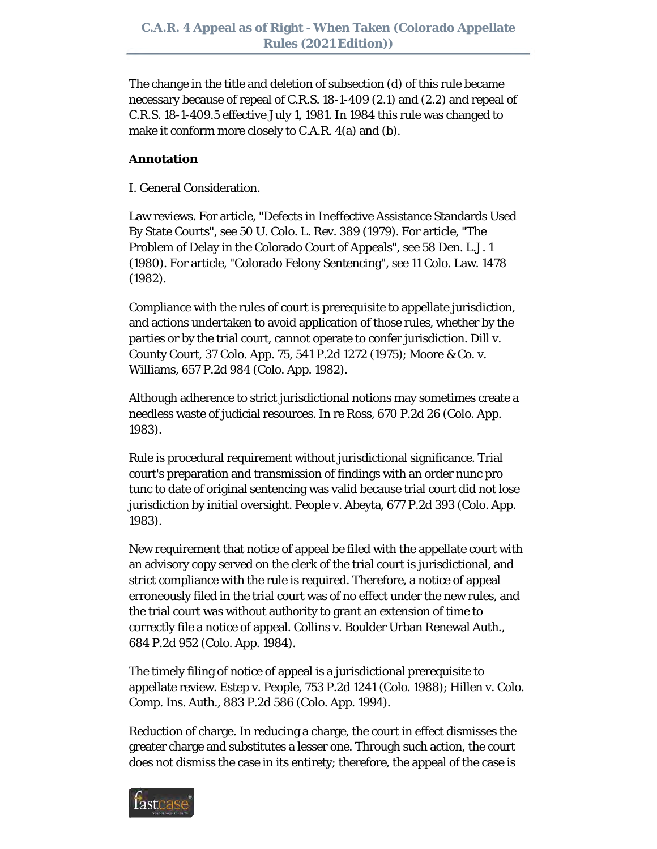The change in the title and deletion of subsection (d) of this rule became necessary because of repeal of C.R.S. 18-1-409 (2.1) and (2.2) and repeal of C.R.S. 18-1-409.5 effective July 1, 1981. In 1984 this rule was changed to make it conform more closely to C.A.R. 4(a) and (b).

#### **Annotation**

I. General Consideration.

Law reviews. For article, "Defects in Ineffective Assistance Standards Used By State Courts", see 50 U. Colo. L. Rev. 389 (1979). For article, "The Problem of Delay in the Colorado Court of Appeals", see 58 Den. L.J. 1 (1980). For article, "Colorado Felony Sentencing", see 11 Colo. Law. 1478 (1982).

Compliance with the rules of court is prerequisite to appellate jurisdiction, and actions undertaken to avoid application of those rules, whether by the parties or by the trial court, cannot operate to confer jurisdiction. Dill v. County Court, 37 Colo. App. 75, 541 P.2d 1272 (1975); Moore & Co. v. Williams, 657 P.2d 984 (Colo. App. 1982).

Although adherence to strict jurisdictional notions may sometimes create a needless waste of judicial resources. In re Ross, 670 P.2d 26 (Colo. App. 1983).

Rule is procedural requirement without jurisdictional significance. Trial court's preparation and transmission of findings with an order nunc pro tunc to date of original sentencing was valid because trial court did not lose jurisdiction by initial oversight. People v. Abeyta, 677 P.2d 393 (Colo. App. 1983).

New requirement that notice of appeal be filed with the appellate court with an advisory copy served on the clerk of the trial court is jurisdictional, and strict compliance with the rule is required. Therefore, a notice of appeal erroneously filed in the trial court was of no effect under the new rules, and the trial court was without authority to grant an extension of time to correctly file a notice of appeal. Collins v. Boulder Urban Renewal Auth., 684 P.2d 952 (Colo. App. 1984).

The timely filing of notice of appeal is a jurisdictional prerequisite to appellate review. Estep v. People, 753 P.2d 1241 (Colo. 1988); Hillen v. Colo. Comp. Ins. Auth., 883 P.2d 586 (Colo. App. 1994).

Reduction of charge. In reducing a charge, the court in effect dismisses the greater charge and substitutes a lesser one. Through such action, the court does not dismiss the case in its entirety; therefore, the appeal of the case is

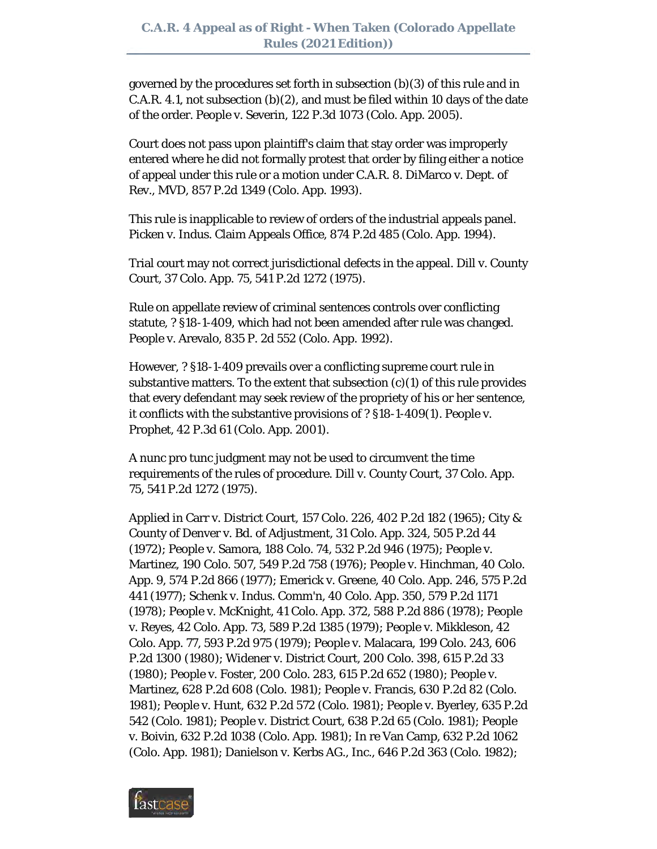governed by the procedures set forth in subsection (b)(3) of this rule and in C.A.R. 4.1, not subsection (b)(2), and must be filed within 10 days of the date of the order. People v. Severin, 122 P.3d 1073 (Colo. App. 2005).

Court does not pass upon plaintiff's claim that stay order was improperly entered where he did not formally protest that order by filing either a notice of appeal under this rule or a motion under C.A.R. 8. DiMarco v. Dept. of Rev., MVD, 857 P.2d 1349 (Colo. App. 1993).

This rule is inapplicable to review of orders of the industrial appeals panel. Picken v. Indus. Claim Appeals Office, 874 P.2d 485 (Colo. App. 1994).

Trial court may not correct jurisdictional defects in the appeal. Dill v. County Court, 37 Colo. App. 75, 541 P.2d 1272 (1975).

Rule on appellate review of criminal sentences controls over conflicting statute, ? §18-1-409, which had not been amended after rule was changed. People v. Arevalo, 835 P. 2d 552 (Colo. App. 1992).

However, ? §18-1-409 prevails over a conflicting supreme court rule in substantive matters. To the extent that subsection (c)(1) of this rule provides that every defendant may seek review of the propriety of his or her sentence, it conflicts with the substantive provisions of ? §18-1-409(1). People v. Prophet, 42 P.3d 61 (Colo. App. 2001).

A nunc pro tunc judgment may not be used to circumvent the time requirements of the rules of procedure. Dill v. County Court, 37 Colo. App. 75, 541 P.2d 1272 (1975).

Applied in Carr v. District Court, 157 Colo. 226, 402 P.2d 182 (1965); City & County of Denver v. Bd. of Adjustment, 31 Colo. App. 324, 505 P.2d 44 (1972); People v. Samora, 188 Colo. 74, 532 P.2d 946 (1975); People v. Martinez, 190 Colo. 507, 549 P.2d 758 (1976); People v. Hinchman, 40 Colo. App. 9, 574 P.2d 866 (1977); Emerick v. Greene, 40 Colo. App. 246, 575 P.2d 441 (1977); Schenk v. Indus. Comm'n, 40 Colo. App. 350, 579 P.2d 1171 (1978); People v. McKnight, 41 Colo. App. 372, 588 P.2d 886 (1978); People v. Reyes, 42 Colo. App. 73, 589 P.2d 1385 (1979); People v. Mikkleson, 42 Colo. App. 77, 593 P.2d 975 (1979); People v. Malacara, 199 Colo. 243, 606 P.2d 1300 (1980); Widener v. District Court, 200 Colo. 398, 615 P.2d 33 (1980); People v. Foster, 200 Colo. 283, 615 P.2d 652 (1980); People v. Martinez, 628 P.2d 608 (Colo. 1981); People v. Francis, 630 P.2d 82 (Colo. 1981); People v. Hunt, 632 P.2d 572 (Colo. 1981); People v. Byerley, 635 P.2d 542 (Colo. 1981); People v. District Court, 638 P.2d 65 (Colo. 1981); People v. Boivin, 632 P.2d 1038 (Colo. App. 1981); In re Van Camp, 632 P.2d 1062 (Colo. App. 1981); Danielson v. Kerbs AG., Inc., 646 P.2d 363 (Colo. 1982);

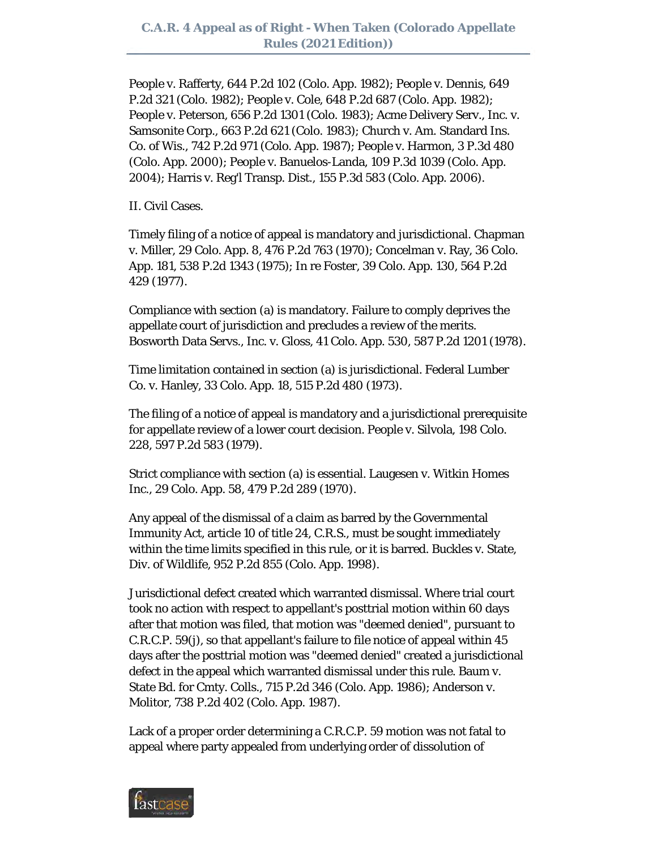People v. Rafferty, 644 P.2d 102 (Colo. App. 1982); People v. Dennis, 649 P.2d 321 (Colo. 1982); People v. Cole, 648 P.2d 687 (Colo. App. 1982); People v. Peterson, 656 P.2d 1301 (Colo. 1983); Acme Delivery Serv., Inc. v. Samsonite Corp., 663 P.2d 621 (Colo. 1983); Church v. Am. Standard Ins. Co. of Wis., 742 P.2d 971 (Colo. App. 1987); People v. Harmon, 3 P.3d 480 (Colo. App. 2000); People v. Banuelos-Landa, 109 P.3d 1039 (Colo. App. 2004); Harris v. Reg'l Transp. Dist., 155 P.3d 583 (Colo. App. 2006).

II. Civil Cases.

Timely filing of a notice of appeal is mandatory and jurisdictional. Chapman v. Miller, 29 Colo. App. 8, 476 P.2d 763 (1970); Concelman v. Ray, 36 Colo. App. 181, 538 P.2d 1343 (1975); In re Foster, 39 Colo. App. 130, 564 P.2d 429 (1977).

Compliance with section (a) is mandatory. Failure to comply deprives the appellate court of jurisdiction and precludes a review of the merits. Bosworth Data Servs., Inc. v. Gloss, 41 Colo. App. 530, 587 P.2d 1201 (1978).

Time limitation contained in section (a) is jurisdictional. Federal Lumber Co. v. Hanley, 33 Colo. App. 18, 515 P.2d 480 (1973).

The filing of a notice of appeal is mandatory and a jurisdictional prerequisite for appellate review of a lower court decision. People v. Silvola, 198 Colo. 228, 597 P.2d 583 (1979).

Strict compliance with section (a) is essential. Laugesen v. Witkin Homes Inc., 29 Colo. App. 58, 479 P.2d 289 (1970).

Any appeal of the dismissal of a claim as barred by the Governmental Immunity Act, article 10 of title 24, C.R.S., must be sought immediately within the time limits specified in this rule, or it is barred. Buckles v. State, Div. of Wildlife, 952 P.2d 855 (Colo. App. 1998).

Jurisdictional defect created which warranted dismissal. Where trial court took no action with respect to appellant's posttrial motion within 60 days after that motion was filed, that motion was "deemed denied", pursuant to C.R.C.P. 59(j), so that appellant's failure to file notice of appeal within 45 days after the posttrial motion was "deemed denied" created a jurisdictional defect in the appeal which warranted dismissal under this rule. Baum v. State Bd. for Cmty. Colls., 715 P.2d 346 (Colo. App. 1986); Anderson v. Molitor, 738 P.2d 402 (Colo. App. 1987).

Lack of a proper order determining a C.R.C.P. 59 motion was not fatal to appeal where party appealed from underlying order of dissolution of

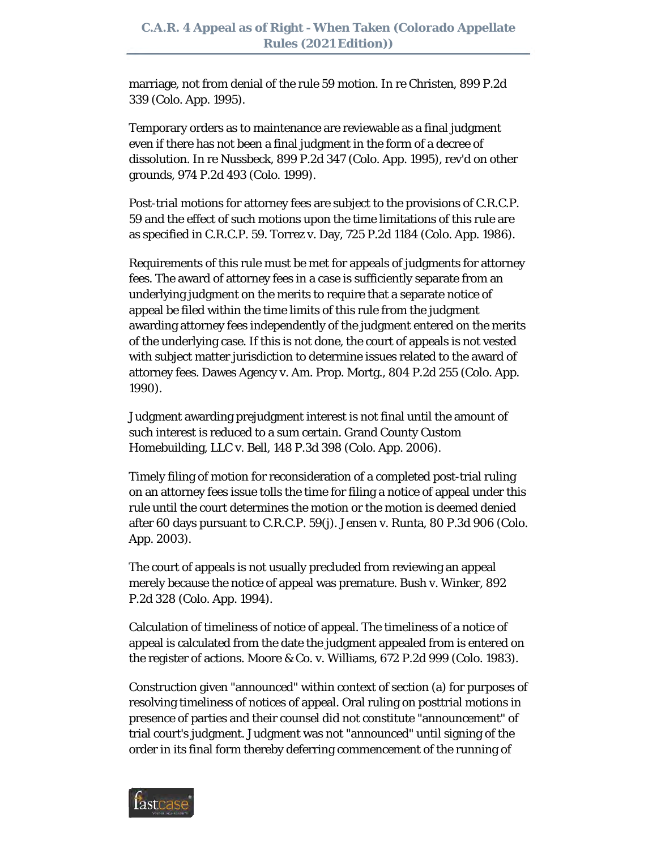marriage, not from denial of the rule 59 motion. In re Christen, 899 P.2d 339 (Colo. App. 1995).

Temporary orders as to maintenance are reviewable as a final judgment even if there has not been a final judgment in the form of a decree of dissolution. In re Nussbeck, 899 P.2d 347 (Colo. App. 1995), rev'd on other grounds, 974 P.2d 493 (Colo. 1999).

Post-trial motions for attorney fees are subject to the provisions of C.R.C.P. 59 and the effect of such motions upon the time limitations of this rule are as specified in C.R.C.P. 59. Torrez v. Day, 725 P.2d 1184 (Colo. App. 1986).

Requirements of this rule must be met for appeals of judgments for attorney fees. The award of attorney fees in a case is sufficiently separate from an underlying judgment on the merits to require that a separate notice of appeal be filed within the time limits of this rule from the judgment awarding attorney fees independently of the judgment entered on the merits of the underlying case. If this is not done, the court of appeals is not vested with subject matter jurisdiction to determine issues related to the award of attorney fees. Dawes Agency v. Am. Prop. Mortg., 804 P.2d 255 (Colo. App. 1990).

Judgment awarding prejudgment interest is not final until the amount of such interest is reduced to a sum certain. Grand County Custom Homebuilding, LLC v. Bell, 148 P.3d 398 (Colo. App. 2006).

Timely filing of motion for reconsideration of a completed post-trial ruling on an attorney fees issue tolls the time for filing a notice of appeal under this rule until the court determines the motion or the motion is deemed denied after 60 days pursuant to C.R.C.P. 59(j). Jensen v. Runta, 80 P.3d 906 (Colo. App. 2003).

The court of appeals is not usually precluded from reviewing an appeal merely because the notice of appeal was premature. Bush v. Winker, 892 P.2d 328 (Colo. App. 1994).

Calculation of timeliness of notice of appeal. The timeliness of a notice of appeal is calculated from the date the judgment appealed from is entered on the register of actions. Moore & Co. v. Williams, 672 P.2d 999 (Colo. 1983).

Construction given "announced" within context of section (a) for purposes of resolving timeliness of notices of appeal. Oral ruling on posttrial motions in presence of parties and their counsel did not constitute "announcement" of trial court's judgment. Judgment was not "announced" until signing of the order in its final form thereby deferring commencement of the running of

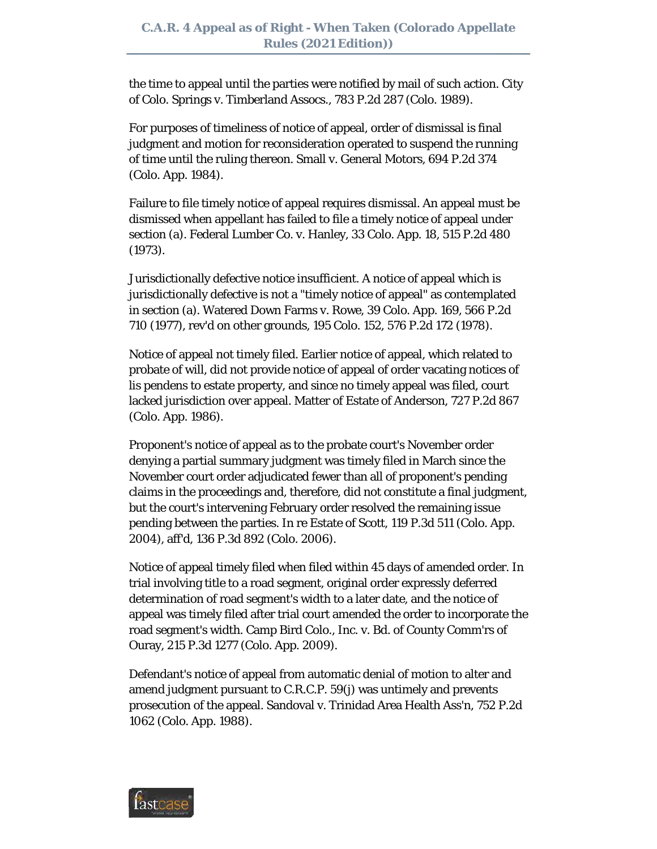the time to appeal until the parties were notified by mail of such action. City of Colo. Springs v. Timberland Assocs., 783 P.2d 287 (Colo. 1989).

For purposes of timeliness of notice of appeal, order of dismissal is final judgment and motion for reconsideration operated to suspend the running of time until the ruling thereon. Small v. General Motors, 694 P.2d 374 (Colo. App. 1984).

Failure to file timely notice of appeal requires dismissal. An appeal must be dismissed when appellant has failed to file a timely notice of appeal under section (a). Federal Lumber Co. v. Hanley, 33 Colo. App. 18, 515 P.2d 480 (1973).

Jurisdictionally defective notice insufficient. A notice of appeal which is jurisdictionally defective is not a "timely notice of appeal" as contemplated in section (a). Watered Down Farms v. Rowe, 39 Colo. App. 169, 566 P.2d 710 (1977), rev'd on other grounds, 195 Colo. 152, 576 P.2d 172 (1978).

Notice of appeal not timely filed. Earlier notice of appeal, which related to probate of will, did not provide notice of appeal of order vacating notices of lis pendens to estate property, and since no timely appeal was filed, court lacked jurisdiction over appeal. Matter of Estate of Anderson, 727 P.2d 867 (Colo. App. 1986).

Proponent's notice of appeal as to the probate court's November order denying a partial summary judgment was timely filed in March since the November court order adjudicated fewer than all of proponent's pending claims in the proceedings and, therefore, did not constitute a final judgment, but the court's intervening February order resolved the remaining issue pending between the parties. In re Estate of Scott, 119 P.3d 511 (Colo. App. 2004), aff'd, 136 P.3d 892 (Colo. 2006).

Notice of appeal timely filed when filed within 45 days of amended order. In trial involving title to a road segment, original order expressly deferred determination of road segment's width to a later date, and the notice of appeal was timely filed after trial court amended the order to incorporate the road segment's width. Camp Bird Colo., Inc. v. Bd. of County Comm'rs of Ouray, 215 P.3d 1277 (Colo. App. 2009).

Defendant's notice of appeal from automatic denial of motion to alter and amend judgment pursuant to C.R.C.P. 59(j) was untimely and prevents prosecution of the appeal. Sandoval v. Trinidad Area Health Ass'n, 752 P.2d 1062 (Colo. App. 1988).

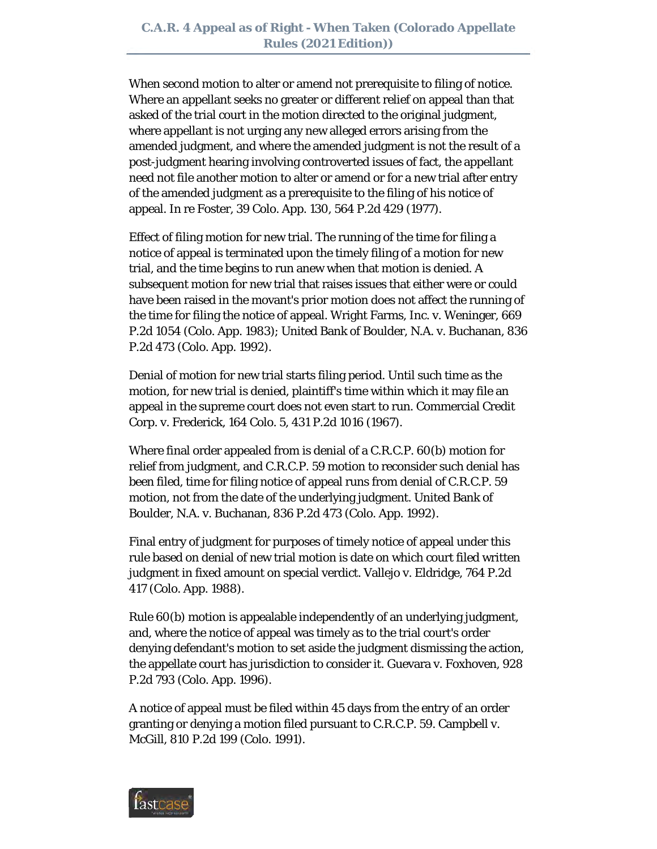When second motion to alter or amend not prerequisite to filing of notice. Where an appellant seeks no greater or different relief on appeal than that asked of the trial court in the motion directed to the original judgment, where appellant is not urging any new alleged errors arising from the amended judgment, and where the amended judgment is not the result of a post-judgment hearing involving controverted issues of fact, the appellant need not file another motion to alter or amend or for a new trial after entry of the amended judgment as a prerequisite to the filing of his notice of appeal. In re Foster, 39 Colo. App. 130, 564 P.2d 429 (1977).

Effect of filing motion for new trial. The running of the time for filing a notice of appeal is terminated upon the timely filing of a motion for new trial, and the time begins to run anew when that motion is denied. A subsequent motion for new trial that raises issues that either were or could have been raised in the movant's prior motion does not affect the running of the time for filing the notice of appeal. Wright Farms, Inc. v. Weninger, 669 P.2d 1054 (Colo. App. 1983); United Bank of Boulder, N.A. v. Buchanan, 836 P.2d 473 (Colo. App. 1992).

Denial of motion for new trial starts filing period. Until such time as the motion, for new trial is denied, plaintiff's time within which it may file an appeal in the supreme court does not even start to run. Commercial Credit Corp. v. Frederick, 164 Colo. 5, 431 P.2d 1016 (1967).

Where final order appealed from is denial of a C.R.C.P. 60(b) motion for relief from judgment, and C.R.C.P. 59 motion to reconsider such denial has been filed, time for filing notice of appeal runs from denial of C.R.C.P. 59 motion, not from the date of the underlying judgment. United Bank of Boulder, N.A. v. Buchanan, 836 P.2d 473 (Colo. App. 1992).

Final entry of judgment for purposes of timely notice of appeal under this rule based on denial of new trial motion is date on which court filed written judgment in fixed amount on special verdict. Vallejo v. Eldridge, 764 P.2d 417 (Colo. App. 1988).

Rule 60(b) motion is appealable independently of an underlying judgment, and, where the notice of appeal was timely as to the trial court's order denying defendant's motion to set aside the judgment dismissing the action, the appellate court has jurisdiction to consider it. Guevara v. Foxhoven, 928 P.2d 793 (Colo. App. 1996).

A notice of appeal must be filed within 45 days from the entry of an order granting or denying a motion filed pursuant to C.R.C.P. 59. Campbell v. McGill, 810 P.2d 199 (Colo. 1991).

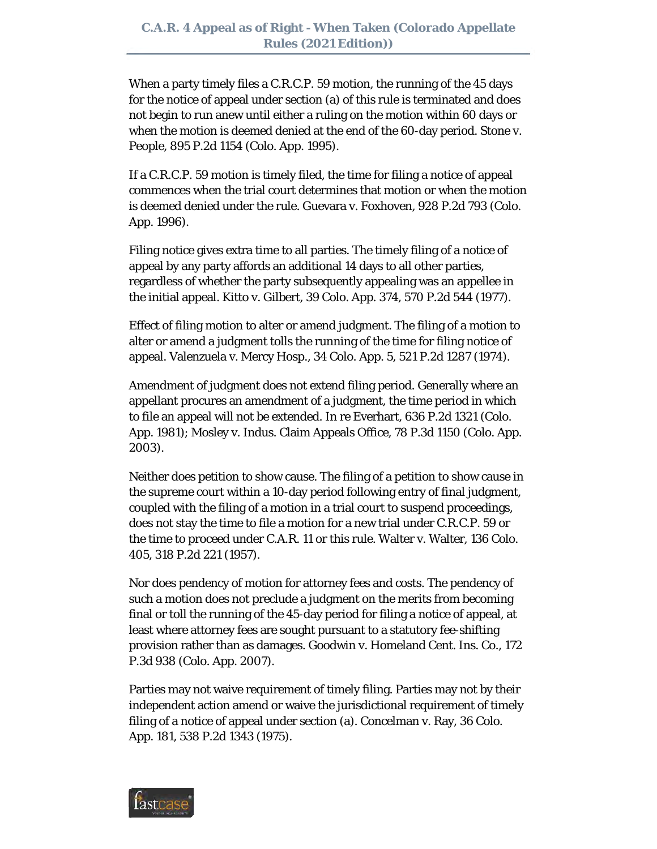When a party timely files a C.R.C.P. 59 motion, the running of the 45 days for the notice of appeal under section (a) of this rule is terminated and does not begin to run anew until either a ruling on the motion within 60 days or when the motion is deemed denied at the end of the 60-day period. Stone v. People, 895 P.2d 1154 (Colo. App. 1995).

If a C.R.C.P. 59 motion is timely filed, the time for filing a notice of appeal commences when the trial court determines that motion or when the motion is deemed denied under the rule. Guevara v. Foxhoven, 928 P.2d 793 (Colo. App. 1996).

Filing notice gives extra time to all parties. The timely filing of a notice of appeal by any party affords an additional 14 days to all other parties, regardless of whether the party subsequently appealing was an appellee in the initial appeal. Kitto v. Gilbert, 39 Colo. App. 374, 570 P.2d 544 (1977).

Effect of filing motion to alter or amend judgment. The filing of a motion to alter or amend a judgment tolls the running of the time for filing notice of appeal. Valenzuela v. Mercy Hosp., 34 Colo. App. 5, 521 P.2d 1287 (1974).

Amendment of judgment does not extend filing period. Generally where an appellant procures an amendment of a judgment, the time period in which to file an appeal will not be extended. In re Everhart, 636 P.2d 1321 (Colo. App. 1981); Mosley v. Indus. Claim Appeals Office, 78 P.3d 1150 (Colo. App. 2003).

Neither does petition to show cause. The filing of a petition to show cause in the supreme court within a 10-day period following entry of final judgment, coupled with the filing of a motion in a trial court to suspend proceedings, does not stay the time to file a motion for a new trial under C.R.C.P. 59 or the time to proceed under C.A.R. 11 or this rule. Walter v. Walter, 136 Colo. 405, 318 P.2d 221 (1957).

Nor does pendency of motion for attorney fees and costs. The pendency of such a motion does not preclude a judgment on the merits from becoming final or toll the running of the 45-day period for filing a notice of appeal, at least where attorney fees are sought pursuant to a statutory fee-shifting provision rather than as damages. Goodwin v. Homeland Cent. Ins. Co., 172 P.3d 938 (Colo. App. 2007).

Parties may not waive requirement of timely filing. Parties may not by their independent action amend or waive the jurisdictional requirement of timely filing of a notice of appeal under section (a). Concelman v. Ray, 36 Colo. App. 181, 538 P.2d 1343 (1975).

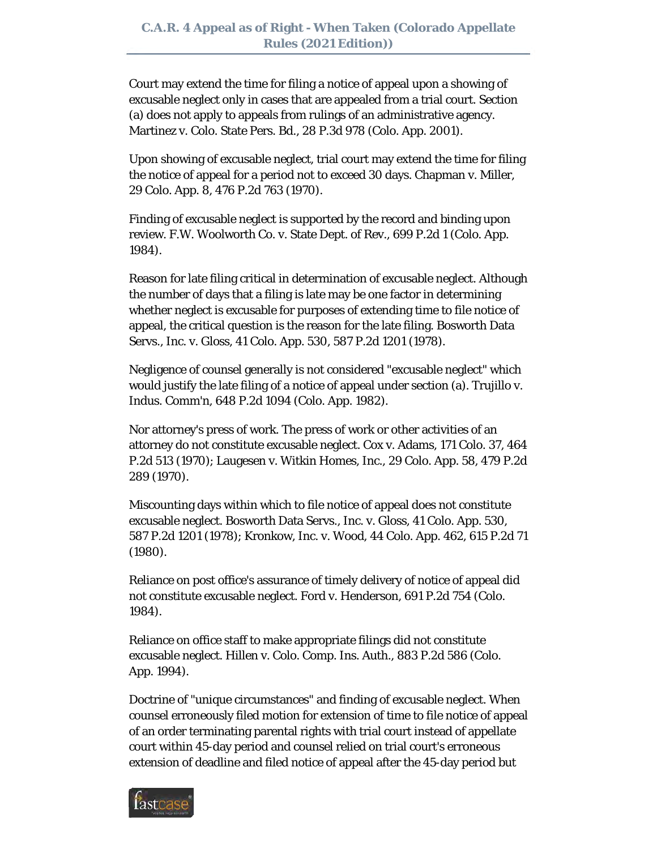Court may extend the time for filing a notice of appeal upon a showing of excusable neglect only in cases that are appealed from a trial court. Section (a) does not apply to appeals from rulings of an administrative agency. Martinez v. Colo. State Pers. Bd., 28 P.3d 978 (Colo. App. 2001).

Upon showing of excusable neglect, trial court may extend the time for filing the notice of appeal for a period not to exceed 30 days. Chapman v. Miller, 29 Colo. App. 8, 476 P.2d 763 (1970).

Finding of excusable neglect is supported by the record and binding upon review. F.W. Woolworth Co. v. State Dept. of Rev., 699 P.2d 1 (Colo. App. 1984).

Reason for late filing critical in determination of excusable neglect. Although the number of days that a filing is late may be one factor in determining whether neglect is excusable for purposes of extending time to file notice of appeal, the critical question is the reason for the late filing. Bosworth Data Servs., Inc. v. Gloss, 41 Colo. App. 530, 587 P.2d 1201 (1978).

Negligence of counsel generally is not considered "excusable neglect" which would justify the late filing of a notice of appeal under section (a). Trujillo v. Indus. Comm'n, 648 P.2d 1094 (Colo. App. 1982).

Nor attorney's press of work. The press of work or other activities of an attorney do not constitute excusable neglect. Cox v. Adams, 171 Colo. 37, 464 P.2d 513 (1970); Laugesen v. Witkin Homes, Inc., 29 Colo. App. 58, 479 P.2d 289 (1970).

Miscounting days within which to file notice of appeal does not constitute excusable neglect. Bosworth Data Servs., Inc. v. Gloss, 41 Colo. App. 530, 587 P.2d 1201 (1978); Kronkow, Inc. v. Wood, 44 Colo. App. 462, 615 P.2d 71 (1980).

Reliance on post office's assurance of timely delivery of notice of appeal did not constitute excusable neglect. Ford v. Henderson, 691 P.2d 754 (Colo. 1984).

Reliance on office staff to make appropriate filings did not constitute excusable neglect. Hillen v. Colo. Comp. Ins. Auth., 883 P.2d 586 (Colo. App. 1994).

Doctrine of "unique circumstances" and finding of excusable neglect. When counsel erroneously filed motion for extension of time to file notice of appeal of an order terminating parental rights with trial court instead of appellate court within 45-day period and counsel relied on trial court's erroneous extension of deadline and filed notice of appeal after the 45-day period but

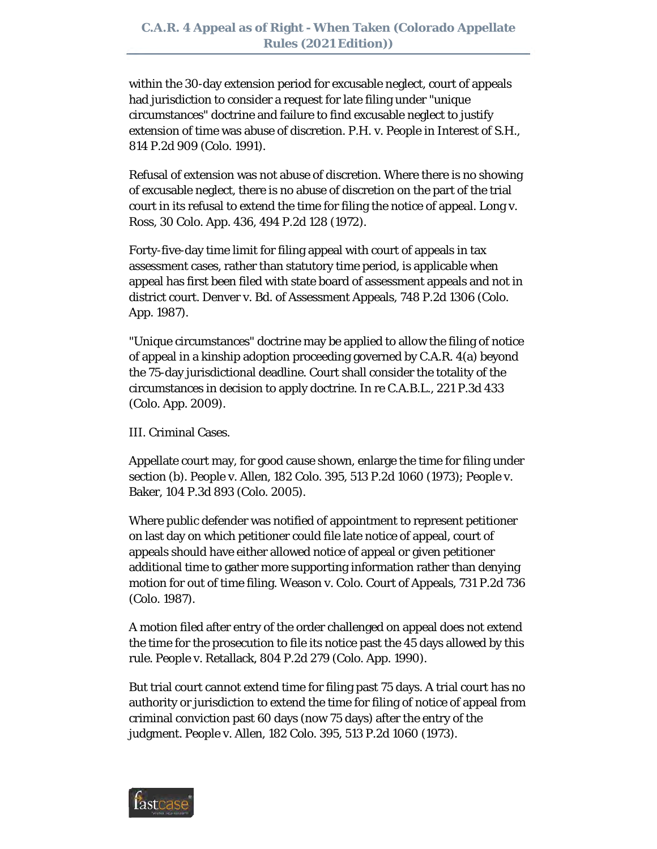within the 30-day extension period for excusable neglect, court of appeals had jurisdiction to consider a request for late filing under "unique circumstances" doctrine and failure to find excusable neglect to justify extension of time was abuse of discretion. P.H. v. People in Interest of S.H., 814 P.2d 909 (Colo. 1991).

Refusal of extension was not abuse of discretion. Where there is no showing of excusable neglect, there is no abuse of discretion on the part of the trial court in its refusal to extend the time for filing the notice of appeal. Long v. Ross, 30 Colo. App. 436, 494 P.2d 128 (1972).

Forty-five-day time limit for filing appeal with court of appeals in tax assessment cases, rather than statutory time period, is applicable when appeal has first been filed with state board of assessment appeals and not in district court. Denver v. Bd. of Assessment Appeals, 748 P.2d 1306 (Colo. App. 1987).

"Unique circumstances" doctrine may be applied to allow the filing of notice of appeal in a kinship adoption proceeding governed by C.A.R. 4(a) beyond the 75-day jurisdictional deadline. Court shall consider the totality of the circumstances in decision to apply doctrine. In re C.A.B.L., 221 P.3d 433 (Colo. App. 2009).

III. Criminal Cases.

Appellate court may, for good cause shown, enlarge the time for filing under section (b). People v. Allen, 182 Colo. 395, 513 P.2d 1060 (1973); People v. Baker, 104 P.3d 893 (Colo. 2005).

Where public defender was notified of appointment to represent petitioner on last day on which petitioner could file late notice of appeal, court of appeals should have either allowed notice of appeal or given petitioner additional time to gather more supporting information rather than denying motion for out of time filing. Weason v. Colo. Court of Appeals, 731 P.2d 736 (Colo. 1987).

A motion filed after entry of the order challenged on appeal does not extend the time for the prosecution to file its notice past the 45 days allowed by this rule. People v. Retallack, 804 P.2d 279 (Colo. App. 1990).

But trial court cannot extend time for filing past 75 days. A trial court has no authority or jurisdiction to extend the time for filing of notice of appeal from criminal conviction past 60 days (now 75 days) after the entry of the judgment. People v. Allen, 182 Colo. 395, 513 P.2d 1060 (1973).

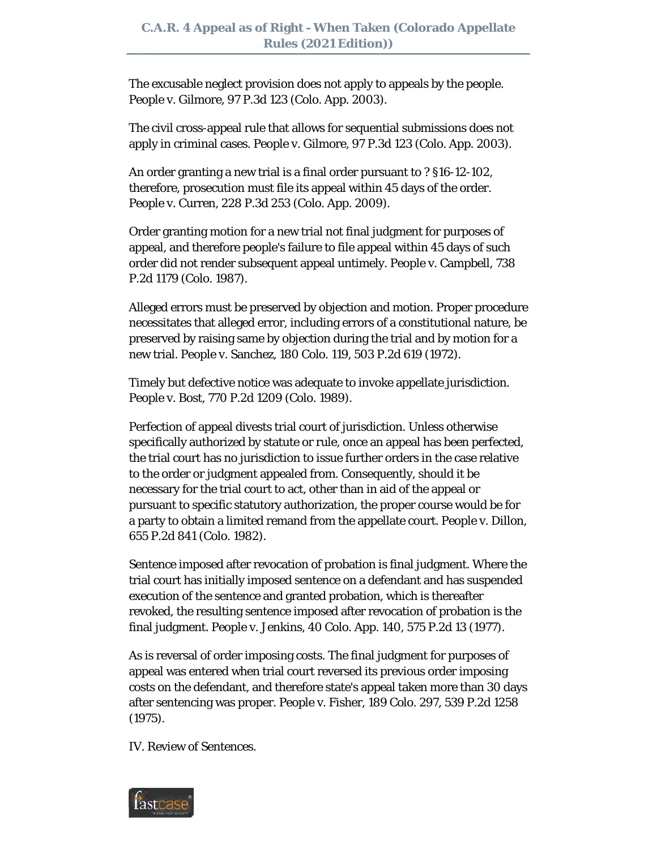The excusable neglect provision does not apply to appeals by the people. People v. Gilmore, 97 P.3d 123 (Colo. App. 2003).

The civil cross-appeal rule that allows for sequential submissions does not apply in criminal cases. People v. Gilmore, 97 P.3d 123 (Colo. App. 2003).

An order granting a new trial is a final order pursuant to ? §16-12-102, therefore, prosecution must file its appeal within 45 days of the order. People v. Curren, 228 P.3d 253 (Colo. App. 2009).

Order granting motion for a new trial not final judgment for purposes of appeal, and therefore people's failure to file appeal within 45 days of such order did not render subsequent appeal untimely. People v. Campbell, 738 P.2d 1179 (Colo. 1987).

Alleged errors must be preserved by objection and motion. Proper procedure necessitates that alleged error, including errors of a constitutional nature, be preserved by raising same by objection during the trial and by motion for a new trial. People v. Sanchez, 180 Colo. 119, 503 P.2d 619 (1972).

Timely but defective notice was adequate to invoke appellate jurisdiction. People v. Bost, 770 P.2d 1209 (Colo. 1989).

Perfection of appeal divests trial court of jurisdiction. Unless otherwise specifically authorized by statute or rule, once an appeal has been perfected, the trial court has no jurisdiction to issue further orders in the case relative to the order or judgment appealed from. Consequently, should it be necessary for the trial court to act, other than in aid of the appeal or pursuant to specific statutory authorization, the proper course would be for a party to obtain a limited remand from the appellate court. People v. Dillon, 655 P.2d 841 (Colo. 1982).

Sentence imposed after revocation of probation is final judgment. Where the trial court has initially imposed sentence on a defendant and has suspended execution of the sentence and granted probation, which is thereafter revoked, the resulting sentence imposed after revocation of probation is the final judgment. People v. Jenkins, 40 Colo. App. 140, 575 P.2d 13 (1977).

As is reversal of order imposing costs. The final judgment for purposes of appeal was entered when trial court reversed its previous order imposing costs on the defendant, and therefore state's appeal taken more than 30 days after sentencing was proper. People v. Fisher, 189 Colo. 297, 539 P.2d 1258 (1975).

IV. Review of Sentences.

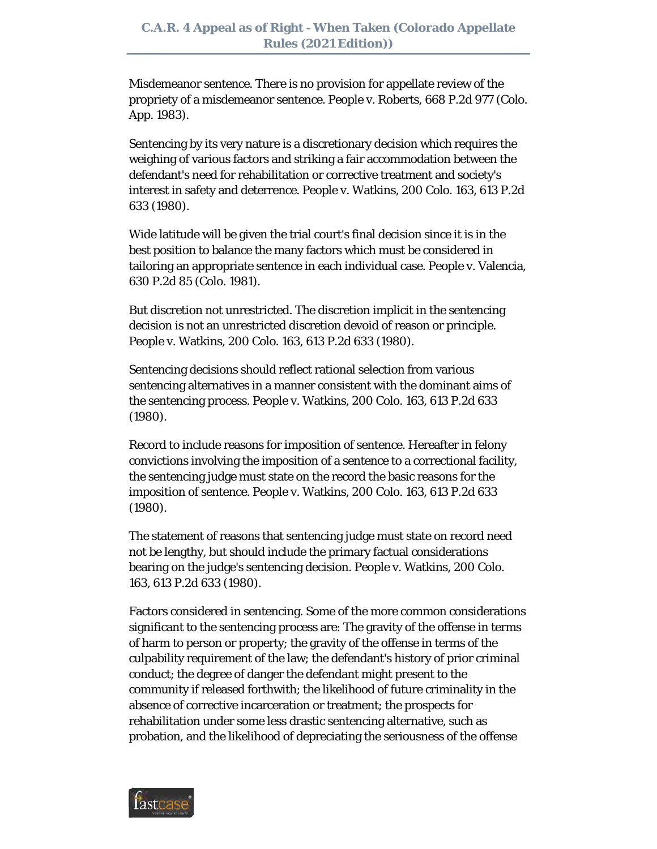Misdemeanor sentence. There is no provision for appellate review of the propriety of a misdemeanor sentence. People v. Roberts, 668 P.2d 977 (Colo. App. 1983).

Sentencing by its very nature is a discretionary decision which requires the weighing of various factors and striking a fair accommodation between the defendant's need for rehabilitation or corrective treatment and society's interest in safety and deterrence. People v. Watkins, 200 Colo. 163, 613 P.2d 633 (1980).

Wide latitude will be given the trial court's final decision since it is in the best position to balance the many factors which must be considered in tailoring an appropriate sentence in each individual case. People v. Valencia, 630 P.2d 85 (Colo. 1981).

But discretion not unrestricted. The discretion implicit in the sentencing decision is not an unrestricted discretion devoid of reason or principle. People v. Watkins, 200 Colo. 163, 613 P.2d 633 (1980).

Sentencing decisions should reflect rational selection from various sentencing alternatives in a manner consistent with the dominant aims of the sentencing process. People v. Watkins, 200 Colo. 163, 613 P.2d 633 (1980).

Record to include reasons for imposition of sentence. Hereafter in felony convictions involving the imposition of a sentence to a correctional facility, the sentencing judge must state on the record the basic reasons for the imposition of sentence. People v. Watkins, 200 Colo. 163, 613 P.2d 633 (1980).

The statement of reasons that sentencing judge must state on record need not be lengthy, but should include the primary factual considerations bearing on the judge's sentencing decision. People v. Watkins, 200 Colo. 163, 613 P.2d 633 (1980).

Factors considered in sentencing. Some of the more common considerations significant to the sentencing process are: The gravity of the offense in terms of harm to person or property; the gravity of the offense in terms of the culpability requirement of the law; the defendant's history of prior criminal conduct; the degree of danger the defendant might present to the community if released forthwith; the likelihood of future criminality in the absence of corrective incarceration or treatment; the prospects for rehabilitation under some less drastic sentencing alternative, such as probation, and the likelihood of depreciating the seriousness of the offense

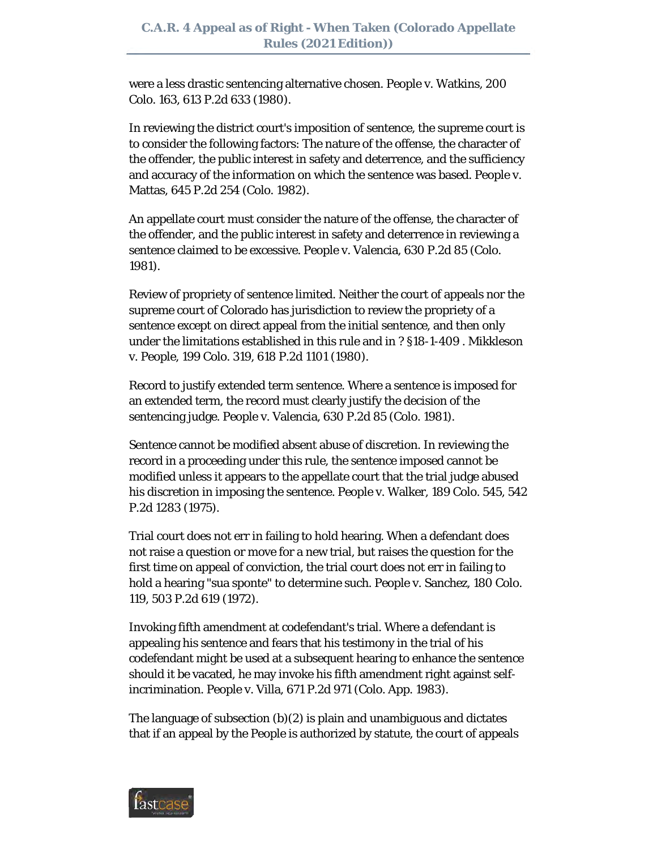were a less drastic sentencing alternative chosen. People v. Watkins, 200 Colo. 163, 613 P.2d 633 (1980).

In reviewing the district court's imposition of sentence, the supreme court is to consider the following factors: The nature of the offense, the character of the offender, the public interest in safety and deterrence, and the sufficiency and accuracy of the information on which the sentence was based. People v. Mattas, 645 P.2d 254 (Colo. 1982).

An appellate court must consider the nature of the offense, the character of the offender, and the public interest in safety and deterrence in reviewing a sentence claimed to be excessive. People v. Valencia, 630 P.2d 85 (Colo. 1981).

Review of propriety of sentence limited. Neither the court of appeals nor the supreme court of Colorado has jurisdiction to review the propriety of a sentence except on direct appeal from the initial sentence, and then only under the limitations established in this rule and in ? §18-1-409 . Mikkleson v. People, 199 Colo. 319, 618 P.2d 1101 (1980).

Record to justify extended term sentence. Where a sentence is imposed for an extended term, the record must clearly justify the decision of the sentencing judge. People v. Valencia, 630 P.2d 85 (Colo. 1981).

Sentence cannot be modified absent abuse of discretion. In reviewing the record in a proceeding under this rule, the sentence imposed cannot be modified unless it appears to the appellate court that the trial judge abused his discretion in imposing the sentence. People v. Walker, 189 Colo. 545, 542 P.2d 1283 (1975).

Trial court does not err in failing to hold hearing. When a defendant does not raise a question or move for a new trial, but raises the question for the first time on appeal of conviction, the trial court does not err in failing to hold a hearing "sua sponte" to determine such. People v. Sanchez, 180 Colo. 119, 503 P.2d 619 (1972).

Invoking fifth amendment at codefendant's trial. Where a defendant is appealing his sentence and fears that his testimony in the trial of his codefendant might be used at a subsequent hearing to enhance the sentence should it be vacated, he may invoke his fifth amendment right against selfincrimination. People v. Villa, 671 P.2d 971 (Colo. App. 1983).

The language of subsection (b)(2) is plain and unambiguous and dictates that if an appeal by the People is authorized by statute, the court of appeals

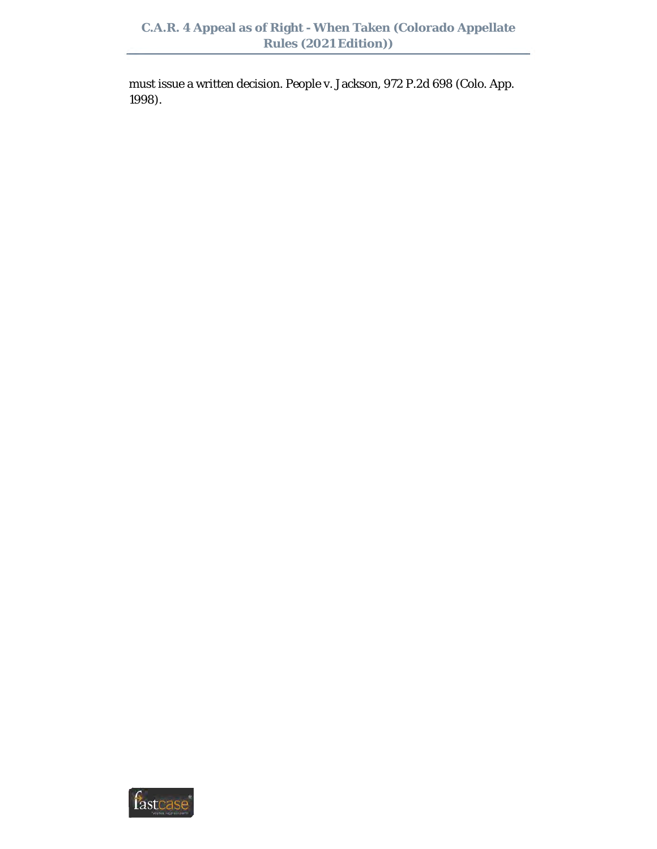must issue a written decision. People v. Jackson, 972 P.2d 698 (Colo. App. 1998).

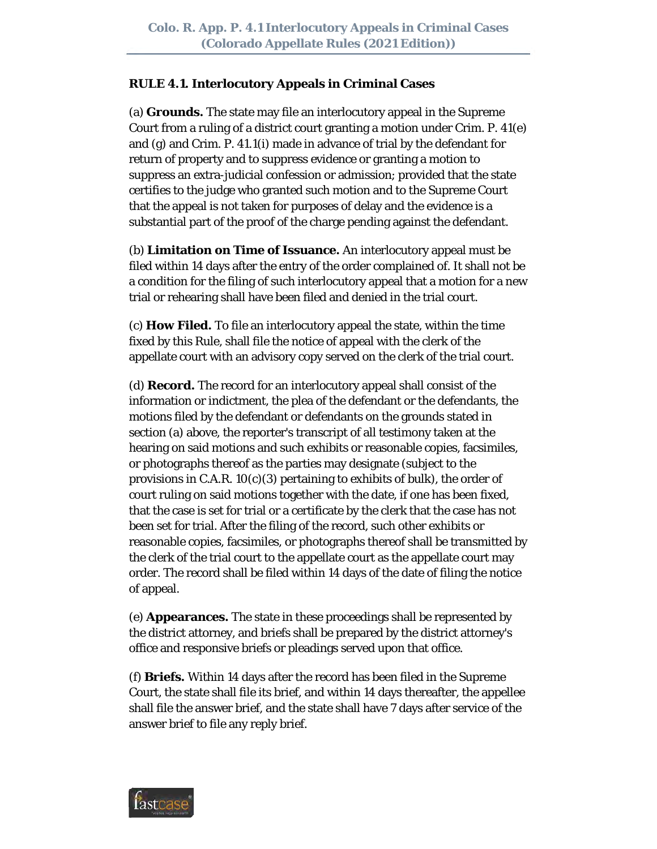# **RULE 4.1. Interlocutory Appeals in Criminal Cases**

(a) **Grounds.** The state may file an interlocutory appeal in the Supreme Court from a ruling of a district court granting a motion under Crim. P. 41(e) and (g) and Crim. P. 41.1(i) made in advance of trial by the defendant for return of property and to suppress evidence or granting a motion to suppress an extra-judicial confession or admission; provided that the state certifies to the judge who granted such motion and to the Supreme Court that the appeal is not taken for purposes of delay and the evidence is a substantial part of the proof of the charge pending against the defendant.

(b) **Limitation on Time of Issuance.** An interlocutory appeal must be filed within 14 days after the entry of the order complained of. It shall not be a condition for the filing of such interlocutory appeal that a motion for a new trial or rehearing shall have been filed and denied in the trial court.

(c) **How Filed.** To file an interlocutory appeal the state, within the time fixed by this Rule, shall file the notice of appeal with the clerk of the appellate court with an advisory copy served on the clerk of the trial court.

(d) **Record.** The record for an interlocutory appeal shall consist of the information or indictment, the plea of the defendant or the defendants, the motions filed by the defendant or defendants on the grounds stated in section (a) above, the reporter's transcript of all testimony taken at the hearing on said motions and such exhibits or reasonable copies, facsimiles, or photographs thereof as the parties may designate (subject to the provisions in C.A.R. 10(c)(3) pertaining to exhibits of bulk), the order of court ruling on said motions together with the date, if one has been fixed, that the case is set for trial or a certificate by the clerk that the case has not been set for trial. After the filing of the record, such other exhibits or reasonable copies, facsimiles, or photographs thereof shall be transmitted by the clerk of the trial court to the appellate court as the appellate court may order. The record shall be filed within 14 days of the date of filing the notice of appeal.

(e) **Appearances.** The state in these proceedings shall be represented by the district attorney, and briefs shall be prepared by the district attorney's office and responsive briefs or pleadings served upon that office.

(f) **Briefs.** Within 14 days after the record has been filed in the Supreme Court, the state shall file its brief, and within 14 days thereafter, the appellee shall file the answer brief, and the state shall have 7 days after service of the answer brief to file any reply brief.

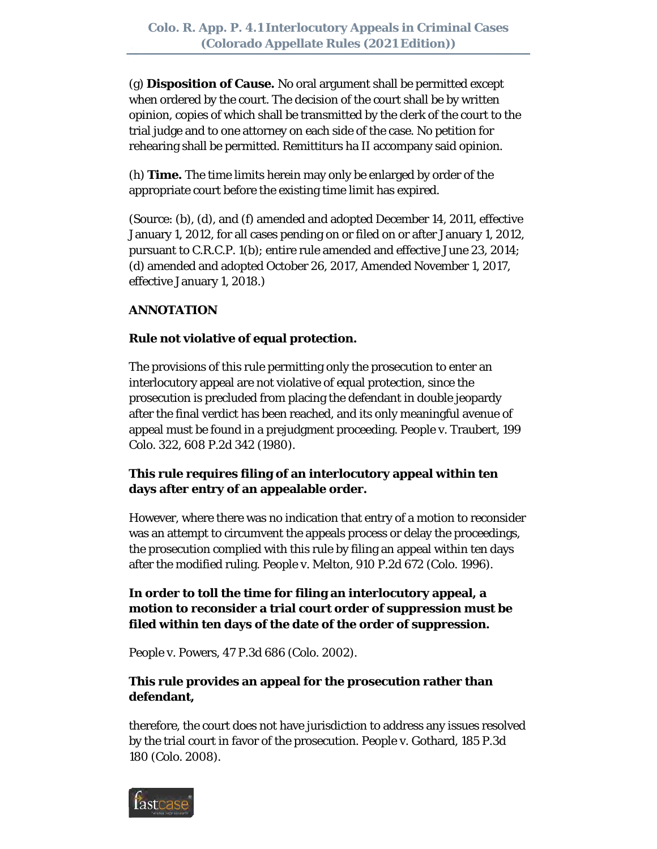(g) **Disposition of Cause.** No oral argument shall be permitted except when ordered by the court. The decision of the court shall be by written opinion, copies of which shall be transmitted by the clerk of the court to the trial judge and to one attorney on each side of the case. No petition for rehearing shall be permitted. Remittiturs ha II accompany said opinion.

(h) **Time.** The time limits herein may only be enlarged by order of the appropriate court before the existing time limit has expired.

(Source: (b), (d), and (f) amended and adopted December 14, 2011, effective January 1, 2012, for all cases pending on or filed on or after January 1, 2012, pursuant to C.R.C.P. 1(b); entire rule amended and effective June 23, 2014; (d) amended and adopted October 26, 2017, Amended November 1, 2017, effective January 1, 2018.)

## **ANNOTATION**

**Rule not violative of equal protection.**

The provisions of this rule permitting only the prosecution to enter an interlocutory appeal are not violative of equal protection, since the prosecution is precluded from placing the defendant in double jeopardy after the final verdict has been reached, and its only meaningful avenue of appeal must be found in a prejudgment proceeding. People v. Traubert, 199 Colo. 322, 608 P.2d 342 (1980).

**This rule requires filing of an interlocutory appeal within ten days after entry of an appealable order.**

However, where there was no indication that entry of a motion to reconsider was an attempt to circumvent the appeals process or delay the proceedings, the prosecution complied with this rule by filing an appeal within ten days after the modified ruling. People v. Melton, 910 P.2d 672 (Colo. 1996).

**In order to toll the time for filing an interlocutory appeal, a motion to reconsider a trial court order of suppression must be filed within ten days of the date of the order of suppression.**

People v. Powers, 47 P.3d 686 (Colo. 2002).

**This rule provides an appeal for the prosecution rather than defendant,**

therefore, the court does not have jurisdiction to address any issues resolved by the trial court in favor of the prosecution. People v. Gothard, 185 P.3d 180 (Colo. 2008).

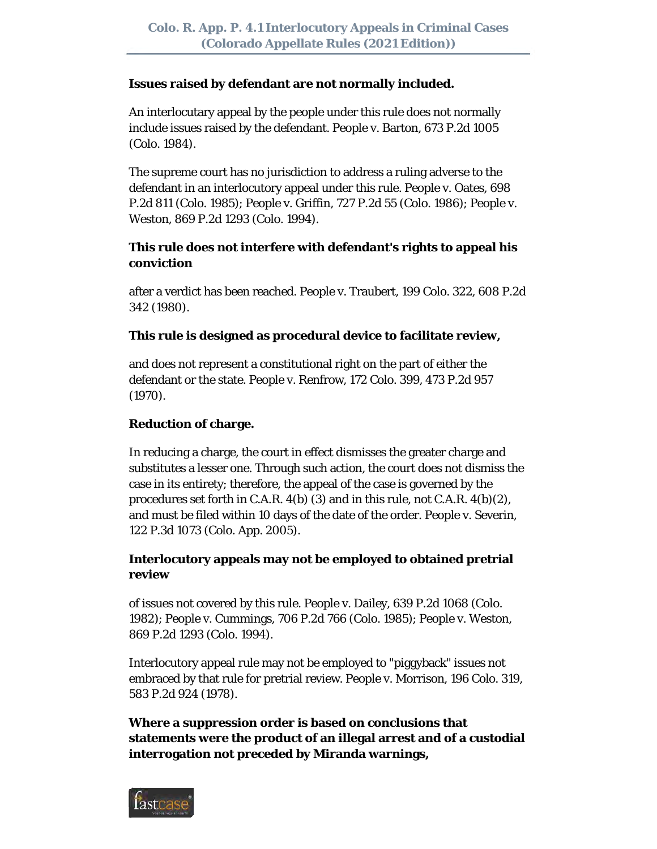**Issues raised by defendant are not normally included.**

An interlocutary appeal by the people under this rule does not normally include issues raised by the defendant. People v. Barton, 673 P.2d 1005 (Colo. 1984).

The supreme court has no jurisdiction to address a ruling adverse to the defendant in an interlocutory appeal under this rule. People v. Oates, 698 P.2d 811 (Colo. 1985); People v. Griffin, 727 P.2d 55 (Colo. 1986); People v. Weston, 869 P.2d 1293 (Colo. 1994).

**This rule does not interfere with defendant's rights to appeal his conviction**

after a verdict has been reached. People v. Traubert, 199 Colo. 322, 608 P.2d 342 (1980).

**This rule is designed as procedural device to facilitate review,**

and does not represent a constitutional right on the part of either the defendant or the state. People v. Renfrow, 172 Colo. 399, 473 P.2d 957 (1970).

**Reduction of charge.**

In reducing a charge, the court in effect dismisses the greater charge and substitutes a lesser one. Through such action, the court does not dismiss the case in its entirety; therefore, the appeal of the case is governed by the procedures set forth in C.A.R. 4(b) (3) and in this rule, not C.A.R. 4(b)(2), and must be filed within 10 days of the date of the order. People v. Severin, 122 P.3d 1073 (Colo. App. 2005).

**Interlocutory appeals may not be employed to obtained pretrial review**

of issues not covered by this rule. People v. Dailey, 639 P.2d 1068 (Colo. 1982); People v. Cummings, 706 P.2d 766 (Colo. 1985); People v. Weston, 869 P.2d 1293 (Colo. 1994).

Interlocutory appeal rule may not be employed to "piggyback" issues not embraced by that rule for pretrial review. People v. Morrison, 196 Colo. 319, 583 P.2d 924 (1978).

**Where a suppression order is based on conclusions that statements were the product of an illegal arrest and of a custodial interrogation not preceded by Miranda warnings,**

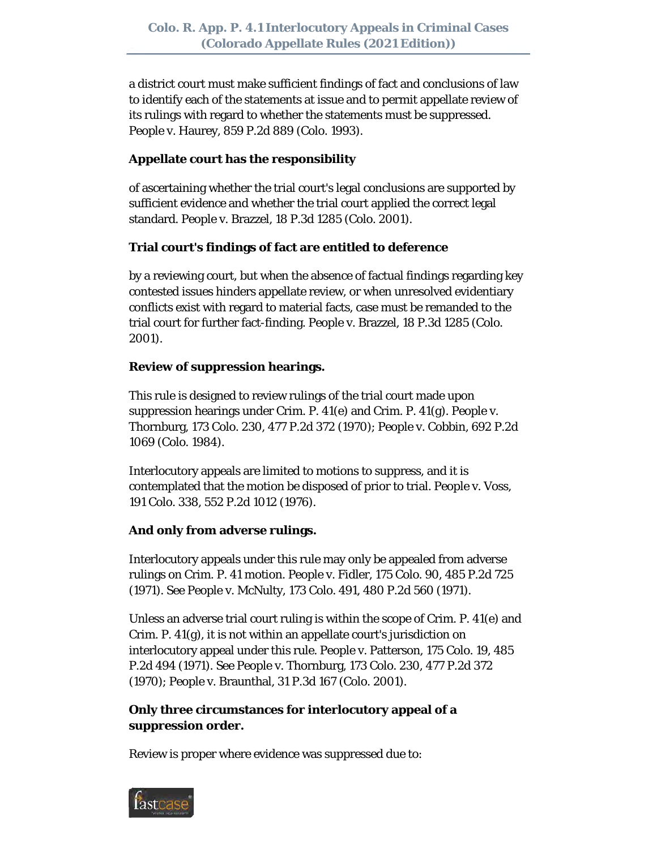a district court must make sufficient findings of fact and conclusions of law to identify each of the statements at issue and to permit appellate review of its rulings with regard to whether the statements must be suppressed. People v. Haurey, 859 P.2d 889 (Colo. 1993).

**Appellate court has the responsibility**

of ascertaining whether the trial court's legal conclusions are supported by sufficient evidence and whether the trial court applied the correct legal standard. People v. Brazzel, 18 P.3d 1285 (Colo. 2001).

**Trial court's findings of fact are entitled to deference**

by a reviewing court, but when the absence of factual findings regarding key contested issues hinders appellate review, or when unresolved evidentiary conflicts exist with regard to material facts, case must be remanded to the trial court for further fact-finding. People v. Brazzel, 18 P.3d 1285 (Colo. 2001).

**Review of suppression hearings.**

This rule is designed to review rulings of the trial court made upon suppression hearings under Crim. P. 41(e) and Crim. P. 41(g). People v. Thornburg, 173 Colo. 230, 477 P.2d 372 (1970); People v. Cobbin, 692 P.2d 1069 (Colo. 1984).

Interlocutory appeals are limited to motions to suppress, and it is contemplated that the motion be disposed of prior to trial. People v. Voss, 191 Colo. 338, 552 P.2d 1012 (1976).

**And only from adverse rulings.**

Interlocutory appeals under this rule may only be appealed from adverse rulings on Crim. P. 41 motion. People v. Fidler, 175 Colo. 90, 485 P.2d 725 (1971). See People v. McNulty, 173 Colo. 491, 480 P.2d 560 (1971).

Unless an adverse trial court ruling is within the scope of Crim. P. 41(e) and Crim. P. 41(g), it is not within an appellate court's jurisdiction on interlocutory appeal under this rule. People v. Patterson, 175 Colo. 19, 485 P.2d 494 (1971). See People v. Thornburg, 173 Colo. 230, 477 P.2d 372 (1970); People v. Braunthal, 31 P.3d 167 (Colo. 2001).

**Only three circumstances for interlocutory appeal of a suppression order.**

Review is proper where evidence was suppressed due to:

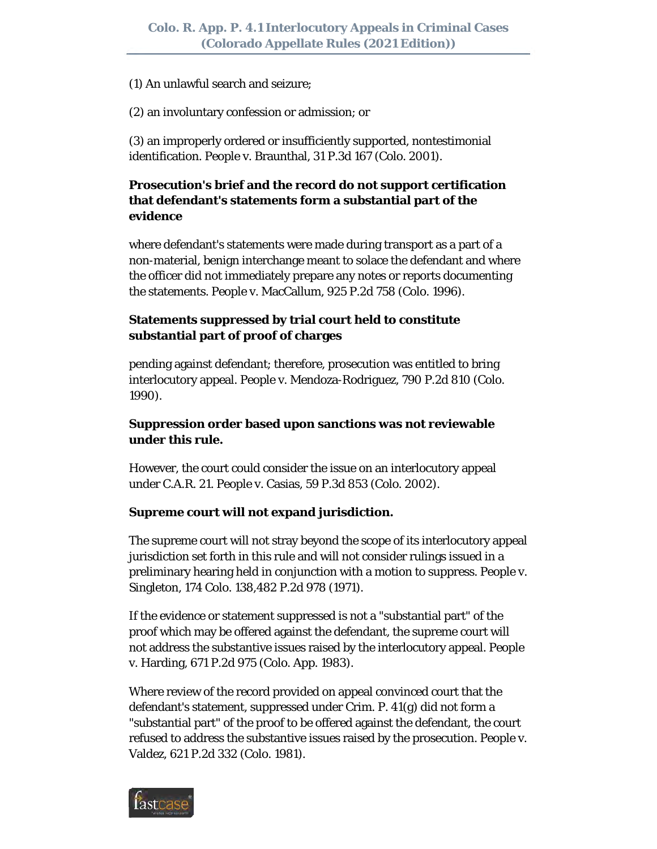(1) An unlawful search and seizure;

(2) an involuntary confession or admission; or

(3) an improperly ordered or insufficiently supported, nontestimonial identification. People v. Braunthal, 31 P.3d 167 (Colo. 2001).

**Prosecution's brief and the record do not support certification that defendant's statements form a substantial part of the evidence**

where defendant's statements were made during transport as a part of a non-material, benign interchange meant to solace the defendant and where the officer did not immediately prepare any notes or reports documenting the statements. People v. MacCallum, 925 P.2d 758 (Colo. 1996).

**Statements suppressed by trial court held to constitute substantial part of proof of charges**

pending against defendant; therefore, prosecution was entitled to bring interlocutory appeal. People v. Mendoza-Rodriguez, 790 P.2d 810 (Colo. 1990).

**Suppression order based upon sanctions was not reviewable under this rule.**

However, the court could consider the issue on an interlocutory appeal under C.A.R. 21. People v. Casias, 59 P.3d 853 (Colo. 2002).

**Supreme court will not expand jurisdiction.**

The supreme court will not stray beyond the scope of its interlocutory appeal jurisdiction set forth in this rule and will not consider rulings issued in a preliminary hearing held in conjunction with a motion to suppress. People v. Singleton, 174 Colo. 138,482 P.2d 978 (1971).

If the evidence or statement suppressed is not a "substantial part" of the proof which may be offered against the defendant, the supreme court will not address the substantive issues raised by the interlocutory appeal. People v. Harding, 671 P.2d 975 (Colo. App. 1983).

Where review of the record provided on appeal convinced court that the defendant's statement, suppressed under Crim. P. 41(g) did not form a "substantial part" of the proof to be offered against the defendant, the court refused to address the substantive issues raised by the prosecution. People v. Valdez, 621 P.2d 332 (Colo. 1981).

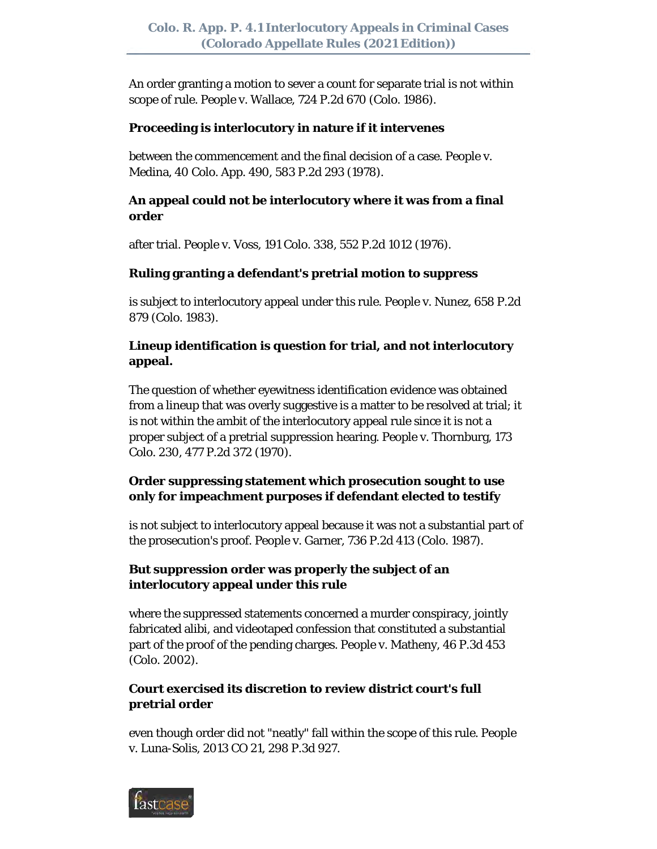An order granting a motion to sever a count for separate trial is not within scope of rule. People v. Wallace, 724 P.2d 670 (Colo. 1986).

**Proceeding is interlocutory in nature if it intervenes**

between the commencement and the final decision of a case. People v. Medina, 40 Colo. App. 490, 583 P.2d 293 (1978).

**An appeal could not be interlocutory where it was from a final order**

after trial. People v. Voss, 191 Colo. 338, 552 P.2d 1012 (1976).

**Ruling granting a defendant's pretrial motion to suppress**

is subject to interlocutory appeal under this rule. People v. Nunez, 658 P.2d 879 (Colo. 1983).

**Lineup identification is question for trial, and not interlocutory appeal.**

The question of whether eyewitness identification evidence was obtained from a lineup that was overly suggestive is a matter to be resolved at trial; it is not within the ambit of the interlocutory appeal rule since it is not a proper subject of a pretrial suppression hearing. People v. Thornburg, 173 Colo. 230, 477 P.2d 372 (1970).

**Order suppressing statement which prosecution sought to use only for impeachment purposes if defendant elected to testify**

is not subject to interlocutory appeal because it was not a substantial part of the prosecution's proof. People v. Garner, 736 P.2d 413 (Colo. 1987).

**But suppression order was properly the subject of an interlocutory appeal under this rule**

where the suppressed statements concerned a murder conspiracy, jointly fabricated alibi, and videotaped confession that constituted a substantial part of the proof of the pending charges. People v. Matheny, 46 P.3d 453 (Colo. 2002).

**Court exercised its discretion to review district court's full pretrial order**

even though order did not "neatly" fall within the scope of this rule. People v. Luna-Solis, 2013 CO 21, 298 P.3d 927.

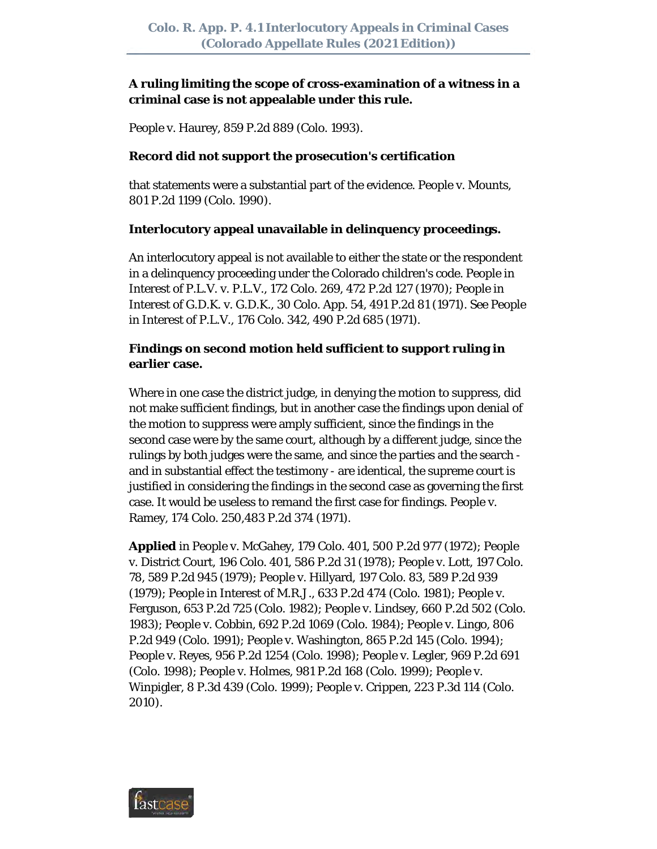**A ruling limiting the scope of cross-examination of a witness in a criminal case is not appealable under this rule.**

People v. Haurey, 859 P.2d 889 (Colo. 1993).

**Record did not support the prosecution's certification**

that statements were a substantial part of the evidence. People v. Mounts, 801 P.2d 1199 (Colo. 1990).

**Interlocutory appeal unavailable in delinquency proceedings.**

An interlocutory appeal is not available to either the state or the respondent in a delinquency proceeding under the Colorado children's code. People in Interest of P.L.V. v. P.L.V., 172 Colo. 269, 472 P.2d 127 (1970); People in Interest of G.D.K. v. G.D.K., 30 Colo. App. 54, 491 P.2d 81 (1971). See People in Interest of P.L.V., 176 Colo. 342, 490 P.2d 685 (1971).

**Findings on second motion held sufficient to support ruling in earlier case.**

Where in one case the district judge, in denying the motion to suppress, did not make sufficient findings, but in another case the findings upon denial of the motion to suppress were amply sufficient, since the findings in the second case were by the same court, although by a different judge, since the rulings by both judges were the same, and since the parties and the search and in substantial effect the testimony - are identical, the supreme court is justified in considering the findings in the second case as governing the first case. It would be useless to remand the first case for findings. People v. Ramey, 174 Colo. 250,483 P.2d 374 (1971).

**Applied** in People v. McGahey, 179 Colo. 401, 500 P.2d 977 (1972); People v. District Court, 196 Colo. 401, 586 P.2d 31 (1978); People v. Lott, 197 Colo. 78, 589 P.2d 945 (1979); People v. Hillyard, 197 Colo. 83, 589 P.2d 939 (1979); People in Interest of M.R.J., 633 P.2d 474 (Colo. 1981); People v. Ferguson, 653 P.2d 725 (Colo. 1982); People v. Lindsey, 660 P.2d 502 (Colo. 1983); People v. Cobbin, 692 P.2d 1069 (Colo. 1984); People v. Lingo, 806 P.2d 949 (Colo. 1991); People v. Washington, 865 P.2d 145 (Colo. 1994); People v. Reyes, 956 P.2d 1254 (Colo. 1998); People v. Legler, 969 P.2d 691 (Colo. 1998); People v. Holmes, 981 P.2d 168 (Colo. 1999); People v. Winpigler, 8 P.3d 439 (Colo. 1999); People v. Crippen, 223 P.3d 114 (Colo. 2010).

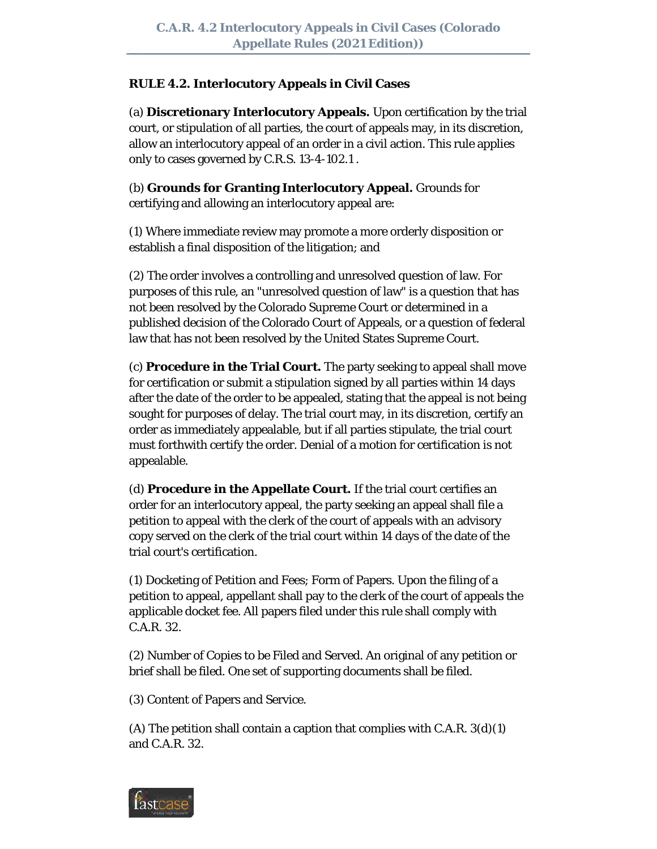# **RULE 4.2. Interlocutory Appeals in Civil Cases**

(a) **Discretionary Interlocutory Appeals.** Upon certification by the trial court, or stipulation of all parties, the court of appeals may, in its discretion, allow an interlocutory appeal of an order in a civil action. This rule applies only to cases governed by C.R.S. 13-4-102.1 .

(b) **Grounds for Granting Interlocutory Appeal.** Grounds for certifying and allowing an interlocutory appeal are:

(1) Where immediate review may promote a more orderly disposition or establish a final disposition of the litigation; and

(2) The order involves a controlling and unresolved question of law. For purposes of this rule, an "unresolved question of law" is a question that has not been resolved by the Colorado Supreme Court or determined in a published decision of the Colorado Court of Appeals, or a question of federal law that has not been resolved by the United States Supreme Court.

(c) **Procedure in the Trial Court.** The party seeking to appeal shall move for certification or submit a stipulation signed by all parties within 14 days after the date of the order to be appealed, stating that the appeal is not being sought for purposes of delay. The trial court may, in its discretion, certify an order as immediately appealable, but if all parties stipulate, the trial court must forthwith certify the order. Denial of a motion for certification is not appealable.

(d) **Procedure in the Appellate Court.** If the trial court certifies an order for an interlocutory appeal, the party seeking an appeal shall file a petition to appeal with the clerk of the court of appeals with an advisory copy served on the clerk of the trial court within 14 days of the date of the trial court's certification.

(1) Docketing of Petition and Fees; Form of Papers. Upon the filing of a petition to appeal, appellant shall pay to the clerk of the court of appeals the applicable docket fee. All papers filed under this rule shall comply with C.A.R. 32.

(2) Number of Copies to be Filed and Served. An original of any petition or brief shall be filed. One set of supporting documents shall be filed.

(3) Content of Papers and Service.

(A) The petition shall contain a caption that complies with C.A.R. 3(d)(1) and C.A.R. 32.

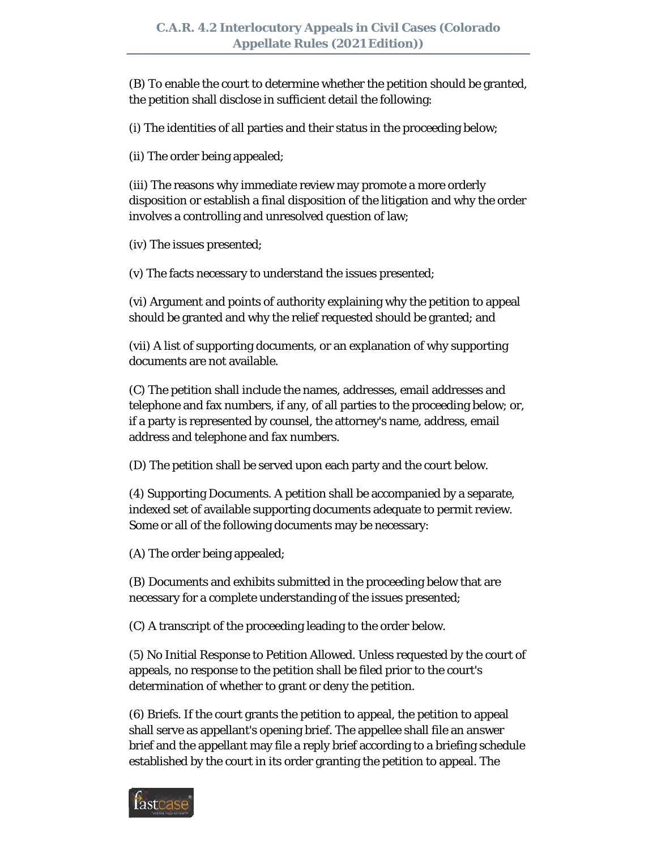(B) To enable the court to determine whether the petition should be granted, the petition shall disclose in sufficient detail the following:

(i) The identities of all parties and their status in the proceeding below;

(ii) The order being appealed;

(iii) The reasons why immediate review may promote a more orderly disposition or establish a final disposition of the litigation and why the order involves a controlling and unresolved question of law;

(iv) The issues presented;

(v) The facts necessary to understand the issues presented;

(vi) Argument and points of authority explaining why the petition to appeal should be granted and why the relief requested should be granted; and

(vii) A list of supporting documents, or an explanation of why supporting documents are not available.

(C) The petition shall include the names, addresses, email addresses and telephone and fax numbers, if any, of all parties to the proceeding below; or, if a party is represented by counsel, the attorney's name, address, email address and telephone and fax numbers.

(D) The petition shall be served upon each party and the court below.

(4) Supporting Documents. A petition shall be accompanied by a separate, indexed set of available supporting documents adequate to permit review. Some or all of the following documents may be necessary:

(A) The order being appealed;

(B) Documents and exhibits submitted in the proceeding below that are necessary for a complete understanding of the issues presented;

(C) A transcript of the proceeding leading to the order below.

(5) No Initial Response to Petition Allowed. Unless requested by the court of appeals, no response to the petition shall be filed prior to the court's determination of whether to grant or deny the petition.

(6) Briefs. If the court grants the petition to appeal, the petition to appeal shall serve as appellant's opening brief. The appellee shall file an answer brief and the appellant may file a reply brief according to a briefing schedule established by the court in its order granting the petition to appeal. The

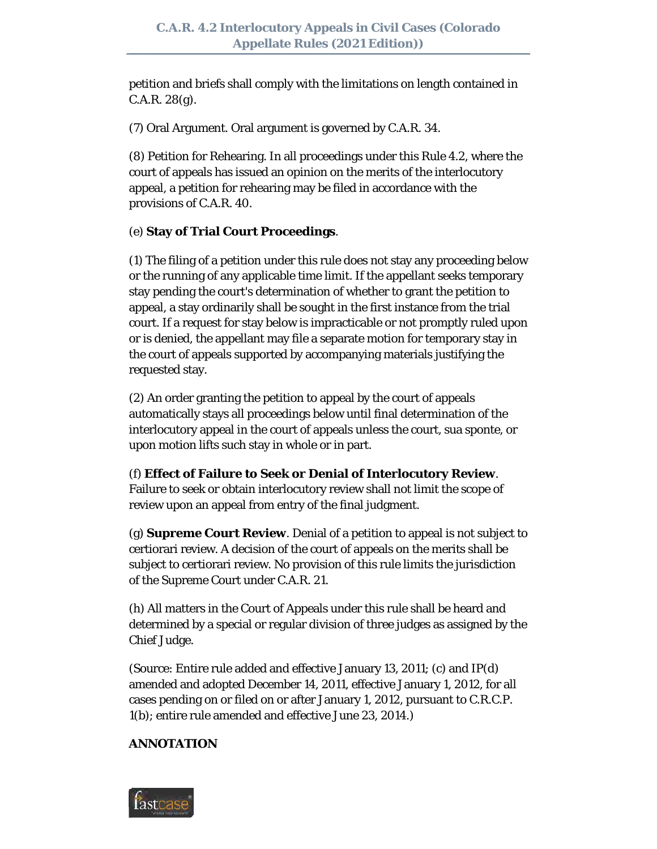petition and briefs shall comply with the limitations on length contained in C.A.R. 28(g).

(7) Oral Argument. Oral argument is governed by C.A.R. 34.

(8) Petition for Rehearing. In all proceedings under this Rule 4.2, where the court of appeals has issued an opinion on the merits of the interlocutory appeal, a petition for rehearing may be filed in accordance with the provisions of C.A.R. 40.

(e) **Stay of Trial Court Proceedings**.

(1) The filing of a petition under this rule does not stay any proceeding below or the running of any applicable time limit. If the appellant seeks temporary stay pending the court's determination of whether to grant the petition to appeal, a stay ordinarily shall be sought in the first instance from the trial court. If a request for stay below is impracticable or not promptly ruled upon or is denied, the appellant may file a separate motion for temporary stay in the court of appeals supported by accompanying materials justifying the requested stay.

(2) An order granting the petition to appeal by the court of appeals automatically stays all proceedings below until final determination of the interlocutory appeal in the court of appeals unless the court, sua sponte, or upon motion lifts such stay in whole or in part.

(f) **Effect of Failure to Seek or Denial of Interlocutory Review**. Failure to seek or obtain interlocutory review shall not limit the scope of review upon an appeal from entry of the final judgment.

(g) **Supreme Court Review**. Denial of a petition to appeal is not subject to certiorari review. A decision of the court of appeals on the merits shall be subject to certiorari review. No provision of this rule limits the jurisdiction of the Supreme Court under C.A.R. 21.

(h) All matters in the Court of Appeals under this rule shall be heard and determined by a special or regular division of three judges as assigned by the Chief Judge.

(Source: Entire rule added and effective January 13, 2011; (c) and IP(d) amended and adopted December 14, 2011, effective January 1, 2012, for all cases pending on or filed on or after January 1, 2012, pursuant to C.R.C.P. 1(b); entire rule amended and effective June 23, 2014.)

**ANNOTATION**

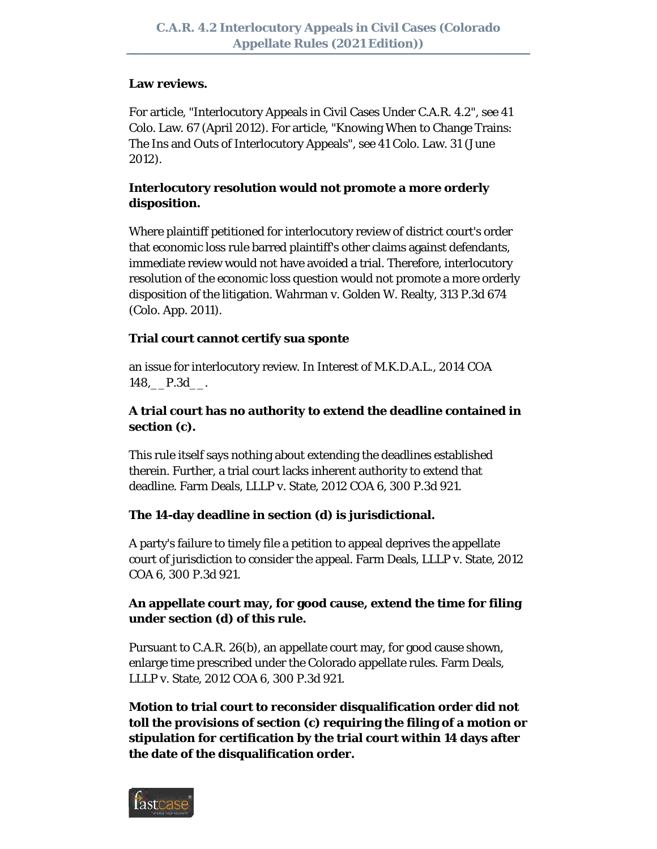**Law reviews.**

For article, "Interlocutory Appeals in Civil Cases Under C.A.R. 4.2", see 41 Colo. Law. 67 (April 2012). For article, "Knowing When to Change Trains: The Ins and Outs of Interlocutory Appeals", see 41 Colo. Law. 31 (June 2012).

**Interlocutory resolution would not promote a more orderly disposition.**

Where plaintiff petitioned for interlocutory review of district court's order that economic loss rule barred plaintiff's other claims against defendants, immediate review would not have avoided a trial. Therefore, interlocutory resolution of the economic loss question would not promote a more orderly disposition of the litigation. Wahrman v. Golden W. Realty, 313 P.3d 674 (Colo. App. 2011).

**Trial court cannot certify sua sponte**

an issue for interlocutory review. In Interest of M.K.D.A.L., 2014 COA 148,\_\_P.3d\_\_.

**A trial court has no authority to extend the deadline contained in section (c).**

This rule itself says nothing about extending the deadlines established therein. Further, a trial court lacks inherent authority to extend that deadline. Farm Deals, LLLP v. State, 2012 COA 6, 300 P.3d 921.

**The 14-day deadline in section (d) is jurisdictional.**

A party's failure to timely file a petition to appeal deprives the appellate court of jurisdiction to consider the appeal. Farm Deals, LLLP v. State, 2012 COA 6, 300 P.3d 921.

**An appellate court may, for good cause, extend the time for filing under section (d) of this rule.**

Pursuant to C.A.R. 26(b), an appellate court may, for good cause shown, enlarge time prescribed under the Colorado appellate rules. Farm Deals, LLLP v. State, 2012 COA 6, 300 P.3d 921.

**Motion to trial court to reconsider disqualification order did not toll the provisions of section (c) requiring the filing of a motion or stipulation for certification by the trial court within 14 days after the date of the disqualification order.**

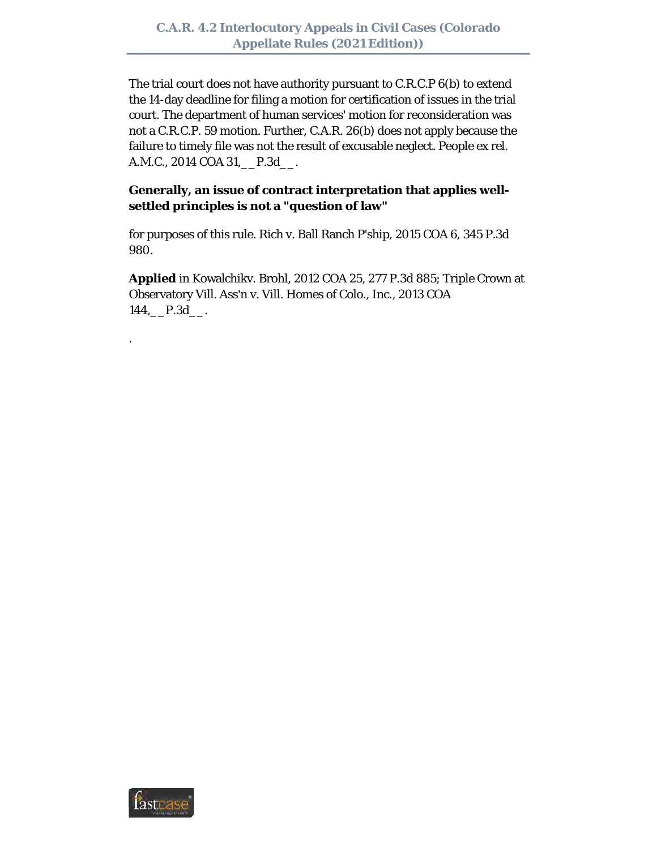The trial court does not have authority pursuant to C.R.C.P 6(b) to extend the 14-day deadline for filing a motion for certification of issues in the trial court. The department of human services' motion for reconsideration was not a C.R.C.P. 59 motion. Further, C.A.R. 26(b) does not apply because the failure to timely file was not the result of excusable neglect. People ex rel. A.M.C., 2014 COA 31,\_\_P.3d\_\_.

**Generally, an issue of contract interpretation that applies wellsettled principles is not a "question of law"**

for purposes of this rule. Rich v. Ball Ranch P'ship, 2015 COA 6, 345 P.3d 980.

**Applied** in Kowalchikv. Brohl, 2012 COA 25, 277 P.3d 885; Triple Crown at Observatory Vill. Ass'n v. Vill. Homes of Colo., Inc., 2013 COA 144,\_\_P.3d\_\_.



.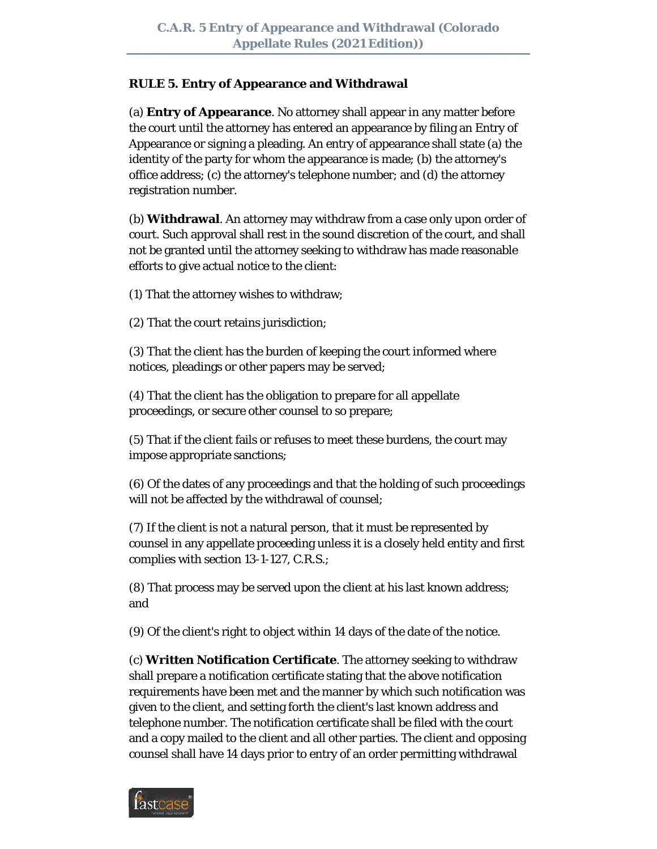# **RULE 5. Entry of Appearance and Withdrawal**

(a) **Entry of Appearance**. No attorney shall appear in any matter before the court until the attorney has entered an appearance by filing an Entry of Appearance or signing a pleading. An entry of appearance shall state (a) the identity of the party for whom the appearance is made; (b) the attorney's office address; (c) the attorney's telephone number; and (d) the attorney registration number.

(b) **Withdrawal**. An attorney may withdraw from a case only upon order of court. Such approval shall rest in the sound discretion of the court, and shall not be granted until the attorney seeking to withdraw has made reasonable efforts to give actual notice to the client:

(1) That the attorney wishes to withdraw;

(2) That the court retains jurisdiction;

(3) That the client has the burden of keeping the court informed where notices, pleadings or other papers may be served;

(4) That the client has the obligation to prepare for all appellate proceedings, or secure other counsel to so prepare;

(5) That if the client fails or refuses to meet these burdens, the court may impose appropriate sanctions;

(6) Of the dates of any proceedings and that the holding of such proceedings will not be affected by the withdrawal of counsel;

(7) If the client is not a natural person, that it must be represented by counsel in any appellate proceeding unless it is a closely held entity and first complies with section 13-1-127, C.R.S.;

(8) That process may be served upon the client at his last known address; and

(9) Of the client's right to object within 14 days of the date of the notice.

(c) **Written Notification Certificate**. The attorney seeking to withdraw shall prepare a notification certificate stating that the above notification requirements have been met and the manner by which such notification was given to the client, and setting forth the client's last known address and telephone number. The notification certificate shall be filed with the court and a copy mailed to the client and all other parties. The client and opposing counsel shall have 14 days prior to entry of an order permitting withdrawal

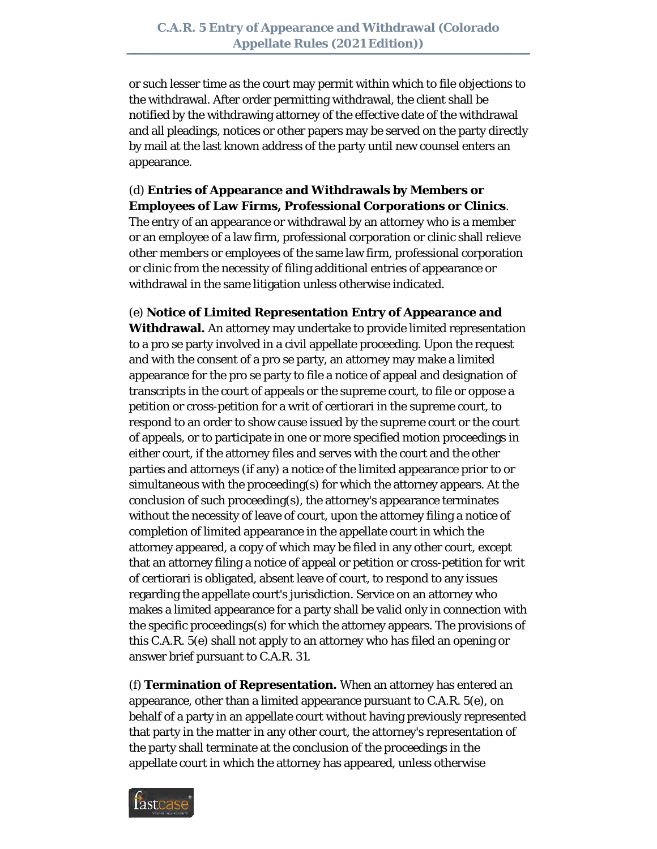or such lesser time as the court may permit within which to file objections to the withdrawal. After order permitting withdrawal, the client shall be notified by the withdrawing attorney of the effective date of the withdrawal and all pleadings, notices or other papers may be served on the party directly by mail at the last known address of the party until new counsel enters an appearance.

(d) **Entries of Appearance and Withdrawals by Members or Employees of Law Firms, Professional Corporations or Clinics**. The entry of an appearance or withdrawal by an attorney who is a member or an employee of a law firm, professional corporation or clinic shall relieve other members or employees of the same law firm, professional corporation or clinic from the necessity of filing additional entries of appearance or withdrawal in the same litigation unless otherwise indicated.

(e) **Notice of Limited Representation Entry of Appearance and Withdrawal.** An attorney may undertake to provide limited representation to a pro se party involved in a civil appellate proceeding. Upon the request and with the consent of a pro se party, an attorney may make a limited appearance for the pro se party to file a notice of appeal and designation of transcripts in the court of appeals or the supreme court, to file or oppose a petition or cross-petition for a writ of certiorari in the supreme court, to respond to an order to show cause issued by the supreme court or the court of appeals, or to participate in one or more specified motion proceedings in either court, if the attorney files and serves with the court and the other parties and attorneys (if any) a notice of the limited appearance prior to or simultaneous with the proceeding(s) for which the attorney appears. At the conclusion of such proceeding(s), the attorney's appearance terminates without the necessity of leave of court, upon the attorney filing a notice of completion of limited appearance in the appellate court in which the attorney appeared, a copy of which may be filed in any other court, except that an attorney filing a notice of appeal or petition or cross-petition for writ of certiorari is obligated, absent leave of court, to respond to any issues regarding the appellate court's jurisdiction. Service on an attorney who makes a limited appearance for a party shall be valid only in connection with the specific proceedings(s) for which the attorney appears. The provisions of this C.A.R. 5(e) shall not apply to an attorney who has filed an opening or answer brief pursuant to C.A.R. 31.

(f) **Termination of Representation.** When an attorney has entered an appearance, other than a limited appearance pursuant to C.A.R. 5(e), on behalf of a party in an appellate court without having previously represented that party in the matter in any other court, the attorney's representation of the party shall terminate at the conclusion of the proceedings in the appellate court in which the attorney has appeared, unless otherwise

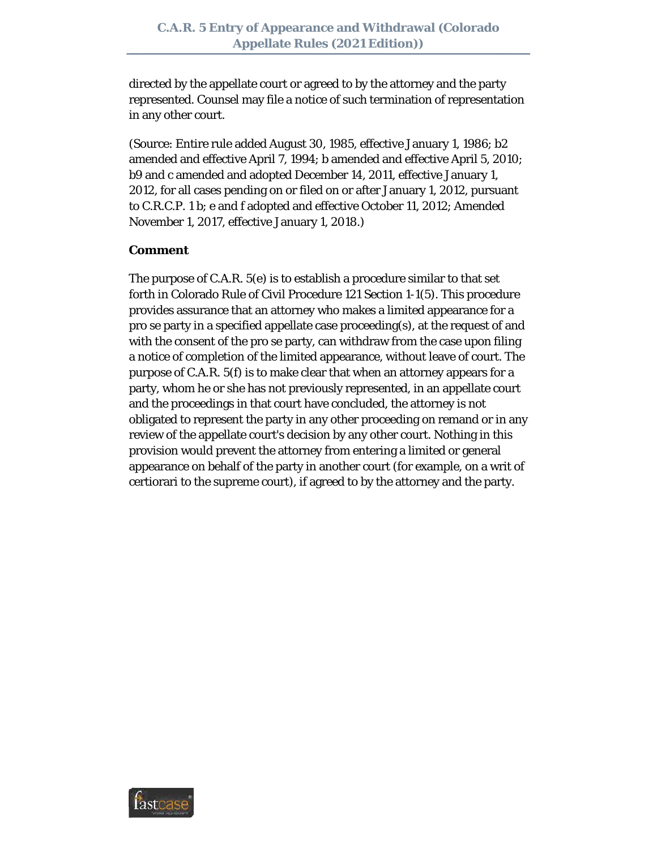directed by the appellate court or agreed to by the attorney and the party represented. Counsel may file a notice of such termination of representation in any other court.

(Source: Entire rule added August 30, 1985, effective January 1, 1986; b2 amended and effective April 7, 1994; b amended and effective April 5, 2010; b9 and c amended and adopted December 14, 2011, effective January 1, 2012, for all cases pending on or filed on or after January 1, 2012, pursuant to C.R.C.P. 1 b; e and f adopted and effective October 11, 2012; Amended November 1, 2017, effective January 1, 2018.)

## **Comment**

The purpose of C.A.R. 5(e) is to establish a procedure similar to that set forth in Colorado Rule of Civil Procedure 121 Section 1-1(5). This procedure provides assurance that an attorney who makes a limited appearance for a pro se party in a specified appellate case proceeding(s), at the request of and with the consent of the pro se party, can withdraw from the case upon filing a notice of completion of the limited appearance, without leave of court. The purpose of C.A.R. 5(f) is to make clear that when an attorney appears for a party, whom he or she has not previously represented, in an appellate court and the proceedings in that court have concluded, the attorney is not obligated to represent the party in any other proceeding on remand or in any review of the appellate court's decision by any other court. Nothing in this provision would prevent the attorney from entering a limited or general appearance on behalf of the party in another court (for example, on a writ of certiorari to the supreme court), if agreed to by the attorney and the party.

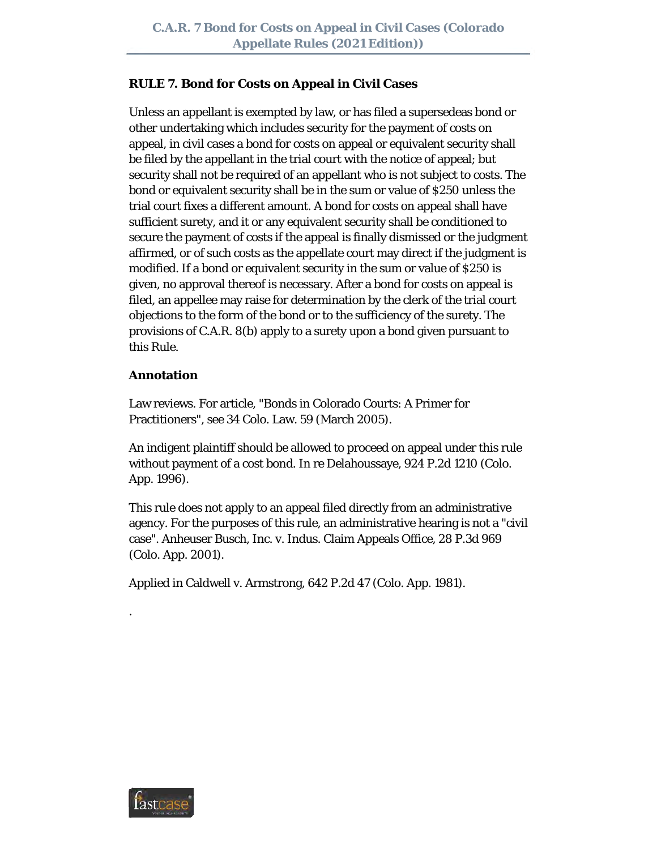# **RULE 7. Bond for Costs on Appeal in Civil Cases**

Unless an appellant is exempted by law, or has filed a supersedeas bond or other undertaking which includes security for the payment of costs on appeal, in civil cases a bond for costs on appeal or equivalent security shall be filed by the appellant in the trial court with the notice of appeal; but security shall not be required of an appellant who is not subject to costs. The bond or equivalent security shall be in the sum or value of \$250 unless the trial court fixes a different amount. A bond for costs on appeal shall have sufficient surety, and it or any equivalent security shall be conditioned to secure the payment of costs if the appeal is finally dismissed or the judgment affirmed, or of such costs as the appellate court may direct if the judgment is modified. If a bond or equivalent security in the sum or value of \$250 is given, no approval thereof is necessary. After a bond for costs on appeal is filed, an appellee may raise for determination by the clerk of the trial court objections to the form of the bond or to the sufficiency of the surety. The provisions of C.A.R. 8(b) apply to a surety upon a bond given pursuant to this Rule.

#### **Annotation**

Law reviews. For article, "Bonds in Colorado Courts: A Primer for Practitioners", see 34 Colo. Law. 59 (March 2005).

An indigent plaintiff should be allowed to proceed on appeal under this rule without payment of a cost bond. In re Delahoussaye, 924 P.2d 1210 (Colo. App. 1996).

This rule does not apply to an appeal filed directly from an administrative agency. For the purposes of this rule, an administrative hearing is not a "civil case". Anheuser Busch, Inc. v. Indus. Claim Appeals Office, 28 P.3d 969 (Colo. App. 2001).

Applied in Caldwell v. Armstrong, 642 P.2d 47 (Colo. App. 1981).



.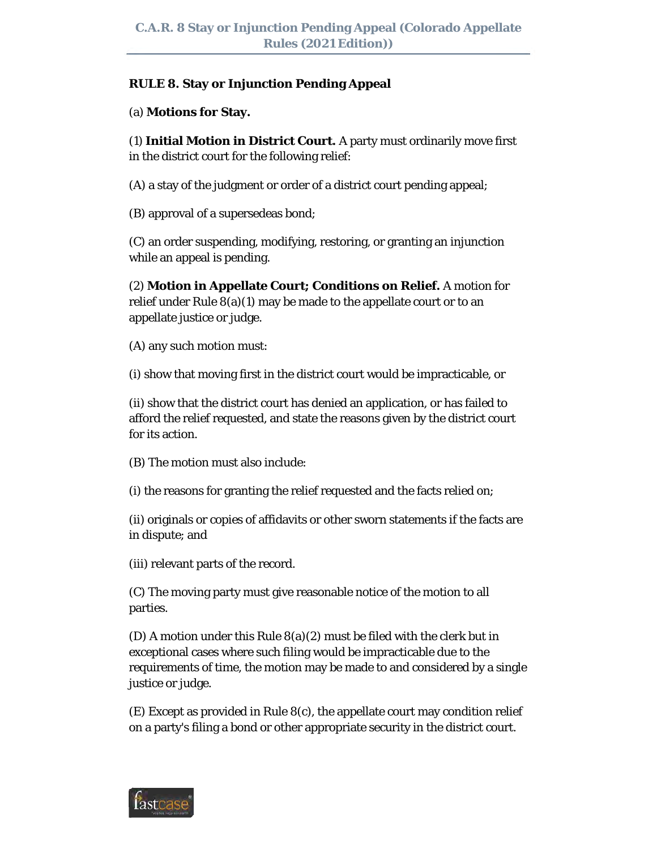# **RULE 8. Stay or Injunction Pending Appeal**

(a) **Motions for Stay.**

(1) **Initial Motion in District Court.** A party must ordinarily move first in the district court for the following relief:

(A) a stay of the judgment or order of a district court pending appeal;

(B) approval of a supersedeas bond;

(C) an order suspending, modifying, restoring, or granting an injunction while an appeal is pending.

(2) **Motion in Appellate Court; Conditions on Relief.** A motion for relief under Rule 8(a)(1) may be made to the appellate court or to an appellate justice or judge.

(A) any such motion must:

(i) show that moving first in the district court would be impracticable, or

(ii) show that the district court has denied an application, or has failed to afford the relief requested, and state the reasons given by the district court for its action.

(B) The motion must also include:

(i) the reasons for granting the relief requested and the facts relied on;

(ii) originals or copies of affidavits or other sworn statements if the facts are in dispute; and

(iii) relevant parts of the record.

(C) The moving party must give reasonable notice of the motion to all parties.

(D) A motion under this Rule 8(a)(2) must be filed with the clerk but in exceptional cases where such filing would be impracticable due to the requirements of time, the motion may be made to and considered by a single justice or judge.

(E) Except as provided in Rule 8(c), the appellate court may condition relief on a party's filing a bond or other appropriate security in the district court.

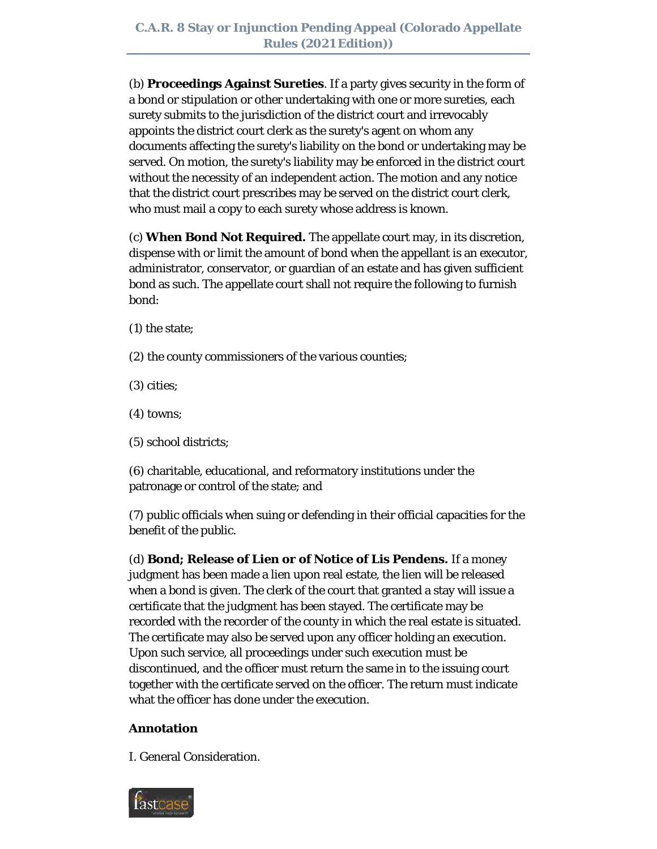(b) **Proceedings Against Sureties**. If a party gives security in the form of a bond or stipulation or other undertaking with one or more sureties, each surety submits to the jurisdiction of the district court and irrevocably appoints the district court clerk as the surety's agent on whom any documents affecting the surety's liability on the bond or undertaking may be served. On motion, the surety's liability may be enforced in the district court without the necessity of an independent action. The motion and any notice that the district court prescribes may be served on the district court clerk, who must mail a copy to each surety whose address is known.

(c) **When Bond Not Required.** The appellate court may, in its discretion, dispense with or limit the amount of bond when the appellant is an executor, administrator, conservator, or guardian of an estate and has given sufficient bond as such. The appellate court shall not require the following to furnish bond:

- (1) the state;
- (2) the county commissioners of the various counties;
- (3) cities;
- (4) towns;
- (5) school districts;

(6) charitable, educational, and reformatory institutions under the patronage or control of the state; and

(7) public officials when suing or defending in their official capacities for the benefit of the public.

(d) **Bond; Release of Lien or of Notice of Lis Pendens.** If a money judgment has been made a lien upon real estate, the lien will be released when a bond is given. The clerk of the court that granted a stay will issue a certificate that the judgment has been stayed. The certificate may be recorded with the recorder of the county in which the real estate is situated. The certificate may also be served upon any officer holding an execution. Upon such service, all proceedings under such execution must be discontinued, and the officer must return the same in to the issuing court together with the certificate served on the officer. The return must indicate what the officer has done under the execution.

# **Annotation**

I. General Consideration.

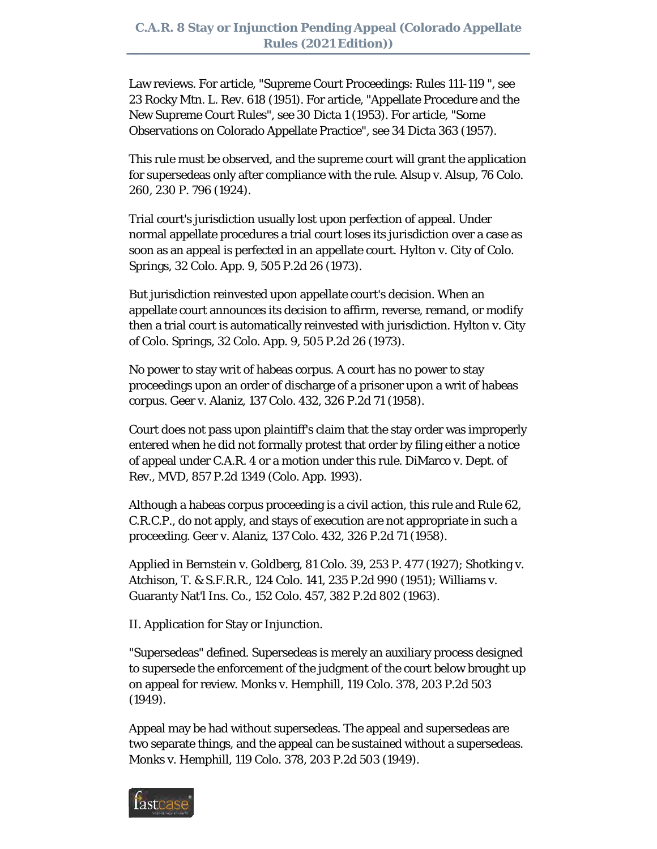Law reviews. For article, "Supreme Court Proceedings: Rules 111-119 ", see 23 Rocky Mtn. L. Rev. 618 (1951). For article, "Appellate Procedure and the New Supreme Court Rules", see 30 Dicta 1 (1953). For article, "Some Observations on Colorado Appellate Practice", see 34 Dicta 363 (1957).

This rule must be observed, and the supreme court will grant the application for supersedeas only after compliance with the rule. Alsup v. Alsup, 76 Colo. 260, 230 P. 796 (1924).

Trial court's jurisdiction usually lost upon perfection of appeal. Under normal appellate procedures a trial court loses its jurisdiction over a case as soon as an appeal is perfected in an appellate court. Hylton v. City of Colo. Springs, 32 Colo. App. 9, 505 P.2d 26 (1973).

But jurisdiction reinvested upon appellate court's decision. When an appellate court announces its decision to affirm, reverse, remand, or modify then a trial court is automatically reinvested with jurisdiction. Hylton v. City of Colo. Springs, 32 Colo. App. 9, 505 P.2d 26 (1973).

No power to stay writ of habeas corpus. A court has no power to stay proceedings upon an order of discharge of a prisoner upon a writ of habeas corpus. Geer v. Alaniz, 137 Colo. 432, 326 P.2d 71 (1958).

Court does not pass upon plaintiff's claim that the stay order was improperly entered when he did not formally protest that order by filing either a notice of appeal under C.A.R. 4 or a motion under this rule. DiMarco v. Dept. of Rev., MVD, 857 P.2d 1349 (Colo. App. 1993).

Although a habeas corpus proceeding is a civil action, this rule and Rule 62, C.R.C.P., do not apply, and stays of execution are not appropriate in such a proceeding. Geer v. Alaniz, 137 Colo. 432, 326 P.2d 71 (1958).

Applied in Bernstein v. Goldberg, 81 Colo. 39, 253 P. 477 (1927); Shotking v. Atchison, T. & S.F.R.R., 124 Colo. 141, 235 P.2d 990 (1951); Williams v. Guaranty Nat'l Ins. Co., 152 Colo. 457, 382 P.2d 802 (1963).

II. Application for Stay or Injunction.

"Supersedeas" defined. Supersedeas is merely an auxiliary process designed to supersede the enforcement of the judgment of the court below brought up on appeal for review. Monks v. Hemphill, 119 Colo. 378, 203 P.2d 503 (1949).

Appeal may be had without supersedeas. The appeal and supersedeas are two separate things, and the appeal can be sustained without a supersedeas. Monks v. Hemphill, 119 Colo. 378, 203 P.2d 503 (1949).

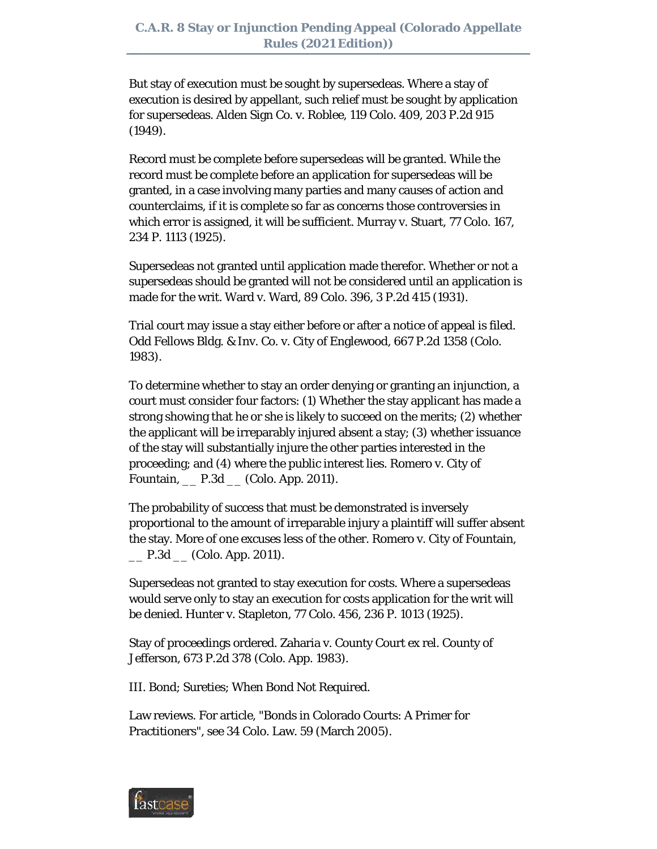But stay of execution must be sought by supersedeas. Where a stay of execution is desired by appellant, such relief must be sought by application for supersedeas. Alden Sign Co. v. Roblee, 119 Colo. 409, 203 P.2d 915 (1949).

Record must be complete before supersedeas will be granted. While the record must be complete before an application for supersedeas will be granted, in a case involving many parties and many causes of action and counterclaims, if it is complete so far as concerns those controversies in which error is assigned, it will be sufficient. Murray v. Stuart, 77 Colo. 167, 234 P. 1113 (1925).

Supersedeas not granted until application made therefor. Whether or not a supersedeas should be granted will not be considered until an application is made for the writ. Ward v. Ward, 89 Colo. 396, 3 P.2d 415 (1931).

Trial court may issue a stay either before or after a notice of appeal is filed. Odd Fellows Bldg. & Inv. Co. v. City of Englewood, 667 P.2d 1358 (Colo. 1983).

To determine whether to stay an order denying or granting an injunction, a court must consider four factors: (1) Whether the stay applicant has made a strong showing that he or she is likely to succeed on the merits; (2) whether the applicant will be irreparably injured absent a stay; (3) whether issuance of the stay will substantially injure the other parties interested in the proceeding; and (4) where the public interest lies. Romero v. City of Fountain, \_\_ P.3d \_\_ (Colo. App. 2011).

The probability of success that must be demonstrated is inversely proportional to the amount of irreparable injury a plaintiff will suffer absent the stay. More of one excuses less of the other. Romero v. City of Fountain, \_\_ P.3d \_\_ (Colo. App. 2011).

Supersedeas not granted to stay execution for costs. Where a supersedeas would serve only to stay an execution for costs application for the writ will be denied. Hunter v. Stapleton, 77 Colo. 456, 236 P. 1013 (1925).

Stay of proceedings ordered. Zaharia v. County Court ex rel. County of Jefferson, 673 P.2d 378 (Colo. App. 1983).

III. Bond; Sureties; When Bond Not Required.

Law reviews. For article, "Bonds in Colorado Courts: A Primer for Practitioners", see 34 Colo. Law. 59 (March 2005).

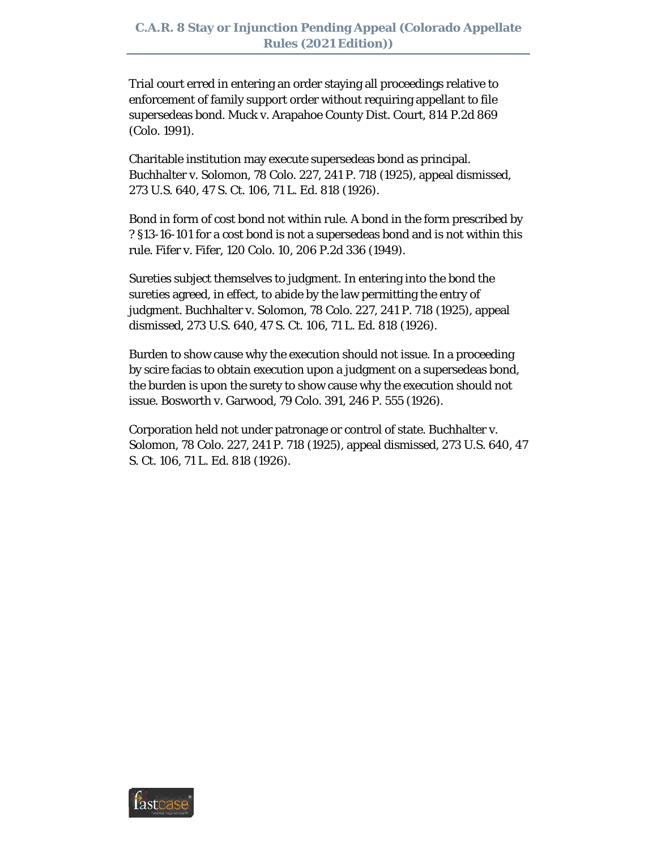Trial court erred in entering an order staying all proceedings relative to enforcement of family support order without requiring appellant to file supersedeas bond. Muck v. Arapahoe County Dist. Court, 814 P.2d 869 (Colo. 1991).

Charitable institution may execute supersedeas bond as principal. Buchhalter v. Solomon, 78 Colo. 227, 241 P. 718 (1925), appeal dismissed, 273 U.S. 640, 47 S. Ct. 106, 71 L. Ed. 818 (1926).

Bond in form of cost bond not within rule. A bond in the form prescribed by ? §13-16-101 for a cost bond is not a supersedeas bond and is not within this rule. Fifer v. Fifer, 120 Colo. 10, 206 P.2d 336 (1949).

Sureties subject themselves to judgment. In entering into the bond the sureties agreed, in effect, to abide by the law permitting the entry of judgment. Buchhalter v. Solomon, 78 Colo. 227, 241 P. 718 (1925), appeal dismissed, 273 U.S. 640, 47 S. Ct. 106, 71 L. Ed. 818 (1926).

Burden to show cause why the execution should not issue. In a proceeding by scire facias to obtain execution upon a judgment on a supersedeas bond, the burden is upon the surety to show cause why the execution should not issue. Bosworth v. Garwood, 79 Colo. 391, 246 P. 555 (1926).

Corporation held not under patronage or control of state. Buchhalter v. Solomon, 78 Colo. 227, 241 P. 718 (1925), appeal dismissed, 273 U.S. 640, 47 S. Ct. 106, 71 L. Ed. 818 (1926).

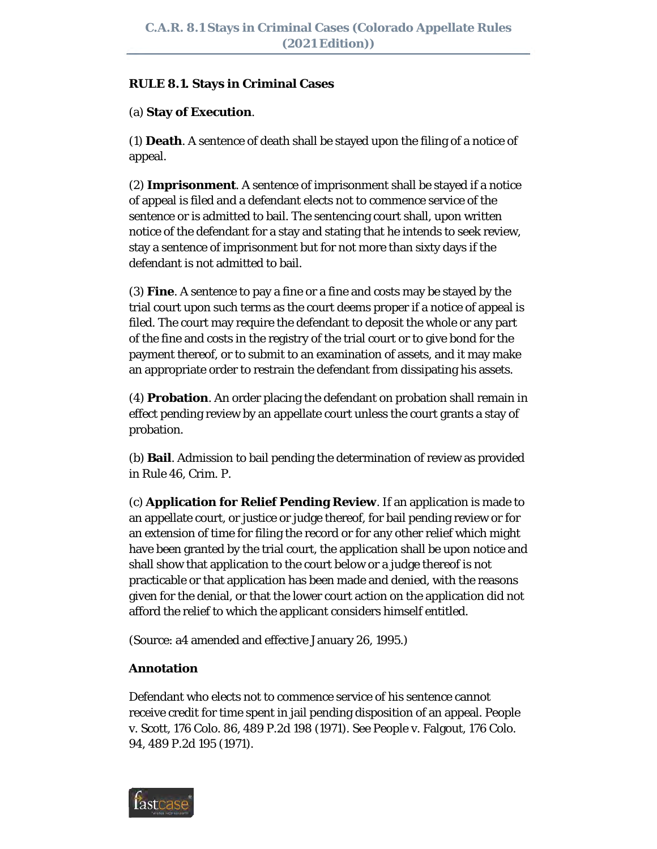## **RULE 8.1. Stays in Criminal Cases**

(a) **Stay of Execution**.

(1) **Death**. A sentence of death shall be stayed upon the filing of a notice of appeal.

(2) **Imprisonment**. A sentence of imprisonment shall be stayed if a notice of appeal is filed and a defendant elects not to commence service of the sentence or is admitted to bail. The sentencing court shall, upon written notice of the defendant for a stay and stating that he intends to seek review, stay a sentence of imprisonment but for not more than sixty days if the defendant is not admitted to bail.

(3) **Fine**. A sentence to pay a fine or a fine and costs may be stayed by the trial court upon such terms as the court deems proper if a notice of appeal is filed. The court may require the defendant to deposit the whole or any part of the fine and costs in the registry of the trial court or to give bond for the payment thereof, or to submit to an examination of assets, and it may make an appropriate order to restrain the defendant from dissipating his assets.

(4) **Probation**. An order placing the defendant on probation shall remain in effect pending review by an appellate court unless the court grants a stay of probation.

(b) **Bail**. Admission to bail pending the determination of review as provided in Rule 46, Crim. P.

(c) **Application for Relief Pending Review**. If an application is made to an appellate court, or justice or judge thereof, for bail pending review or for an extension of time for filing the record or for any other relief which might have been granted by the trial court, the application shall be upon notice and shall show that application to the court below or a judge thereof is not practicable or that application has been made and denied, with the reasons given for the denial, or that the lower court action on the application did not afford the relief to which the applicant considers himself entitled.

(Source: a4 amended and effective January 26, 1995.)

#### **Annotation**

Defendant who elects not to commence service of his sentence cannot receive credit for time spent in jail pending disposition of an appeal. People v. Scott, 176 Colo. 86, 489 P.2d 198 (1971). See People v. Falgout, 176 Colo. 94, 489 P.2d 195 (1971).

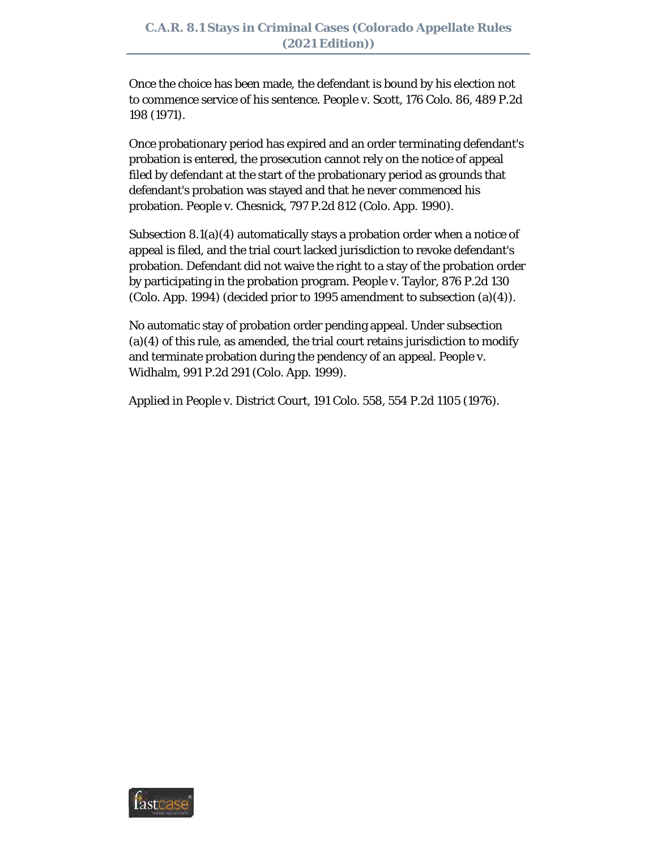Once the choice has been made, the defendant is bound by his election not to commence service of his sentence. People v. Scott, 176 Colo. 86, 489 P.2d 198 (1971).

Once probationary period has expired and an order terminating defendant's probation is entered, the prosecution cannot rely on the notice of appeal filed by defendant at the start of the probationary period as grounds that defendant's probation was stayed and that he never commenced his probation. People v. Chesnick, 797 P.2d 812 (Colo. App. 1990).

Subsection 8.1(a)(4) automatically stays a probation order when a notice of appeal is filed, and the trial court lacked jurisdiction to revoke defendant's probation. Defendant did not waive the right to a stay of the probation order by participating in the probation program. People v. Taylor, 876 P.2d 130 (Colo. App. 1994) (decided prior to 1995 amendment to subsection (a)(4)).

No automatic stay of probation order pending appeal. Under subsection (a)(4) of this rule, as amended, the trial court retains jurisdiction to modify and terminate probation during the pendency of an appeal. People v. Widhalm, 991 P.2d 291 (Colo. App. 1999).

Applied in People v. District Court, 191 Colo. 558, 554 P.2d 1105 (1976).

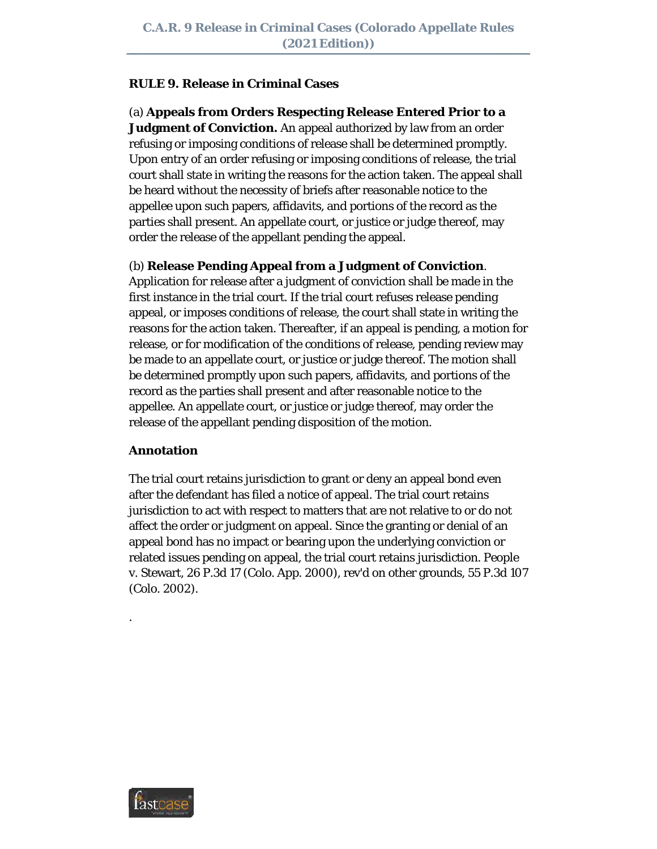## **RULE 9. Release in Criminal Cases**

(a) **Appeals from Orders Respecting Release Entered Prior to a Judgment of Conviction.** An appeal authorized by law from an order refusing or imposing conditions of release shall be determined promptly. Upon entry of an order refusing or imposing conditions of release, the trial court shall state in writing the reasons for the action taken. The appeal shall be heard without the necessity of briefs after reasonable notice to the appellee upon such papers, affidavits, and portions of the record as the parties shall present. An appellate court, or justice or judge thereof, may order the release of the appellant pending the appeal.

(b) **Release Pending Appeal from a Judgment of Conviction**. Application for release after a judgment of conviction shall be made in the first instance in the trial court. If the trial court refuses release pending appeal, or imposes conditions of release, the court shall state in writing the reasons for the action taken. Thereafter, if an appeal is pending, a motion for release, or for modification of the conditions of release, pending review may be made to an appellate court, or justice or judge thereof. The motion shall be determined promptly upon such papers, affidavits, and portions of the record as the parties shall present and after reasonable notice to the appellee. An appellate court, or justice or judge thereof, may order the release of the appellant pending disposition of the motion.

#### **Annotation**

.

The trial court retains jurisdiction to grant or deny an appeal bond even after the defendant has filed a notice of appeal. The trial court retains jurisdiction to act with respect to matters that are not relative to or do not affect the order or judgment on appeal. Since the granting or denial of an appeal bond has no impact or bearing upon the underlying conviction or related issues pending on appeal, the trial court retains jurisdiction. People v. Stewart, 26 P.3d 17 (Colo. App. 2000), rev'd on other grounds, 55 P.3d 107 (Colo. 2002).

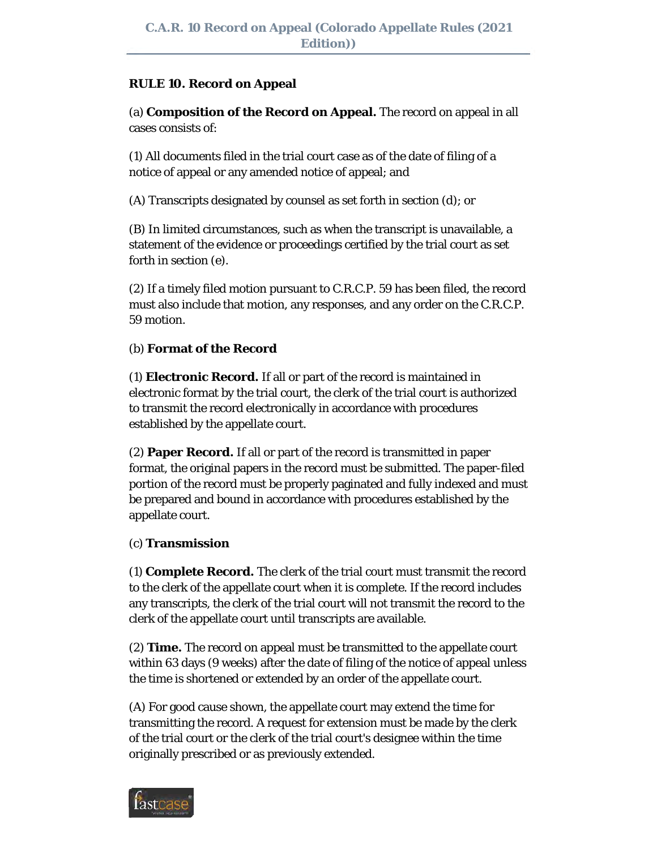# **RULE 10. Record on Appeal**

(a) **Composition of the Record on Appeal.** The record on appeal in all cases consists of:

(1) All documents filed in the trial court case as of the date of filing of a notice of appeal or any amended notice of appeal; and

(A) Transcripts designated by counsel as set forth in section (d); or

(B) In limited circumstances, such as when the transcript is unavailable, a statement of the evidence or proceedings certified by the trial court as set forth in section (e).

(2) If a timely filed motion pursuant to C.R.C.P. 59 has been filed, the record must also include that motion, any responses, and any order on the C.R.C.P. 59 motion.

(b) **Format of the Record**

(1) **Electronic Record.** If all or part of the record is maintained in electronic format by the trial court, the clerk of the trial court is authorized to transmit the record electronically in accordance with procedures established by the appellate court.

(2) **Paper Record.** If all or part of the record is transmitted in paper format, the original papers in the record must be submitted. The paper-filed portion of the record must be properly paginated and fully indexed and must be prepared and bound in accordance with procedures established by the appellate court.

# (c) **Transmission**

(1) **Complete Record.** The clerk of the trial court must transmit the record to the clerk of the appellate court when it is complete. If the record includes any transcripts, the clerk of the trial court will not transmit the record to the clerk of the appellate court until transcripts are available.

(2) **Time.** The record on appeal must be transmitted to the appellate court within 63 days (9 weeks) after the date of filing of the notice of appeal unless the time is shortened or extended by an order of the appellate court.

(A) For good cause shown, the appellate court may extend the time for transmitting the record. A request for extension must be made by the clerk of the trial court or the clerk of the trial court's designee within the time originally prescribed or as previously extended.

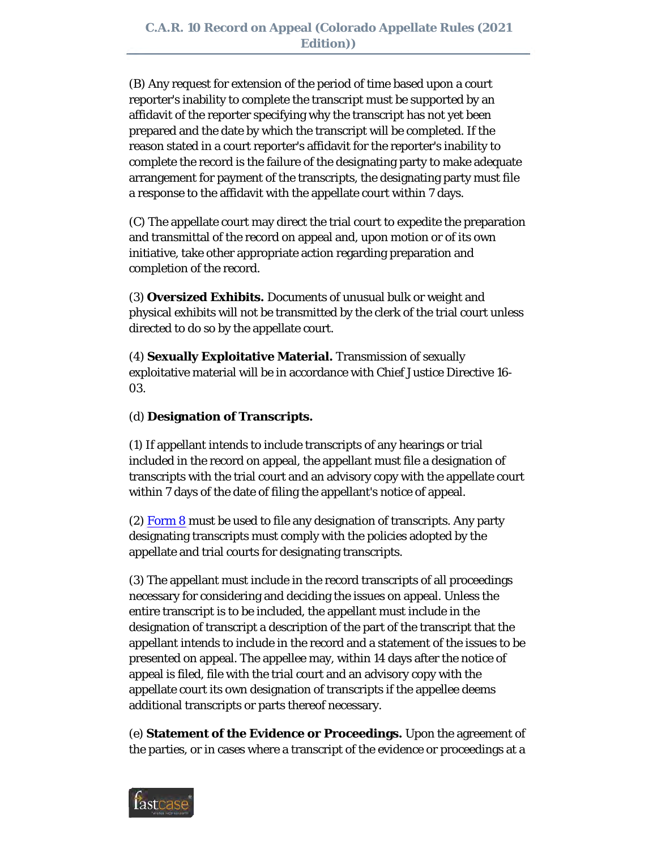(B) Any request for extension of the period of time based upon a court reporter's inability to complete the transcript must be supported by an affidavit of the reporter specifying why the transcript has not yet been prepared and the date by which the transcript will be completed. If the reason stated in a court reporter's affidavit for the reporter's inability to complete the record is the failure of the designating party to make adequate arrangement for payment of the transcripts, the designating party must file a response to the affidavit with the appellate court within 7 days.

(C) The appellate court may direct the trial court to expedite the preparation and transmittal of the record on appeal and, upon motion or of its own initiative, take other appropriate action regarding preparation and completion of the record.

(3) **Oversized Exhibits.** Documents of unusual bulk or weight and physical exhibits will not be transmitted by the clerk of the trial court unless directed to do so by the appellate court.

(4) **Sexually Exploitative Material.** Transmission of sexually exploitative material will be in accordance with Chief Justice Directive 16- 03.

(d) **Designation of Transcripts.**

(1) If appellant intends to include transcripts of any hearings or trial included in the record on appeal, the appellant must file a designation of transcripts with the trial court and an advisory copy with the appellate court within 7 days of the date of filing the appellant's notice of appeal.

(2) [Form 8](https://resources.fastcase.com/Colorado%20Appellate%20Rules/Colorado%20Appellate%20Rules%20(2021%20Edition)/appform_8.pdf) must be used to file any designation of transcripts. Any party designating transcripts must comply with the policies adopted by the appellate and trial courts for designating transcripts.

(3) The appellant must include in the record transcripts of all proceedings necessary for considering and deciding the issues on appeal. Unless the entire transcript is to be included, the appellant must include in the designation of transcript a description of the part of the transcript that the appellant intends to include in the record and a statement of the issues to be presented on appeal. The appellee may, within 14 days after the notice of appeal is filed, file with the trial court and an advisory copy with the appellate court its own designation of transcripts if the appellee deems additional transcripts or parts thereof necessary.

(e) **Statement of the Evidence or Proceedings.** Upon the agreement of the parties, or in cases where a transcript of the evidence or proceedings at a

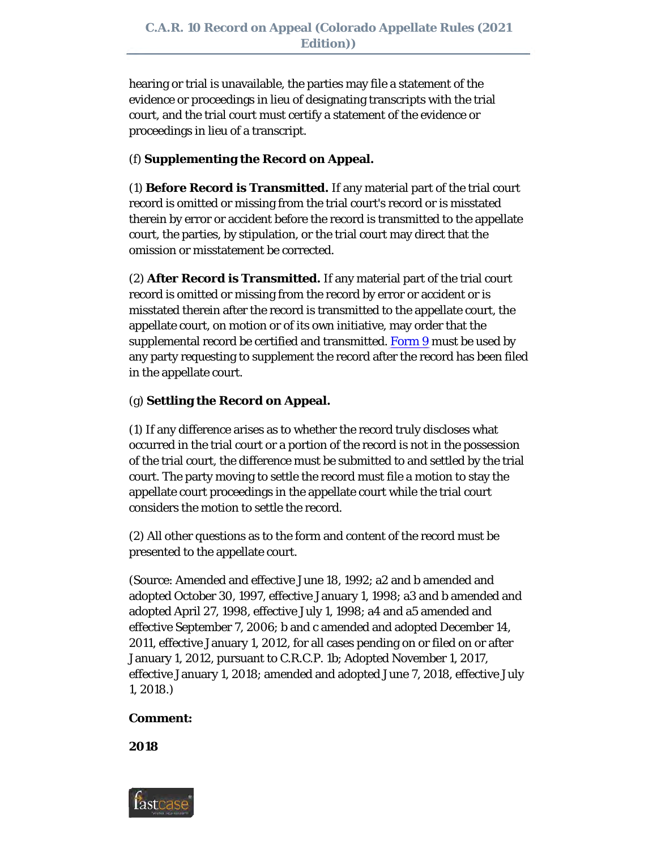hearing or trial is unavailable, the parties may file a statement of the evidence or proceedings in lieu of designating transcripts with the trial court, and the trial court must certify a statement of the evidence or proceedings in lieu of a transcript.

(f) **Supplementing the Record on Appeal.**

(1) **Before Record is Transmitted.** If any material part of the trial court record is omitted or missing from the trial court's record or is misstated therein by error or accident before the record is transmitted to the appellate court, the parties, by stipulation, or the trial court may direct that the omission or misstatement be corrected.

(2) **After Record is Transmitted.** If any material part of the trial court record is omitted or missing from the record by error or accident or is misstated therein after the record is transmitted to the appellate court, the appellate court, on motion or of its own initiative, may order that the supplemental record be certified and transmitted. [Form 9](https://resources.fastcase.com/Colorado%20Appellate%20Rules/Colorado%20Appellate%20Rules%20(2021%20Edition)/appform_9.pdf) must be used by any party requesting to supplement the record after the record has been filed in the appellate court.

(g) **Settling the Record on Appeal.**

(1) If any difference arises as to whether the record truly discloses what occurred in the trial court or a portion of the record is not in the possession of the trial court, the difference must be submitted to and settled by the trial court. The party moving to settle the record must file a motion to stay the appellate court proceedings in the appellate court while the trial court considers the motion to settle the record.

(2) All other questions as to the form and content of the record must be presented to the appellate court.

(Source: Amended and effective June 18, 1992; a2 and b amended and adopted October 30, 1997, effective January 1, 1998; a3 and b amended and adopted April 27, 1998, effective July 1, 1998; a4 and a5 amended and effective September 7, 2006; b and c amended and adopted December 14, 2011, effective January 1, 2012, for all cases pending on or filed on or after January 1, 2012, pursuant to C.R.C.P. 1b; Adopted November 1, 2017, effective January 1, 2018; amended and adopted June 7, 2018, effective July 1, 2018.)

**Comment:**

**2018**

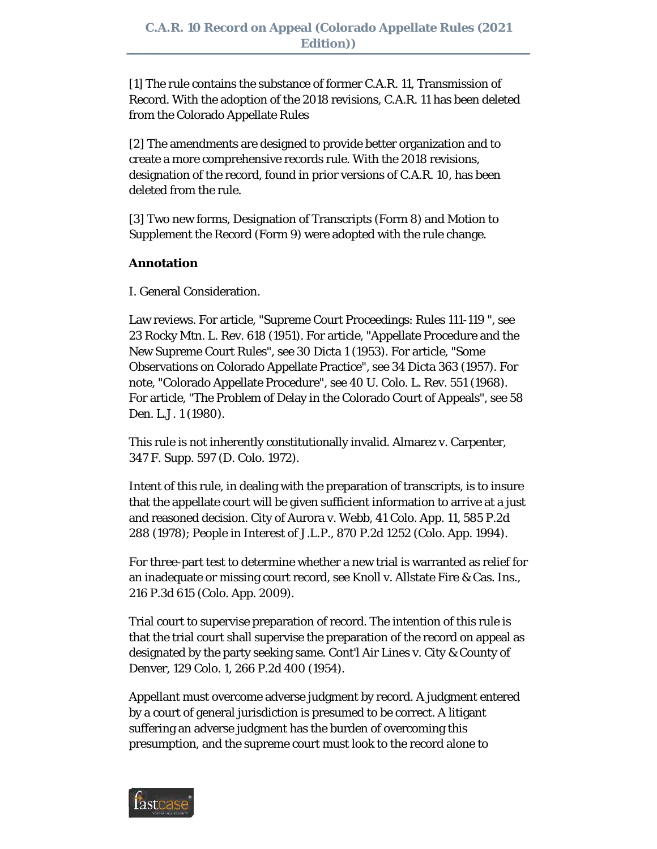[1] The rule contains the substance of former C.A.R. 11, Transmission of Record. With the adoption of the 2018 revisions, C.A.R. 11 has been deleted from the Colorado Appellate Rules

[2] The amendments are designed to provide better organization and to create a more comprehensive records rule. With the 2018 revisions, designation of the record, found in prior versions of C.A.R. 10, has been deleted from the rule.

[3] Two new forms, Designation of Transcripts (Form 8) and Motion to Supplement the Record (Form 9) were adopted with the rule change.

## **Annotation**

I. General Consideration.

Law reviews. For article, "Supreme Court Proceedings: Rules 111-119 ", see 23 Rocky Mtn. L. Rev. 618 (1951). For article, "Appellate Procedure and the New Supreme Court Rules", see 30 Dicta 1 (1953). For article, "Some Observations on Colorado Appellate Practice", see 34 Dicta 363 (1957). For note, "Colorado Appellate Procedure", see 40 U. Colo. L. Rev. 551 (1968). For article, "The Problem of Delay in the Colorado Court of Appeals", see 58 Den. L.J. 1 (1980).

This rule is not inherently constitutionally invalid. Almarez v. Carpenter, 347 F. Supp. 597 (D. Colo. 1972).

Intent of this rule, in dealing with the preparation of transcripts, is to insure that the appellate court will be given sufficient information to arrive at a just and reasoned decision. City of Aurora v. Webb, 41 Colo. App. 11, 585 P.2d 288 (1978); People in Interest of J.L.P., 870 P.2d 1252 (Colo. App. 1994).

For three-part test to determine whether a new trial is warranted as relief for an inadequate or missing court record, see Knoll v. Allstate Fire & Cas. Ins., 216 P.3d 615 (Colo. App. 2009).

Trial court to supervise preparation of record. The intention of this rule is that the trial court shall supervise the preparation of the record on appeal as designated by the party seeking same. Cont'l Air Lines v. City & County of Denver, 129 Colo. 1, 266 P.2d 400 (1954).

Appellant must overcome adverse judgment by record. A judgment entered by a court of general jurisdiction is presumed to be correct. A litigant suffering an adverse judgment has the burden of overcoming this presumption, and the supreme court must look to the record alone to

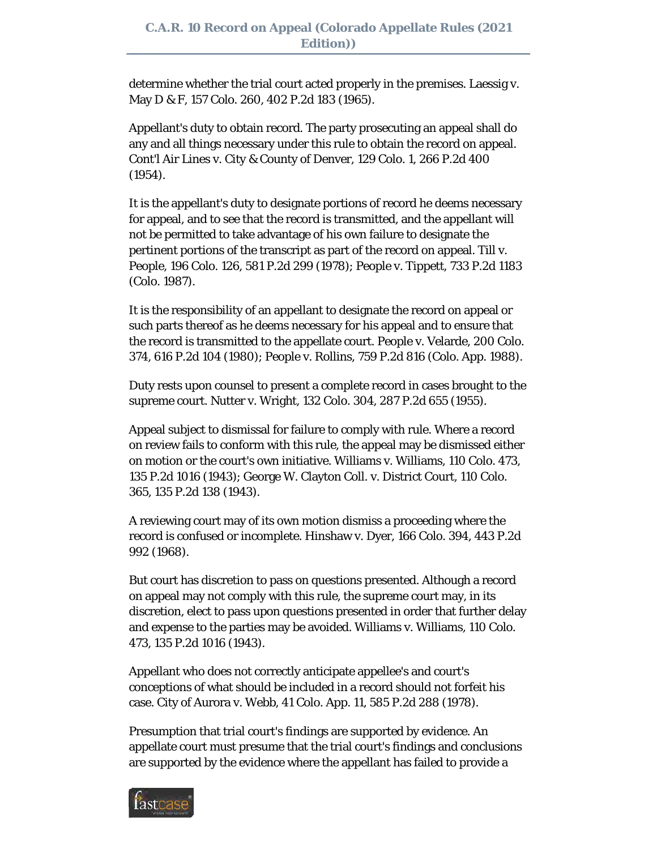determine whether the trial court acted properly in the premises. Laessig v. May D & F, 157 Colo. 260, 402 P.2d 183 (1965).

Appellant's duty to obtain record. The party prosecuting an appeal shall do any and all things necessary under this rule to obtain the record on appeal. Cont'l Air Lines v. City & County of Denver, 129 Colo. 1, 266 P.2d 400 (1954).

It is the appellant's duty to designate portions of record he deems necessary for appeal, and to see that the record is transmitted, and the appellant will not be permitted to take advantage of his own failure to designate the pertinent portions of the transcript as part of the record on appeal. Till v. People, 196 Colo. 126, 581 P.2d 299 (1978); People v. Tippett, 733 P.2d 1183 (Colo. 1987).

It is the responsibility of an appellant to designate the record on appeal or such parts thereof as he deems necessary for his appeal and to ensure that the record is transmitted to the appellate court. People v. Velarde, 200 Colo. 374, 616 P.2d 104 (1980); People v. Rollins, 759 P.2d 816 (Colo. App. 1988).

Duty rests upon counsel to present a complete record in cases brought to the supreme court. Nutter v. Wright, 132 Colo. 304, 287 P.2d 655 (1955).

Appeal subject to dismissal for failure to comply with rule. Where a record on review fails to conform with this rule, the appeal may be dismissed either on motion or the court's own initiative. Williams v. Williams, 110 Colo. 473, 135 P.2d 1016 (1943); George W. Clayton Coll. v. District Court, 110 Colo. 365, 135 P.2d 138 (1943).

A reviewing court may of its own motion dismiss a proceeding where the record is confused or incomplete. Hinshaw v. Dyer, 166 Colo. 394, 443 P.2d 992 (1968).

But court has discretion to pass on questions presented. Although a record on appeal may not comply with this rule, the supreme court may, in its discretion, elect to pass upon questions presented in order that further delay and expense to the parties may be avoided. Williams v. Williams, 110 Colo. 473, 135 P.2d 1016 (1943).

Appellant who does not correctly anticipate appellee's and court's conceptions of what should be included in a record should not forfeit his case. City of Aurora v. Webb, 41 Colo. App. 11, 585 P.2d 288 (1978).

Presumption that trial court's findings are supported by evidence. An appellate court must presume that the trial court's findings and conclusions are supported by the evidence where the appellant has failed to provide a

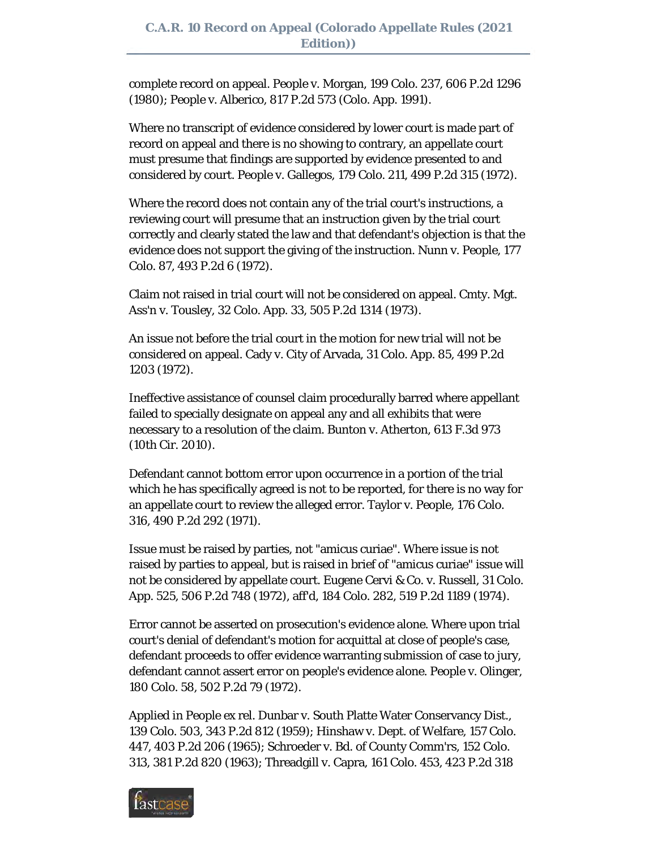complete record on appeal. People v. Morgan, 199 Colo. 237, 606 P.2d 1296 (1980); People v. Alberico, 817 P.2d 573 (Colo. App. 1991).

Where no transcript of evidence considered by lower court is made part of record on appeal and there is no showing to contrary, an appellate court must presume that findings are supported by evidence presented to and considered by court. People v. Gallegos, 179 Colo. 211, 499 P.2d 315 (1972).

Where the record does not contain any of the trial court's instructions, a reviewing court will presume that an instruction given by the trial court correctly and clearly stated the law and that defendant's objection is that the evidence does not support the giving of the instruction. Nunn v. People, 177 Colo. 87, 493 P.2d 6 (1972).

Claim not raised in trial court will not be considered on appeal. Cmty. Mgt. Ass'n v. Tousley, 32 Colo. App. 33, 505 P.2d 1314 (1973).

An issue not before the trial court in the motion for new trial will not be considered on appeal. Cady v. City of Arvada, 31 Colo. App. 85, 499 P.2d 1203 (1972).

Ineffective assistance of counsel claim procedurally barred where appellant failed to specially designate on appeal any and all exhibits that were necessary to a resolution of the claim. Bunton v. Atherton, 613 F.3d 973 (10th Cir. 2010).

Defendant cannot bottom error upon occurrence in a portion of the trial which he has specifically agreed is not to be reported, for there is no way for an appellate court to review the alleged error. Taylor v. People, 176 Colo. 316, 490 P.2d 292 (1971).

Issue must be raised by parties, not "amicus curiae". Where issue is not raised by parties to appeal, but is raised in brief of "amicus curiae" issue will not be considered by appellate court. Eugene Cervi & Co. v. Russell, 31 Colo. App. 525, 506 P.2d 748 (1972), aff'd, 184 Colo. 282, 519 P.2d 1189 (1974).

Error cannot be asserted on prosecution's evidence alone. Where upon trial court's denial of defendant's motion for acquittal at close of people's case, defendant proceeds to offer evidence warranting submission of case to jury, defendant cannot assert error on people's evidence alone. People v. Olinger, 180 Colo. 58, 502 P.2d 79 (1972).

Applied in People ex rel. Dunbar v. South Platte Water Conservancy Dist., 139 Colo. 503, 343 P.2d 812 (1959); Hinshaw v. Dept. of Welfare, 157 Colo. 447, 403 P.2d 206 (1965); Schroeder v. Bd. of County Comm'rs, 152 Colo. 313, 381 P.2d 820 (1963); Threadgill v. Capra, 161 Colo. 453, 423 P.2d 318

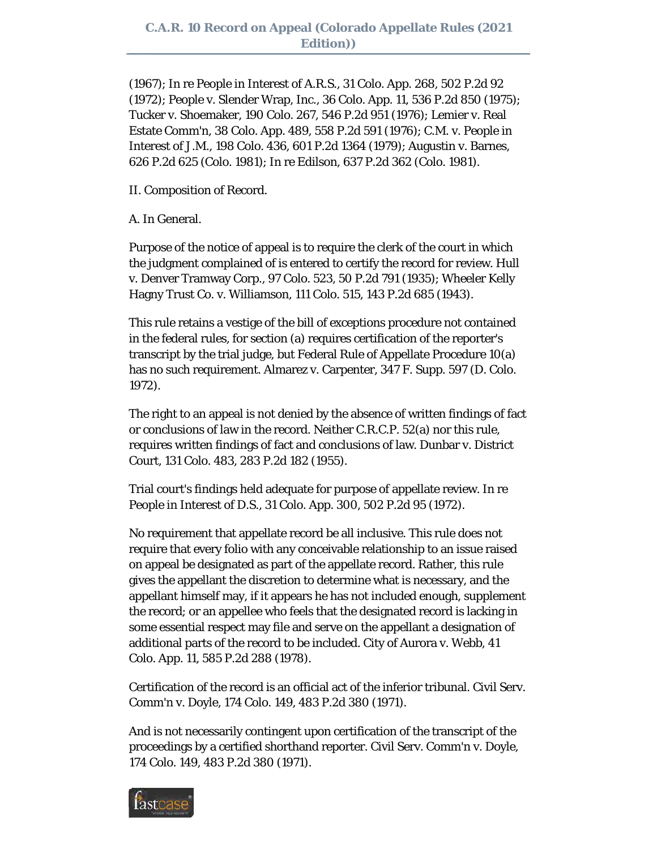(1967); In re People in Interest of A.R.S., 31 Colo. App. 268, 502 P.2d 92 (1972); People v. Slender Wrap, Inc., 36 Colo. App. 11, 536 P.2d 850 (1975); Tucker v. Shoemaker, 190 Colo. 267, 546 P.2d 951 (1976); Lemier v. Real Estate Comm'n, 38 Colo. App. 489, 558 P.2d 591 (1976); C.M. v. People in Interest of J.M., 198 Colo. 436, 601 P.2d 1364 (1979); Augustin v. Barnes, 626 P.2d 625 (Colo. 1981); In re Edilson, 637 P.2d 362 (Colo. 1981).

II. Composition of Record.

A. In General.

Purpose of the notice of appeal is to require the clerk of the court in which the judgment complained of is entered to certify the record for review. Hull v. Denver Tramway Corp., 97 Colo. 523, 50 P.2d 791 (1935); Wheeler Kelly Hagny Trust Co. v. Williamson, 111 Colo. 515, 143 P.2d 685 (1943).

This rule retains a vestige of the bill of exceptions procedure not contained in the federal rules, for section (a) requires certification of the reporter's transcript by the trial judge, but Federal Rule of Appellate Procedure 10(a) has no such requirement. Almarez v. Carpenter, 347 F. Supp. 597 (D. Colo. 1972).

The right to an appeal is not denied by the absence of written findings of fact or conclusions of law in the record. Neither C.R.C.P. 52(a) nor this rule, requires written findings of fact and conclusions of law. Dunbar v. District Court, 131 Colo. 483, 283 P.2d 182 (1955).

Trial court's findings held adequate for purpose of appellate review. In re People in Interest of D.S., 31 Colo. App. 300, 502 P.2d 95 (1972).

No requirement that appellate record be all inclusive. This rule does not require that every folio with any conceivable relationship to an issue raised on appeal be designated as part of the appellate record. Rather, this rule gives the appellant the discretion to determine what is necessary, and the appellant himself may, if it appears he has not included enough, supplement the record; or an appellee who feels that the designated record is lacking in some essential respect may file and serve on the appellant a designation of additional parts of the record to be included. City of Aurora v. Webb, 41 Colo. App. 11, 585 P.2d 288 (1978).

Certification of the record is an official act of the inferior tribunal. Civil Serv. Comm'n v. Doyle, 174 Colo. 149, 483 P.2d 380 (1971).

And is not necessarily contingent upon certification of the transcript of the proceedings by a certified shorthand reporter. Civil Serv. Comm'n v. Doyle, 174 Colo. 149, 483 P.2d 380 (1971).

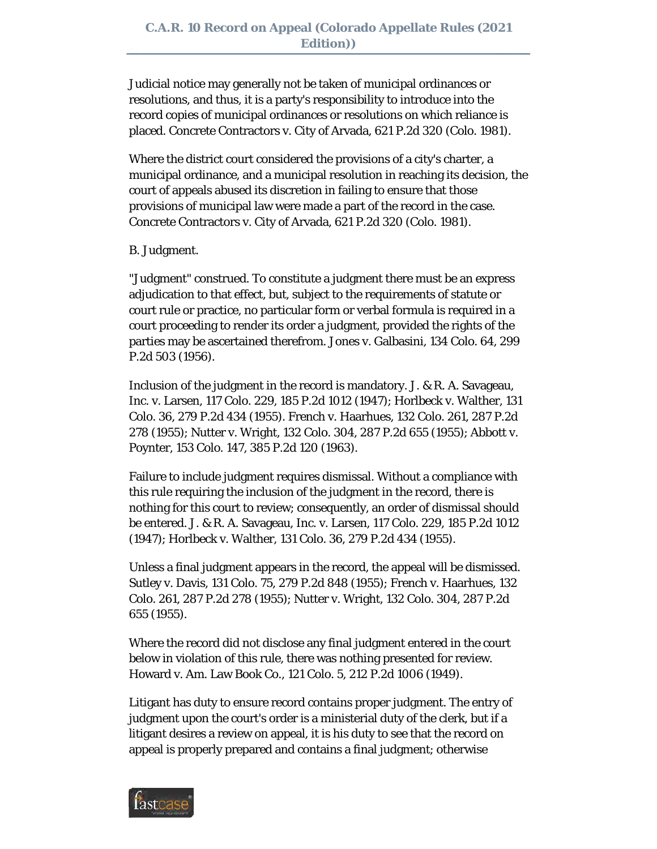Judicial notice may generally not be taken of municipal ordinances or resolutions, and thus, it is a party's responsibility to introduce into the record copies of municipal ordinances or resolutions on which reliance is placed. Concrete Contractors v. City of Arvada, 621 P.2d 320 (Colo. 1981).

Where the district court considered the provisions of a city's charter, a municipal ordinance, and a municipal resolution in reaching its decision, the court of appeals abused its discretion in failing to ensure that those provisions of municipal law were made a part of the record in the case. Concrete Contractors v. City of Arvada, 621 P.2d 320 (Colo. 1981).

## B. Judgment.

"Judgment" construed. To constitute a judgment there must be an express adjudication to that effect, but, subject to the requirements of statute or court rule or practice, no particular form or verbal formula is required in a court proceeding to render its order a judgment, provided the rights of the parties may be ascertained therefrom. Jones v. Galbasini, 134 Colo. 64, 299 P.2d 503 (1956).

Inclusion of the judgment in the record is mandatory. J. & R. A. Savageau, Inc. v. Larsen, 117 Colo. 229, 185 P.2d 1012 (1947); Horlbeck v. Walther, 131 Colo. 36, 279 P.2d 434 (1955). French v. Haarhues, 132 Colo. 261, 287 P.2d 278 (1955); Nutter v. Wright, 132 Colo. 304, 287 P.2d 655 (1955); Abbott v. Poynter, 153 Colo. 147, 385 P.2d 120 (1963).

Failure to include judgment requires dismissal. Without a compliance with this rule requiring the inclusion of the judgment in the record, there is nothing for this court to review; consequently, an order of dismissal should be entered. J. & R. A. Savageau, Inc. v. Larsen, 117 Colo. 229, 185 P.2d 1012 (1947); Horlbeck v. Walther, 131 Colo. 36, 279 P.2d 434 (1955).

Unless a final judgment appears in the record, the appeal will be dismissed. Sutley v. Davis, 131 Colo. 75, 279 P.2d 848 (1955); French v. Haarhues, 132 Colo. 261, 287 P.2d 278 (1955); Nutter v. Wright, 132 Colo. 304, 287 P.2d 655 (1955).

Where the record did not disclose any final judgment entered in the court below in violation of this rule, there was nothing presented for review. Howard v. Am. Law Book Co., 121 Colo. 5, 212 P.2d 1006 (1949).

Litigant has duty to ensure record contains proper judgment. The entry of judgment upon the court's order is a ministerial duty of the clerk, but if a litigant desires a review on appeal, it is his duty to see that the record on appeal is properly prepared and contains a final judgment; otherwise

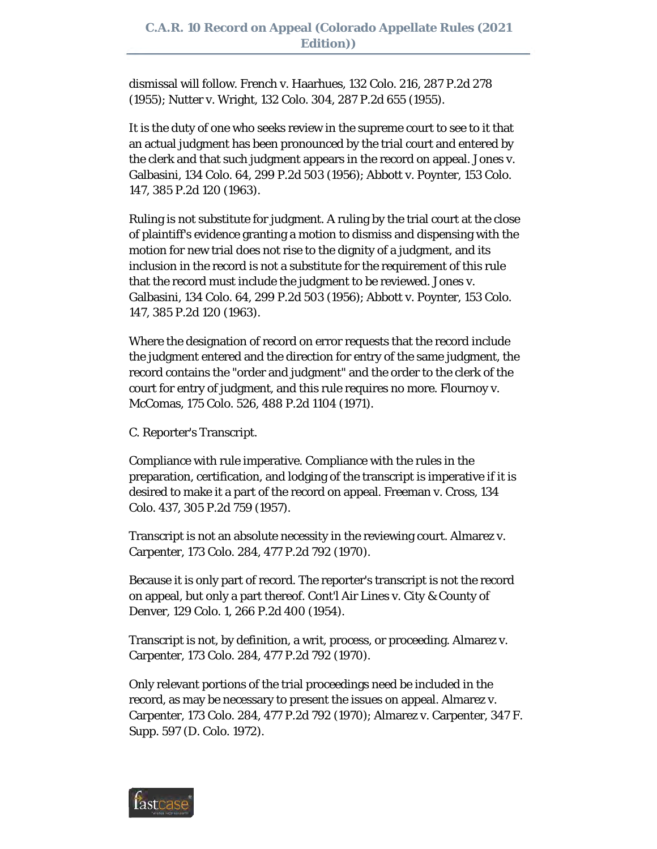dismissal will follow. French v. Haarhues, 132 Colo. 216, 287 P.2d 278 (1955); Nutter v. Wright, 132 Colo. 304, 287 P.2d 655 (1955).

It is the duty of one who seeks review in the supreme court to see to it that an actual judgment has been pronounced by the trial court and entered by the clerk and that such judgment appears in the record on appeal. Jones v. Galbasini, 134 Colo. 64, 299 P.2d 503 (1956); Abbott v. Poynter, 153 Colo. 147, 385 P.2d 120 (1963).

Ruling is not substitute for judgment. A ruling by the trial court at the close of plaintiff's evidence granting a motion to dismiss and dispensing with the motion for new trial does not rise to the dignity of a judgment, and its inclusion in the record is not a substitute for the requirement of this rule that the record must include the judgment to be reviewed. Jones v. Galbasini, 134 Colo. 64, 299 P.2d 503 (1956); Abbott v. Poynter, 153 Colo. 147, 385 P.2d 120 (1963).

Where the designation of record on error requests that the record include the judgment entered and the direction for entry of the same judgment, the record contains the "order and judgment" and the order to the clerk of the court for entry of judgment, and this rule requires no more. Flournoy v. McComas, 175 Colo. 526, 488 P.2d 1104 (1971).

C. Reporter's Transcript.

Compliance with rule imperative. Compliance with the rules in the preparation, certification, and lodging of the transcript is imperative if it is desired to make it a part of the record on appeal. Freeman v. Cross, 134 Colo. 437, 305 P.2d 759 (1957).

Transcript is not an absolute necessity in the reviewing court. Almarez v. Carpenter, 173 Colo. 284, 477 P.2d 792 (1970).

Because it is only part of record. The reporter's transcript is not the record on appeal, but only a part thereof. Cont'l Air Lines v. City & County of Denver, 129 Colo. 1, 266 P.2d 400 (1954).

Transcript is not, by definition, a writ, process, or proceeding. Almarez v. Carpenter, 173 Colo. 284, 477 P.2d 792 (1970).

Only relevant portions of the trial proceedings need be included in the record, as may be necessary to present the issues on appeal. Almarez v. Carpenter, 173 Colo. 284, 477 P.2d 792 (1970); Almarez v. Carpenter, 347 F. Supp. 597 (D. Colo. 1972).

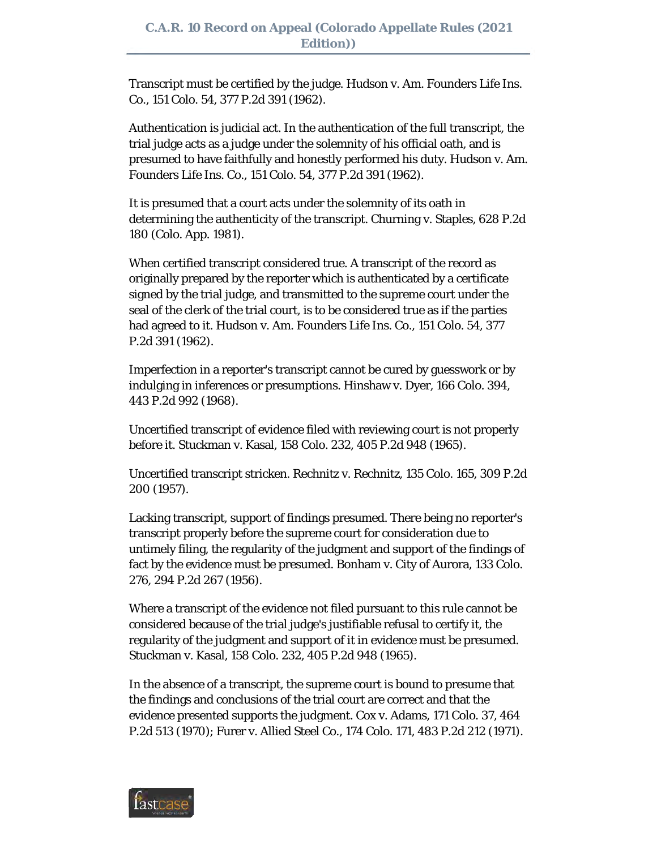Transcript must be certified by the judge. Hudson v. Am. Founders Life Ins. Co., 151 Colo. 54, 377 P.2d 391 (1962).

Authentication is judicial act. In the authentication of the full transcript, the trial judge acts as a judge under the solemnity of his official oath, and is presumed to have faithfully and honestly performed his duty. Hudson v. Am. Founders Life Ins. Co., 151 Colo. 54, 377 P.2d 391 (1962).

It is presumed that a court acts under the solemnity of its oath in determining the authenticity of the transcript. Churning v. Staples, 628 P.2d 180 (Colo. App. 1981).

When certified transcript considered true. A transcript of the record as originally prepared by the reporter which is authenticated by a certificate signed by the trial judge, and transmitted to the supreme court under the seal of the clerk of the trial court, is to be considered true as if the parties had agreed to it. Hudson v. Am. Founders Life Ins. Co., 151 Colo. 54, 377 P.2d 391 (1962).

Imperfection in a reporter's transcript cannot be cured by guesswork or by indulging in inferences or presumptions. Hinshaw v. Dyer, 166 Colo. 394, 443 P.2d 992 (1968).

Uncertified transcript of evidence filed with reviewing court is not properly before it. Stuckman v. Kasal, 158 Colo. 232, 405 P.2d 948 (1965).

Uncertified transcript stricken. Rechnitz v. Rechnitz, 135 Colo. 165, 309 P.2d 200 (1957).

Lacking transcript, support of findings presumed. There being no reporter's transcript properly before the supreme court for consideration due to untimely filing, the regularity of the judgment and support of the findings of fact by the evidence must be presumed. Bonham v. City of Aurora, 133 Colo. 276, 294 P.2d 267 (1956).

Where a transcript of the evidence not filed pursuant to this rule cannot be considered because of the trial judge's justifiable refusal to certify it, the regularity of the judgment and support of it in evidence must be presumed. Stuckman v. Kasal, 158 Colo. 232, 405 P.2d 948 (1965).

In the absence of a transcript, the supreme court is bound to presume that the findings and conclusions of the trial court are correct and that the evidence presented supports the judgment. Cox v. Adams, 171 Colo. 37, 464 P.2d 513 (1970); Furer v. Allied Steel Co., 174 Colo. 171, 483 P.2d 212 (1971).

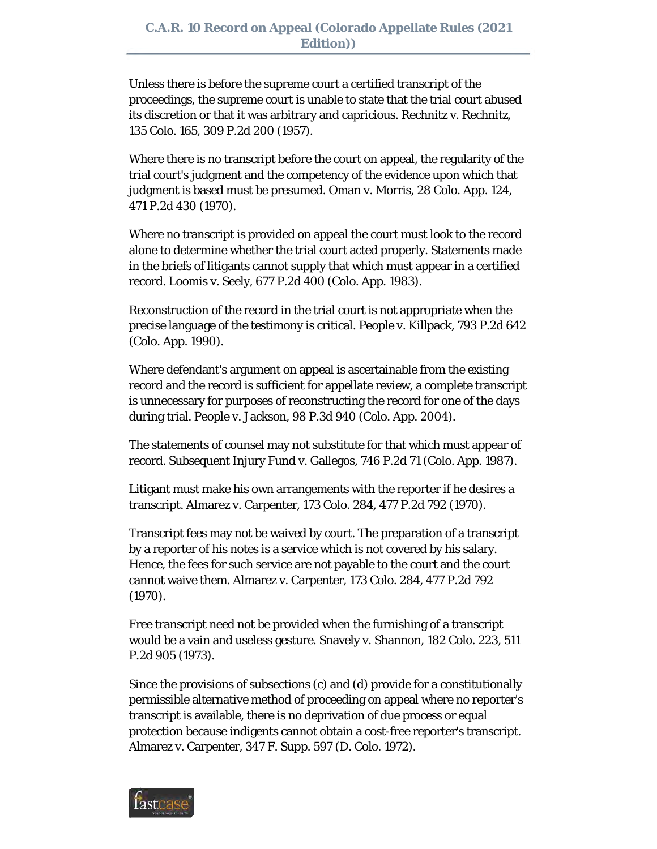Unless there is before the supreme court a certified transcript of the proceedings, the supreme court is unable to state that the trial court abused its discretion or that it was arbitrary and capricious. Rechnitz v. Rechnitz, 135 Colo. 165, 309 P.2d 200 (1957).

Where there is no transcript before the court on appeal, the regularity of the trial court's judgment and the competency of the evidence upon which that judgment is based must be presumed. Oman v. Morris, 28 Colo. App. 124, 471 P.2d 430 (1970).

Where no transcript is provided on appeal the court must look to the record alone to determine whether the trial court acted properly. Statements made in the briefs of litigants cannot supply that which must appear in a certified record. Loomis v. Seely, 677 P.2d 400 (Colo. App. 1983).

Reconstruction of the record in the trial court is not appropriate when the precise language of the testimony is critical. People v. Killpack, 793 P.2d 642 (Colo. App. 1990).

Where defendant's argument on appeal is ascertainable from the existing record and the record is sufficient for appellate review, a complete transcript is unnecessary for purposes of reconstructing the record for one of the days during trial. People v. Jackson, 98 P.3d 940 (Colo. App. 2004).

The statements of counsel may not substitute for that which must appear of record. Subsequent Injury Fund v. Gallegos, 746 P.2d 71 (Colo. App. 1987).

Litigant must make his own arrangements with the reporter if he desires a transcript. Almarez v. Carpenter, 173 Colo. 284, 477 P.2d 792 (1970).

Transcript fees may not be waived by court. The preparation of a transcript by a reporter of his notes is a service which is not covered by his salary. Hence, the fees for such service are not payable to the court and the court cannot waive them. Almarez v. Carpenter, 173 Colo. 284, 477 P.2d 792 (1970).

Free transcript need not be provided when the furnishing of a transcript would be a vain and useless gesture. Snavely v. Shannon, 182 Colo. 223, 511 P.2d 905 (1973).

Since the provisions of subsections (c) and (d) provide for a constitutionally permissible alternative method of proceeding on appeal where no reporter's transcript is available, there is no deprivation of due process or equal protection because indigents cannot obtain a cost-free reporter's transcript. Almarez v. Carpenter, 347 F. Supp. 597 (D. Colo. 1972).

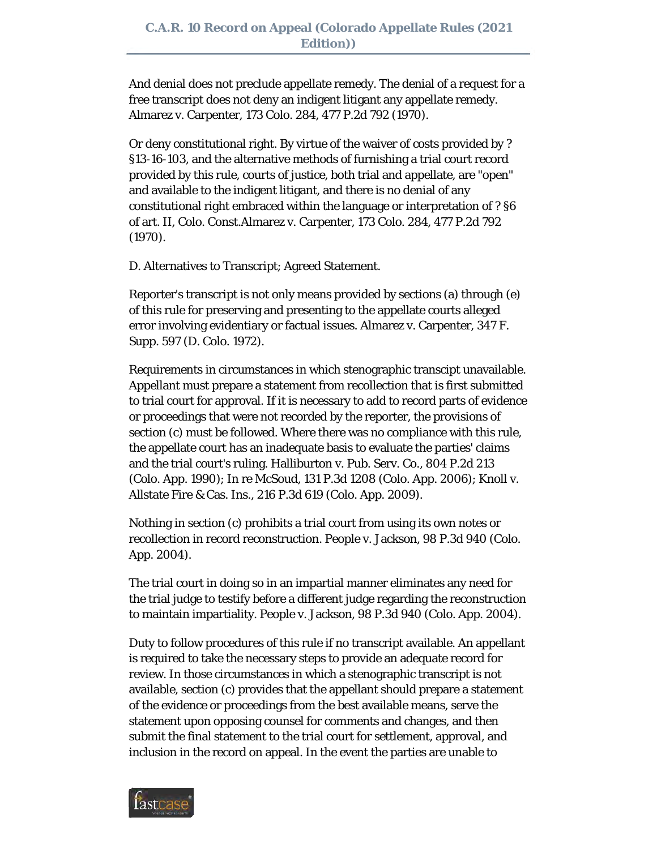And denial does not preclude appellate remedy. The denial of a request for a free transcript does not deny an indigent litigant any appellate remedy. Almarez v. Carpenter, 173 Colo. 284, 477 P.2d 792 (1970).

Or deny constitutional right. By virtue of the waiver of costs provided by ? §13-16-103, and the alternative methods of furnishing a trial court record provided by this rule, courts of justice, both trial and appellate, are "open" and available to the indigent litigant, and there is no denial of any constitutional right embraced within the language or interpretation of ? §6 of art. II, Colo. Const.Almarez v. Carpenter, 173 Colo. 284, 477 P.2d 792 (1970).

D. Alternatives to Transcript; Agreed Statement.

Reporter's transcript is not only means provided by sections (a) through (e) of this rule for preserving and presenting to the appellate courts alleged error involving evidentiary or factual issues. Almarez v. Carpenter, 347 F. Supp. 597 (D. Colo. 1972).

Requirements in circumstances in which stenographic transcipt unavailable. Appellant must prepare a statement from recollection that is first submitted to trial court for approval. If it is necessary to add to record parts of evidence or proceedings that were not recorded by the reporter, the provisions of section (c) must be followed. Where there was no compliance with this rule, the appellate court has an inadequate basis to evaluate the parties' claims and the trial court's ruling. Halliburton v. Pub. Serv. Co., 804 P.2d 213 (Colo. App. 1990); In re McSoud, 131 P.3d 1208 (Colo. App. 2006); Knoll v. Allstate Fire & Cas. Ins., 216 P.3d 619 (Colo. App. 2009).

Nothing in section (c) prohibits a trial court from using its own notes or recollection in record reconstruction. People v. Jackson, 98 P.3d 940 (Colo. App. 2004).

The trial court in doing so in an impartial manner eliminates any need for the trial judge to testify before a different judge regarding the reconstruction to maintain impartiality. People v. Jackson, 98 P.3d 940 (Colo. App. 2004).

Duty to follow procedures of this rule if no transcript available. An appellant is required to take the necessary steps to provide an adequate record for review. In those circumstances in which a stenographic transcript is not available, section (c) provides that the appellant should prepare a statement of the evidence or proceedings from the best available means, serve the statement upon opposing counsel for comments and changes, and then submit the final statement to the trial court for settlement, approval, and inclusion in the record on appeal. In the event the parties are unable to

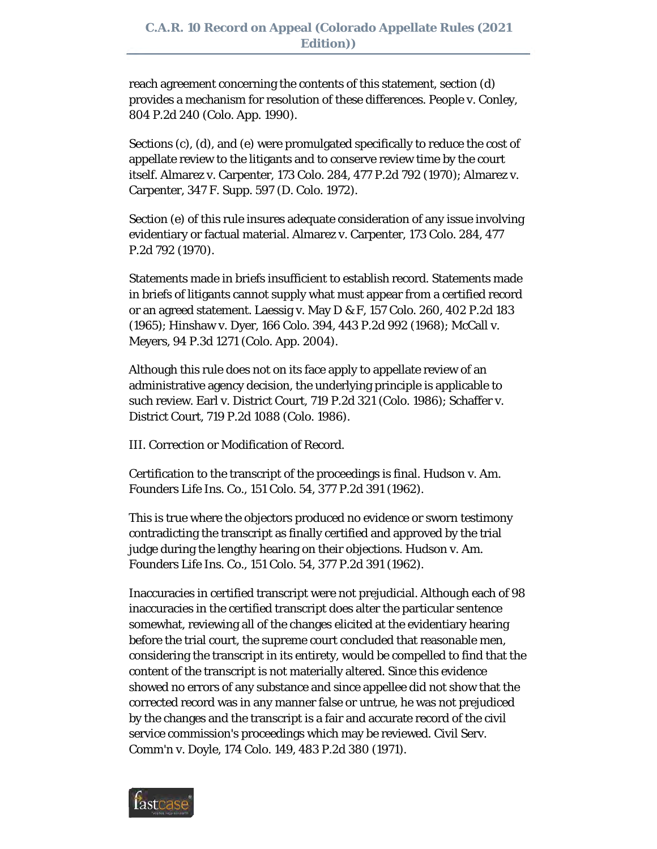reach agreement concerning the contents of this statement, section (d) provides a mechanism for resolution of these differences. People v. Conley, 804 P.2d 240 (Colo. App. 1990).

Sections (c), (d), and (e) were promulgated specifically to reduce the cost of appellate review to the litigants and to conserve review time by the court itself. Almarez v. Carpenter, 173 Colo. 284, 477 P.2d 792 (1970); Almarez v. Carpenter, 347 F. Supp. 597 (D. Colo. 1972).

Section (e) of this rule insures adequate consideration of any issue involving evidentiary or factual material. Almarez v. Carpenter, 173 Colo. 284, 477 P.2d 792 (1970).

Statements made in briefs insufficient to establish record. Statements made in briefs of litigants cannot supply what must appear from a certified record or an agreed statement. Laessig v. May D & F, 157 Colo. 260, 402 P.2d 183 (1965); Hinshaw v. Dyer, 166 Colo. 394, 443 P.2d 992 (1968); McCall v. Meyers, 94 P.3d 1271 (Colo. App. 2004).

Although this rule does not on its face apply to appellate review of an administrative agency decision, the underlying principle is applicable to such review. Earl v. District Court, 719 P.2d 321 (Colo. 1986); Schaffer v. District Court, 719 P.2d 1088 (Colo. 1986).

III. Correction or Modification of Record.

Certification to the transcript of the proceedings is final. Hudson v. Am. Founders Life Ins. Co., 151 Colo. 54, 377 P.2d 391 (1962).

This is true where the objectors produced no evidence or sworn testimony contradicting the transcript as finally certified and approved by the trial judge during the lengthy hearing on their objections. Hudson v. Am. Founders Life Ins. Co., 151 Colo. 54, 377 P.2d 391 (1962).

Inaccuracies in certified transcript were not prejudicial. Although each of 98 inaccuracies in the certified transcript does alter the particular sentence somewhat, reviewing all of the changes elicited at the evidentiary hearing before the trial court, the supreme court concluded that reasonable men, considering the transcript in its entirety, would be compelled to find that the content of the transcript is not materially altered. Since this evidence showed no errors of any substance and since appellee did not show that the corrected record was in any manner false or untrue, he was not prejudiced by the changes and the transcript is a fair and accurate record of the civil service commission's proceedings which may be reviewed. Civil Serv. Comm'n v. Doyle, 174 Colo. 149, 483 P.2d 380 (1971).

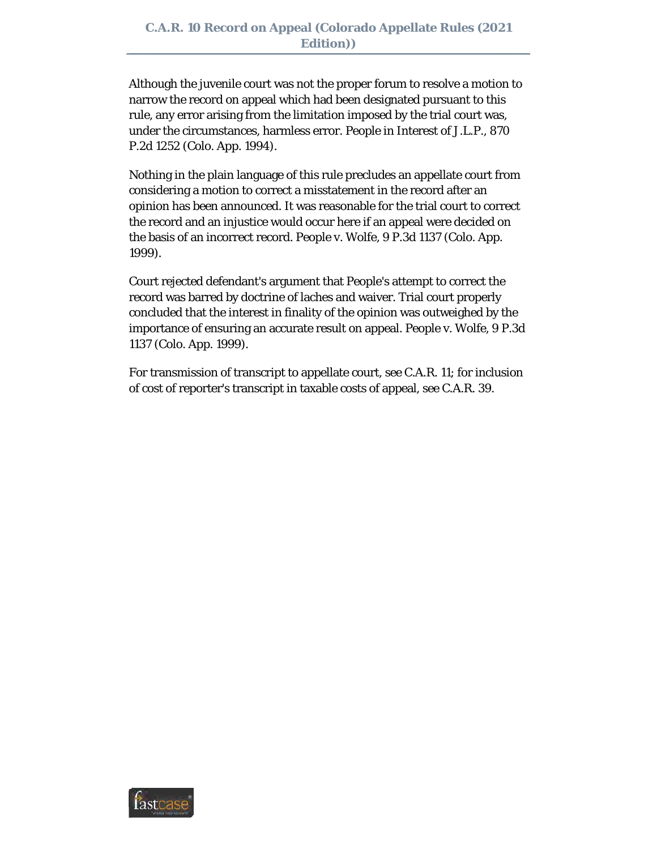Although the juvenile court was not the proper forum to resolve a motion to narrow the record on appeal which had been designated pursuant to this rule, any error arising from the limitation imposed by the trial court was, under the circumstances, harmless error. People in Interest of J.L.P., 870 P.2d 1252 (Colo. App. 1994).

Nothing in the plain language of this rule precludes an appellate court from considering a motion to correct a misstatement in the record after an opinion has been announced. It was reasonable for the trial court to correct the record and an injustice would occur here if an appeal were decided on the basis of an incorrect record. People v. Wolfe, 9 P.3d 1137 (Colo. App. 1999).

Court rejected defendant's argument that People's attempt to correct the record was barred by doctrine of laches and waiver. Trial court properly concluded that the interest in finality of the opinion was outweighed by the importance of ensuring an accurate result on appeal. People v. Wolfe, 9 P.3d 1137 (Colo. App. 1999).

For transmission of transcript to appellate court, see C.A.R. 11; for inclusion of cost of reporter's transcript in taxable costs of appeal, see C.A.R. 39.

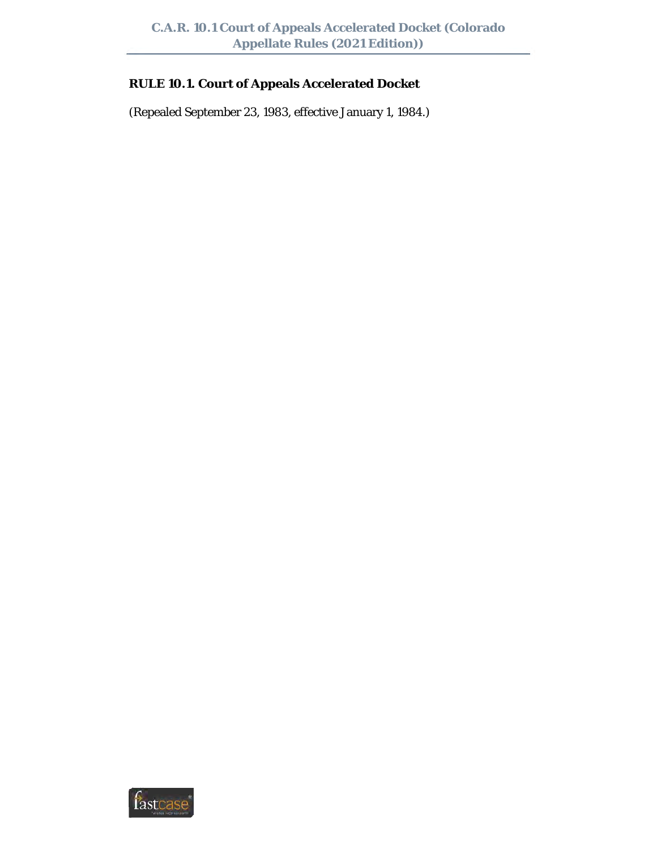# **RULE 10.1. Court of Appeals Accelerated Docket**

(Repealed September 23, 1983, effective January 1, 1984.)

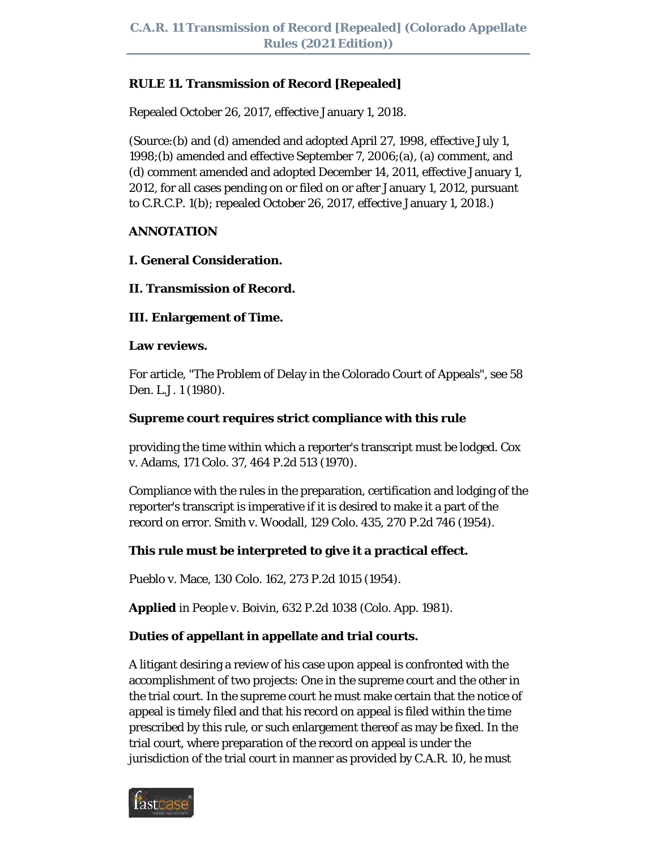# **RULE 11. Transmission of Record [Repealed]**

Repealed October 26, 2017, effective January 1, 2018.

(Source:(b) and (d) amended and adopted April 27, 1998, effective July 1, 1998;(b) amended and effective September 7, 2006;(a), (a) comment, and (d) comment amended and adopted December 14, 2011, effective January 1, 2012, for all cases pending on or filed on or after January 1, 2012, pursuant to C.R.C.P. 1(b); repealed October 26, 2017, effective January 1, 2018.)

## **ANNOTATION**

**I. General Consideration.**

**II. Transmission of Record.**

**III. Enlargement of Time.**

**Law reviews.**

For article, "The Problem of Delay in the Colorado Court of Appeals", see 58 Den. L.J. 1 (1980).

**Supreme court requires strict compliance with this rule**

providing the time within which a reporter's transcript must be lodged. Cox v. Adams, 171 Colo. 37, 464 P.2d 513 (1970).

Compliance with the rules in the preparation, certification and lodging of the reporter's transcript is imperative if it is desired to make it a part of the record on error. Smith v. Woodall, 129 Colo. 435, 270 P.2d 746 (1954).

**This rule must be interpreted to give it a practical effect.**

Pueblo v. Mace, 130 Colo. 162, 273 P.2d 1015 (1954).

**Applied** in People v. Boivin, 632 P.2d 1038 (Colo. App. 1981).

**Duties of appellant in appellate and trial courts.**

A litigant desiring a review of his case upon appeal is confronted with the accomplishment of two projects: One in the supreme court and the other in the trial court. In the supreme court he must make certain that the notice of appeal is timely filed and that his record on appeal is filed within the time prescribed by this rule, or such enlargement thereof as may be fixed. In the trial court, where preparation of the record on appeal is under the jurisdiction of the trial court in manner as provided by C.A.R. 10, he must

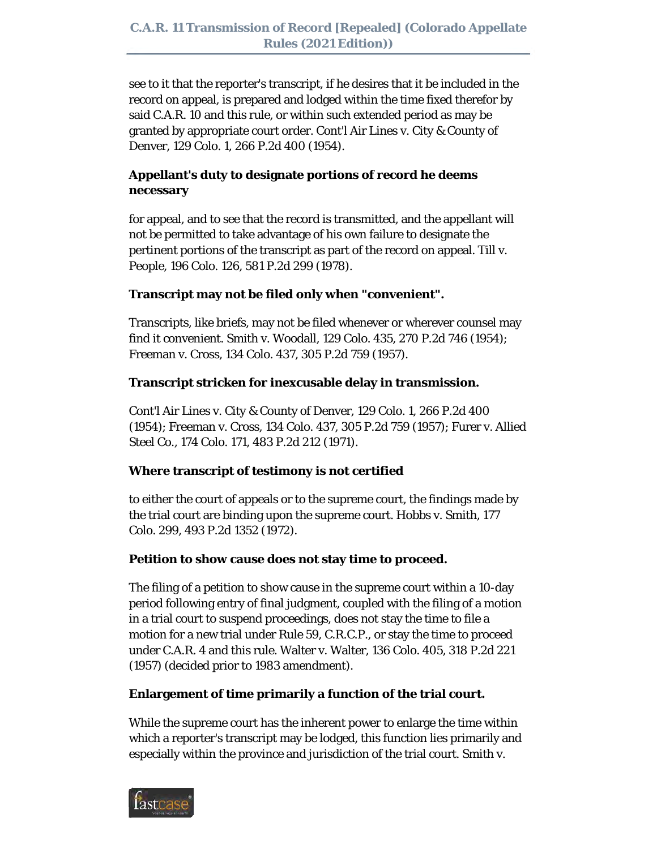see to it that the reporter's transcript, if he desires that it be included in the record on appeal, is prepared and lodged within the time fixed therefor by said C.A.R. 10 and this rule, or within such extended period as may be granted by appropriate court order. Cont'l Air Lines v. City & County of Denver, 129 Colo. 1, 266 P.2d 400 (1954).

**Appellant's duty to designate portions of record he deems necessary**

for appeal, and to see that the record is transmitted, and the appellant will not be permitted to take advantage of his own failure to designate the pertinent portions of the transcript as part of the record on appeal. Till v. People, 196 Colo. 126, 581 P.2d 299 (1978).

**Transcript may not be filed only when "convenient".**

Transcripts, like briefs, may not be filed whenever or wherever counsel may find it convenient. Smith v. Woodall, 129 Colo. 435, 270 P.2d 746 (1954); Freeman v. Cross, 134 Colo. 437, 305 P.2d 759 (1957).

**Transcript stricken for inexcusable delay in transmission.**

Cont'l Air Lines v. City & County of Denver, 129 Colo. 1, 266 P.2d 400 (1954); Freeman v. Cross, 134 Colo. 437, 305 P.2d 759 (1957); Furer v. Allied Steel Co., 174 Colo. 171, 483 P.2d 212 (1971).

**Where transcript of testimony is not certified**

to either the court of appeals or to the supreme court, the findings made by the trial court are binding upon the supreme court. Hobbs v. Smith, 177 Colo. 299, 493 P.2d 1352 (1972).

**Petition to show cause does not stay time to proceed.**

The filing of a petition to show cause in the supreme court within a 10-day period following entry of final judgment, coupled with the filing of a motion in a trial court to suspend proceedings, does not stay the time to file a motion for a new trial under Rule 59, C.R.C.P., or stay the time to proceed under C.A.R. 4 and this rule. Walter v. Walter, 136 Colo. 405, 318 P.2d 221 (1957) (decided prior to 1983 amendment).

**Enlargement of time primarily a function of the trial court.**

While the supreme court has the inherent power to enlarge the time within which a reporter's transcript may be lodged, this function lies primarily and especially within the province and jurisdiction of the trial court. Smith v.

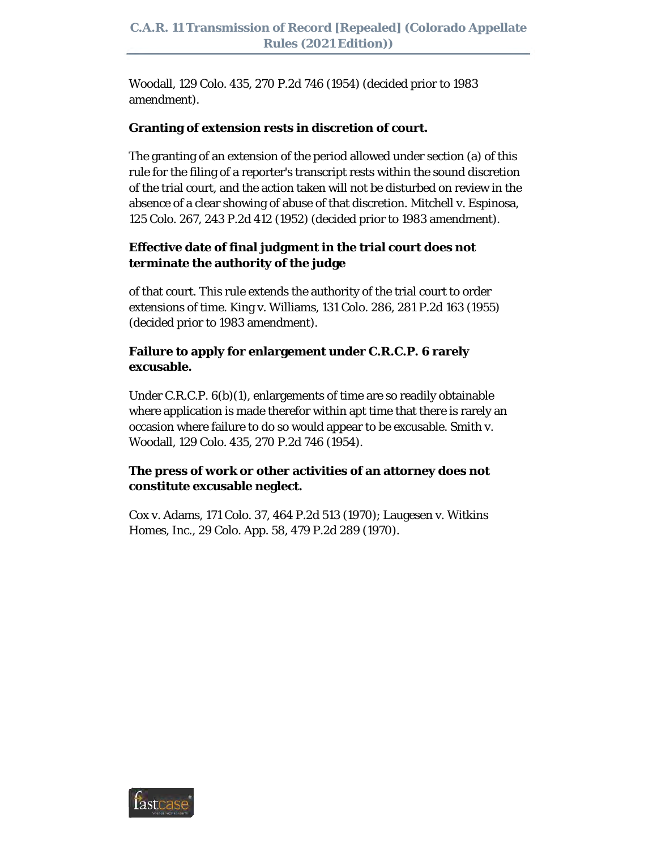Woodall, 129 Colo. 435, 270 P.2d 746 (1954) (decided prior to 1983 amendment).

**Granting of extension rests in discretion of court.**

The granting of an extension of the period allowed under section (a) of this rule for the filing of a reporter's transcript rests within the sound discretion of the trial court, and the action taken will not be disturbed on review in the absence of a clear showing of abuse of that discretion. Mitchell v. Espinosa, 125 Colo. 267, 243 P.2d 412 (1952) (decided prior to 1983 amendment).

**Effective date of final judgment in the trial court does not terminate the authority of the judge**

of that court. This rule extends the authority of the trial court to order extensions of time. King v. Williams, 131 Colo. 286, 281 P.2d 163 (1955) (decided prior to 1983 amendment).

**Failure to apply for enlargement under C.R.C.P. 6 rarely excusable.**

Under C.R.C.P. 6(b)(1), enlargements of time are so readily obtainable where application is made therefor within apt time that there is rarely an occasion where failure to do so would appear to be excusable. Smith v. Woodall, 129 Colo. 435, 270 P.2d 746 (1954).

**The press of work or other activities of an attorney does not constitute excusable neglect.**

Cox v. Adams, 171 Colo. 37, 464 P.2d 513 (1970); Laugesen v. Witkins Homes, Inc., 29 Colo. App. 58, 479 P.2d 289 (1970).

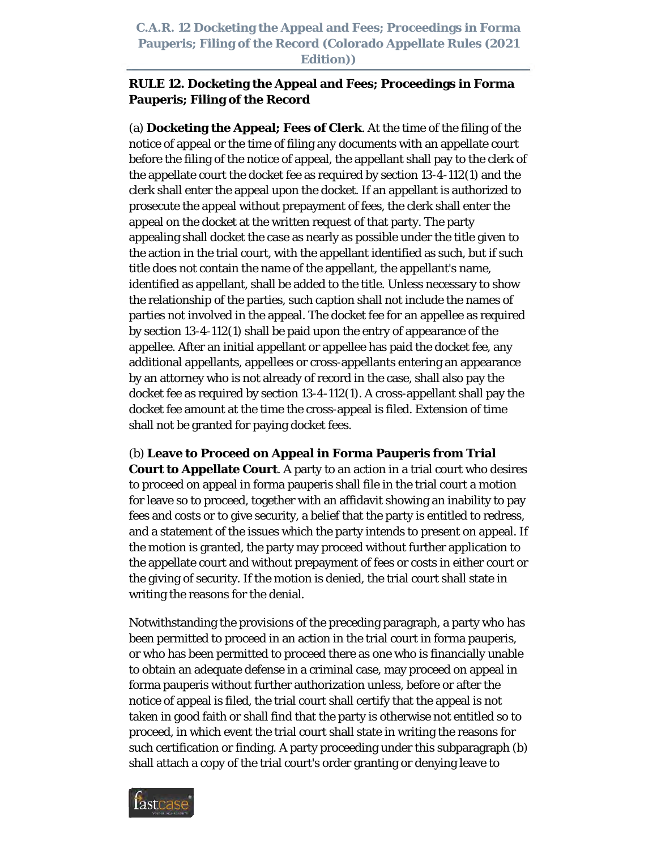**C.A.R. 12 Docketing the Appeal and Fees; Proceedings in Forma Pauperis; Filing of the Record (Colorado Appellate Rules (2021 Edition))**

# **RULE 12. Docketing the Appeal and Fees; Proceedings in Forma Pauperis; Filing of the Record**

(a) **Docketing the Appeal; Fees of Clerk**. At the time of the filing of the notice of appeal or the time of filing any documents with an appellate court before the filing of the notice of appeal, the appellant shall pay to the clerk of the appellate court the docket fee as required by section 13-4-112(1) and the clerk shall enter the appeal upon the docket. If an appellant is authorized to prosecute the appeal without prepayment of fees, the clerk shall enter the appeal on the docket at the written request of that party. The party appealing shall docket the case as nearly as possible under the title given to the action in the trial court, with the appellant identified as such, but if such title does not contain the name of the appellant, the appellant's name, identified as appellant, shall be added to the title. Unless necessary to show the relationship of the parties, such caption shall not include the names of parties not involved in the appeal. The docket fee for an appellee as required by section 13-4-112(1) shall be paid upon the entry of appearance of the appellee. After an initial appellant or appellee has paid the docket fee, any additional appellants, appellees or cross-appellants entering an appearance by an attorney who is not already of record in the case, shall also pay the docket fee as required by section 13-4-112(1). A cross-appellant shall pay the docket fee amount at the time the cross-appeal is filed. Extension of time shall not be granted for paying docket fees.

(b) **Leave to Proceed on Appeal in Forma Pauperis from Trial Court to Appellate Court**. A party to an action in a trial court who desires to proceed on appeal in forma pauperis shall file in the trial court a motion for leave so to proceed, together with an affidavit showing an inability to pay fees and costs or to give security, a belief that the party is entitled to redress, and a statement of the issues which the party intends to present on appeal. If the motion is granted, the party may proceed without further application to the appellate court and without prepayment of fees or costs in either court or the giving of security. If the motion is denied, the trial court shall state in writing the reasons for the denial.

Notwithstanding the provisions of the preceding paragraph, a party who has been permitted to proceed in an action in the trial court in forma pauperis, or who has been permitted to proceed there as one who is financially unable to obtain an adequate defense in a criminal case, may proceed on appeal in forma pauperis without further authorization unless, before or after the notice of appeal is filed, the trial court shall certify that the appeal is not taken in good faith or shall find that the party is otherwise not entitled so to proceed, in which event the trial court shall state in writing the reasons for such certification or finding. A party proceeding under this subparagraph (b) shall attach a copy of the trial court's order granting or denying leave to

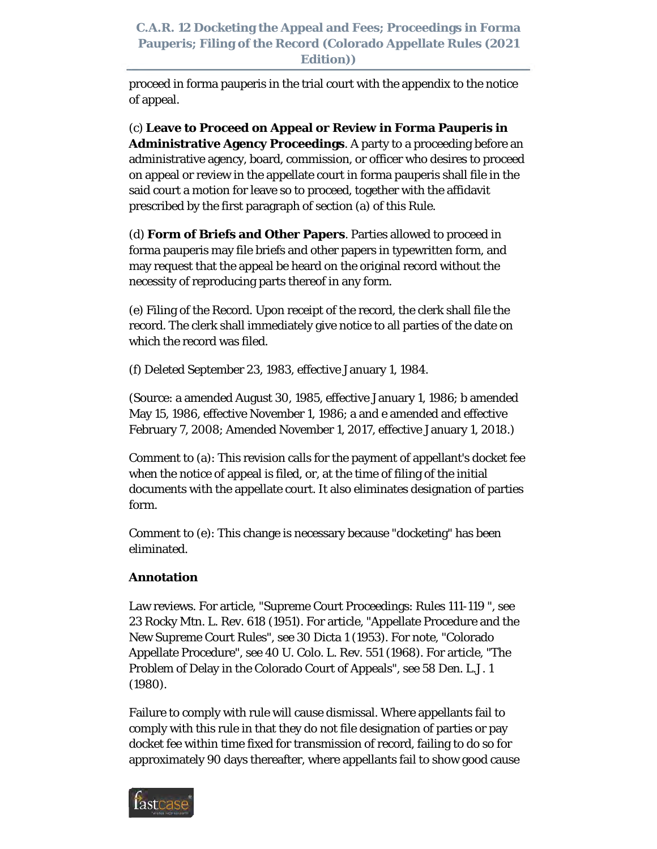**C.A.R. 12 Docketing the Appeal and Fees; Proceedings in Forma Pauperis; Filing of the Record (Colorado Appellate Rules (2021 Edition))**

proceed in forma pauperis in the trial court with the appendix to the notice of appeal.

(c) **Leave to Proceed on Appeal or Review in Forma Pauperis in Administrative Agency Proceedings**. A party to a proceeding before an administrative agency, board, commission, or officer who desires to proceed on appeal or review in the appellate court in forma pauperis shall file in the said court a motion for leave so to proceed, together with the affidavit prescribed by the first paragraph of section (a) of this Rule.

(d) **Form of Briefs and Other Papers**. Parties allowed to proceed in forma pauperis may file briefs and other papers in typewritten form, and may request that the appeal be heard on the original record without the necessity of reproducing parts thereof in any form.

(e) Filing of the Record. Upon receipt of the record, the clerk shall file the record. The clerk shall immediately give notice to all parties of the date on which the record was filed.

(f) Deleted September 23, 1983, effective January 1, 1984.

(Source: a amended August 30, 1985, effective January 1, 1986; b amended May 15, 1986, effective November 1, 1986; a and e amended and effective February 7, 2008; Amended November 1, 2017, effective January 1, 2018.)

Comment to (a): This revision calls for the payment of appellant's docket fee when the notice of appeal is filed, or, at the time of filing of the initial documents with the appellate court. It also eliminates designation of parties form.

Comment to (e): This change is necessary because "docketing" has been eliminated.

## **Annotation**

Law reviews. For article, "Supreme Court Proceedings: Rules 111-119 ", see 23 Rocky Mtn. L. Rev. 618 (1951). For article, "Appellate Procedure and the New Supreme Court Rules", see 30 Dicta 1 (1953). For note, "Colorado Appellate Procedure", see 40 U. Colo. L. Rev. 551 (1968). For article, "The Problem of Delay in the Colorado Court of Appeals", see 58 Den. L.J. 1 (1980).

Failure to comply with rule will cause dismissal. Where appellants fail to comply with this rule in that they do not file designation of parties or pay docket fee within time fixed for transmission of record, failing to do so for approximately 90 days thereafter, where appellants fail to show good cause

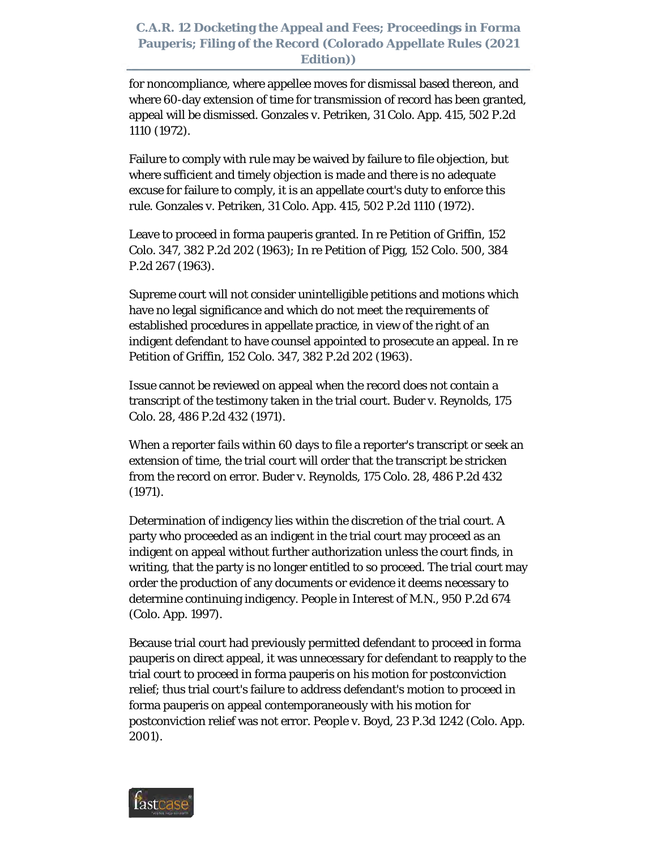### **C.A.R. 12 Docketing the Appeal and Fees; Proceedings in Forma Pauperis; Filing of the Record (Colorado Appellate Rules (2021 Edition))**

for noncompliance, where appellee moves for dismissal based thereon, and where 60-day extension of time for transmission of record has been granted, appeal will be dismissed. Gonzales v. Petriken, 31 Colo. App. 415, 502 P.2d 1110 (1972).

Failure to comply with rule may be waived by failure to file objection, but where sufficient and timely objection is made and there is no adequate excuse for failure to comply, it is an appellate court's duty to enforce this rule. Gonzales v. Petriken, 31 Colo. App. 415, 502 P.2d 1110 (1972).

Leave to proceed in forma pauperis granted. In re Petition of Griffin, 152 Colo. 347, 382 P.2d 202 (1963); In re Petition of Pigg, 152 Colo. 500, 384 P.2d 267 (1963).

Supreme court will not consider unintelligible petitions and motions which have no legal significance and which do not meet the requirements of established procedures in appellate practice, in view of the right of an indigent defendant to have counsel appointed to prosecute an appeal. In re Petition of Griffin, 152 Colo. 347, 382 P.2d 202 (1963).

Issue cannot be reviewed on appeal when the record does not contain a transcript of the testimony taken in the trial court. Buder v. Reynolds, 175 Colo. 28, 486 P.2d 432 (1971).

When a reporter fails within 60 days to file a reporter's transcript or seek an extension of time, the trial court will order that the transcript be stricken from the record on error. Buder v. Reynolds, 175 Colo. 28, 486 P.2d 432 (1971).

Determination of indigency lies within the discretion of the trial court. A party who proceeded as an indigent in the trial court may proceed as an indigent on appeal without further authorization unless the court finds, in writing, that the party is no longer entitled to so proceed. The trial court may order the production of any documents or evidence it deems necessary to determine continuing indigency. People in Interest of M.N., 950 P.2d 674 (Colo. App. 1997).

Because trial court had previously permitted defendant to proceed in forma pauperis on direct appeal, it was unnecessary for defendant to reapply to the trial court to proceed in forma pauperis on his motion for postconviction relief; thus trial court's failure to address defendant's motion to proceed in forma pauperis on appeal contemporaneously with his motion for postconviction relief was not error. People v. Boyd, 23 P.3d 1242 (Colo. App. 2001).

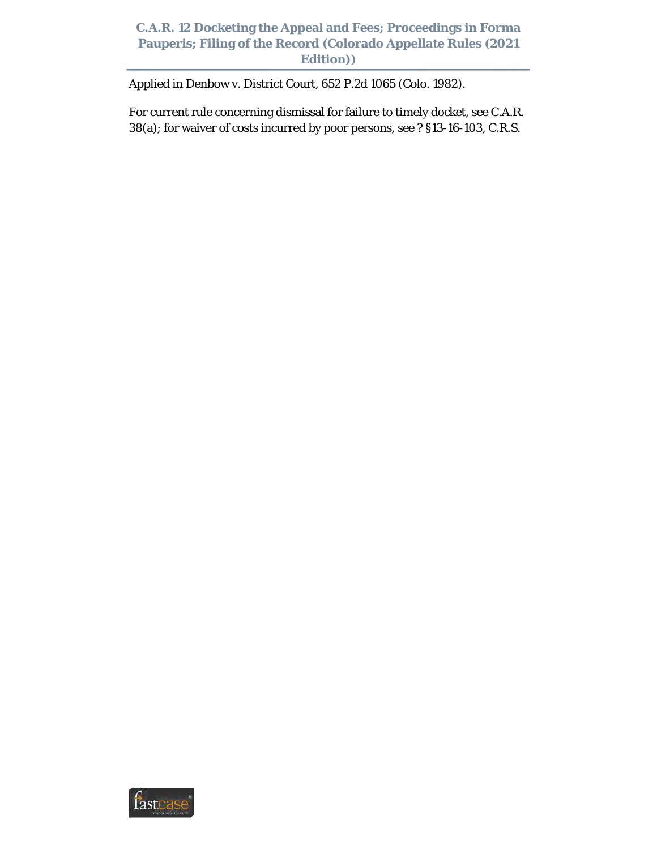**C.A.R. 12 Docketing the Appeal and Fees; Proceedings in Forma Pauperis; Filing of the Record (Colorado Appellate Rules (2021 Edition))**

Applied in Denbow v. District Court, 652 P.2d 1065 (Colo. 1982).

For current rule concerning dismissal for failure to timely docket, see C.A.R. 38(a); for waiver of costs incurred by poor persons, see ? §13-16-103, C.R.S.

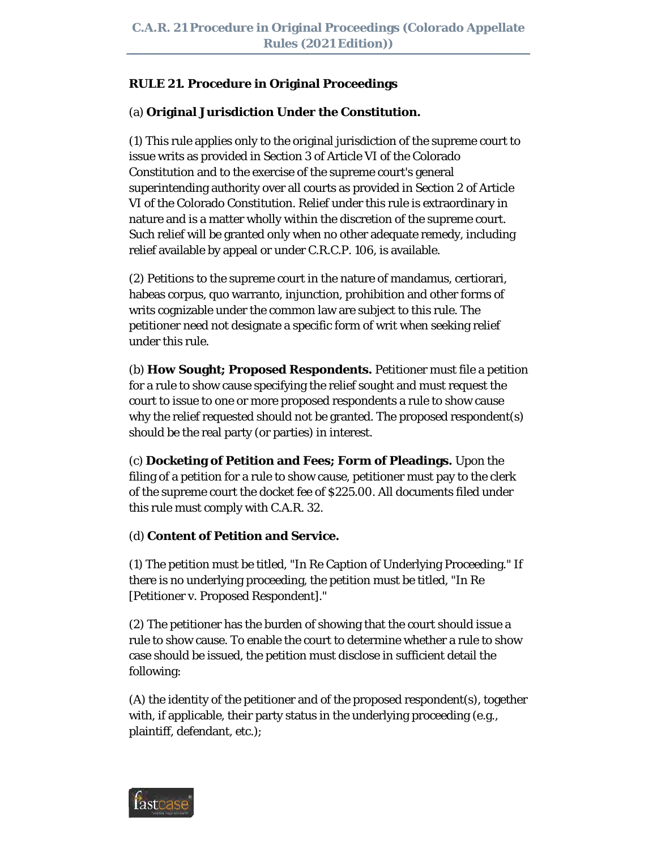# **RULE 21. Procedure in Original Proceedings**

(a) **Original Jurisdiction Under the Constitution.**

(1) This rule applies only to the original jurisdiction of the supreme court to issue writs as provided in Section 3 of Article VI of the Colorado Constitution and to the exercise of the supreme court's general superintending authority over all courts as provided in Section 2 of Article VI of the Colorado Constitution. Relief under this rule is extraordinary in nature and is a matter wholly within the discretion of the supreme court. Such relief will be granted only when no other adequate remedy, including relief available by appeal or under C.R.C.P. 106, is available.

(2) Petitions to the supreme court in the nature of mandamus, certiorari, habeas corpus, quo warranto, injunction, prohibition and other forms of writs cognizable under the common law are subject to this rule. The petitioner need not designate a specific form of writ when seeking relief under this rule.

(b) **How Sought; Proposed Respondents.** Petitioner must file a petition for a rule to show cause specifying the relief sought and must request the court to issue to one or more proposed respondents a rule to show cause why the relief requested should not be granted. The proposed respondent(s) should be the real party (or parties) in interest.

(c) **Docketing of Petition and Fees; Form of Pleadings.** Upon the filing of a petition for a rule to show cause, petitioner must pay to the clerk of the supreme court the docket fee of \$225.00. All documents filed under this rule must comply with C.A.R. 32.

(d) **Content of Petition and Service.**

(1) The petition must be titled, "In Re Caption of Underlying Proceeding." If there is no underlying proceeding, the petition must be titled, "In Re [Petitioner v. Proposed Respondent]."

(2) The petitioner has the burden of showing that the court should issue a rule to show cause. To enable the court to determine whether a rule to show case should be issued, the petition must disclose in sufficient detail the following:

(A) the identity of the petitioner and of the proposed respondent(s), together with, if applicable, their party status in the underlying proceeding (e.g., plaintiff, defendant, etc.);

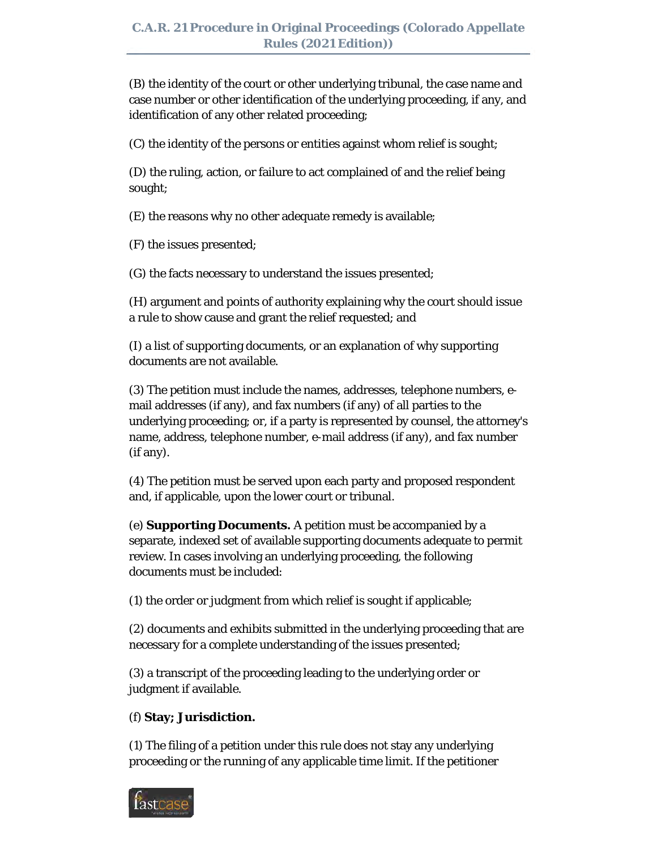(B) the identity of the court or other underlying tribunal, the case name and case number or other identification of the underlying proceeding, if any, and identification of any other related proceeding;

(C) the identity of the persons or entities against whom relief is sought;

(D) the ruling, action, or failure to act complained of and the relief being sought;

(E) the reasons why no other adequate remedy is available;

(F) the issues presented;

(G) the facts necessary to understand the issues presented;

(H) argument and points of authority explaining why the court should issue a rule to show cause and grant the relief requested; and

(I) a list of supporting documents, or an explanation of why supporting documents are not available.

(3) The petition must include the names, addresses, telephone numbers, email addresses (if any), and fax numbers (if any) of all parties to the underlying proceeding; or, if a party is represented by counsel, the attorney's name, address, telephone number, e-mail address (if any), and fax number (if any).

(4) The petition must be served upon each party and proposed respondent and, if applicable, upon the lower court or tribunal.

(e) **Supporting Documents.** A petition must be accompanied by a separate, indexed set of available supporting documents adequate to permit review. In cases involving an underlying proceeding, the following documents must be included:

(1) the order or judgment from which relief is sought if applicable;

(2) documents and exhibits submitted in the underlying proceeding that are necessary for a complete understanding of the issues presented;

(3) a transcript of the proceeding leading to the underlying order or judgment if available.

(f) **Stay; Jurisdiction.**

(1) The filing of a petition under this rule does not stay any underlying proceeding or the running of any applicable time limit. If the petitioner

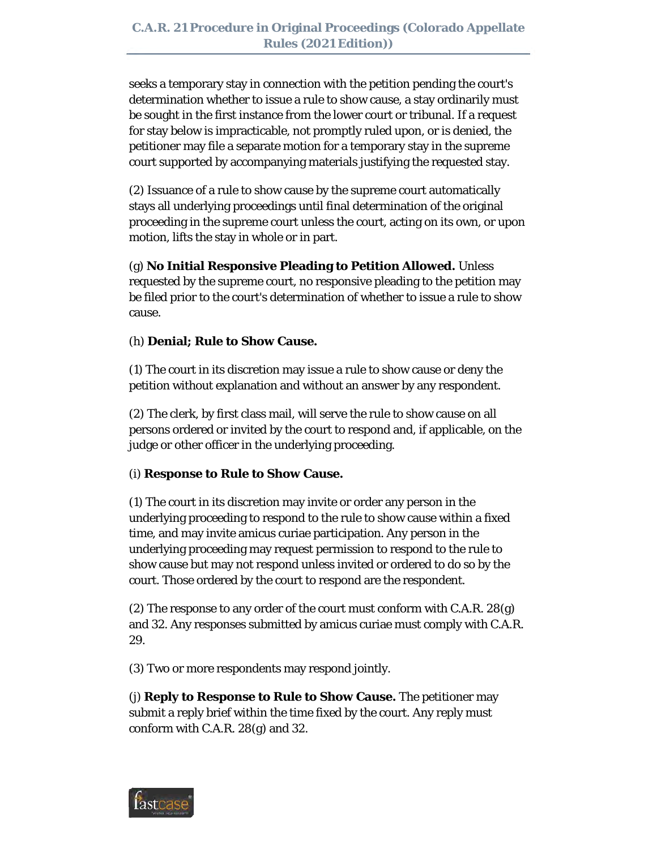seeks a temporary stay in connection with the petition pending the court's determination whether to issue a rule to show cause, a stay ordinarily must be sought in the first instance from the lower court or tribunal. If a request for stay below is impracticable, not promptly ruled upon, or is denied, the petitioner may file a separate motion for a temporary stay in the supreme court supported by accompanying materials justifying the requested stay.

(2) Issuance of a rule to show cause by the supreme court automatically stays all underlying proceedings until final determination of the original proceeding in the supreme court unless the court, acting on its own, or upon motion, lifts the stay in whole or in part.

(g) **No Initial Responsive Pleading to Petition Allowed.** Unless requested by the supreme court, no responsive pleading to the petition may be filed prior to the court's determination of whether to issue a rule to show cause.

(h) **Denial; Rule to Show Cause.**

(1) The court in its discretion may issue a rule to show cause or deny the petition without explanation and without an answer by any respondent.

(2) The clerk, by first class mail, will serve the rule to show cause on all persons ordered or invited by the court to respond and, if applicable, on the judge or other officer in the underlying proceeding.

(i) **Response to Rule to Show Cause.**

(1) The court in its discretion may invite or order any person in the underlying proceeding to respond to the rule to show cause within a fixed time, and may invite amicus curiae participation. Any person in the underlying proceeding may request permission to respond to the rule to show cause but may not respond unless invited or ordered to do so by the court. Those ordered by the court to respond are the respondent.

(2) The response to any order of the court must conform with C.A.R. 28(g) and 32. Any responses submitted by amicus curiae must comply with C.A.R. 29.

(3) Two or more respondents may respond jointly.

(j) **Reply to Response to Rule to Show Cause.** The petitioner may submit a reply brief within the time fixed by the court. Any reply must conform with C.A.R. 28(g) and 32.

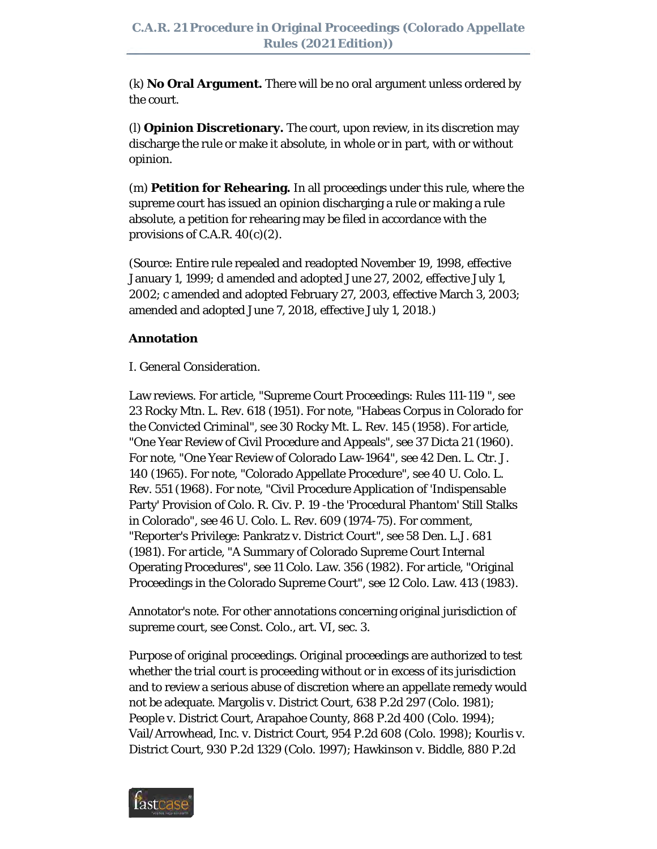(k) **No Oral Argument.** There will be no oral argument unless ordered by the court.

(l) **Opinion Discretionary.** The court, upon review, in its discretion may discharge the rule or make it absolute, in whole or in part, with or without opinion.

(m) **Petition for Rehearing.** In all proceedings under this rule, where the supreme court has issued an opinion discharging a rule or making a rule absolute, a petition for rehearing may be filed in accordance with the provisions of C.A.R. 40(c)(2).

(Source: Entire rule repealed and readopted November 19, 1998, effective January 1, 1999; d amended and adopted June 27, 2002, effective July 1, 2002; c amended and adopted February 27, 2003, effective March 3, 2003; amended and adopted June 7, 2018, effective July 1, 2018.)

### **Annotation**

I. General Consideration.

Law reviews. For article, "Supreme Court Proceedings: Rules 111-119 ", see 23 Rocky Mtn. L. Rev. 618 (1951). For note, "Habeas Corpus in Colorado for the Convicted Criminal", see 30 Rocky Mt. L. Rev. 145 (1958). For article, "One Year Review of Civil Procedure and Appeals", see 37 Dicta 21 (1960). For note, "One Year Review of Colorado Law-1964", see 42 Den. L. Ctr. J. 140 (1965). For note, "Colorado Appellate Procedure", see 40 U. Colo. L. Rev. 551 (1968). For note, "Civil Procedure Application of 'Indispensable Party' Provision of Colo. R. Civ. P. 19 -the 'Procedural Phantom' Still Stalks in Colorado", see 46 U. Colo. L. Rev. 609 (1974-75). For comment, "Reporter's Privilege: Pankratz v. District Court", see 58 Den. L.J. 681 (1981). For article, "A Summary of Colorado Supreme Court Internal Operating Procedures", see 11 Colo. Law. 356 (1982). For article, "Original Proceedings in the Colorado Supreme Court", see 12 Colo. Law. 413 (1983).

Annotator's note. For other annotations concerning original jurisdiction of supreme court, see Const. Colo., art. VI, sec. 3.

Purpose of original proceedings. Original proceedings are authorized to test whether the trial court is proceeding without or in excess of its jurisdiction and to review a serious abuse of discretion where an appellate remedy would not be adequate. Margolis v. District Court, 638 P.2d 297 (Colo. 1981); People v. District Court, Arapahoe County, 868 P.2d 400 (Colo. 1994); Vail/Arrowhead, Inc. v. District Court, 954 P.2d 608 (Colo. 1998); Kourlis v. District Court, 930 P.2d 1329 (Colo. 1997); Hawkinson v. Biddle, 880 P.2d

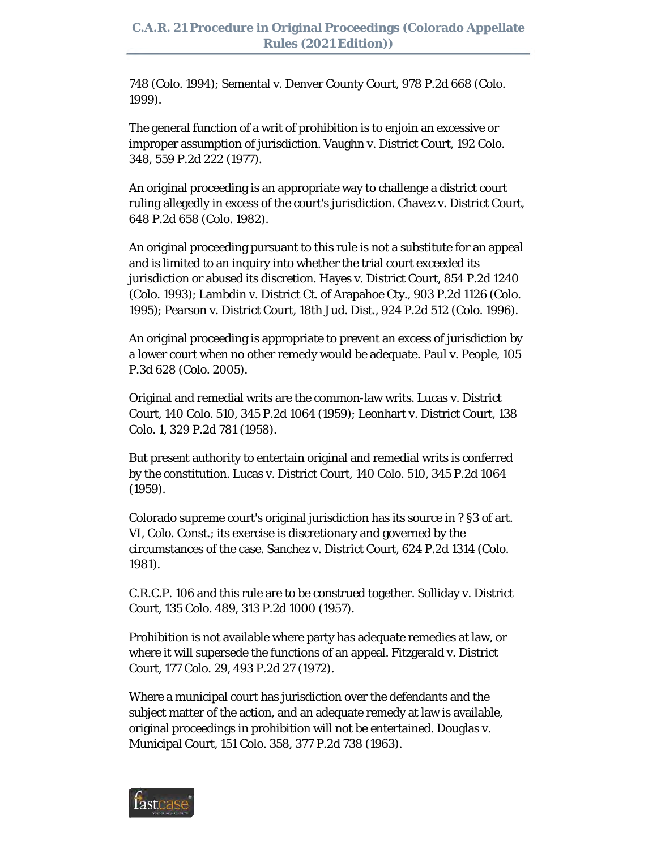748 (Colo. 1994); Semental v. Denver County Court, 978 P.2d 668 (Colo. 1999).

The general function of a writ of prohibition is to enjoin an excessive or improper assumption of jurisdiction. Vaughn v. District Court, 192 Colo. 348, 559 P.2d 222 (1977).

An original proceeding is an appropriate way to challenge a district court ruling allegedly in excess of the court's jurisdiction. Chavez v. District Court, 648 P.2d 658 (Colo. 1982).

An original proceeding pursuant to this rule is not a substitute for an appeal and is limited to an inquiry into whether the trial court exceeded its jurisdiction or abused its discretion. Hayes v. District Court, 854 P.2d 1240 (Colo. 1993); Lambdin v. District Ct. of Arapahoe Cty., 903 P.2d 1126 (Colo. 1995); Pearson v. District Court, 18th Jud. Dist., 924 P.2d 512 (Colo. 1996).

An original proceeding is appropriate to prevent an excess of jurisdiction by a lower court when no other remedy would be adequate. Paul v. People, 105 P.3d 628 (Colo. 2005).

Original and remedial writs are the common-law writs. Lucas v. District Court, 140 Colo. 510, 345 P.2d 1064 (1959); Leonhart v. District Court, 138 Colo. 1, 329 P.2d 781 (1958).

But present authority to entertain original and remedial writs is conferred by the constitution. Lucas v. District Court, 140 Colo. 510, 345 P.2d 1064 (1959).

Colorado supreme court's original jurisdiction has its source in ? §3 of art. VI, Colo. Const.; its exercise is discretionary and governed by the circumstances of the case. Sanchez v. District Court, 624 P.2d 1314 (Colo. 1981).

C.R.C.P. 106 and this rule are to be construed together. Solliday v. District Court, 135 Colo. 489, 313 P.2d 1000 (1957).

Prohibition is not available where party has adequate remedies at law, or where it will supersede the functions of an appeal. Fitzgerald v. District Court, 177 Colo. 29, 493 P.2d 27 (1972).

Where a municipal court has jurisdiction over the defendants and the subject matter of the action, and an adequate remedy at law is available, original proceedings in prohibition will not be entertained. Douglas v. Municipal Court, 151 Colo. 358, 377 P.2d 738 (1963).

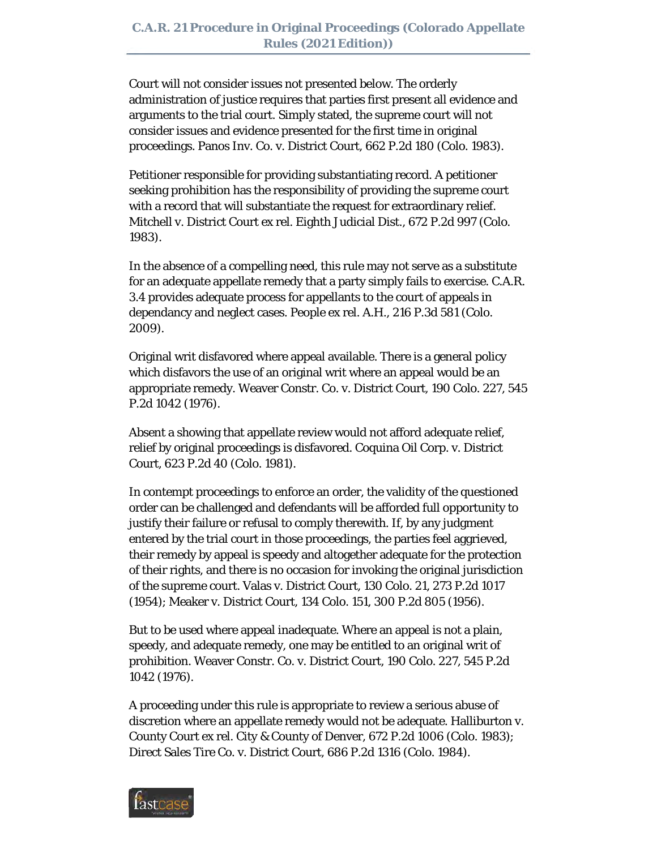Court will not consider issues not presented below. The orderly administration of justice requires that parties first present all evidence and arguments to the trial court. Simply stated, the supreme court will not consider issues and evidence presented for the first time in original proceedings. Panos Inv. Co. v. District Court, 662 P.2d 180 (Colo. 1983).

Petitioner responsible for providing substantiating record. A petitioner seeking prohibition has the responsibility of providing the supreme court with a record that will substantiate the request for extraordinary relief. Mitchell v. District Court ex rel. Eighth Judicial Dist., 672 P.2d 997 (Colo. 1983).

In the absence of a compelling need, this rule may not serve as a substitute for an adequate appellate remedy that a party simply fails to exercise. C.A.R. 3.4 provides adequate process for appellants to the court of appeals in dependancy and neglect cases. People ex rel. A.H., 216 P.3d 581 (Colo. 2009).

Original writ disfavored where appeal available. There is a general policy which disfavors the use of an original writ where an appeal would be an appropriate remedy. Weaver Constr. Co. v. District Court, 190 Colo. 227, 545 P.2d 1042 (1976).

Absent a showing that appellate review would not afford adequate relief, relief by original proceedings is disfavored. Coquina Oil Corp. v. District Court, 623 P.2d 40 (Colo. 1981).

In contempt proceedings to enforce an order, the validity of the questioned order can be challenged and defendants will be afforded full opportunity to justify their failure or refusal to comply therewith. If, by any judgment entered by the trial court in those proceedings, the parties feel aggrieved, their remedy by appeal is speedy and altogether adequate for the protection of their rights, and there is no occasion for invoking the original jurisdiction of the supreme court. Valas v. District Court, 130 Colo. 21, 273 P.2d 1017 (1954); Meaker v. District Court, 134 Colo. 151, 300 P.2d 805 (1956).

But to be used where appeal inadequate. Where an appeal is not a plain, speedy, and adequate remedy, one may be entitled to an original writ of prohibition. Weaver Constr. Co. v. District Court, 190 Colo. 227, 545 P.2d 1042 (1976).

A proceeding under this rule is appropriate to review a serious abuse of discretion where an appellate remedy would not be adequate. Halliburton v. County Court ex rel. City & County of Denver, 672 P.2d 1006 (Colo. 1983); Direct Sales Tire Co. v. District Court, 686 P.2d 1316 (Colo. 1984).

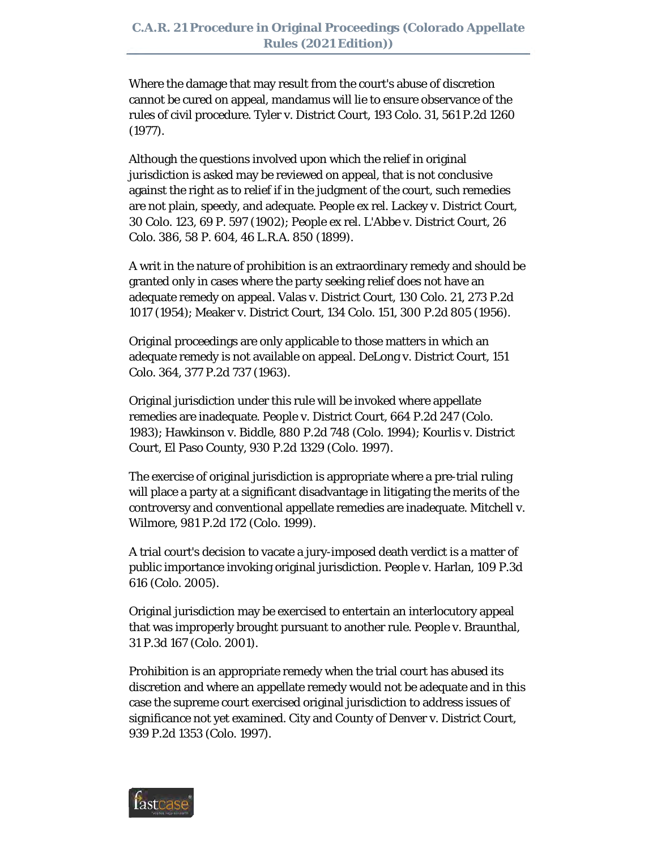Where the damage that may result from the court's abuse of discretion cannot be cured on appeal, mandamus will lie to ensure observance of the rules of civil procedure. Tyler v. District Court, 193 Colo. 31, 561 P.2d 1260 (1977).

Although the questions involved upon which the relief in original jurisdiction is asked may be reviewed on appeal, that is not conclusive against the right as to relief if in the judgment of the court, such remedies are not plain, speedy, and adequate. People ex rel. Lackey v. District Court, 30 Colo. 123, 69 P. 597 (1902); People ex rel. L'Abbe v. District Court, 26 Colo. 386, 58 P. 604, 46 L.R.A. 850 (1899).

A writ in the nature of prohibition is an extraordinary remedy and should be granted only in cases where the party seeking relief does not have an adequate remedy on appeal. Valas v. District Court, 130 Colo. 21, 273 P.2d 1017 (1954); Meaker v. District Court, 134 Colo. 151, 300 P.2d 805 (1956).

Original proceedings are only applicable to those matters in which an adequate remedy is not available on appeal. DeLong v. District Court, 151 Colo. 364, 377 P.2d 737 (1963).

Original jurisdiction under this rule will be invoked where appellate remedies are inadequate. People v. District Court, 664 P.2d 247 (Colo. 1983); Hawkinson v. Biddle, 880 P.2d 748 (Colo. 1994); Kourlis v. District Court, El Paso County, 930 P.2d 1329 (Colo. 1997).

The exercise of original jurisdiction is appropriate where a pre-trial ruling will place a party at a significant disadvantage in litigating the merits of the controversy and conventional appellate remedies are inadequate. Mitchell v. Wilmore, 981 P.2d 172 (Colo. 1999).

A trial court's decision to vacate a jury-imposed death verdict is a matter of public importance invoking original jurisdiction. People v. Harlan, 109 P.3d 616 (Colo. 2005).

Original jurisdiction may be exercised to entertain an interlocutory appeal that was improperly brought pursuant to another rule. People v. Braunthal, 31 P.3d 167 (Colo. 2001).

Prohibition is an appropriate remedy when the trial court has abused its discretion and where an appellate remedy would not be adequate and in this case the supreme court exercised original jurisdiction to address issues of significance not yet examined. City and County of Denver v. District Court, 939 P.2d 1353 (Colo. 1997).

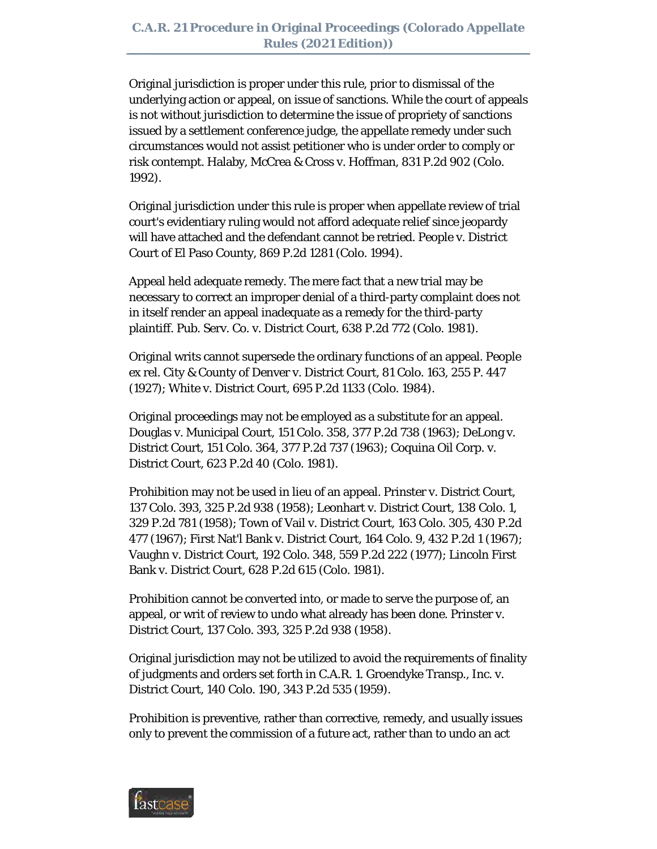Original jurisdiction is proper under this rule, prior to dismissal of the underlying action or appeal, on issue of sanctions. While the court of appeals is not without jurisdiction to determine the issue of propriety of sanctions issued by a settlement conference judge, the appellate remedy under such circumstances would not assist petitioner who is under order to comply or risk contempt. Halaby, McCrea & Cross v. Hoffman, 831 P.2d 902 (Colo. 1992).

Original jurisdiction under this rule is proper when appellate review of trial court's evidentiary ruling would not afford adequate relief since jeopardy will have attached and the defendant cannot be retried. People v. District Court of El Paso County, 869 P.2d 1281 (Colo. 1994).

Appeal held adequate remedy. The mere fact that a new trial may be necessary to correct an improper denial of a third-party complaint does not in itself render an appeal inadequate as a remedy for the third-party plaintiff. Pub. Serv. Co. v. District Court, 638 P.2d 772 (Colo. 1981).

Original writs cannot supersede the ordinary functions of an appeal. People ex rel. City & County of Denver v. District Court, 81 Colo. 163, 255 P. 447 (1927); White v. District Court, 695 P.2d 1133 (Colo. 1984).

Original proceedings may not be employed as a substitute for an appeal. Douglas v. Municipal Court, 151 Colo. 358, 377 P.2d 738 (1963); DeLong v. District Court, 151 Colo. 364, 377 P.2d 737 (1963); Coquina Oil Corp. v. District Court, 623 P.2d 40 (Colo. 1981).

Prohibition may not be used in lieu of an appeal. Prinster v. District Court, 137 Colo. 393, 325 P.2d 938 (1958); Leonhart v. District Court, 138 Colo. 1, 329 P.2d 781 (1958); Town of Vail v. District Court, 163 Colo. 305, 430 P.2d 477 (1967); First Nat'l Bank v. District Court, 164 Colo. 9, 432 P.2d 1 (1967); Vaughn v. District Court, 192 Colo. 348, 559 P.2d 222 (1977); Lincoln First Bank v. District Court, 628 P.2d 615 (Colo. 1981).

Prohibition cannot be converted into, or made to serve the purpose of, an appeal, or writ of review to undo what already has been done. Prinster v. District Court, 137 Colo. 393, 325 P.2d 938 (1958).

Original jurisdiction may not be utilized to avoid the requirements of finality of judgments and orders set forth in C.A.R. 1. Groendyke Transp., Inc. v. District Court, 140 Colo. 190, 343 P.2d 535 (1959).

Prohibition is preventive, rather than corrective, remedy, and usually issues only to prevent the commission of a future act, rather than to undo an act

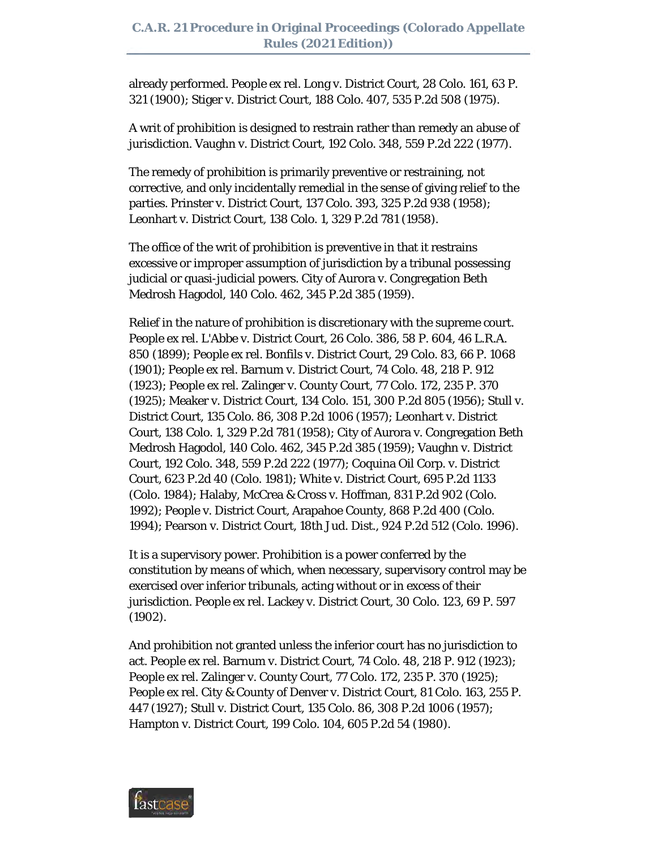already performed. People ex rel. Long v. District Court, 28 Colo. 161, 63 P. 321 (1900); Stiger v. District Court, 188 Colo. 407, 535 P.2d 508 (1975).

A writ of prohibition is designed to restrain rather than remedy an abuse of jurisdiction. Vaughn v. District Court, 192 Colo. 348, 559 P.2d 222 (1977).

The remedy of prohibition is primarily preventive or restraining, not corrective, and only incidentally remedial in the sense of giving relief to the parties. Prinster v. District Court, 137 Colo. 393, 325 P.2d 938 (1958); Leonhart v. District Court, 138 Colo. 1, 329 P.2d 781 (1958).

The office of the writ of prohibition is preventive in that it restrains excessive or improper assumption of jurisdiction by a tribunal possessing judicial or quasi-judicial powers. City of Aurora v. Congregation Beth Medrosh Hagodol, 140 Colo. 462, 345 P.2d 385 (1959).

Relief in the nature of prohibition is discretionary with the supreme court. People ex rel. L'Abbe v. District Court, 26 Colo. 386, 58 P. 604, 46 L.R.A. 850 (1899); People ex rel. Bonfils v. District Court, 29 Colo. 83, 66 P. 1068 (1901); People ex rel. Barnum v. District Court, 74 Colo. 48, 218 P. 912 (1923); People ex rel. Zalinger v. County Court, 77 Colo. 172, 235 P. 370 (1925); Meaker v. District Court, 134 Colo. 151, 300 P.2d 805 (1956); Stull v. District Court, 135 Colo. 86, 308 P.2d 1006 (1957); Leonhart v. District Court, 138 Colo. 1, 329 P.2d 781 (1958); City of Aurora v. Congregation Beth Medrosh Hagodol, 140 Colo. 462, 345 P.2d 385 (1959); Vaughn v. District Court, 192 Colo. 348, 559 P.2d 222 (1977); Coquina Oil Corp. v. District Court, 623 P.2d 40 (Colo. 1981); White v. District Court, 695 P.2d 1133 (Colo. 1984); Halaby, McCrea & Cross v. Hoffman, 831 P.2d 902 (Colo. 1992); People v. District Court, Arapahoe County, 868 P.2d 400 (Colo. 1994); Pearson v. District Court, 18th Jud. Dist., 924 P.2d 512 (Colo. 1996).

It is a supervisory power. Prohibition is a power conferred by the constitution by means of which, when necessary, supervisory control may be exercised over inferior tribunals, acting without or in excess of their jurisdiction. People ex rel. Lackey v. District Court, 30 Colo. 123, 69 P. 597 (1902).

And prohibition not granted unless the inferior court has no jurisdiction to act. People ex rel. Barnum v. District Court, 74 Colo. 48, 218 P. 912 (1923); People ex rel. Zalinger v. County Court, 77 Colo. 172, 235 P. 370 (1925); People ex rel. City & County of Denver v. District Court, 81 Colo. 163, 255 P. 447 (1927); Stull v. District Court, 135 Colo. 86, 308 P.2d 1006 (1957); Hampton v. District Court, 199 Colo. 104, 605 P.2d 54 (1980).

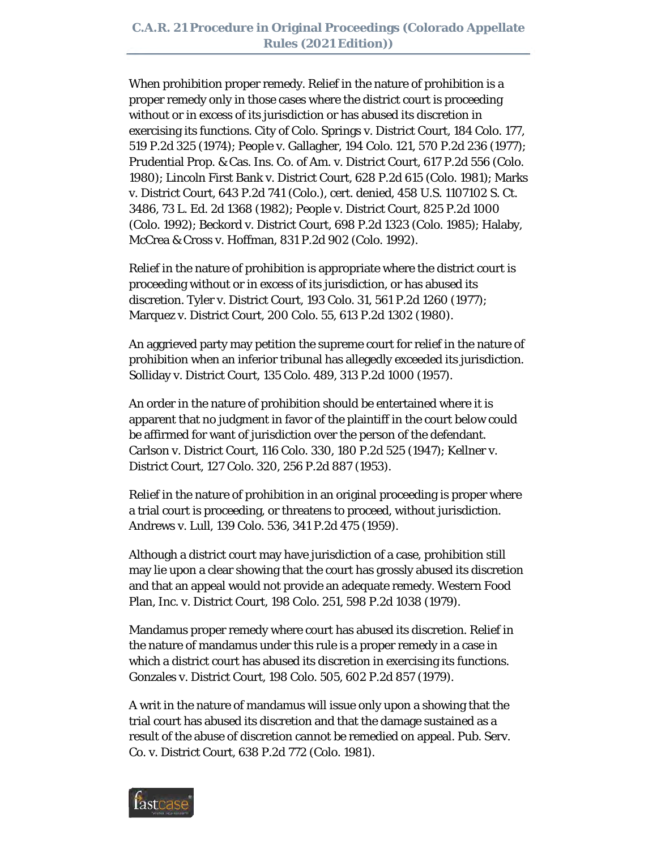When prohibition proper remedy. Relief in the nature of prohibition is a proper remedy only in those cases where the district court is proceeding without or in excess of its jurisdiction or has abused its discretion in exercising its functions. City of Colo. Springs v. District Court, 184 Colo. 177, 519 P.2d 325 (1974); People v. Gallagher, 194 Colo. 121, 570 P.2d 236 (1977); Prudential Prop. & Cas. Ins. Co. of Am. v. District Court, 617 P.2d 556 (Colo. 1980); Lincoln First Bank v. District Court, 628 P.2d 615 (Colo. 1981); Marks v. District Court, 643 P.2d 741 (Colo.), cert. denied, 458 U.S. 1107102 S. Ct. 3486, 73 L. Ed. 2d 1368 (1982); People v. District Court, 825 P.2d 1000 (Colo. 1992); Beckord v. District Court, 698 P.2d 1323 (Colo. 1985); Halaby, McCrea & Cross v. Hoffman, 831 P.2d 902 (Colo. 1992).

Relief in the nature of prohibition is appropriate where the district court is proceeding without or in excess of its jurisdiction, or has abused its discretion. Tyler v. District Court, 193 Colo. 31, 561 P.2d 1260 (1977); Marquez v. District Court, 200 Colo. 55, 613 P.2d 1302 (1980).

An aggrieved party may petition the supreme court for relief in the nature of prohibition when an inferior tribunal has allegedly exceeded its jurisdiction. Solliday v. District Court, 135 Colo. 489, 313 P.2d 1000 (1957).

An order in the nature of prohibition should be entertained where it is apparent that no judgment in favor of the plaintiff in the court below could be affirmed for want of jurisdiction over the person of the defendant. Carlson v. District Court, 116 Colo. 330, 180 P.2d 525 (1947); Kellner v. District Court, 127 Colo. 320, 256 P.2d 887 (1953).

Relief in the nature of prohibition in an original proceeding is proper where a trial court is proceeding, or threatens to proceed, without jurisdiction. Andrews v. Lull, 139 Colo. 536, 341 P.2d 475 (1959).

Although a district court may have jurisdiction of a case, prohibition still may lie upon a clear showing that the court has grossly abused its discretion and that an appeal would not provide an adequate remedy. Western Food Plan, Inc. v. District Court, 198 Colo. 251, 598 P.2d 1038 (1979).

Mandamus proper remedy where court has abused its discretion. Relief in the nature of mandamus under this rule is a proper remedy in a case in which a district court has abused its discretion in exercising its functions. Gonzales v. District Court, 198 Colo. 505, 602 P.2d 857 (1979).

A writ in the nature of mandamus will issue only upon a showing that the trial court has abused its discretion and that the damage sustained as a result of the abuse of discretion cannot be remedied on appeal. Pub. Serv. Co. v. District Court, 638 P.2d 772 (Colo. 1981).

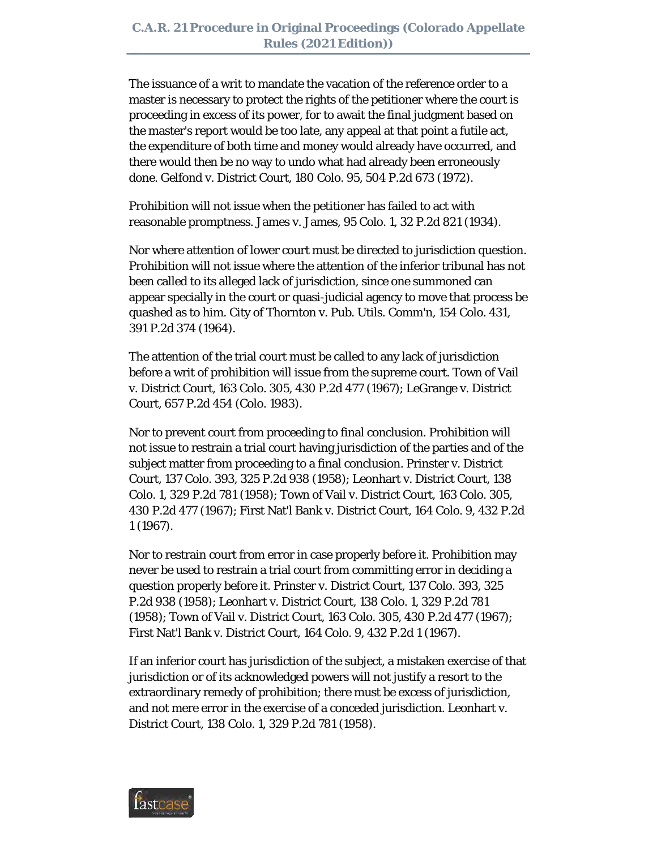The issuance of a writ to mandate the vacation of the reference order to a master is necessary to protect the rights of the petitioner where the court is proceeding in excess of its power, for to await the final judgment based on the master's report would be too late, any appeal at that point a futile act, the expenditure of both time and money would already have occurred, and there would then be no way to undo what had already been erroneously done. Gelfond v. District Court, 180 Colo. 95, 504 P.2d 673 (1972).

Prohibition will not issue when the petitioner has failed to act with reasonable promptness. James v. James, 95 Colo. 1, 32 P.2d 821 (1934).

Nor where attention of lower court must be directed to jurisdiction question. Prohibition will not issue where the attention of the inferior tribunal has not been called to its alleged lack of jurisdiction, since one summoned can appear specially in the court or quasi-judicial agency to move that process be quashed as to him. City of Thornton v. Pub. Utils. Comm'n, 154 Colo. 431, 391 P.2d 374 (1964).

The attention of the trial court must be called to any lack of jurisdiction before a writ of prohibition will issue from the supreme court. Town of Vail v. District Court, 163 Colo. 305, 430 P.2d 477 (1967); LeGrange v. District Court, 657 P.2d 454 (Colo. 1983).

Nor to prevent court from proceeding to final conclusion. Prohibition will not issue to restrain a trial court having jurisdiction of the parties and of the subject matter from proceeding to a final conclusion. Prinster v. District Court, 137 Colo. 393, 325 P.2d 938 (1958); Leonhart v. District Court, 138 Colo. 1, 329 P.2d 781 (1958); Town of Vail v. District Court, 163 Colo. 305, 430 P.2d 477 (1967); First Nat'l Bank v. District Court, 164 Colo. 9, 432 P.2d 1 (1967).

Nor to restrain court from error in case properly before it. Prohibition may never be used to restrain a trial court from committing error in deciding a question properly before it. Prinster v. District Court, 137 Colo. 393, 325 P.2d 938 (1958); Leonhart v. District Court, 138 Colo. 1, 329 P.2d 781 (1958); Town of Vail v. District Court, 163 Colo. 305, 430 P.2d 477 (1967); First Nat'l Bank v. District Court, 164 Colo. 9, 432 P.2d 1 (1967).

If an inferior court has jurisdiction of the subject, a mistaken exercise of that jurisdiction or of its acknowledged powers will not justify a resort to the extraordinary remedy of prohibition; there must be excess of jurisdiction, and not mere error in the exercise of a conceded jurisdiction. Leonhart v. District Court, 138 Colo. 1, 329 P.2d 781 (1958).

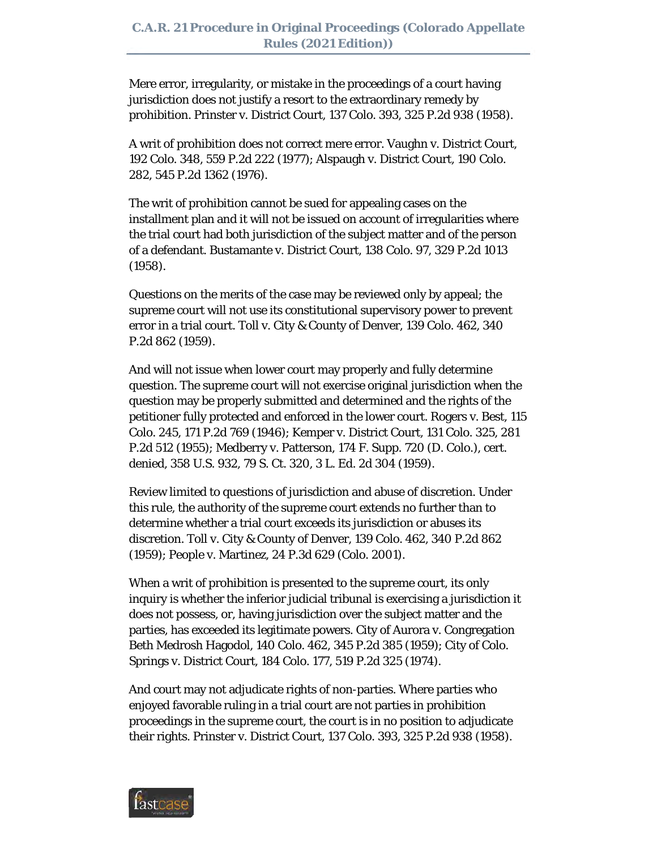Mere error, irregularity, or mistake in the proceedings of a court having jurisdiction does not justify a resort to the extraordinary remedy by prohibition. Prinster v. District Court, 137 Colo. 393, 325 P.2d 938 (1958).

A writ of prohibition does not correct mere error. Vaughn v. District Court, 192 Colo. 348, 559 P.2d 222 (1977); Alspaugh v. District Court, 190 Colo. 282, 545 P.2d 1362 (1976).

The writ of prohibition cannot be sued for appealing cases on the installment plan and it will not be issued on account of irregularities where the trial court had both jurisdiction of the subject matter and of the person of a defendant. Bustamante v. District Court, 138 Colo. 97, 329 P.2d 1013 (1958).

Questions on the merits of the case may be reviewed only by appeal; the supreme court will not use its constitutional supervisory power to prevent error in a trial court. Toll v. City & County of Denver, 139 Colo. 462, 340 P.2d 862 (1959).

And will not issue when lower court may properly and fully determine question. The supreme court will not exercise original jurisdiction when the question may be properly submitted and determined and the rights of the petitioner fully protected and enforced in the lower court. Rogers v. Best, 115 Colo. 245, 171 P.2d 769 (1946); Kemper v. District Court, 131 Colo. 325, 281 P.2d 512 (1955); Medberry v. Patterson, 174 F. Supp. 720 (D. Colo.), cert. denied, 358 U.S. 932, 79 S. Ct. 320, 3 L. Ed. 2d 304 (1959).

Review limited to questions of jurisdiction and abuse of discretion. Under this rule, the authority of the supreme court extends no further than to determine whether a trial court exceeds its jurisdiction or abuses its discretion. Toll v. City & County of Denver, 139 Colo. 462, 340 P.2d 862 (1959); People v. Martinez, 24 P.3d 629 (Colo. 2001).

When a writ of prohibition is presented to the supreme court, its only inquiry is whether the inferior judicial tribunal is exercising a jurisdiction it does not possess, or, having jurisdiction over the subject matter and the parties, has exceeded its legitimate powers. City of Aurora v. Congregation Beth Medrosh Hagodol, 140 Colo. 462, 345 P.2d 385 (1959); City of Colo. Springs v. District Court, 184 Colo. 177, 519 P.2d 325 (1974).

And court may not adjudicate rights of non-parties. Where parties who enjoyed favorable ruling in a trial court are not parties in prohibition proceedings in the supreme court, the court is in no position to adjudicate their rights. Prinster v. District Court, 137 Colo. 393, 325 P.2d 938 (1958).

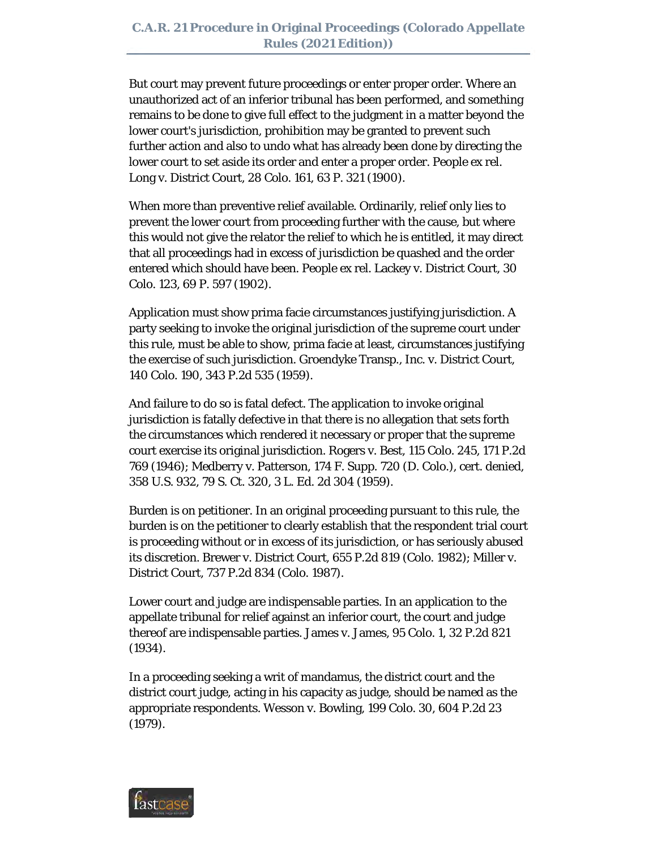But court may prevent future proceedings or enter proper order. Where an unauthorized act of an inferior tribunal has been performed, and something remains to be done to give full effect to the judgment in a matter beyond the lower court's jurisdiction, prohibition may be granted to prevent such further action and also to undo what has already been done by directing the lower court to set aside its order and enter a proper order. People ex rel. Long v. District Court, 28 Colo. 161, 63 P. 321 (1900).

When more than preventive relief available. Ordinarily, relief only lies to prevent the lower court from proceeding further with the cause, but where this would not give the relator the relief to which he is entitled, it may direct that all proceedings had in excess of jurisdiction be quashed and the order entered which should have been. People ex rel. Lackey v. District Court, 30 Colo. 123, 69 P. 597 (1902).

Application must show prima facie circumstances justifying jurisdiction. A party seeking to invoke the original jurisdiction of the supreme court under this rule, must be able to show, prima facie at least, circumstances justifying the exercise of such jurisdiction. Groendyke Transp., Inc. v. District Court, 140 Colo. 190, 343 P.2d 535 (1959).

And failure to do so is fatal defect. The application to invoke original jurisdiction is fatally defective in that there is no allegation that sets forth the circumstances which rendered it necessary or proper that the supreme court exercise its original jurisdiction. Rogers v. Best, 115 Colo. 245, 171 P.2d 769 (1946); Medberry v. Patterson, 174 F. Supp. 720 (D. Colo.), cert. denied, 358 U.S. 932, 79 S. Ct. 320, 3 L. Ed. 2d 304 (1959).

Burden is on petitioner. In an original proceeding pursuant to this rule, the burden is on the petitioner to clearly establish that the respondent trial court is proceeding without or in excess of its jurisdiction, or has seriously abused its discretion. Brewer v. District Court, 655 P.2d 819 (Colo. 1982); Miller v. District Court, 737 P.2d 834 (Colo. 1987).

Lower court and judge are indispensable parties. In an application to the appellate tribunal for relief against an inferior court, the court and judge thereof are indispensable parties. James v. James, 95 Colo. 1, 32 P.2d 821 (1934).

In a proceeding seeking a writ of mandamus, the district court and the district court judge, acting in his capacity as judge, should be named as the appropriate respondents. Wesson v. Bowling, 199 Colo. 30, 604 P.2d 23 (1979).

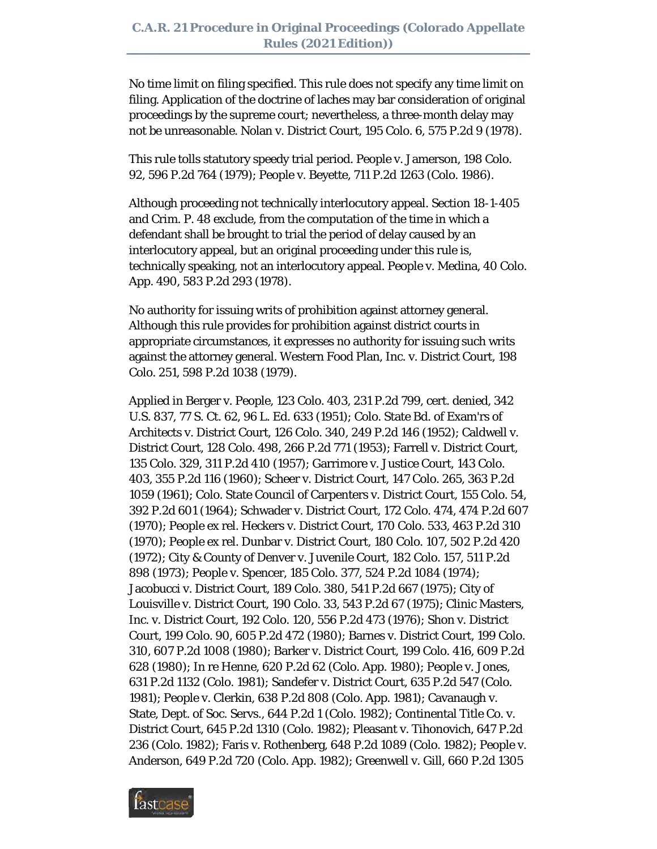No time limit on filing specified. This rule does not specify any time limit on filing. Application of the doctrine of laches may bar consideration of original proceedings by the supreme court; nevertheless, a three-month delay may not be unreasonable. Nolan v. District Court, 195 Colo. 6, 575 P.2d 9 (1978).

This rule tolls statutory speedy trial period. People v. Jamerson, 198 Colo. 92, 596 P.2d 764 (1979); People v. Beyette, 711 P.2d 1263 (Colo. 1986).

Although proceeding not technically interlocutory appeal. Section 18-1-405 and Crim. P. 48 exclude, from the computation of the time in which a defendant shall be brought to trial the period of delay caused by an interlocutory appeal, but an original proceeding under this rule is, technically speaking, not an interlocutory appeal. People v. Medina, 40 Colo. App. 490, 583 P.2d 293 (1978).

No authority for issuing writs of prohibition against attorney general. Although this rule provides for prohibition against district courts in appropriate circumstances, it expresses no authority for issuing such writs against the attorney general. Western Food Plan, Inc. v. District Court, 198 Colo. 251, 598 P.2d 1038 (1979).

Applied in Berger v. People, 123 Colo. 403, 231 P.2d 799, cert. denied, 342 U.S. 837, 77 S. Ct. 62, 96 L. Ed. 633 (1951); Colo. State Bd. of Exam'rs of Architects v. District Court, 126 Colo. 340, 249 P.2d 146 (1952); Caldwell v. District Court, 128 Colo. 498, 266 P.2d 771 (1953); Farrell v. District Court, 135 Colo. 329, 311 P.2d 410 (1957); Garrimore v. Justice Court, 143 Colo. 403, 355 P.2d 116 (1960); Scheer v. District Court, 147 Colo. 265, 363 P.2d 1059 (1961); Colo. State Council of Carpenters v. District Court, 155 Colo. 54, 392 P.2d 601 (1964); Schwader v. District Court, 172 Colo. 474, 474 P.2d 607 (1970); People ex rel. Heckers v. District Court, 170 Colo. 533, 463 P.2d 310 (1970); People ex rel. Dunbar v. District Court, 180 Colo. 107, 502 P.2d 420 (1972); City & County of Denver v. Juvenile Court, 182 Colo. 157, 511 P.2d 898 (1973); People v. Spencer, 185 Colo. 377, 524 P.2d 1084 (1974); Jacobucci v. District Court, 189 Colo. 380, 541 P.2d 667 (1975); City of Louisville v. District Court, 190 Colo. 33, 543 P.2d 67 (1975); Clinic Masters, Inc. v. District Court, 192 Colo. 120, 556 P.2d 473 (1976); Shon v. District Court, 199 Colo. 90, 605 P.2d 472 (1980); Barnes v. District Court, 199 Colo. 310, 607 P.2d 1008 (1980); Barker v. District Court, 199 Colo. 416, 609 P.2d 628 (1980); In re Henne, 620 P.2d 62 (Colo. App. 1980); People v. Jones, 631 P.2d 1132 (Colo. 1981); Sandefer v. District Court, 635 P.2d 547 (Colo. 1981); People v. Clerkin, 638 P.2d 808 (Colo. App. 1981); Cavanaugh v. State, Dept. of Soc. Servs., 644 P.2d 1 (Colo. 1982); Continental Title Co. v. District Court, 645 P.2d 1310 (Colo. 1982); Pleasant v. Tihonovich, 647 P.2d 236 (Colo. 1982); Faris v. Rothenberg, 648 P.2d 1089 (Colo. 1982); People v. Anderson, 649 P.2d 720 (Colo. App. 1982); Greenwell v. Gill, 660 P.2d 1305

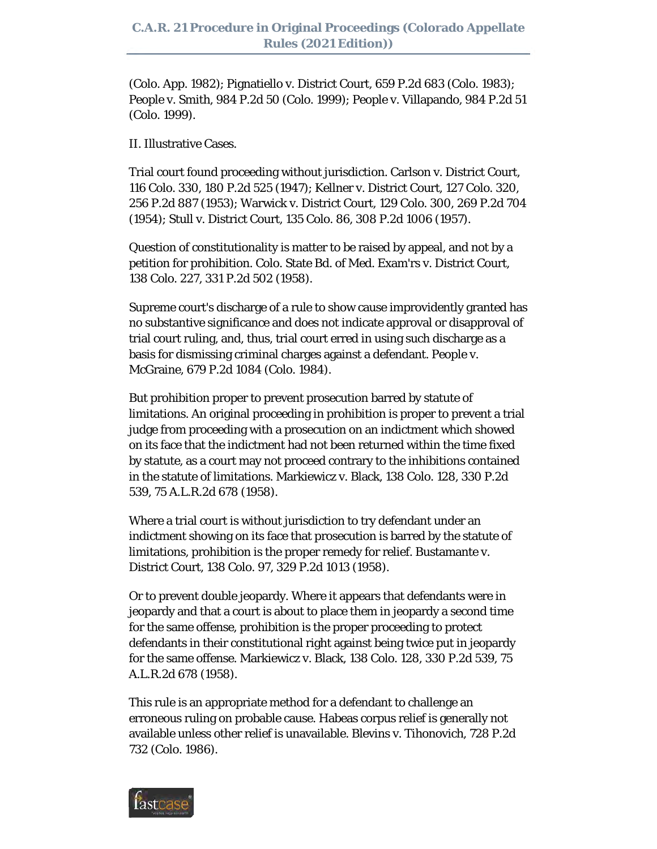(Colo. App. 1982); Pignatiello v. District Court, 659 P.2d 683 (Colo. 1983); People v. Smith, 984 P.2d 50 (Colo. 1999); People v. Villapando, 984 P.2d 51 (Colo. 1999).

II. Illustrative Cases.

Trial court found proceeding without jurisdiction. Carlson v. District Court, 116 Colo. 330, 180 P.2d 525 (1947); Kellner v. District Court, 127 Colo. 320, 256 P.2d 887 (1953); Warwick v. District Court, 129 Colo. 300, 269 P.2d 704 (1954); Stull v. District Court, 135 Colo. 86, 308 P.2d 1006 (1957).

Question of constitutionality is matter to be raised by appeal, and not by a petition for prohibition. Colo. State Bd. of Med. Exam'rs v. District Court, 138 Colo. 227, 331 P.2d 502 (1958).

Supreme court's discharge of a rule to show cause improvidently granted has no substantive significance and does not indicate approval or disapproval of trial court ruling, and, thus, trial court erred in using such discharge as a basis for dismissing criminal charges against a defendant. People v. McGraine, 679 P.2d 1084 (Colo. 1984).

But prohibition proper to prevent prosecution barred by statute of limitations. An original proceeding in prohibition is proper to prevent a trial judge from proceeding with a prosecution on an indictment which showed on its face that the indictment had not been returned within the time fixed by statute, as a court may not proceed contrary to the inhibitions contained in the statute of limitations. Markiewicz v. Black, 138 Colo. 128, 330 P.2d 539, 75 A.L.R.2d 678 (1958).

Where a trial court is without jurisdiction to try defendant under an indictment showing on its face that prosecution is barred by the statute of limitations, prohibition is the proper remedy for relief. Bustamante v. District Court, 138 Colo. 97, 329 P.2d 1013 (1958).

Or to prevent double jeopardy. Where it appears that defendants were in jeopardy and that a court is about to place them in jeopardy a second time for the same offense, prohibition is the proper proceeding to protect defendants in their constitutional right against being twice put in jeopardy for the same offense. Markiewicz v. Black, 138 Colo. 128, 330 P.2d 539, 75 A.L.R.2d 678 (1958).

This rule is an appropriate method for a defendant to challenge an erroneous ruling on probable cause. Habeas corpus relief is generally not available unless other relief is unavailable. Blevins v. Tihonovich, 728 P.2d 732 (Colo. 1986).

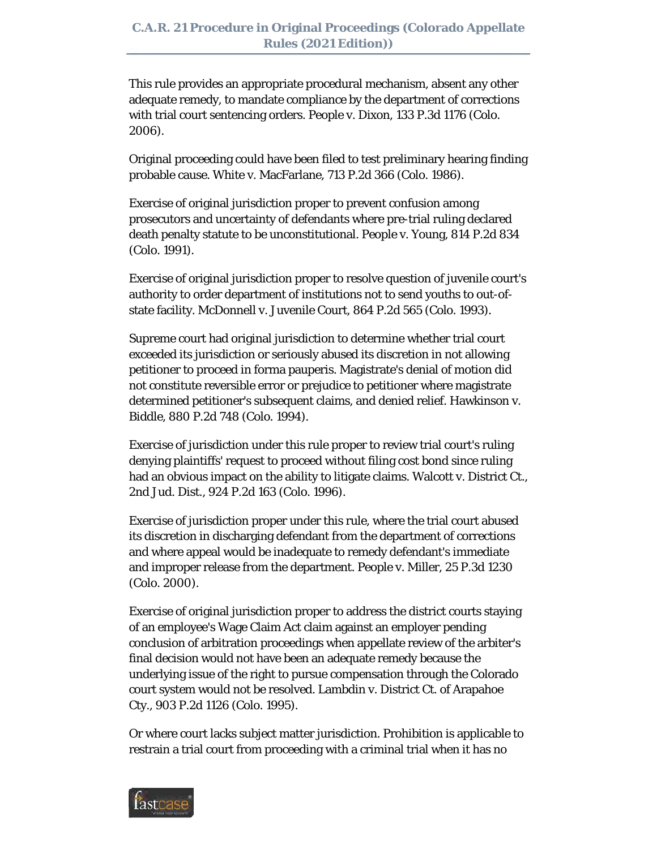This rule provides an appropriate procedural mechanism, absent any other adequate remedy, to mandate compliance by the department of corrections with trial court sentencing orders. People v. Dixon, 133 P.3d 1176 (Colo. 2006).

Original proceeding could have been filed to test preliminary hearing finding probable cause. White v. MacFarlane, 713 P.2d 366 (Colo. 1986).

Exercise of original jurisdiction proper to prevent confusion among prosecutors and uncertainty of defendants where pre-trial ruling declared death penalty statute to be unconstitutional. People v. Young, 814 P.2d 834 (Colo. 1991).

Exercise of original jurisdiction proper to resolve question of juvenile court's authority to order department of institutions not to send youths to out-ofstate facility. McDonnell v. Juvenile Court, 864 P.2d 565 (Colo. 1993).

Supreme court had original jurisdiction to determine whether trial court exceeded its jurisdiction or seriously abused its discretion in not allowing petitioner to proceed in forma pauperis. Magistrate's denial of motion did not constitute reversible error or prejudice to petitioner where magistrate determined petitioner's subsequent claims, and denied relief. Hawkinson v. Biddle, 880 P.2d 748 (Colo. 1994).

Exercise of jurisdiction under this rule proper to review trial court's ruling denying plaintiffs' request to proceed without filing cost bond since ruling had an obvious impact on the ability to litigate claims. Walcott v. District Ct., 2nd Jud. Dist., 924 P.2d 163 (Colo. 1996).

Exercise of jurisdiction proper under this rule, where the trial court abused its discretion in discharging defendant from the department of corrections and where appeal would be inadequate to remedy defendant's immediate and improper release from the department. People v. Miller, 25 P.3d 1230 (Colo. 2000).

Exercise of original jurisdiction proper to address the district courts staying of an employee's Wage Claim Act claim against an employer pending conclusion of arbitration proceedings when appellate review of the arbiter's final decision would not have been an adequate remedy because the underlying issue of the right to pursue compensation through the Colorado court system would not be resolved. Lambdin v. District Ct. of Arapahoe Cty., 903 P.2d 1126 (Colo. 1995).

Or where court lacks subject matter jurisdiction. Prohibition is applicable to restrain a trial court from proceeding with a criminal trial when it has no

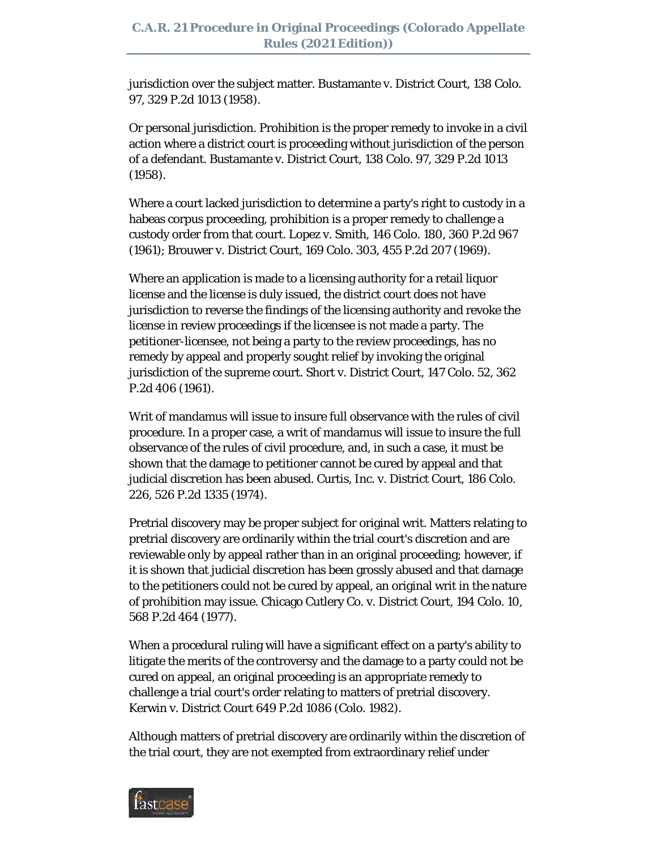jurisdiction over the subject matter. Bustamante v. District Court, 138 Colo. 97, 329 P.2d 1013 (1958).

Or personal jurisdiction. Prohibition is the proper remedy to invoke in a civil action where a district court is proceeding without jurisdiction of the person of a defendant. Bustamante v. District Court, 138 Colo. 97, 329 P.2d 1013 (1958).

Where a court lacked jurisdiction to determine a party's right to custody in a habeas corpus proceeding, prohibition is a proper remedy to challenge a custody order from that court. Lopez v. Smith, 146 Colo. 180, 360 P.2d 967 (1961); Brouwer v. District Court, 169 Colo. 303, 455 P.2d 207 (1969).

Where an application is made to a licensing authority for a retail liquor license and the license is duly issued, the district court does not have jurisdiction to reverse the findings of the licensing authority and revoke the license in review proceedings if the licensee is not made a party. The petitioner-licensee, not being a party to the review proceedings, has no remedy by appeal and properly sought relief by invoking the original jurisdiction of the supreme court. Short v. District Court, 147 Colo. 52, 362 P.2d 406 (1961).

Writ of mandamus will issue to insure full observance with the rules of civil procedure. In a proper case, a writ of mandamus will issue to insure the full observance of the rules of civil procedure, and, in such a case, it must be shown that the damage to petitioner cannot be cured by appeal and that judicial discretion has been abused. Curtis, Inc. v. District Court, 186 Colo. 226, 526 P.2d 1335 (1974).

Pretrial discovery may be proper subject for original writ. Matters relating to pretrial discovery are ordinarily within the trial court's discretion and are reviewable only by appeal rather than in an original proceeding; however, if it is shown that judicial discretion has been grossly abused and that damage to the petitioners could not be cured by appeal, an original writ in the nature of prohibition may issue. Chicago Cutlery Co. v. District Court, 194 Colo. 10, 568 P.2d 464 (1977).

When a procedural ruling will have a significant effect on a party's ability to litigate the merits of the controversy and the damage to a party could not be cured on appeal, an original proceeding is an appropriate remedy to challenge a trial court's order relating to matters of pretrial discovery. Kerwin v. District Court 649 P.2d 1086 (Colo. 1982).

Although matters of pretrial discovery are ordinarily within the discretion of the trial court, they are not exempted from extraordinary relief under

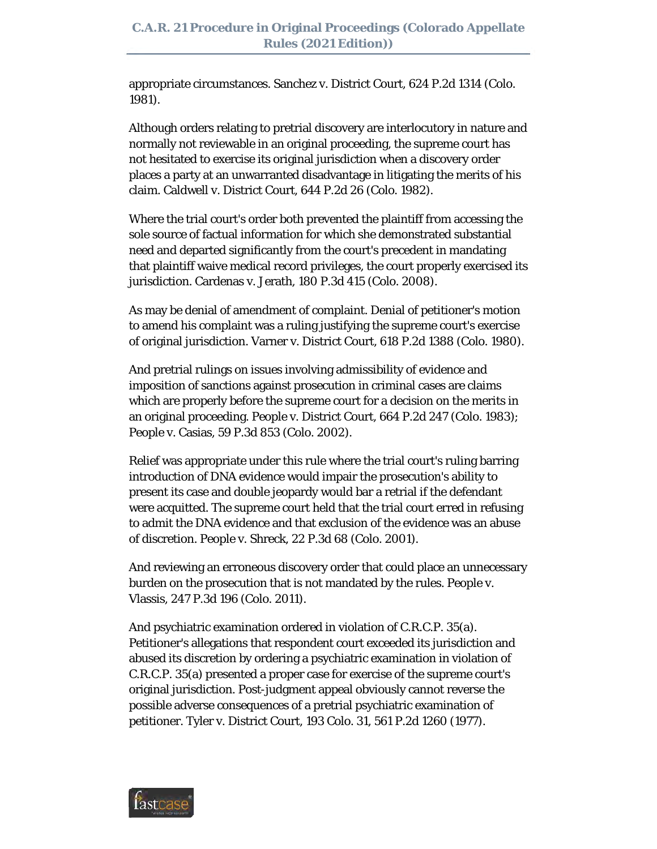appropriate circumstances. Sanchez v. District Court, 624 P.2d 1314 (Colo. 1981).

Although orders relating to pretrial discovery are interlocutory in nature and normally not reviewable in an original proceeding, the supreme court has not hesitated to exercise its original jurisdiction when a discovery order places a party at an unwarranted disadvantage in litigating the merits of his claim. Caldwell v. District Court, 644 P.2d 26 (Colo. 1982).

Where the trial court's order both prevented the plaintiff from accessing the sole source of factual information for which she demonstrated substantial need and departed significantly from the court's precedent in mandating that plaintiff waive medical record privileges, the court properly exercised its jurisdiction. Cardenas v. Jerath, 180 P.3d 415 (Colo. 2008).

As may be denial of amendment of complaint. Denial of petitioner's motion to amend his complaint was a ruling justifying the supreme court's exercise of original jurisdiction. Varner v. District Court, 618 P.2d 1388 (Colo. 1980).

And pretrial rulings on issues involving admissibility of evidence and imposition of sanctions against prosecution in criminal cases are claims which are properly before the supreme court for a decision on the merits in an original proceeding. People v. District Court, 664 P.2d 247 (Colo. 1983); People v. Casias, 59 P.3d 853 (Colo. 2002).

Relief was appropriate under this rule where the trial court's ruling barring introduction of DNA evidence would impair the prosecution's ability to present its case and double jeopardy would bar a retrial if the defendant were acquitted. The supreme court held that the trial court erred in refusing to admit the DNA evidence and that exclusion of the evidence was an abuse of discretion. People v. Shreck, 22 P.3d 68 (Colo. 2001).

And reviewing an erroneous discovery order that could place an unnecessary burden on the prosecution that is not mandated by the rules. People v. Vlassis, 247 P.3d 196 (Colo. 2011).

And psychiatric examination ordered in violation of C.R.C.P. 35(a). Petitioner's allegations that respondent court exceeded its jurisdiction and abused its discretion by ordering a psychiatric examination in violation of C.R.C.P. 35(a) presented a proper case for exercise of the supreme court's original jurisdiction. Post-judgment appeal obviously cannot reverse the possible adverse consequences of a pretrial psychiatric examination of petitioner. Tyler v. District Court, 193 Colo. 31, 561 P.2d 1260 (1977).

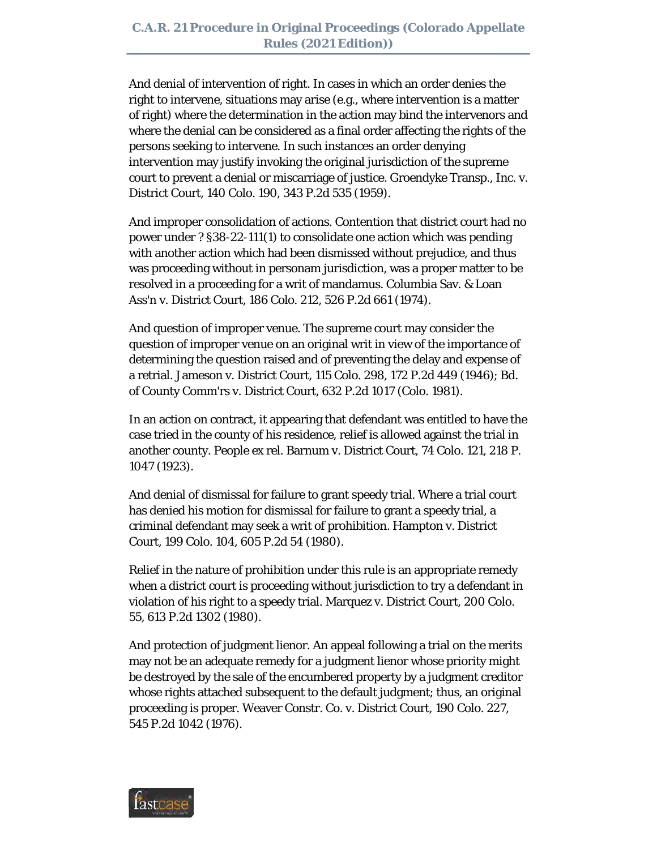And denial of intervention of right. In cases in which an order denies the right to intervene, situations may arise (e.g., where intervention is a matter of right) where the determination in the action may bind the intervenors and where the denial can be considered as a final order affecting the rights of the persons seeking to intervene. In such instances an order denying intervention may justify invoking the original jurisdiction of the supreme court to prevent a denial or miscarriage of justice. Groendyke Transp., Inc. v. District Court, 140 Colo. 190, 343 P.2d 535 (1959).

And improper consolidation of actions. Contention that district court had no power under ? §38-22-111(1) to consolidate one action which was pending with another action which had been dismissed without prejudice, and thus was proceeding without in personam jurisdiction, was a proper matter to be resolved in a proceeding for a writ of mandamus. Columbia Sav. & Loan Ass'n v. District Court, 186 Colo. 212, 526 P.2d 661 (1974).

And question of improper venue. The supreme court may consider the question of improper venue on an original writ in view of the importance of determining the question raised and of preventing the delay and expense of a retrial. Jameson v. District Court, 115 Colo. 298, 172 P.2d 449 (1946); Bd. of County Comm'rs v. District Court, 632 P.2d 1017 (Colo. 1981).

In an action on contract, it appearing that defendant was entitled to have the case tried in the county of his residence, relief is allowed against the trial in another county. People ex rel. Barnum v. District Court, 74 Colo. 121, 218 P. 1047 (1923).

And denial of dismissal for failure to grant speedy trial. Where a trial court has denied his motion for dismissal for failure to grant a speedy trial, a criminal defendant may seek a writ of prohibition. Hampton v. District Court, 199 Colo. 104, 605 P.2d 54 (1980).

Relief in the nature of prohibition under this rule is an appropriate remedy when a district court is proceeding without jurisdiction to try a defendant in violation of his right to a speedy trial. Marquez v. District Court, 200 Colo. 55, 613 P.2d 1302 (1980).

And protection of judgment lienor. An appeal following a trial on the merits may not be an adequate remedy for a judgment lienor whose priority might be destroyed by the sale of the encumbered property by a judgment creditor whose rights attached subsequent to the default judgment; thus, an original proceeding is proper. Weaver Constr. Co. v. District Court, 190 Colo. 227, 545 P.2d 1042 (1976).

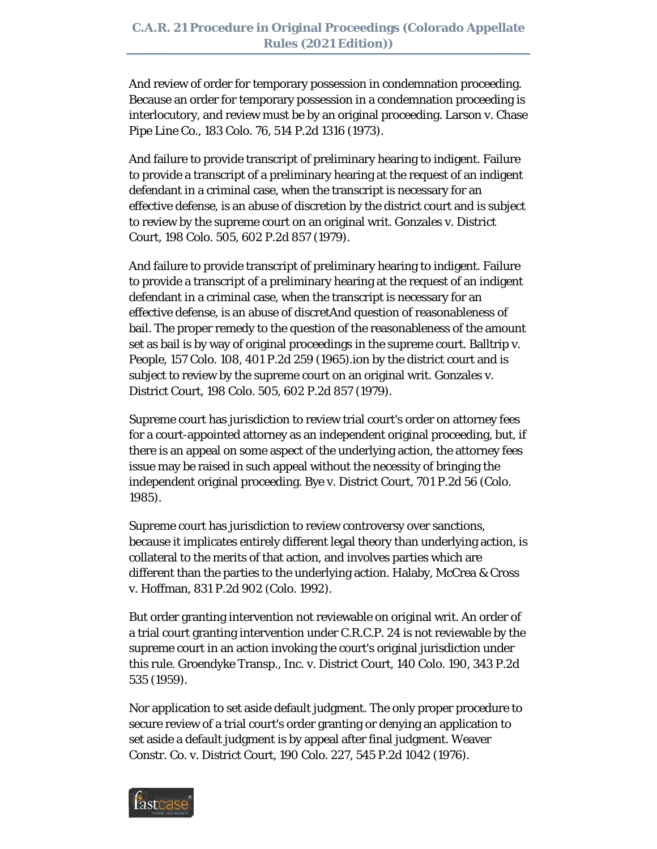And review of order for temporary possession in condemnation proceeding. Because an order for temporary possession in a condemnation proceeding is interlocutory, and review must be by an original proceeding. Larson v. Chase Pipe Line Co., 183 Colo. 76, 514 P.2d 1316 (1973).

And failure to provide transcript of preliminary hearing to indigent. Failure to provide a transcript of a preliminary hearing at the request of an indigent defendant in a criminal case, when the transcript is necessary for an effective defense, is an abuse of discretion by the district court and is subject to review by the supreme court on an original writ. Gonzales v. District Court, 198 Colo. 505, 602 P.2d 857 (1979).

And failure to provide transcript of preliminary hearing to indigent. Failure to provide a transcript of a preliminary hearing at the request of an indigent defendant in a criminal case, when the transcript is necessary for an effective defense, is an abuse of discretAnd question of reasonableness of bail. The proper remedy to the question of the reasonableness of the amount set as bail is by way of original proceedings in the supreme court. Balltrip v. People, 157 Colo. 108, 401 P.2d 259 (1965).ion by the district court and is subject to review by the supreme court on an original writ. Gonzales v. District Court, 198 Colo. 505, 602 P.2d 857 (1979).

Supreme court has jurisdiction to review trial court's order on attorney fees for a court-appointed attorney as an independent original proceeding, but, if there is an appeal on some aspect of the underlying action, the attorney fees issue may be raised in such appeal without the necessity of bringing the independent original proceeding. Bye v. District Court, 701 P.2d 56 (Colo. 1985).

Supreme court has jurisdiction to review controversy over sanctions, because it implicates entirely different legal theory than underlying action, is collateral to the merits of that action, and involves parties which are different than the parties to the underlying action. Halaby, McCrea & Cross v. Hoffman, 831 P.2d 902 (Colo. 1992).

But order granting intervention not reviewable on original writ. An order of a trial court granting intervention under C.R.C.P. 24 is not reviewable by the supreme court in an action invoking the court's original jurisdiction under this rule. Groendyke Transp., Inc. v. District Court, 140 Colo. 190, 343 P.2d 535 (1959).

Nor application to set aside default judgment. The only proper procedure to secure review of a trial court's order granting or denying an application to set aside a default judgment is by appeal after final judgment. Weaver Constr. Co. v. District Court, 190 Colo. 227, 545 P.2d 1042 (1976).

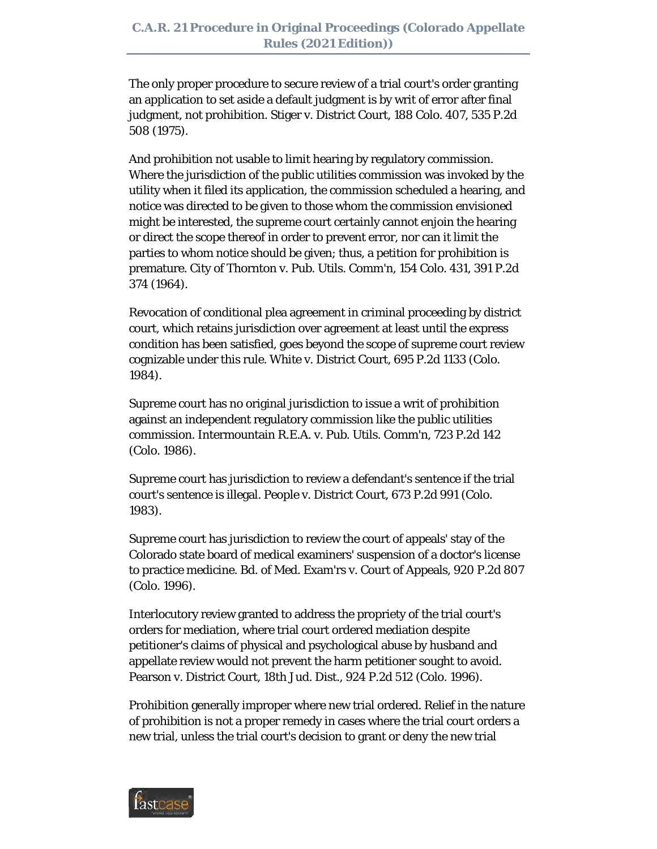The only proper procedure to secure review of a trial court's order granting an application to set aside a default judgment is by writ of error after final judgment, not prohibition. Stiger v. District Court, 188 Colo. 407, 535 P.2d 508 (1975).

And prohibition not usable to limit hearing by regulatory commission. Where the jurisdiction of the public utilities commission was invoked by the utility when it filed its application, the commission scheduled a hearing, and notice was directed to be given to those whom the commission envisioned might be interested, the supreme court certainly cannot enjoin the hearing or direct the scope thereof in order to prevent error, nor can it limit the parties to whom notice should be given; thus, a petition for prohibition is premature. City of Thornton v. Pub. Utils. Comm'n, 154 Colo. 431, 391 P.2d 374 (1964).

Revocation of conditional plea agreement in criminal proceeding by district court, which retains jurisdiction over agreement at least until the express condition has been satisfied, goes beyond the scope of supreme court review cognizable under this rule. White v. District Court, 695 P.2d 1133 (Colo. 1984).

Supreme court has no original jurisdiction to issue a writ of prohibition against an independent regulatory commission like the public utilities commission. Intermountain R.E.A. v. Pub. Utils. Comm'n, 723 P.2d 142 (Colo. 1986).

Supreme court has jurisdiction to review a defendant's sentence if the trial court's sentence is illegal. People v. District Court, 673 P.2d 991 (Colo. 1983).

Supreme court has jurisdiction to review the court of appeals' stay of the Colorado state board of medical examiners' suspension of a doctor's license to practice medicine. Bd. of Med. Exam'rs v. Court of Appeals, 920 P.2d 807 (Colo. 1996).

Interlocutory review granted to address the propriety of the trial court's orders for mediation, where trial court ordered mediation despite petitioner's claims of physical and psychological abuse by husband and appellate review would not prevent the harm petitioner sought to avoid. Pearson v. District Court, 18th Jud. Dist., 924 P.2d 512 (Colo. 1996).

Prohibition generally improper where new trial ordered. Relief in the nature of prohibition is not a proper remedy in cases where the trial court orders a new trial, unless the trial court's decision to grant or deny the new trial

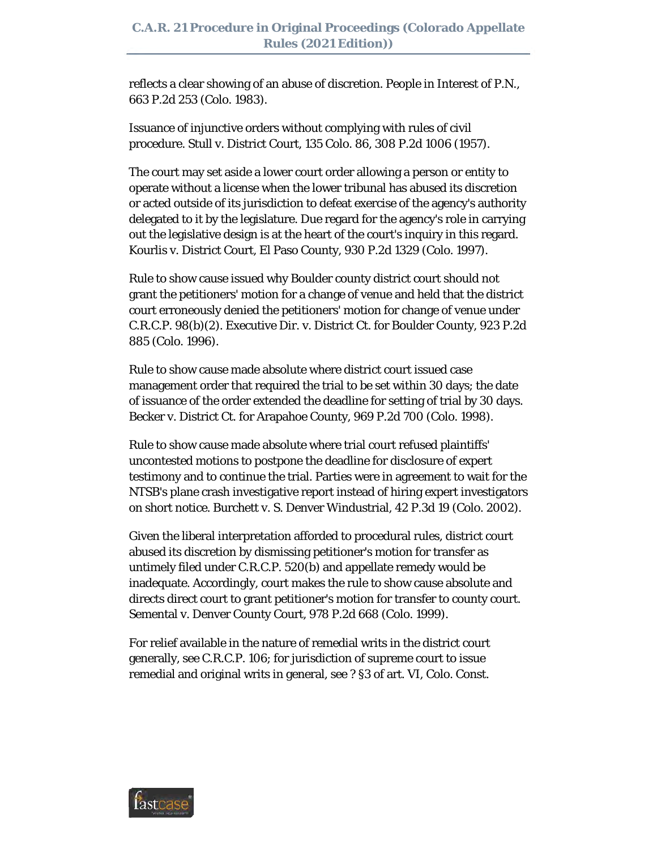reflects a clear showing of an abuse of discretion. People in Interest of P.N., 663 P.2d 253 (Colo. 1983).

Issuance of injunctive orders without complying with rules of civil procedure. Stull v. District Court, 135 Colo. 86, 308 P.2d 1006 (1957).

The court may set aside a lower court order allowing a person or entity to operate without a license when the lower tribunal has abused its discretion or acted outside of its jurisdiction to defeat exercise of the agency's authority delegated to it by the legislature. Due regard for the agency's role in carrying out the legislative design is at the heart of the court's inquiry in this regard. Kourlis v. District Court, El Paso County, 930 P.2d 1329 (Colo. 1997).

Rule to show cause issued why Boulder county district court should not grant the petitioners' motion for a change of venue and held that the district court erroneously denied the petitioners' motion for change of venue under C.R.C.P. 98(b)(2). Executive Dir. v. District Ct. for Boulder County, 923 P.2d 885 (Colo. 1996).

Rule to show cause made absolute where district court issued case management order that required the trial to be set within 30 days; the date of issuance of the order extended the deadline for setting of trial by 30 days. Becker v. District Ct. for Arapahoe County, 969 P.2d 700 (Colo. 1998).

Rule to show cause made absolute where trial court refused plaintiffs' uncontested motions to postpone the deadline for disclosure of expert testimony and to continue the trial. Parties were in agreement to wait for the NTSB's plane crash investigative report instead of hiring expert investigators on short notice. Burchett v. S. Denver Windustrial, 42 P.3d 19 (Colo. 2002).

Given the liberal interpretation afforded to procedural rules, district court abused its discretion by dismissing petitioner's motion for transfer as untimely filed under C.R.C.P. 520(b) and appellate remedy would be inadequate. Accordingly, court makes the rule to show cause absolute and directs direct court to grant petitioner's motion for transfer to county court. Semental v. Denver County Court, 978 P.2d 668 (Colo. 1999).

For relief available in the nature of remedial writs in the district court generally, see C.R.C.P. 106; for jurisdiction of supreme court to issue remedial and original writs in general, see ? §3 of art. VI, Colo. Const.

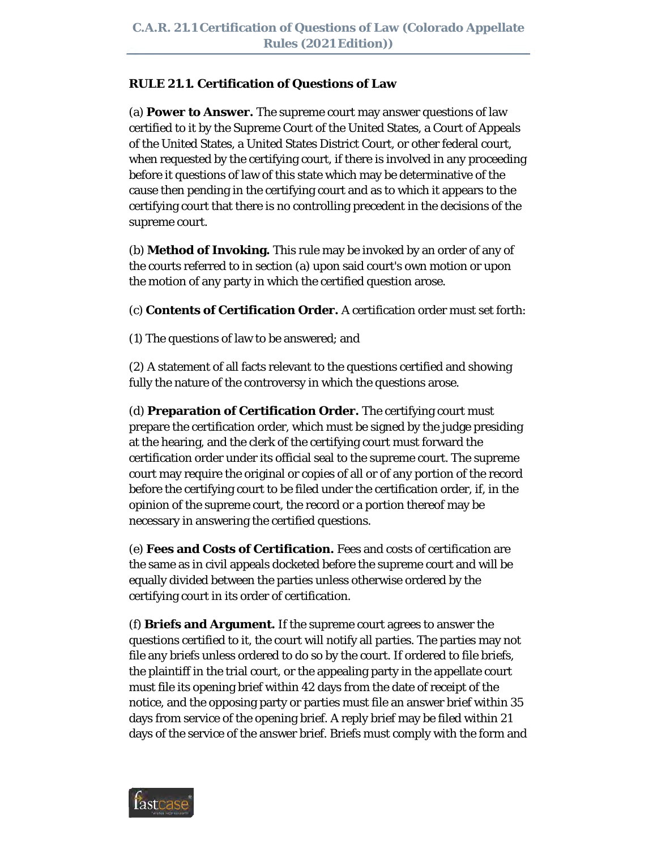# **RULE 21.1. Certification of Questions of Law**

(a) **Power to Answer.** The supreme court may answer questions of law certified to it by the Supreme Court of the United States, a Court of Appeals of the United States, a United States District Court, or other federal court, when requested by the certifying court, if there is involved in any proceeding before it questions of law of this state which may be determinative of the cause then pending in the certifying court and as to which it appears to the certifying court that there is no controlling precedent in the decisions of the supreme court.

(b) **Method of Invoking.** This rule may be invoked by an order of any of the courts referred to in section (a) upon said court's own motion or upon the motion of any party in which the certified question arose.

(c) **Contents of Certification Order.** A certification order must set forth:

(1) The questions of law to be answered; and

(2) A statement of all facts relevant to the questions certified and showing fully the nature of the controversy in which the questions arose.

(d) **Preparation of Certification Order.** The certifying court must prepare the certification order, which must be signed by the judge presiding at the hearing, and the clerk of the certifying court must forward the certification order under its official seal to the supreme court. The supreme court may require the original or copies of all or of any portion of the record before the certifying court to be filed under the certification order, if, in the opinion of the supreme court, the record or a portion thereof may be necessary in answering the certified questions.

(e) **Fees and Costs of Certification.** Fees and costs of certification are the same as in civil appeals docketed before the supreme court and will be equally divided between the parties unless otherwise ordered by the certifying court in its order of certification.

(f) **Briefs and Argument.** If the supreme court agrees to answer the questions certified to it, the court will notify all parties. The parties may not file any briefs unless ordered to do so by the court. If ordered to file briefs, the plaintiff in the trial court, or the appealing party in the appellate court must file its opening brief within 42 days from the date of receipt of the notice, and the opposing party or parties must file an answer brief within 35 days from service of the opening brief. A reply brief may be filed within 21 days of the service of the answer brief. Briefs must comply with the form and

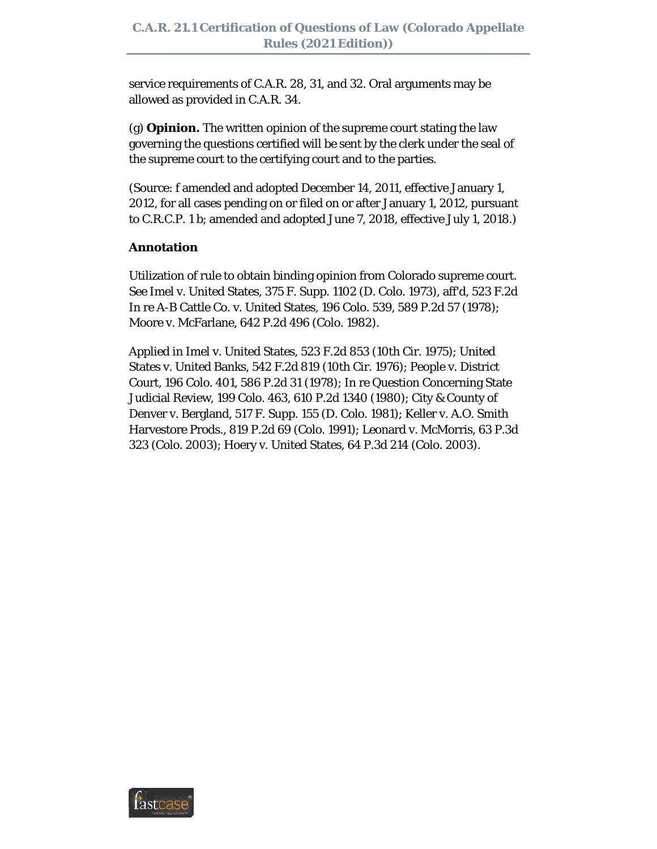service requirements of C.A.R. 28, 31, and 32. Oral arguments may be allowed as provided in C.A.R. 34.

(g) **Opinion.** The written opinion of the supreme court stating the law governing the questions certified will be sent by the clerk under the seal of the supreme court to the certifying court and to the parties.

(Source: f amended and adopted December 14, 2011, effective January 1, 2012, for all cases pending on or filed on or after January 1, 2012, pursuant to C.R.C.P. 1 b; amended and adopted June 7, 2018, effective July 1, 2018.)

### **Annotation**

Utilization of rule to obtain binding opinion from Colorado supreme court. See Imel v. United States, 375 F. Supp. 1102 (D. Colo. 1973), aff'd, 523 F.2d In re A-B Cattle Co. v. United States, 196 Colo. 539, 589 P.2d 57 (1978); Moore v. McFarlane, 642 P.2d 496 (Colo. 1982).

Applied in Imel v. United States, 523 F.2d 853 (10th Cir. 1975); United States v. United Banks, 542 F.2d 819 (10th Cir. 1976); People v. District Court, 196 Colo. 401, 586 P.2d 31 (1978); In re Question Concerning State Judicial Review, 199 Colo. 463, 610 P.2d 1340 (1980); City & County of Denver v. Bergland, 517 F. Supp. 155 (D. Colo. 1981); Keller v. A.O. Smith Harvestore Prods., 819 P.2d 69 (Colo. 1991); Leonard v. McMorris, 63 P.3d 323 (Colo. 2003); Hoery v. United States, 64 P.3d 214 (Colo. 2003).

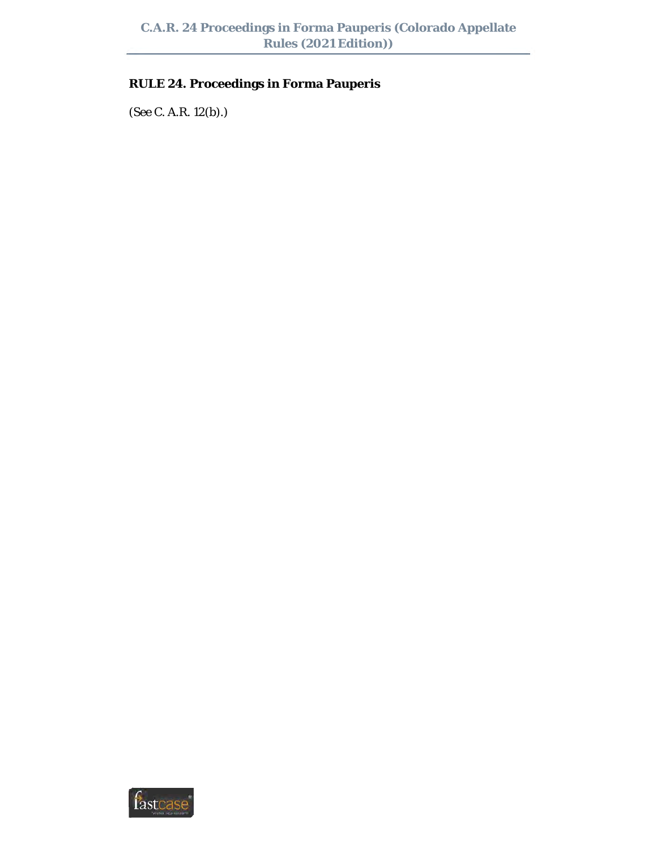# **RULE 24. Proceedings in Forma Pauperis**

(See C. A.R. 12(b).)

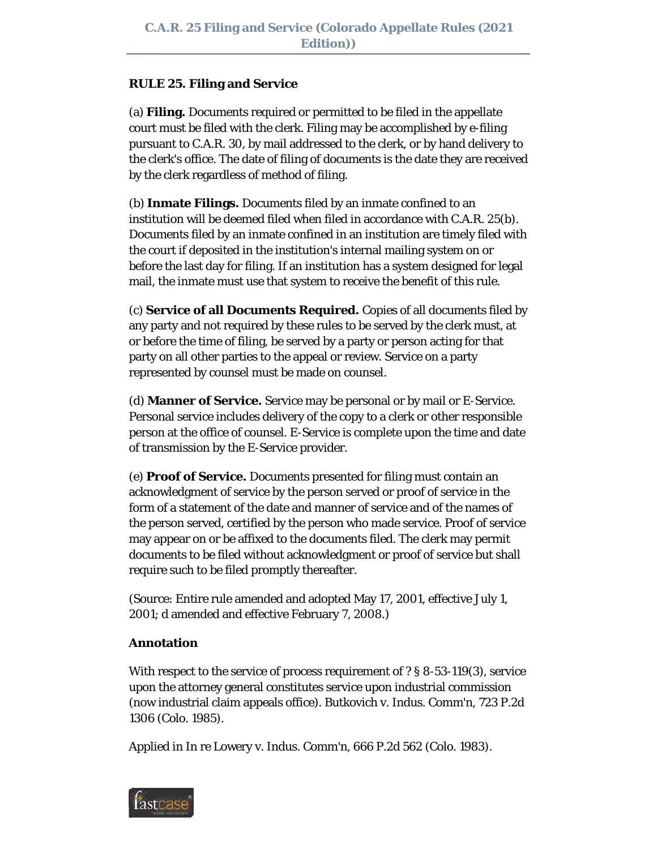### **RULE 25. Filing and Service**

(a) **Filing.** Documents required or permitted to be filed in the appellate court must be filed with the clerk. Filing may be accomplished by e-filing pursuant to C.A.R. 30, by mail addressed to the clerk, or by hand delivery to the clerk's office. The date of filing of documents is the date they are received by the clerk regardless of method of filing.

(b) **Inmate Filings.** Documents filed by an inmate confined to an institution will be deemed filed when filed in accordance with C.A.R. 25(b). Documents filed by an inmate confined in an institution are timely filed with the court if deposited in the institution's internal mailing system on or before the last day for filing. If an institution has a system designed for legal mail, the inmate must use that system to receive the benefit of this rule.

(c) **Service of all Documents Required.** Copies of all documents filed by any party and not required by these rules to be served by the clerk must, at or before the time of filing, be served by a party or person acting for that party on all other parties to the appeal or review. Service on a party represented by counsel must be made on counsel.

(d) **Manner of Service.** Service may be personal or by mail or E-Service. Personal service includes delivery of the copy to a clerk or other responsible person at the office of counsel. E-Service is complete upon the time and date of transmission by the E-Service provider.

(e) **Proof of Service.** Documents presented for filing must contain an acknowledgment of service by the person served or proof of service in the form of a statement of the date and manner of service and of the names of the person served, certified by the person who made service. Proof of service may appear on or be affixed to the documents filed. The clerk may permit documents to be filed without acknowledgment or proof of service but shall require such to be filed promptly thereafter.

(Source: Entire rule amended and adopted May 17, 2001, effective July 1, 2001; d amended and effective February 7, 2008.)

#### **Annotation**

With respect to the service of process requirement of ? § 8-53-119(3), service upon the attorney general constitutes service upon industrial commission (now industrial claim appeals office). Butkovich v. Indus. Comm'n, 723 P.2d 1306 (Colo. 1985).

Applied in In re Lowery v. Indus. Comm'n, 666 P.2d 562 (Colo. 1983).

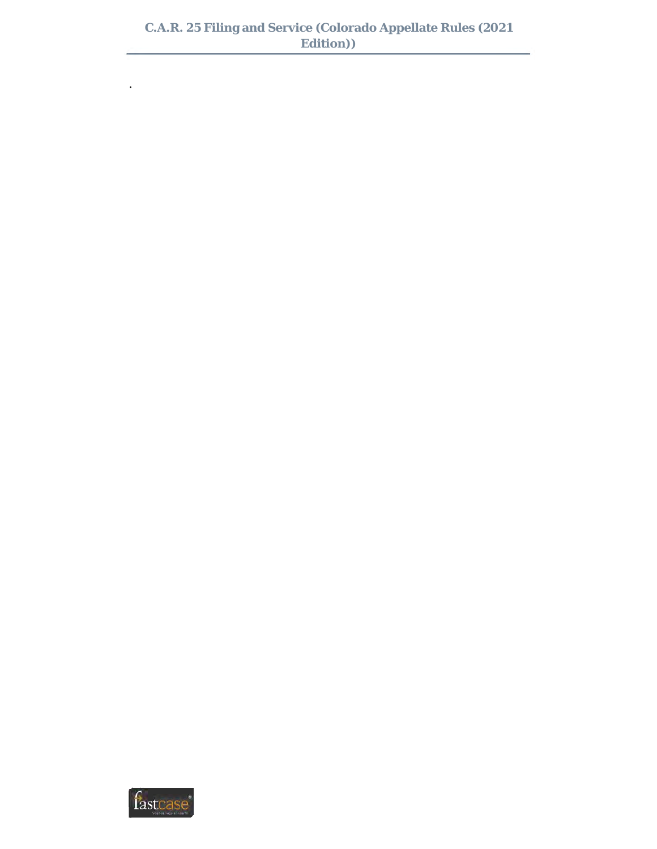

.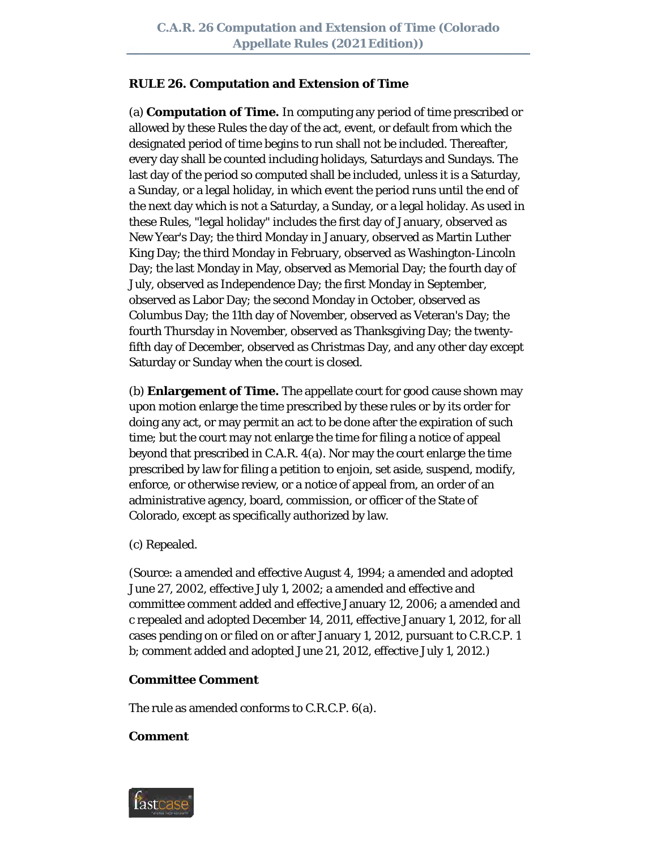# **RULE 26. Computation and Extension of Time**

(a) **Computation of Time.** In computing any period of time prescribed or allowed by these Rules the day of the act, event, or default from which the designated period of time begins to run shall not be included. Thereafter, every day shall be counted including holidays, Saturdays and Sundays. The last day of the period so computed shall be included, unless it is a Saturday, a Sunday, or a legal holiday, in which event the period runs until the end of the next day which is not a Saturday, a Sunday, or a legal holiday. As used in these Rules, "legal holiday" includes the first day of January, observed as New Year's Day; the third Monday in January, observed as Martin Luther King Day; the third Monday in February, observed as Washington-Lincoln Day; the last Monday in May, observed as Memorial Day; the fourth day of July, observed as Independence Day; the first Monday in September, observed as Labor Day; the second Monday in October, observed as Columbus Day; the 11th day of November, observed as Veteran's Day; the fourth Thursday in November, observed as Thanksgiving Day; the twentyfifth day of December, observed as Christmas Day, and any other day except Saturday or Sunday when the court is closed.

(b) **Enlargement of Time.** The appellate court for good cause shown may upon motion enlarge the time prescribed by these rules or by its order for doing any act, or may permit an act to be done after the expiration of such time; but the court may not enlarge the time for filing a notice of appeal beyond that prescribed in C.A.R. 4(a). Nor may the court enlarge the time prescribed by law for filing a petition to enjoin, set aside, suspend, modify, enforce, or otherwise review, or a notice of appeal from, an order of an administrative agency, board, commission, or officer of the State of Colorado, except as specifically authorized by law.

## (c) Repealed.

(Source: a amended and effective August 4, 1994; a amended and adopted June 27, 2002, effective July 1, 2002; a amended and effective and committee comment added and effective January 12, 2006; a amended and c repealed and adopted December 14, 2011, effective January 1, 2012, for all cases pending on or filed on or after January 1, 2012, pursuant to C.R.C.P. 1 b; comment added and adopted June 21, 2012, effective July 1, 2012.)

#### **Committee Comment**

The rule as amended conforms to C.R.C.P. 6(a).

**Comment**

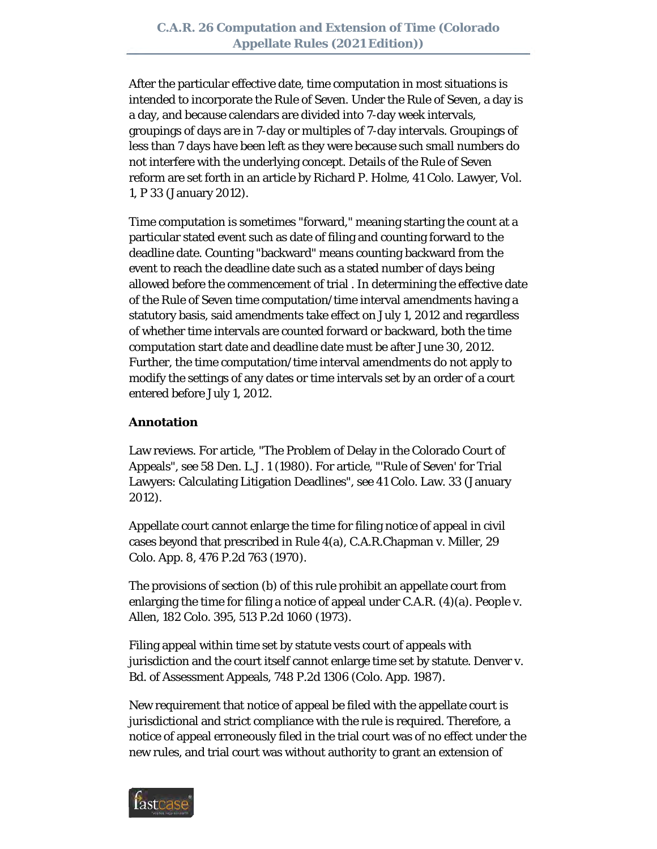After the particular effective date, time computation in most situations is intended to incorporate the Rule of Seven. Under the Rule of Seven, a day is a day, and because calendars are divided into 7-day week intervals, groupings of days are in 7-day or multiples of 7-day intervals. Groupings of less than 7 days have been left as they were because such small numbers do not interfere with the underlying concept. Details of the Rule of Seven reform are set forth in an article by Richard P. Holme, 41 Colo. Lawyer, Vol. 1, P 33 (January 2012).

Time computation is sometimes "forward," meaning starting the count at a particular stated event such as date of filing and counting forward to the deadline date. Counting "backward" means counting backward from the event to reach the deadline date such as a stated number of days being allowed before the commencement of trial . In determining the effective date of the Rule of Seven time computation/time interval amendments having a statutory basis, said amendments take effect on July 1, 2012 and regardless of whether time intervals are counted forward or backward, both the time computation start date and deadline date must be after June 30, 2012. Further, the time computation/time interval amendments do not apply to modify the settings of any dates or time intervals set by an order of a court entered before July 1, 2012.

## **Annotation**

Law reviews. For article, "The Problem of Delay in the Colorado Court of Appeals", see 58 Den. L.J. 1 (1980). For article, "'Rule of Seven' for Trial Lawyers: Calculating Litigation Deadlines", see 41 Colo. Law. 33 (January 2012).

Appellate court cannot enlarge the time for filing notice of appeal in civil cases beyond that prescribed in Rule 4(a), C.A.R.Chapman v. Miller, 29 Colo. App. 8, 476 P.2d 763 (1970).

The provisions of section (b) of this rule prohibit an appellate court from enlarging the time for filing a notice of appeal under C.A.R. (4)(a). People v. Allen, 182 Colo. 395, 513 P.2d 1060 (1973).

Filing appeal within time set by statute vests court of appeals with jurisdiction and the court itself cannot enlarge time set by statute. Denver v. Bd. of Assessment Appeals, 748 P.2d 1306 (Colo. App. 1987).

New requirement that notice of appeal be filed with the appellate court is jurisdictional and strict compliance with the rule is required. Therefore, a notice of appeal erroneously filed in the trial court was of no effect under the new rules, and trial court was without authority to grant an extension of

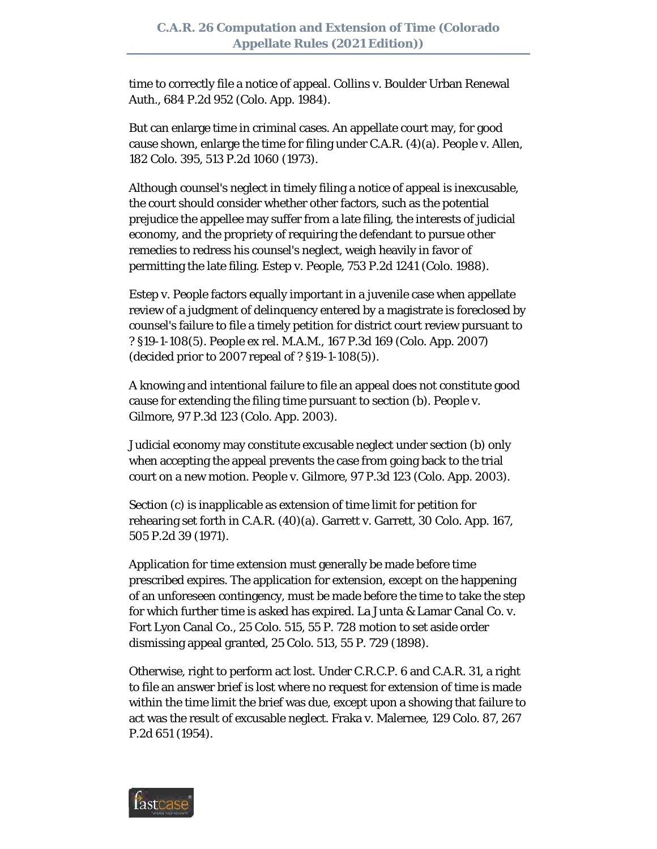time to correctly file a notice of appeal. Collins v. Boulder Urban Renewal Auth., 684 P.2d 952 (Colo. App. 1984).

But can enlarge time in criminal cases. An appellate court may, for good cause shown, enlarge the time for filing under C.A.R. (4)(a). People v. Allen, 182 Colo. 395, 513 P.2d 1060 (1973).

Although counsel's neglect in timely filing a notice of appeal is inexcusable, the court should consider whether other factors, such as the potential prejudice the appellee may suffer from a late filing, the interests of judicial economy, and the propriety of requiring the defendant to pursue other remedies to redress his counsel's neglect, weigh heavily in favor of permitting the late filing. Estep v. People, 753 P.2d 1241 (Colo. 1988).

Estep v. People factors equally important in a juvenile case when appellate review of a judgment of delinquency entered by a magistrate is foreclosed by counsel's failure to file a timely petition for district court review pursuant to ? §19-1-108(5). People ex rel. M.A.M., 167 P.3d 169 (Colo. App. 2007) (decided prior to 2007 repeal of ? §19-1-108(5)).

A knowing and intentional failure to file an appeal does not constitute good cause for extending the filing time pursuant to section (b). People v. Gilmore, 97 P.3d 123 (Colo. App. 2003).

Judicial economy may constitute excusable neglect under section (b) only when accepting the appeal prevents the case from going back to the trial court on a new motion. People v. Gilmore, 97 P.3d 123 (Colo. App. 2003).

Section (c) is inapplicable as extension of time limit for petition for rehearing set forth in C.A.R. (40)(a). Garrett v. Garrett, 30 Colo. App. 167, 505 P.2d 39 (1971).

Application for time extension must generally be made before time prescribed expires. The application for extension, except on the happening of an unforeseen contingency, must be made before the time to take the step for which further time is asked has expired. La Junta & Lamar Canal Co. v. Fort Lyon Canal Co., 25 Colo. 515, 55 P. 728 motion to set aside order dismissing appeal granted, 25 Colo. 513, 55 P. 729 (1898).

Otherwise, right to perform act lost. Under C.R.C.P. 6 and C.A.R. 31, a right to file an answer brief is lost where no request for extension of time is made within the time limit the brief was due, except upon a showing that failure to act was the result of excusable neglect. Fraka v. Malernee, 129 Colo. 87, 267 P.2d 651 (1954).

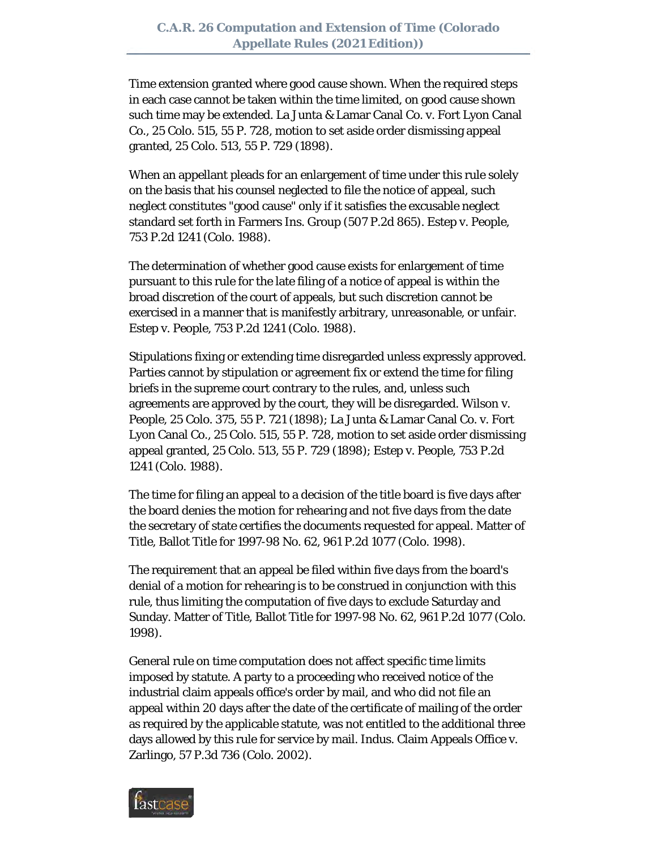Time extension granted where good cause shown. When the required steps in each case cannot be taken within the time limited, on good cause shown such time may be extended. La Junta & Lamar Canal Co. v. Fort Lyon Canal Co., 25 Colo. 515, 55 P. 728, motion to set aside order dismissing appeal granted, 25 Colo. 513, 55 P. 729 (1898).

When an appellant pleads for an enlargement of time under this rule solely on the basis that his counsel neglected to file the notice of appeal, such neglect constitutes "good cause" only if it satisfies the excusable neglect standard set forth in Farmers Ins. Group (507 P.2d 865). Estep v. People, 753 P.2d 1241 (Colo. 1988).

The determination of whether good cause exists for enlargement of time pursuant to this rule for the late filing of a notice of appeal is within the broad discretion of the court of appeals, but such discretion cannot be exercised in a manner that is manifestly arbitrary, unreasonable, or unfair. Estep v. People, 753 P.2d 1241 (Colo. 1988).

Stipulations fixing or extending time disregarded unless expressly approved. Parties cannot by stipulation or agreement fix or extend the time for filing briefs in the supreme court contrary to the rules, and, unless such agreements are approved by the court, they will be disregarded. Wilson v. People, 25 Colo. 375, 55 P. 721 (1898); La Junta & Lamar Canal Co. v. Fort Lyon Canal Co., 25 Colo. 515, 55 P. 728, motion to set aside order dismissing appeal granted, 25 Colo. 513, 55 P. 729 (1898); Estep v. People, 753 P.2d 1241 (Colo. 1988).

The time for filing an appeal to a decision of the title board is five days after the board denies the motion for rehearing and not five days from the date the secretary of state certifies the documents requested for appeal. Matter of Title, Ballot Title for 1997-98 No. 62, 961 P.2d 1077 (Colo. 1998).

The requirement that an appeal be filed within five days from the board's denial of a motion for rehearing is to be construed in conjunction with this rule, thus limiting the computation of five days to exclude Saturday and Sunday. Matter of Title, Ballot Title for 1997-98 No. 62, 961 P.2d 1077 (Colo. 1998).

General rule on time computation does not affect specific time limits imposed by statute. A party to a proceeding who received notice of the industrial claim appeals office's order by mail, and who did not file an appeal within 20 days after the date of the certificate of mailing of the order as required by the applicable statute, was not entitled to the additional three days allowed by this rule for service by mail. Indus. Claim Appeals Office v. Zarlingo, 57 P.3d 736 (Colo. 2002).

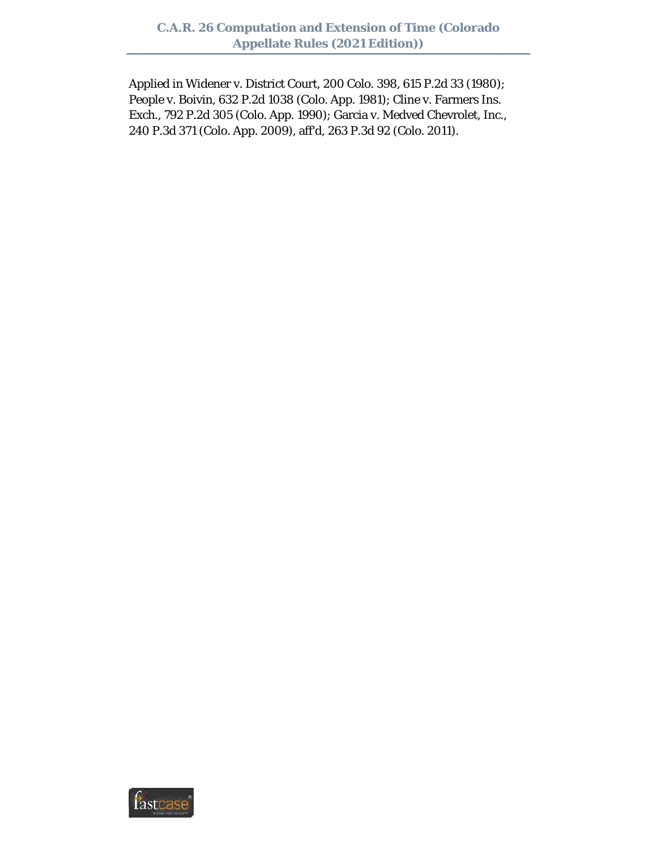Applied in Widener v. District Court, 200 Colo. 398, 615 P.2d 33 (1980); People v. Boivin, 632 P.2d 1038 (Colo. App. 1981); Cline v. Farmers Ins. Exch., 792 P.2d 305 (Colo. App. 1990); Garcia v. Medved Chevrolet, Inc., 240 P.3d 371 (Colo. App. 2009), aff'd, 263 P.3d 92 (Colo. 2011).

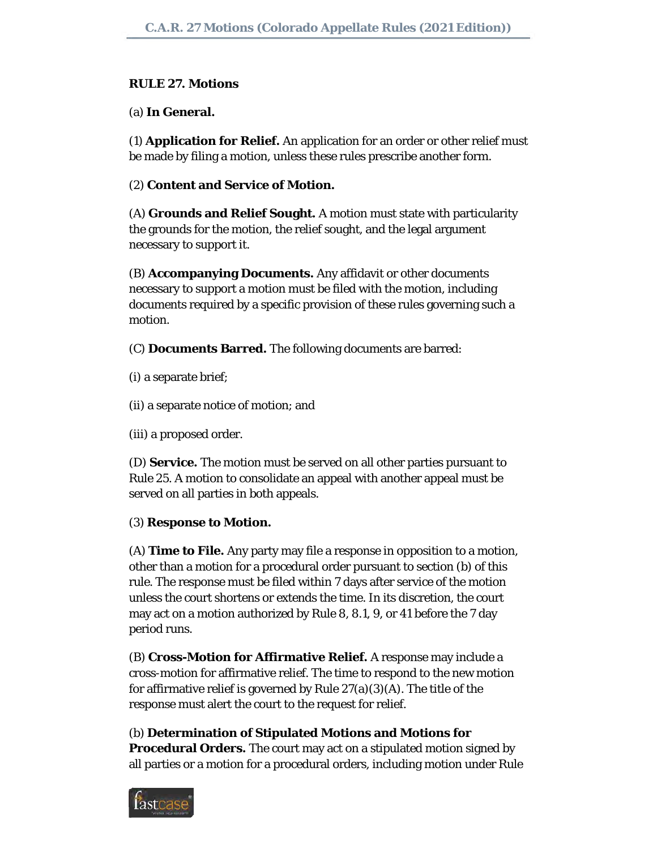#### **RULE 27. Motions**

(a) **In General.**

(1) **Application for Relief.** An application for an order or other relief must be made by filing a motion, unless these rules prescribe another form.

(2) **Content and Service of Motion.**

(A) **Grounds and Relief Sought.** A motion must state with particularity the grounds for the motion, the relief sought, and the legal argument necessary to support it.

(B) **Accompanying Documents.** Any affidavit or other documents necessary to support a motion must be filed with the motion, including documents required by a specific provision of these rules governing such a motion.

(C) **Documents Barred.** The following documents are barred:

(i) a separate brief;

(ii) a separate notice of motion; and

(iii) a proposed order.

(D) **Service.** The motion must be served on all other parties pursuant to Rule 25. A motion to consolidate an appeal with another appeal must be served on all parties in both appeals.

(3) **Response to Motion.**

(A) **Time to File.** Any party may file a response in opposition to a motion, other than a motion for a procedural order pursuant to section (b) of this rule. The response must be filed within 7 days after service of the motion unless the court shortens or extends the time. In its discretion, the court may act on a motion authorized by Rule 8, 8.1, 9, or 41 before the 7 day period runs.

(B) **Cross-Motion for Affirmative Relief.** A response may include a cross-motion for affirmative relief. The time to respond to the new motion for affirmative relief is governed by Rule 27(a)(3)(A). The title of the response must alert the court to the request for relief.

(b) **Determination of Stipulated Motions and Motions for Procedural Orders.** The court may act on a stipulated motion signed by all parties or a motion for a procedural orders, including motion under Rule

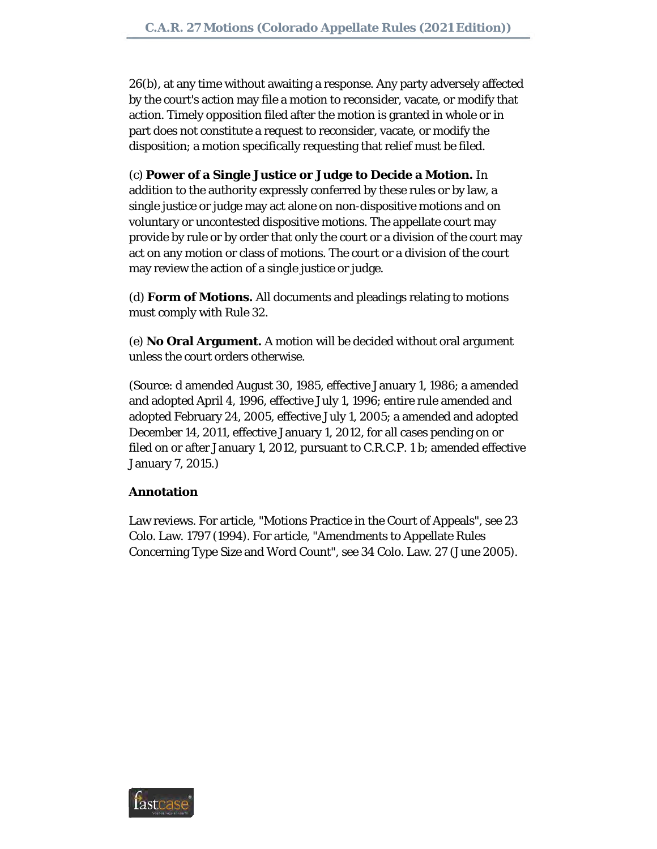26(b), at any time without awaiting a response. Any party adversely affected by the court's action may file a motion to reconsider, vacate, or modify that action. Timely opposition filed after the motion is granted in whole or in part does not constitute a request to reconsider, vacate, or modify the disposition; a motion specifically requesting that relief must be filed.

(c) **Power of a Single Justice or Judge to Decide a Motion.** In addition to the authority expressly conferred by these rules or by law, a single justice or judge may act alone on non-dispositive motions and on voluntary or uncontested dispositive motions. The appellate court may provide by rule or by order that only the court or a division of the court may act on any motion or class of motions. The court or a division of the court may review the action of a single justice or judge.

(d) **Form of Motions.** All documents and pleadings relating to motions must comply with Rule 32.

(e) **No Oral Argument.** A motion will be decided without oral argument unless the court orders otherwise.

(Source: d amended August 30, 1985, effective January 1, 1986; a amended and adopted April 4, 1996, effective July 1, 1996; entire rule amended and adopted February 24, 2005, effective July 1, 2005; a amended and adopted December 14, 2011, effective January 1, 2012, for all cases pending on or filed on or after January 1, 2012, pursuant to C.R.C.P. 1 b; amended effective January 7, 2015.)

**Annotation**

Law reviews. For article, "Motions Practice in the Court of Appeals", see 23 Colo. Law. 1797 (1994). For article, "Amendments to Appellate Rules Concerning Type Size and Word Count", see 34 Colo. Law. 27 (June 2005).

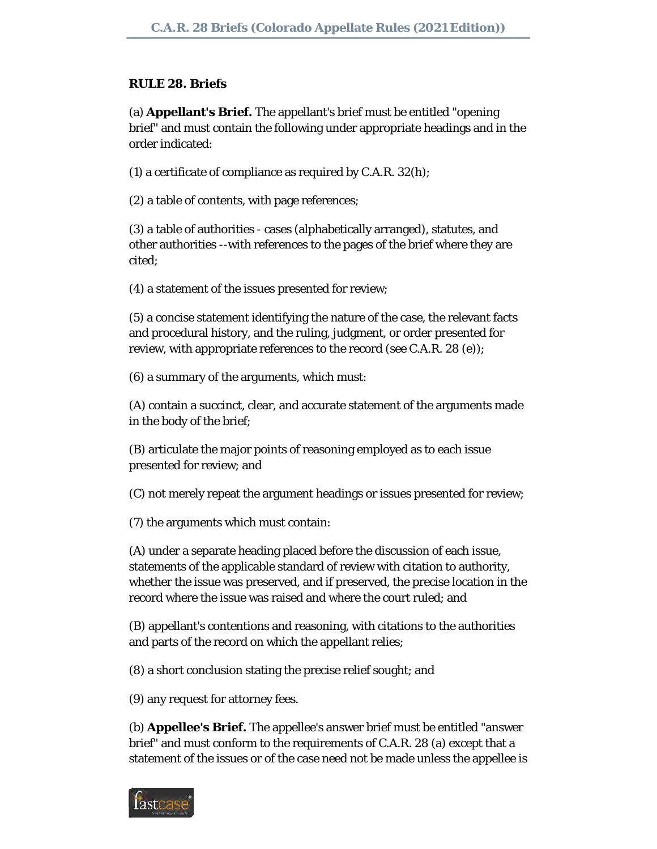#### **RULE 28. Briefs**

(a) **Appellant's Brief.** The appellant's brief must be entitled "opening brief" and must contain the following under appropriate headings and in the order indicated:

(1) a certificate of compliance as required by C.A.R. 32(h);

(2) a table of contents, with page references;

(3) a table of authorities - cases (alphabetically arranged), statutes, and other authorities --with references to the pages of the brief where they are cited;

(4) a statement of the issues presented for review;

(5) a concise statement identifying the nature of the case, the relevant facts and procedural history, and the ruling, judgment, or order presented for review, with appropriate references to the record (see C.A.R. 28 (e));

(6) a summary of the arguments, which must:

(A) contain a succinct, clear, and accurate statement of the arguments made in the body of the brief;

(B) articulate the major points of reasoning employed as to each issue presented for review; and

(C) not merely repeat the argument headings or issues presented for review;

(7) the arguments which must contain:

(A) under a separate heading placed before the discussion of each issue, statements of the applicable standard of review with citation to authority, whether the issue was preserved, and if preserved, the precise location in the record where the issue was raised and where the court ruled; and

(B) appellant's contentions and reasoning, with citations to the authorities and parts of the record on which the appellant relies;

(8) a short conclusion stating the precise relief sought; and

(9) any request for attorney fees.

(b) **Appellee's Brief.** The appellee's answer brief must be entitled "answer brief" and must conform to the requirements of C.A.R. 28 (a) except that a statement of the issues or of the case need not be made unless the appellee is

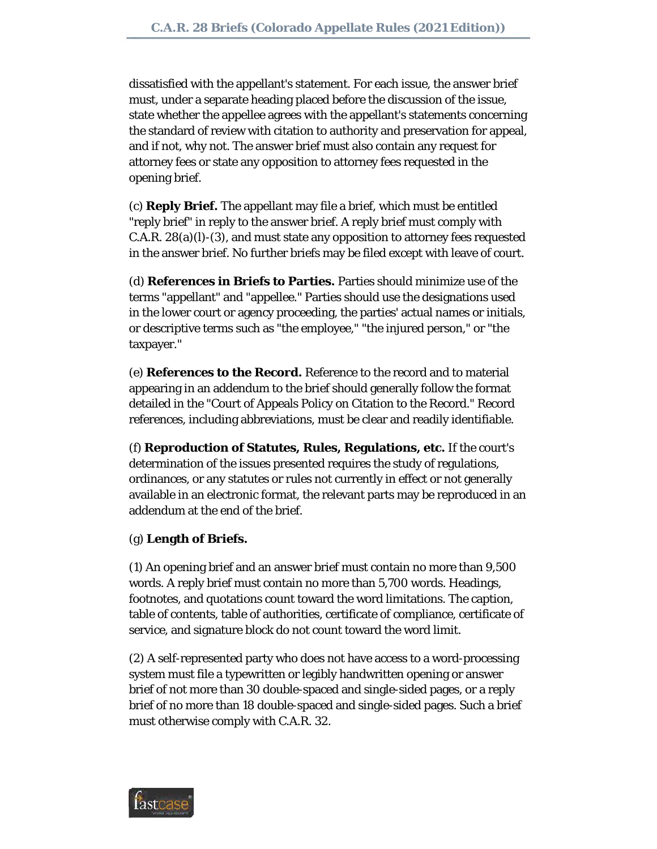dissatisfied with the appellant's statement. For each issue, the answer brief must, under a separate heading placed before the discussion of the issue, state whether the appellee agrees with the appellant's statements concerning the standard of review with citation to authority and preservation for appeal, and if not, why not. The answer brief must also contain any request for attorney fees or state any opposition to attorney fees requested in the opening brief.

(c) **Reply Brief.** The appellant may file a brief, which must be entitled "reply brief" in reply to the answer brief. A reply brief must comply with C.A.R. 28(a)(l)-(3), and must state any opposition to attorney fees requested in the answer brief. No further briefs may be filed except with leave of court.

(d) **References in Briefs to Parties.** Parties should minimize use of the terms "appellant" and "appellee." Parties should use the designations used in the lower court or agency proceeding, the parties' actual names or initials, or descriptive terms such as "the employee," "the injured person," or "the taxpayer."

(e) **References to the Record.** Reference to the record and to material appearing in an addendum to the brief should generally follow the format detailed in the "Court of Appeals Policy on Citation to the Record." Record references, including abbreviations, must be clear and readily identifiable.

(f) **Reproduction of Statutes, Rules, Regulations, etc.** If the court's determination of the issues presented requires the study of regulations, ordinances, or any statutes or rules not currently in effect or not generally available in an electronic format, the relevant parts may be reproduced in an addendum at the end of the brief.

(g) **Length of Briefs.**

(1) An opening brief and an answer brief must contain no more than 9,500 words. A reply brief must contain no more than 5,700 words. Headings, footnotes, and quotations count toward the word limitations. The caption, table of contents, table of authorities, certificate of compliance, certificate of service, and signature block do not count toward the word limit.

(2) A self-represented party who does not have access to a word-processing system must file a typewritten or legibly handwritten opening or answer brief of not more than 30 double-spaced and single-sided pages, or a reply brief of no more than 18 double-spaced and single-sided pages. Such a brief must otherwise comply with C.A.R. 32.

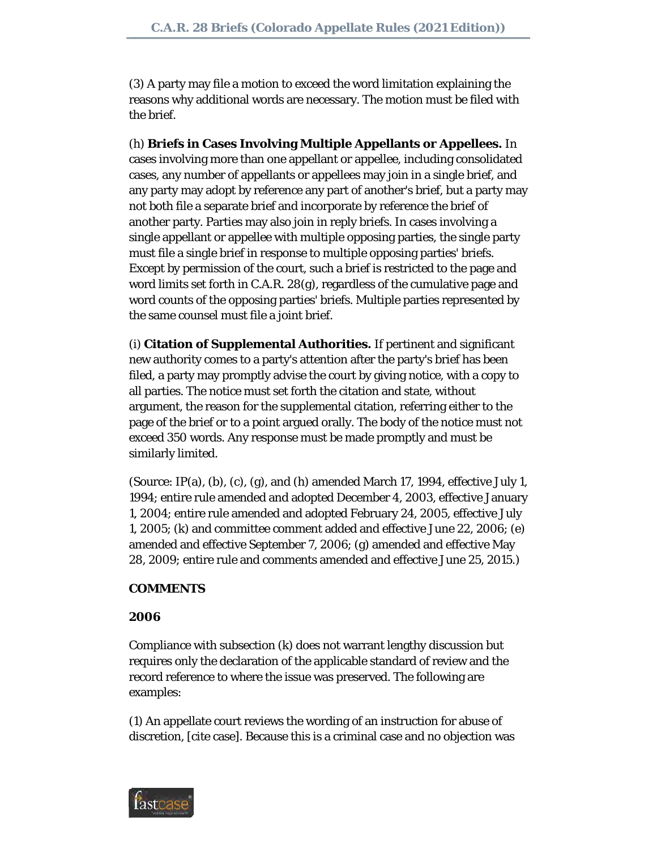(3) A party may file a motion to exceed the word limitation explaining the reasons why additional words are necessary. The motion must be filed with the brief.

(h) **Briefs in Cases Involving Multiple Appellants or Appellees.** In cases involving more than one appellant or appellee, including consolidated cases, any number of appellants or appellees may join in a single brief, and any party may adopt by reference any part of another's brief, but a party may not both file a separate brief and incorporate by reference the brief of another party. Parties may also join in reply briefs. In cases involving a single appellant or appellee with multiple opposing parties, the single party must file a single brief in response to multiple opposing parties' briefs. Except by permission of the court, such a brief is restricted to the page and word limits set forth in C.A.R. 28(g), regardless of the cumulative page and word counts of the opposing parties' briefs. Multiple parties represented by the same counsel must file a joint brief.

(i) **Citation of Supplemental Authorities.** If pertinent and significant new authority comes to a party's attention after the party's brief has been filed, a party may promptly advise the court by giving notice, with a copy to all parties. The notice must set forth the citation and state, without argument, the reason for the supplemental citation, referring either to the page of the brief or to a point argued orally. The body of the notice must not exceed 350 words. Any response must be made promptly and must be similarly limited.

(Source: IP(a), (b), (c), (g), and (h) amended March 17, 1994, effective July 1, 1994; entire rule amended and adopted December 4, 2003, effective January 1, 2004; entire rule amended and adopted February 24, 2005, effective July 1, 2005; (k) and committee comment added and effective June 22, 2006; (e) amended and effective September 7, 2006; (g) amended and effective May 28, 2009; entire rule and comments amended and effective June 25, 2015.)

#### **COMMENTS**

#### **2006**

Compliance with subsection (k) does not warrant lengthy discussion but requires only the declaration of the applicable standard of review and the record reference to where the issue was preserved. The following are examples:

(1) An appellate court reviews the wording of an instruction for abuse of discretion, [cite case]. Because this is a criminal case and no objection was

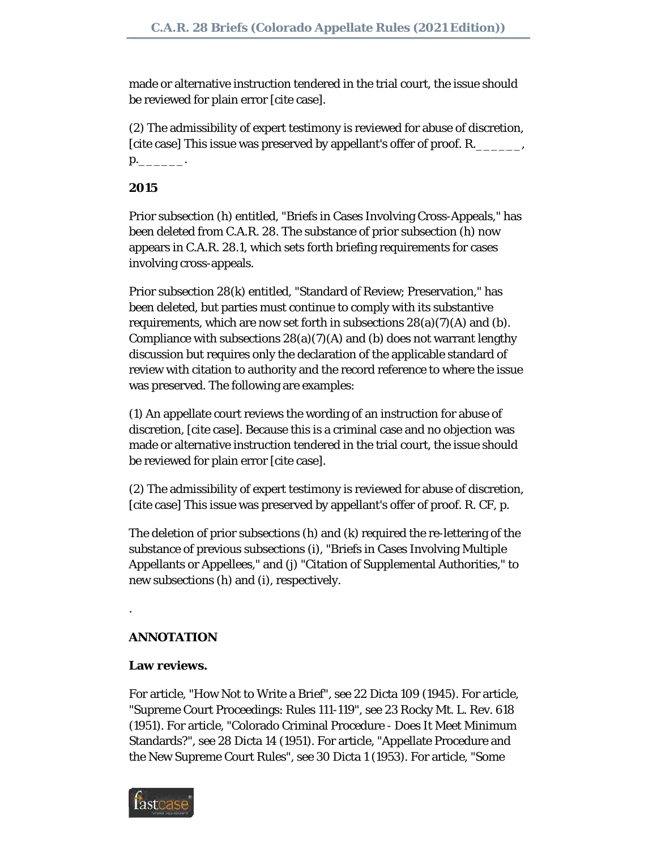made or alternative instruction tendered in the trial court, the issue should be reviewed for plain error [cite case].

(2) The admissibility of expert testimony is reviewed for abuse of discretion, [cite case] This issue was preserved by appellant's offer of proof. R.  $p_{\cdot}$ .

## **2015**

Prior subsection (h) entitled, "Briefs in Cases Involving Cross-Appeals," has been deleted from C.A.R. 28. The substance of prior subsection (h) now appears in C.A.R. 28.1, which sets forth briefing requirements for cases involving cross-appeals.

Prior subsection 28(k) entitled, "Standard of Review; Preservation," has been deleted, but parties must continue to comply with its substantive requirements, which are now set forth in subsections 28(a)(7)(A) and (b). Compliance with subsections 28(a)(7)(A) and (b) does not warrant lengthy discussion but requires only the declaration of the applicable standard of review with citation to authority and the record reference to where the issue was preserved. The following are examples:

(1) An appellate court reviews the wording of an instruction for abuse of discretion, [cite case]. Because this is a criminal case and no objection was made or alternative instruction tendered in the trial court, the issue should be reviewed for plain error [cite case].

(2) The admissibility of expert testimony is reviewed for abuse of discretion, [cite case] This issue was preserved by appellant's offer of proof. R. CF, p.

The deletion of prior subsections (h) and (k) required the re-lettering of the substance of previous subsections (i), "Briefs in Cases Involving Multiple Appellants or Appellees," and (j) "Citation of Supplemental Authorities," to new subsections (h) and (i), respectively.

# **ANNOTATION**

.

**Law reviews.**

For article, "How Not to Write a Brief", see 22 Dicta 109 (1945). For article, "Supreme Court Proceedings: Rules 111-119", see 23 Rocky Mt. L. Rev. 618 (1951). For article, "Colorado Criminal Procedure - Does It Meet Minimum Standards?", see 28 Dicta 14 (1951). For article, "Appellate Procedure and the New Supreme Court Rules", see 30 Dicta 1 (1953). For article, "Some

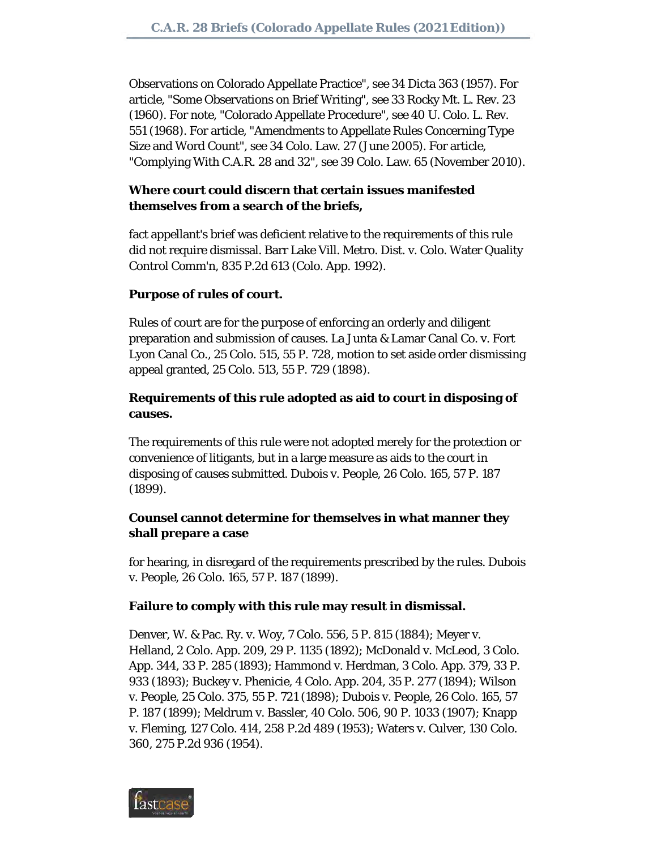Observations on Colorado Appellate Practice", see 34 Dicta 363 (1957). For article, "Some Observations on Brief Writing", see 33 Rocky Mt. L. Rev. 23 (1960). For note, "Colorado Appellate Procedure", see 40 U. Colo. L. Rev. 551 (1968). For article, "Amendments to Appellate Rules Concerning Type Size and Word Count", see 34 Colo. Law. 27 (June 2005). For article, "Complying With C.A.R. 28 and 32", see 39 Colo. Law. 65 (November 2010).

**Where court could discern that certain issues manifested themselves from a search of the briefs,**

fact appellant's brief was deficient relative to the requirements of this rule did not require dismissal. Barr Lake Vill. Metro. Dist. v. Colo. Water Quality Control Comm'n, 835 P.2d 613 (Colo. App. 1992).

**Purpose of rules of court.**

Rules of court are for the purpose of enforcing an orderly and diligent preparation and submission of causes. La Junta & Lamar Canal Co. v. Fort Lyon Canal Co., 25 Colo. 515, 55 P. 728, motion to set aside order dismissing appeal granted, 25 Colo. 513, 55 P. 729 (1898).

**Requirements of this rule adopted as aid to court in disposing of causes.**

The requirements of this rule were not adopted merely for the protection or convenience of litigants, but in a large measure as aids to the court in disposing of causes submitted. Dubois v. People, 26 Colo. 165, 57 P. 187 (1899).

**Counsel cannot determine for themselves in what manner they shall prepare a case**

for hearing, in disregard of the requirements prescribed by the rules. Dubois v. People, 26 Colo. 165, 57 P. 187 (1899).

**Failure to comply with this rule may result in dismissal.**

Denver, W. & Pac. Ry. v. Woy, 7 Colo. 556, 5 P. 815 (1884); Meyer v. Helland, 2 Colo. App. 209, 29 P. 1135 (1892); McDonald v. McLeod, 3 Colo. App. 344, 33 P. 285 (1893); Hammond v. Herdman, 3 Colo. App. 379, 33 P. 933 (1893); Buckey v. Phenicie, 4 Colo. App. 204, 35 P. 277 (1894); Wilson v. People, 25 Colo. 375, 55 P. 721 (1898); Dubois v. People, 26 Colo. 165, 57 P. 187 (1899); Meldrum v. Bassler, 40 Colo. 506, 90 P. 1033 (1907); Knapp v. Fleming, 127 Colo. 414, 258 P.2d 489 (1953); Waters v. Culver, 130 Colo. 360, 275 P.2d 936 (1954).

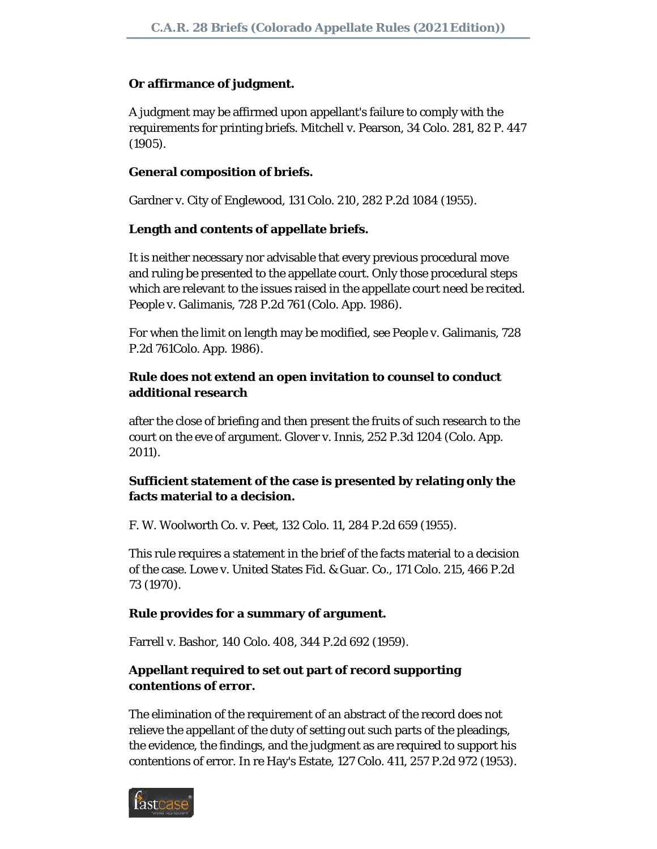**Or affirmance of judgment.**

A judgment may be affirmed upon appellant's failure to comply with the requirements for printing briefs. Mitchell v. Pearson, 34 Colo. 281, 82 P. 447 (1905).

**General composition of briefs.**

Gardner v. City of Englewood, 131 Colo. 210, 282 P.2d 1084 (1955).

**Length and contents of appellate briefs.**

It is neither necessary nor advisable that every previous procedural move and ruling be presented to the appellate court. Only those procedural steps which are relevant to the issues raised in the appellate court need be recited. People v. Galimanis, 728 P.2d 761 (Colo. App. 1986).

For when the limit on length may be modified, see People v. Galimanis, 728 P.2d 761Colo. App. 1986).

**Rule does not extend an open invitation to counsel to conduct additional research**

after the close of briefing and then present the fruits of such research to the court on the eve of argument. Glover v. Innis, 252 P.3d 1204 (Colo. App. 2011).

**Sufficient statement of the case is presented by relating only the facts material to a decision.**

F. W. Woolworth Co. v. Peet, 132 Colo. 11, 284 P.2d 659 (1955).

This rule requires a statement in the brief of the facts material to a decision of the case. Lowe v. United States Fid. & Guar. Co., 171 Colo. 215, 466 P.2d 73 (1970).

**Rule provides for a summary of argument.**

Farrell v. Bashor, 140 Colo. 408, 344 P.2d 692 (1959).

**Appellant required to set out part of record supporting contentions of error.**

The elimination of the requirement of an abstract of the record does not relieve the appellant of the duty of setting out such parts of the pleadings, the evidence, the findings, and the judgment as are required to support his contentions of error. In re Hay's Estate, 127 Colo. 411, 257 P.2d 972 (1953).

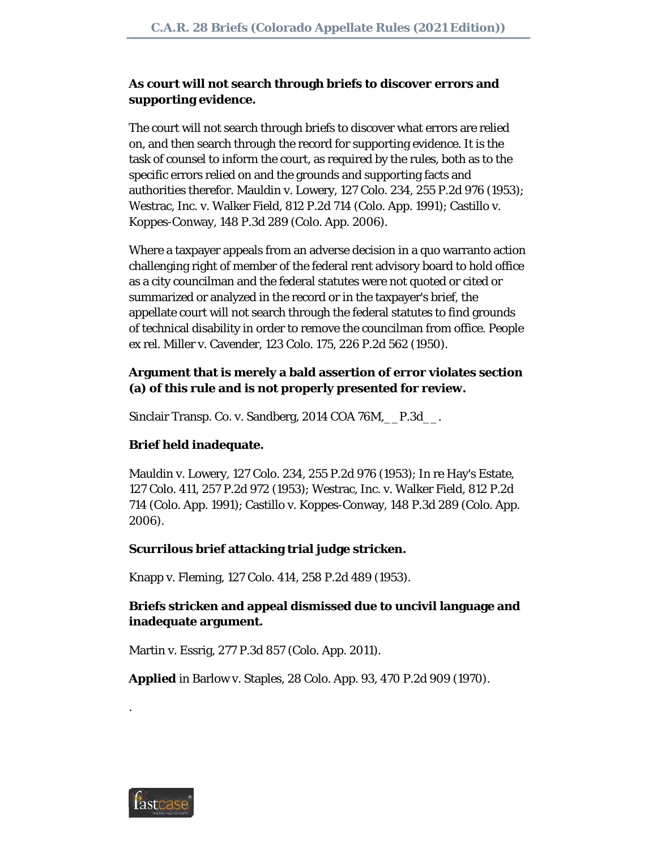**As court will not search through briefs to discover errors and supporting evidence.**

The court will not search through briefs to discover what errors are relied on, and then search through the record for supporting evidence. It is the task of counsel to inform the court, as required by the rules, both as to the specific errors relied on and the grounds and supporting facts and authorities therefor. Mauldin v. Lowery, 127 Colo. 234, 255 P.2d 976 (1953); Westrac, Inc. v. Walker Field, 812 P.2d 714 (Colo. App. 1991); Castillo v. Koppes-Conway, 148 P.3d 289 (Colo. App. 2006).

Where a taxpayer appeals from an adverse decision in a quo warranto action challenging right of member of the federal rent advisory board to hold office as a city councilman and the federal statutes were not quoted or cited or summarized or analyzed in the record or in the taxpayer's brief, the appellate court will not search through the federal statutes to find grounds of technical disability in order to remove the councilman from office. People ex rel. Miller v. Cavender, 123 Colo. 175, 226 P.2d 562 (1950).

**Argument that is merely a bald assertion of error violates section (a) of this rule and is not properly presented for review.**

Sinclair Transp. Co. v. Sandberg, 2014 COA 76M, P.3d.

**Brief held inadequate.**

Mauldin v. Lowery, 127 Colo. 234, 255 P.2d 976 (1953); In re Hay's Estate, 127 Colo. 411, 257 P.2d 972 (1953); Westrac, Inc. v. Walker Field, 812 P.2d 714 (Colo. App. 1991); Castillo v. Koppes-Conway, 148 P.3d 289 (Colo. App. 2006).

**Scurrilous brief attacking trial judge stricken.**

Knapp v. Fleming, 127 Colo. 414, 258 P.2d 489 (1953).

**Briefs stricken and appeal dismissed due to uncivil language and inadequate argument.**

Martin v. Essrig, 277 P.3d 857 (Colo. App. 2011).

**Applied** in Barlow v. Staples, 28 Colo. App. 93, 470 P.2d 909 (1970).



.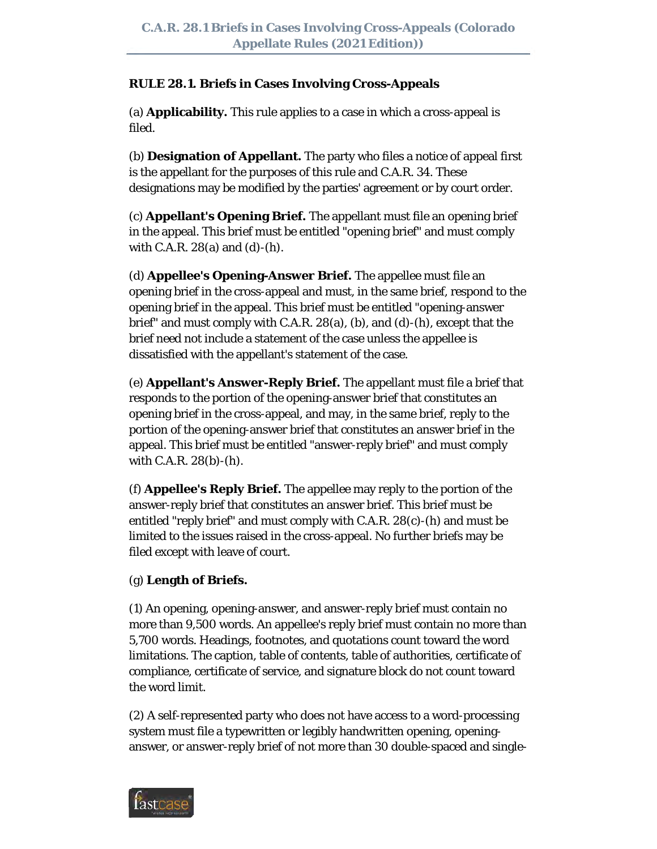**RULE 28.1. Briefs in Cases Involving Cross-Appeals** 

(a) **Applicability.** This rule applies to a case in which a cross-appeal is filed.

(b) **Designation of Appellant.** The party who files a notice of appeal first is the appellant for the purposes of this rule and C.A.R. 34. These designations may be modified by the parties' agreement or by court order.

(c) **Appellant's Opening Brief.** The appellant must file an opening brief in the appeal. This brief must be entitled "opening brief" and must comply with C.A.R. 28(a) and (d)-(h).

(d) **Appellee's Opening-Answer Brief.** The appellee must file an opening brief in the cross-appeal and must, in the same brief, respond to the opening brief in the appeal. This brief must be entitled "opening-answer brief" and must comply with C.A.R. 28(a), (b), and (d)-(h), except that the brief need not include a statement of the case unless the appellee is dissatisfied with the appellant's statement of the case.

(e) **Appellant's Answer-Reply Brief.** The appellant must file a brief that responds to the portion of the opening-answer brief that constitutes an opening brief in the cross-appeal, and may, in the same brief, reply to the portion of the opening-answer brief that constitutes an answer brief in the appeal. This brief must be entitled "answer-reply brief" and must comply with C.A.R. 28(b)-(h).

(f) **Appellee's Reply Brief.** The appellee may reply to the portion of the answer-reply brief that constitutes an answer brief. This brief must be entitled "reply brief" and must comply with C.A.R. 28(c)-(h) and must be limited to the issues raised in the cross-appeal. No further briefs may be filed except with leave of court.

(g) **Length of Briefs.**

(1) An opening, opening-answer, and answer-reply brief must contain no more than 9,500 words. An appellee's reply brief must contain no more than 5,700 words. Headings, footnotes, and quotations count toward the word limitations. The caption, table of contents, table of authorities, certificate of compliance, certificate of service, and signature block do not count toward the word limit.

(2) A self-represented party who does not have access to a word-processing system must file a typewritten or legibly handwritten opening, openinganswer, or answer-reply brief of not more than 30 double-spaced and single-

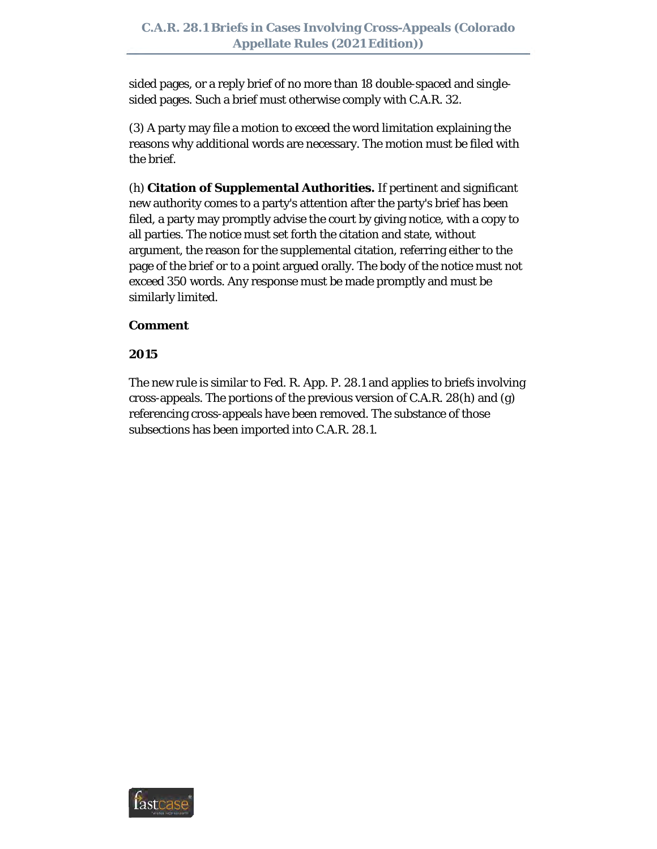sided pages, or a reply brief of no more than 18 double-spaced and singlesided pages. Such a brief must otherwise comply with C.A.R. 32.

(3) A party may file a motion to exceed the word limitation explaining the reasons why additional words are necessary. The motion must be filed with the brief.

(h) **Citation of Supplemental Authorities.** If pertinent and significant new authority comes to a party's attention after the party's brief has been filed, a party may promptly advise the court by giving notice, with a copy to all parties. The notice must set forth the citation and state, without argument, the reason for the supplemental citation, referring either to the page of the brief or to a point argued orally. The body of the notice must not exceed 350 words. Any response must be made promptly and must be similarly limited.

**Comment**

**2015**

The new rule is similar to Fed. R. App. P. 28.1 and applies to briefs involving cross-appeals. The portions of the previous version of C.A.R. 28(h) and (g) referencing cross-appeals have been removed. The substance of those subsections has been imported into C.A.R. 28.1.

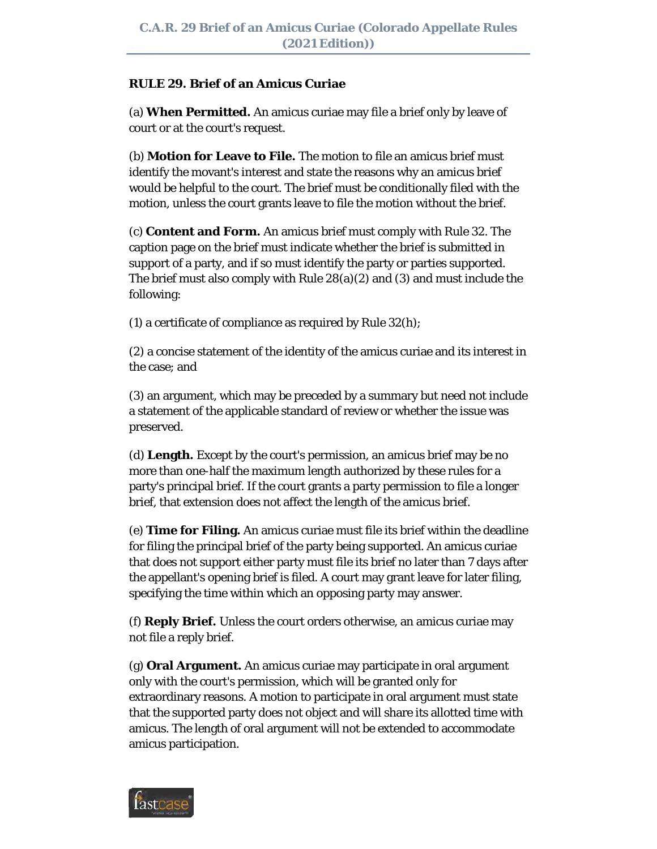### **RULE 29. Brief of an Amicus Curiae**

(a) **When Permitted.** An amicus curiae may file a brief only by leave of court or at the court's request.

(b) **Motion for Leave to File.** The motion to file an amicus brief must identify the movant's interest and state the reasons why an amicus brief would be helpful to the court. The brief must be conditionally filed with the motion, unless the court grants leave to file the motion without the brief.

(c) **Content and Form.** An amicus brief must comply with Rule 32. The caption page on the brief must indicate whether the brief is submitted in support of a party, and if so must identify the party or parties supported. The brief must also comply with Rule 28(a)(2) and (3) and must include the following:

(1) a certificate of compliance as required by Rule  $32(h)$ ;

(2) a concise statement of the identity of the amicus curiae and its interest in the case; and

(3) an argument, which may be preceded by a summary but need not include a statement of the applicable standard of review or whether the issue was preserved.

(d) **Length.** Except by the court's permission, an amicus brief may be no more than one-half the maximum length authorized by these rules for a party's principal brief. If the court grants a party permission to file a longer brief, that extension does not affect the length of the amicus brief.

(e) **Time for Filing.** An amicus curiae must file its brief within the deadline for filing the principal brief of the party being supported. An amicus curiae that does not support either party must file its brief no later than 7 days after the appellant's opening brief is filed. A court may grant leave for later filing, specifying the time within which an opposing party may answer.

(f) **Reply Brief.** Unless the court orders otherwise, an amicus curiae may not file a reply brief.

(g) **Oral Argument.** An amicus curiae may participate in oral argument only with the court's permission, which will be granted only for extraordinary reasons. A motion to participate in oral argument must state that the supported party does not object and will share its allotted time with amicus. The length of oral argument will not be extended to accommodate amicus participation.

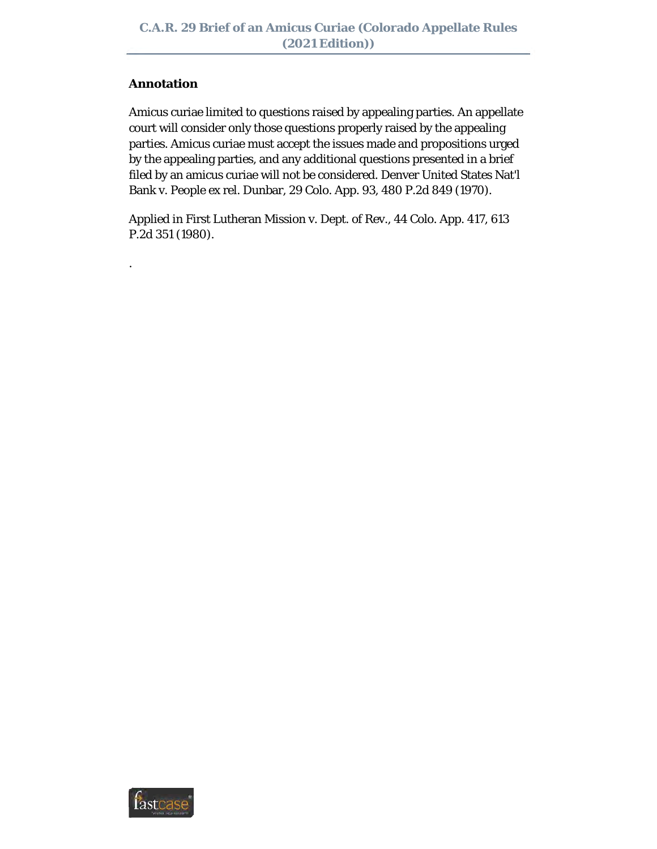### **Annotation**

.

Amicus curiae limited to questions raised by appealing parties. An appellate court will consider only those questions properly raised by the appealing parties. Amicus curiae must accept the issues made and propositions urged by the appealing parties, and any additional questions presented in a brief filed by an amicus curiae will not be considered. Denver United States Nat'l Bank v. People ex rel. Dunbar, 29 Colo. App. 93, 480 P.2d 849 (1970).

Applied in First Lutheran Mission v. Dept. of Rev., 44 Colo. App. 417, 613 P.2d 351 (1980).

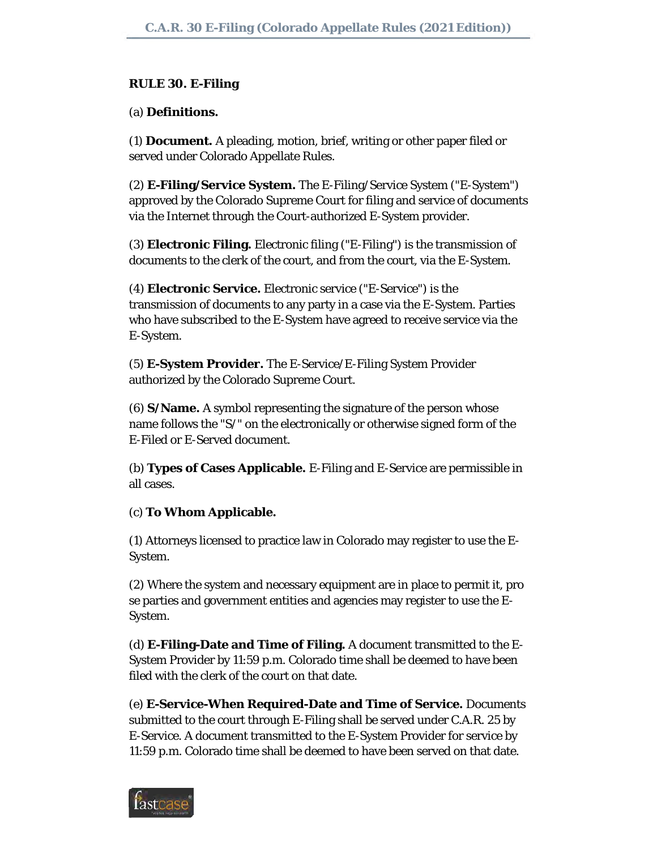### **RULE 30. E-Filing**

(a) **Definitions.**

(1) **Document.** A pleading, motion, brief, writing or other paper filed or served under Colorado Appellate Rules.

(2) **E-Filing/Service System.** The E-Filing/Service System ("E-System") approved by the Colorado Supreme Court for filing and service of documents via the Internet through the Court-authorized E-System provider.

(3) **Electronic Filing.** Electronic filing ("E-Filing") is the transmission of documents to the clerk of the court, and from the court, via the E-System.

(4) **Electronic Service.** Electronic service ("E-Service") is the transmission of documents to any party in a case via the E-System. Parties who have subscribed to the E-System have agreed to receive service via the E-System.

(5) **E-System Provider.** The E-Service/E-Filing System Provider authorized by the Colorado Supreme Court.

(6) **S/Name.** A symbol representing the signature of the person whose name follows the "S/" on the electronically or otherwise signed form of the E-Filed or E-Served document.

(b) **Types of Cases Applicable.** E-Filing and E-Service are permissible in all cases.

(c) **To Whom Applicable.**

(1) Attorneys licensed to practice law in Colorado may register to use the E-System.

(2) Where the system and necessary equipment are in place to permit it, pro se parties and government entities and agencies may register to use the E-System.

(d) **E-Filing-Date and Time of Filing.** A document transmitted to the E-System Provider by 11:59 p.m. Colorado time shall be deemed to have been filed with the clerk of the court on that date.

(e) **E-Service-When Required-Date and Time of Service.** Documents submitted to the court through E-Filing shall be served under C.A.R. 25 by E-Service. A document transmitted to the E-System Provider for service by 11:59 p.m. Colorado time shall be deemed to have been served on that date.

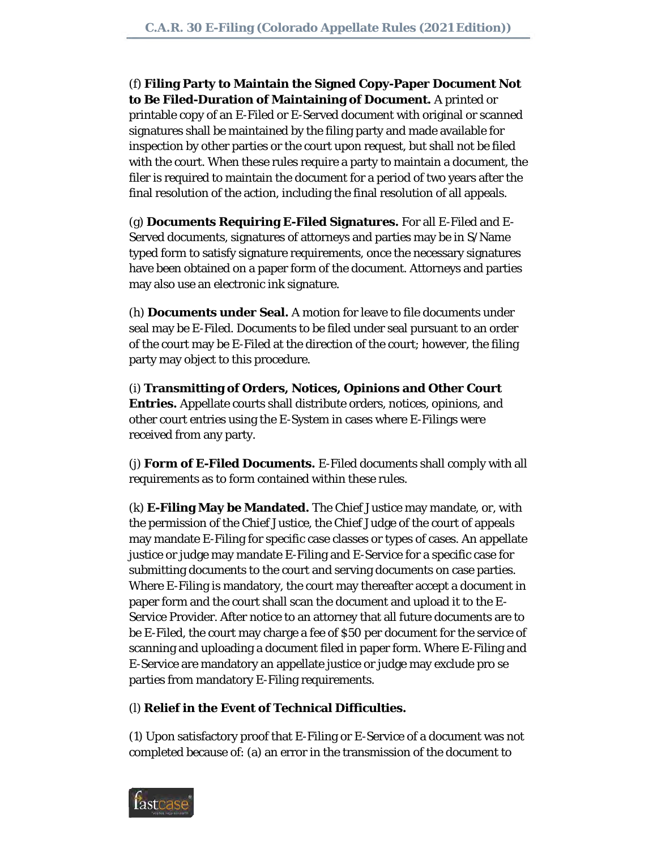(f) **Filing Party to Maintain the Signed Copy-Paper Document Not to Be Filed-Duration of Maintaining of Document.** A printed or printable copy of an E-Filed or E-Served document with original or scanned signatures shall be maintained by the filing party and made available for inspection by other parties or the court upon request, but shall not be filed with the court. When these rules require a party to maintain a document, the filer is required to maintain the document for a period of two years after the final resolution of the action, including the final resolution of all appeals.

(g) **Documents Requiring E-Filed Signatures.** For all E-Filed and E-Served documents, signatures of attorneys and parties may be in S/Name typed form to satisfy signature requirements, once the necessary signatures have been obtained on a paper form of the document. Attorneys and parties may also use an electronic ink signature.

(h) **Documents under Seal.** A motion for leave to file documents under seal may be E-Filed. Documents to be filed under seal pursuant to an order of the court may be E-Filed at the direction of the court; however, the filing party may object to this procedure.

(i) **Transmitting of Orders, Notices, Opinions and Other Court Entries.** Appellate courts shall distribute orders, notices, opinions, and other court entries using the E-System in cases where E-Filings were received from any party.

(j) **Form of E-Filed Documents.** E-Filed documents shall comply with all requirements as to form contained within these rules.

(k) **E-Filing May be Mandated.** The Chief Justice may mandate, or, with the permission of the Chief Justice, the Chief Judge of the court of appeals may mandate E-Filing for specific case classes or types of cases. An appellate justice or judge may mandate E-Filing and E-Service for a specific case for submitting documents to the court and serving documents on case parties. Where E-Filing is mandatory, the court may thereafter accept a document in paper form and the court shall scan the document and upload it to the E-Service Provider. After notice to an attorney that all future documents are to be E-Filed, the court may charge a fee of \$50 per document for the service of scanning and uploading a document filed in paper form. Where E-Filing and E-Service are mandatory an appellate justice or judge may exclude pro se parties from mandatory E-Filing requirements.

(l) **Relief in the Event of Technical Difficulties.**

(1) Upon satisfactory proof that E-Filing or E-Service of a document was not completed because of: (a) an error in the transmission of the document to

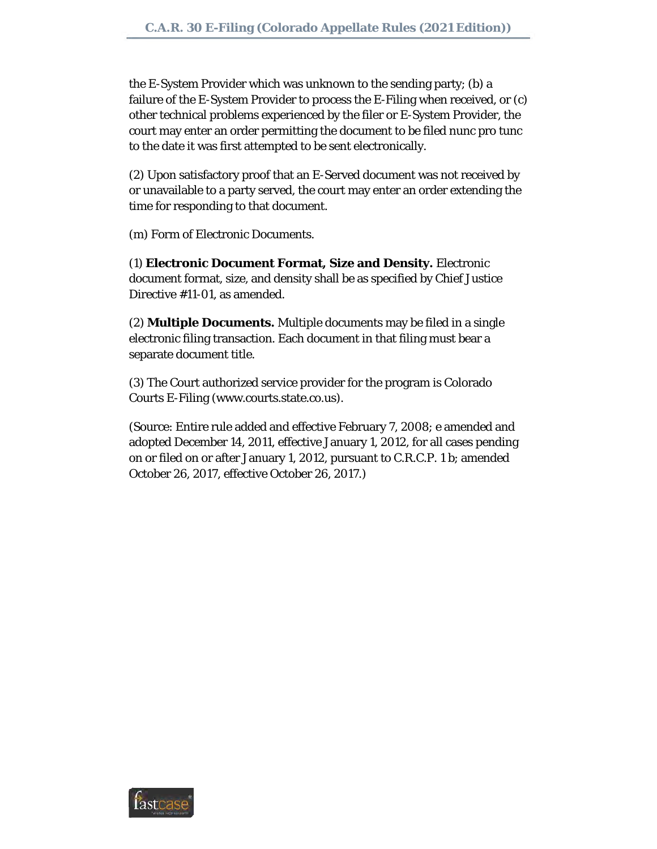the E-System Provider which was unknown to the sending party; (b) a failure of the E-System Provider to process the E-Filing when received, or (c) other technical problems experienced by the filer or E-System Provider, the court may enter an order permitting the document to be filed nunc pro tunc to the date it was first attempted to be sent electronically.

(2) Upon satisfactory proof that an E-Served document was not received by or unavailable to a party served, the court may enter an order extending the time for responding to that document.

(m) Form of Electronic Documents.

(1) **Electronic Document Format, Size and Density.** Electronic document format, size, and density shall be as specified by Chief Justice Directive #11-01, as amended.

(2) **Multiple Documents.** Multiple documents may be filed in a single electronic filing transaction. Each document in that filing must bear a separate document title.

(3) The Court authorized service provider for the program is Colorado Courts E-Filing (www.courts.state.co.us).

(Source: Entire rule added and effective February 7, 2008; e amended and adopted December 14, 2011, effective January 1, 2012, for all cases pending on or filed on or after January 1, 2012, pursuant to C.R.C.P. 1 b; amended October 26, 2017, effective October 26, 2017.)

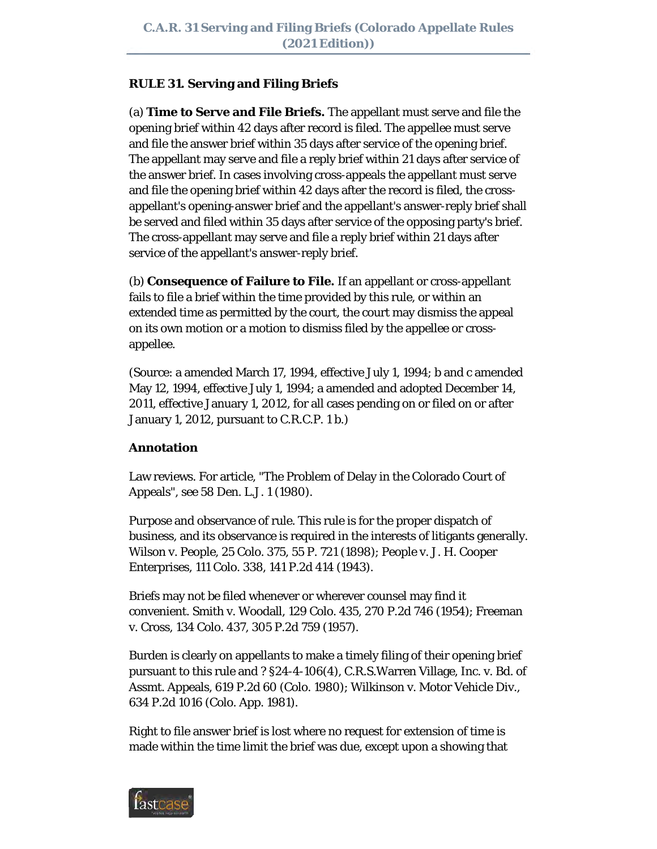## **RULE 31. Serving and Filing Briefs**

(a) **Time to Serve and File Briefs.** The appellant must serve and file the opening brief within 42 days after record is filed. The appellee must serve and file the answer brief within 35 days after service of the opening brief. The appellant may serve and file a reply brief within 21 days after service of the answer brief. In cases involving cross-appeals the appellant must serve and file the opening brief within 42 days after the record is filed, the crossappellant's opening-answer brief and the appellant's answer-reply brief shall be served and filed within 35 days after service of the opposing party's brief. The cross-appellant may serve and file a reply brief within 21 days after service of the appellant's answer-reply brief.

(b) **Consequence of Failure to File.** If an appellant or cross-appellant fails to file a brief within the time provided by this rule, or within an extended time as permitted by the court, the court may dismiss the appeal on its own motion or a motion to dismiss filed by the appellee or crossappellee.

(Source: a amended March 17, 1994, effective July 1, 1994; b and c amended May 12, 1994, effective July 1, 1994; a amended and adopted December 14, 2011, effective January 1, 2012, for all cases pending on or filed on or after January 1, 2012, pursuant to C.R.C.P. 1 b.)

#### **Annotation**

Law reviews. For article, "The Problem of Delay in the Colorado Court of Appeals", see 58 Den. L.J. 1 (1980).

Purpose and observance of rule. This rule is for the proper dispatch of business, and its observance is required in the interests of litigants generally. Wilson v. People, 25 Colo. 375, 55 P. 721 (1898); People v. J. H. Cooper Enterprises, 111 Colo. 338, 141 P.2d 414 (1943).

Briefs may not be filed whenever or wherever counsel may find it convenient. Smith v. Woodall, 129 Colo. 435, 270 P.2d 746 (1954); Freeman v. Cross, 134 Colo. 437, 305 P.2d 759 (1957).

Burden is clearly on appellants to make a timely filing of their opening brief pursuant to this rule and ? §24-4-106(4), C.R.S.Warren Village, Inc. v. Bd. of Assmt. Appeals, 619 P.2d 60 (Colo. 1980); Wilkinson v. Motor Vehicle Div., 634 P.2d 1016 (Colo. App. 1981).

Right to file answer brief is lost where no request for extension of time is made within the time limit the brief was due, except upon a showing that

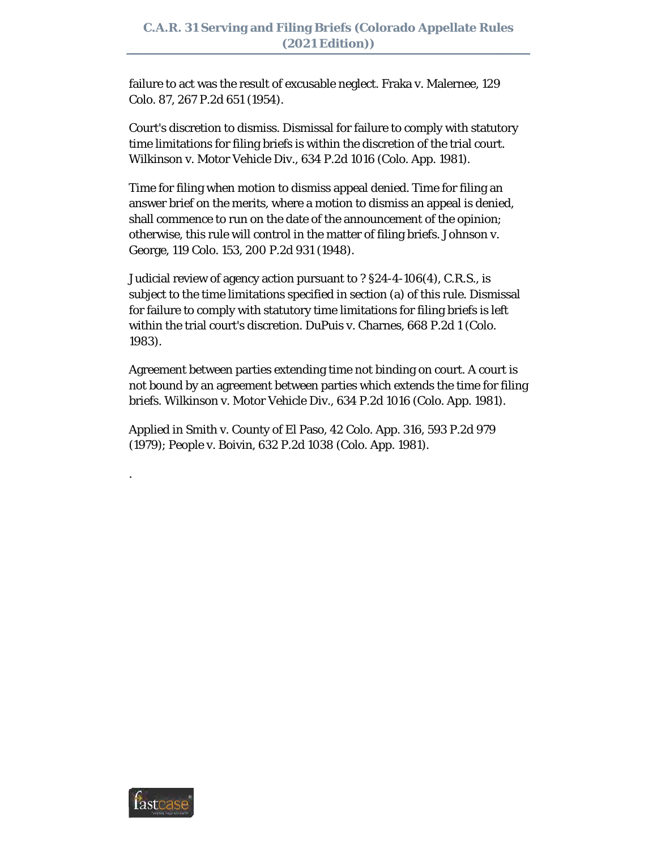failure to act was the result of excusable neglect. Fraka v. Malernee, 129 Colo. 87, 267 P.2d 651 (1954).

Court's discretion to dismiss. Dismissal for failure to comply with statutory time limitations for filing briefs is within the discretion of the trial court. Wilkinson v. Motor Vehicle Div., 634 P.2d 1016 (Colo. App. 1981).

Time for filing when motion to dismiss appeal denied. Time for filing an answer brief on the merits, where a motion to dismiss an appeal is denied, shall commence to run on the date of the announcement of the opinion; otherwise, this rule will control in the matter of filing briefs. Johnson v. George, 119 Colo. 153, 200 P.2d 931 (1948).

Judicial review of agency action pursuant to ? §24-4-106(4), C.R.S., is subject to the time limitations specified in section (a) of this rule. Dismissal for failure to comply with statutory time limitations for filing briefs is left within the trial court's discretion. DuPuis v. Charnes, 668 P.2d 1 (Colo. 1983).

Agreement between parties extending time not binding on court. A court is not bound by an agreement between parties which extends the time for filing briefs. Wilkinson v. Motor Vehicle Div., 634 P.2d 1016 (Colo. App. 1981).

Applied in Smith v. County of El Paso, 42 Colo. App. 316, 593 P.2d 979 (1979); People v. Boivin, 632 P.2d 1038 (Colo. App. 1981).



.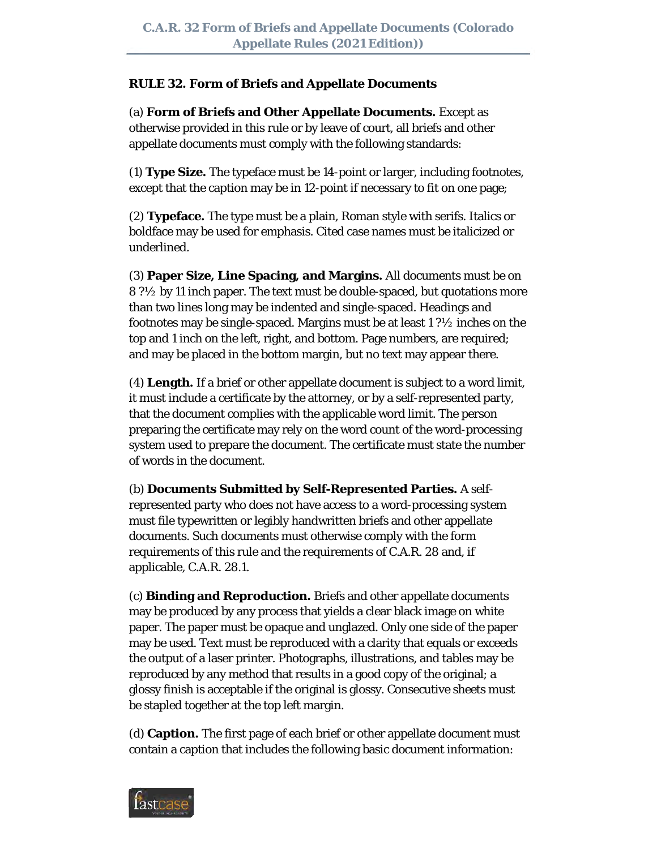## **RULE 32. Form of Briefs and Appellate Documents**

(a) **Form of Briefs and Other Appellate Documents.** Except as otherwise provided in this rule or by leave of court, all briefs and other appellate documents must comply with the following standards:

(1) **Type Size.** The typeface must be 14-point or larger, including footnotes, except that the caption may be in 12-point if necessary to fit on one page;

(2) **Typeface.** The type must be a plain, Roman style with serifs. Italics or boldface may be used for emphasis. Cited case names must be italicized or underlined.

(3) **Paper Size, Line Spacing, and Margins.** All documents must be on 8 ?½ by 11 inch paper. The text must be double-spaced, but quotations more than two lines long may be indented and single-spaced. Headings and footnotes may be single-spaced. Margins must be at least 1 ?½ inches on the top and 1 inch on the left, right, and bottom. Page numbers, are required; and may be placed in the bottom margin, but no text may appear there.

(4) **Length.** If a brief or other appellate document is subject to a word limit, it must include a certificate by the attorney, or by a self-represented party, that the document complies with the applicable word limit. The person preparing the certificate may rely on the word count of the word-processing system used to prepare the document. The certificate must state the number of words in the document.

(b) **Documents Submitted by Self-Represented Parties.** A selfrepresented party who does not have access to a word-processing system must file typewritten or legibly handwritten briefs and other appellate documents. Such documents must otherwise comply with the form requirements of this rule and the requirements of C.A.R. 28 and, if applicable, C.A.R. 28.1.

(c) **Binding and Reproduction.** Briefs and other appellate documents may be produced by any process that yields a clear black image on white paper. The paper must be opaque and unglazed. Only one side of the paper may be used. Text must be reproduced with a clarity that equals or exceeds the output of a laser printer. Photographs, illustrations, and tables may be reproduced by any method that results in a good copy of the original; a glossy finish is acceptable if the original is glossy. Consecutive sheets must be stapled together at the top left margin.

(d) **Caption.** The first page of each brief or other appellate document must contain a caption that includes the following basic document information:

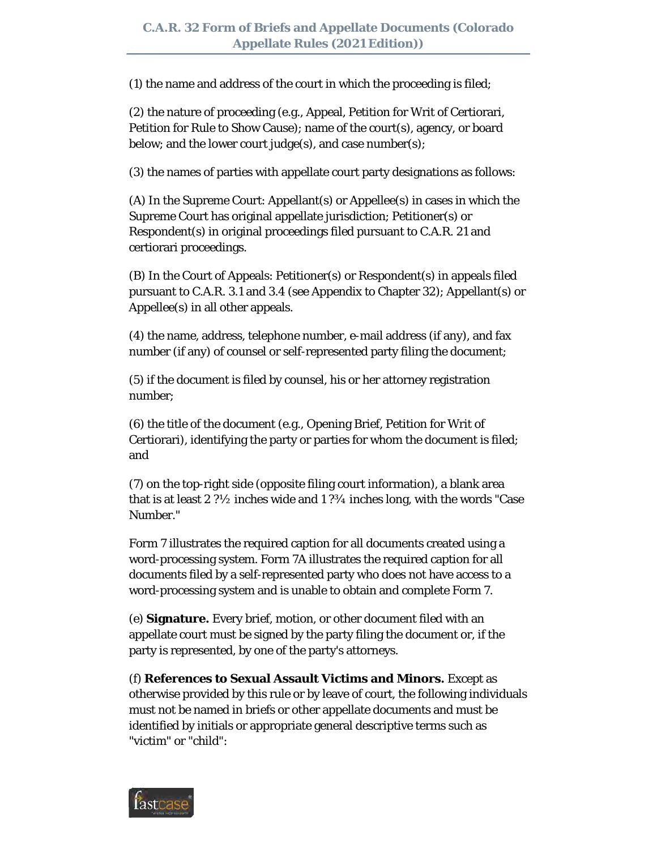(1) the name and address of the court in which the proceeding is filed;

(2) the nature of proceeding (e.g., Appeal, Petition for Writ of Certiorari, Petition for Rule to Show Cause); name of the court(s), agency, or board below; and the lower court judge(s), and case number(s);

(3) the names of parties with appellate court party designations as follows:

(A) In the Supreme Court: Appellant(s) or Appellee(s) in cases in which the Supreme Court has original appellate jurisdiction; Petitioner(s) or Respondent(s) in original proceedings filed pursuant to C.A.R. 21 and certiorari proceedings.

(B) In the Court of Appeals: Petitioner(s) or Respondent(s) in appeals filed pursuant to C.A.R. 3.1 and 3.4 (see Appendix to Chapter 32); Appellant(s) or Appellee(s) in all other appeals.

(4) the name, address, telephone number, e-mail address (if any), and fax number (if any) of counsel or self-represented party filing the document;

(5) if the document is filed by counsel, his or her attorney registration number;

(6) the title of the document (e.g., Opening Brief, Petition for Writ of Certiorari), identifying the party or parties for whom the document is filed; and

(7) on the top-right side (opposite filing court information), a blank area that is at least 2 ?½ inches wide and 1 ?¾ inches long, with the words "Case Number."

Form 7 illustrates the required caption for all documents created using a word-processing system. Form 7A illustrates the required caption for all documents filed by a self-represented party who does not have access to a word-processing system and is unable to obtain and complete Form 7.

(e) **Signature.** Every brief, motion, or other document filed with an appellate court must be signed by the party filing the document or, if the party is represented, by one of the party's attorneys.

(f) **References to Sexual Assault Victims and Minors.** Except as otherwise provided by this rule or by leave of court, the following individuals must not be named in briefs or other appellate documents and must be identified by initials or appropriate general descriptive terms such as "victim" or "child":

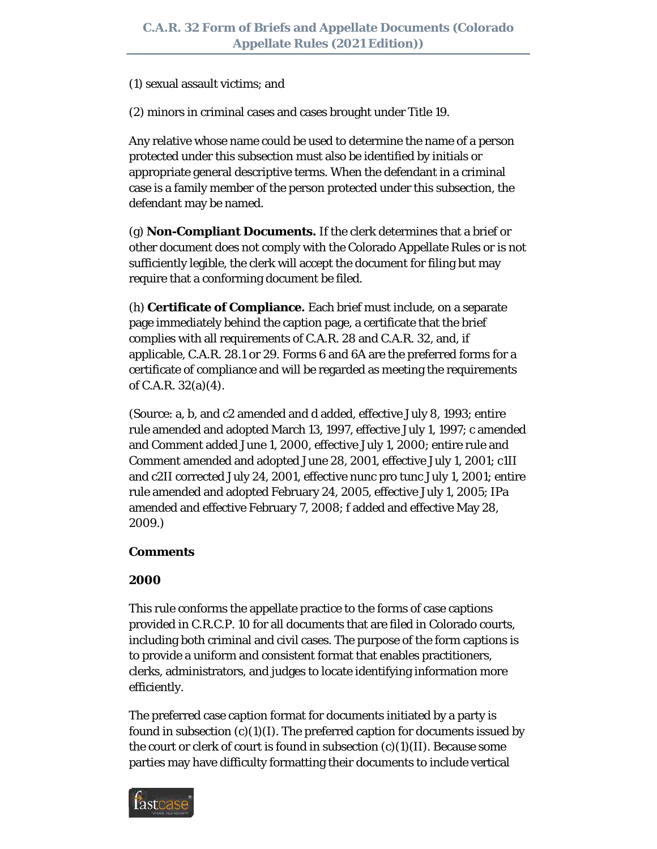### (1) sexual assault victims; and

(2) minors in criminal cases and cases brought under Title 19.

Any relative whose name could be used to determine the name of a person protected under this subsection must also be identified by initials or appropriate general descriptive terms. When the defendant in a criminal case is a family member of the person protected under this subsection, the defendant may be named.

(g) **Non-Compliant Documents.** If the clerk determines that a brief or other document does not comply with the Colorado Appellate Rules or is not sufficiently legible, the clerk will accept the document for filing but may require that a conforming document be filed.

(h) **Certificate of Compliance.** Each brief must include, on a separate page immediately behind the caption page, a certificate that the brief complies with all requirements of C.A.R. 28 and C.A.R. 32, and, if applicable, C.A.R. 28.1 or 29. Forms 6 and 6A are the preferred forms for a certificate of compliance and will be regarded as meeting the requirements of C.A.R. 32(a)(4).

(Source: a, b, and c2 amended and d added, effective July 8, 1993; entire rule amended and adopted March 13, 1997, effective July 1, 1997; c amended and Comment added June 1, 2000, effective July 1, 2000; entire rule and Comment amended and adopted June 28, 2001, effective July 1, 2001; c1II and c2II corrected July 24, 2001, effective nunc pro tunc July 1, 2001; entire rule amended and adopted February 24, 2005, effective July 1, 2005; IPa amended and effective February 7, 2008; f added and effective May 28, 2009.)

**Comments**

**2000**

This rule conforms the appellate practice to the forms of case captions provided in C.R.C.P. 10 for all documents that are filed in Colorado courts, including both criminal and civil cases. The purpose of the form captions is to provide a uniform and consistent format that enables practitioners, clerks, administrators, and judges to locate identifying information more efficiently.

The preferred case caption format for documents initiated by a party is found in subsection (c)(1)(I). The preferred caption for documents issued by the court or clerk of court is found in subsection (c)(1)(II). Because some parties may have difficulty formatting their documents to include vertical

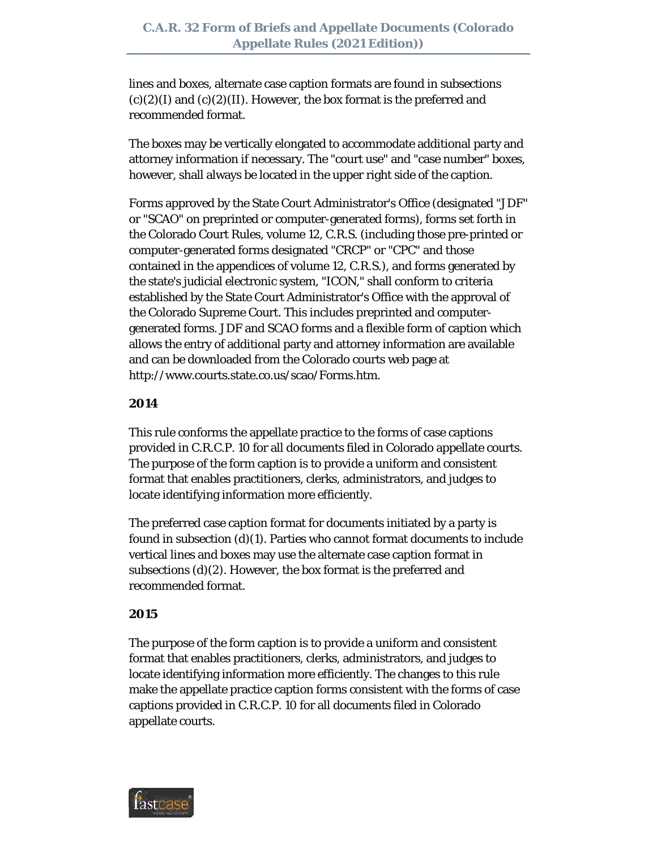lines and boxes, alternate case caption formats are found in subsections (c)(2)(I) and (c)(2)(II). However, the box format is the preferred and recommended format.

The boxes may be vertically elongated to accommodate additional party and attorney information if necessary. The "court use" and "case number" boxes, however, shall always be located in the upper right side of the caption.

Forms approved by the State Court Administrator's Office (designated "JDF" or "SCAO" on preprinted or computer-generated forms), forms set forth in the Colorado Court Rules, volume 12, C.R.S. (including those pre-printed or computer-generated forms designated "CRCP" or "CPC" and those contained in the appendices of volume 12, C.R.S.), and forms generated by the state's judicial electronic system, "ICON," shall conform to criteria established by the State Court Administrator's Office with the approval of the Colorado Supreme Court. This includes preprinted and computergenerated forms. JDF and SCAO forms and a flexible form of caption which allows the entry of additional party and attorney information are available and can be downloaded from the Colorado courts web page at http://www.courts.state.co.us/scao/Forms.htm.

### **2014**

This rule conforms the appellate practice to the forms of case captions provided in C.R.C.P. 10 for all documents filed in Colorado appellate courts. The purpose of the form caption is to provide a uniform and consistent format that enables practitioners, clerks, administrators, and judges to locate identifying information more efficiently.

The preferred case caption format for documents initiated by a party is found in subsection (d)(1). Parties who cannot format documents to include vertical lines and boxes may use the alternate case caption format in subsections (d)(2). However, the box format is the preferred and recommended format.

## **2015**

The purpose of the form caption is to provide a uniform and consistent format that enables practitioners, clerks, administrators, and judges to locate identifying information more efficiently. The changes to this rule make the appellate practice caption forms consistent with the forms of case captions provided in C.R.C.P. 10 for all documents filed in Colorado appellate courts.

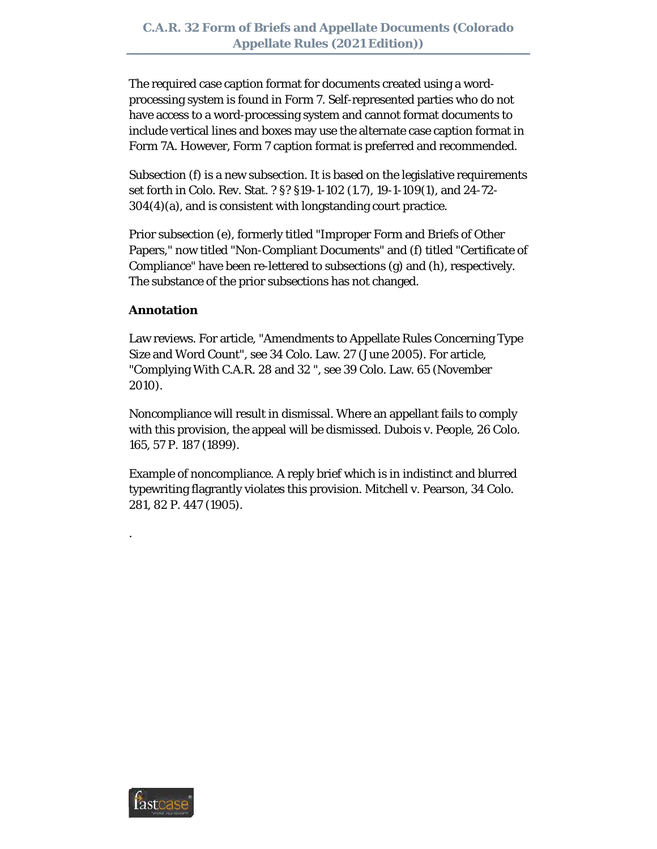The required case caption format for documents created using a wordprocessing system is found in Form 7. Self-represented parties who do not have access to a word-processing system and cannot format documents to include vertical lines and boxes may use the alternate case caption format in Form 7A. However, Form 7 caption format is preferred and recommended.

Subsection (f) is a new subsection. It is based on the legislative requirements set forth in Colo. Rev. Stat. ? §? §19-1-102 (1.7), 19-1-109(1), and 24-72- 304(4)(a), and is consistent with longstanding court practice.

Prior subsection (e), formerly titled "Improper Form and Briefs of Other Papers," now titled "Non-Compliant Documents" and (f) titled "Certificate of Compliance" have been re-lettered to subsections (g) and (h), respectively. The substance of the prior subsections has not changed.

#### **Annotation**

.

Law reviews. For article, "Amendments to Appellate Rules Concerning Type Size and Word Count", see 34 Colo. Law. 27 (June 2005). For article, "Complying With C.A.R. 28 and 32 ", see 39 Colo. Law. 65 (November 2010).

Noncompliance will result in dismissal. Where an appellant fails to comply with this provision, the appeal will be dismissed. Dubois v. People, 26 Colo. 165, 57 P. 187 (1899).

Example of noncompliance. A reply brief which is in indistinct and blurred typewriting flagrantly violates this provision. Mitchell v. Pearson, 34 Colo. 281, 82 P. 447 (1905).

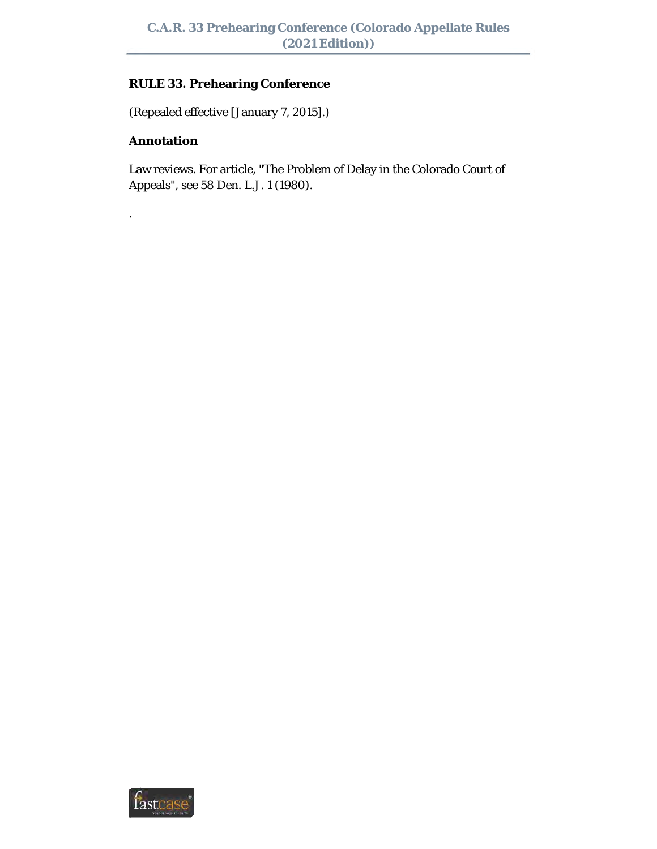## **RULE 33. Prehearing Conference**

(Repealed effective [January 7, 2015].)

**Annotation**

.

Law reviews. For article, "The Problem of Delay in the Colorado Court of Appeals", see 58 Den. L.J. 1 (1980).

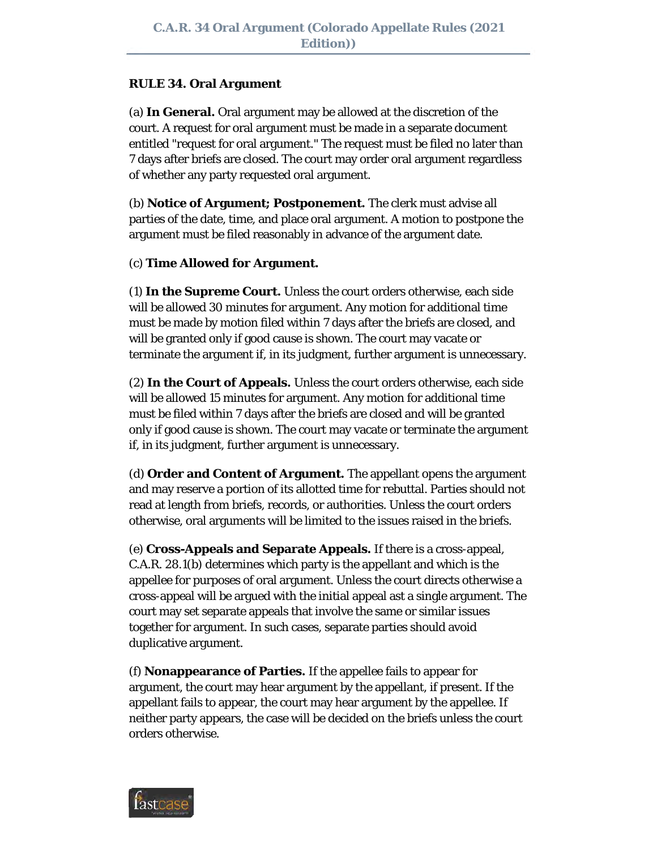#### **RULE 34. Oral Argument**

(a) **In General.** Oral argument may be allowed at the discretion of the court. A request for oral argument must be made in a separate document entitled "request for oral argument." The request must be filed no later than 7 days after briefs are closed. The court may order oral argument regardless of whether any party requested oral argument.

(b) **Notice of Argument; Postponement.** The clerk must advise all parties of the date, time, and place oral argument. A motion to postpone the argument must be filed reasonably in advance of the argument date.

(c) **Time Allowed for Argument.**

(1) **In the Supreme Court.** Unless the court orders otherwise, each side will be allowed 30 minutes for argument. Any motion for additional time must be made by motion filed within 7 days after the briefs are closed, and will be granted only if good cause is shown. The court may vacate or terminate the argument if, in its judgment, further argument is unnecessary.

(2) **In the Court of Appeals.** Unless the court orders otherwise, each side will be allowed 15 minutes for argument. Any motion for additional time must be filed within 7 days after the briefs are closed and will be granted only if good cause is shown. The court may vacate or terminate the argument if, in its judgment, further argument is unnecessary.

(d) **Order and Content of Argument.** The appellant opens the argument and may reserve a portion of its allotted time for rebuttal. Parties should not read at length from briefs, records, or authorities. Unless the court orders otherwise, oral arguments will be limited to the issues raised in the briefs.

(e) **Cross-Appeals and Separate Appeals.** If there is a cross-appeal, C.A.R. 28.1(b) determines which party is the appellant and which is the appellee for purposes of oral argument. Unless the court directs otherwise a cross-appeal will be argued with the initial appeal ast a single argument. The court may set separate appeals that involve the same or similar issues together for argument. In such cases, separate parties should avoid duplicative argument.

(f) **Nonappearance of Parties.** If the appellee fails to appear for argument, the court may hear argument by the appellant, if present. If the appellant fails to appear, the court may hear argument by the appellee. If neither party appears, the case will be decided on the briefs unless the court orders otherwise.

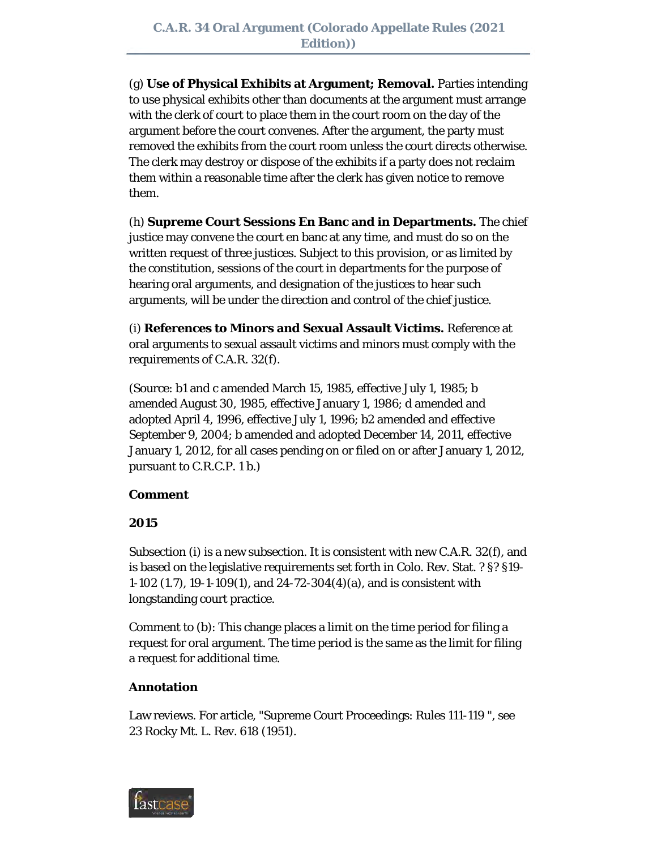(g) **Use of Physical Exhibits at Argument; Removal.** Parties intending to use physical exhibits other than documents at the argument must arrange with the clerk of court to place them in the court room on the day of the argument before the court convenes. After the argument, the party must removed the exhibits from the court room unless the court directs otherwise. The clerk may destroy or dispose of the exhibits if a party does not reclaim them within a reasonable time after the clerk has given notice to remove them.

(h) **Supreme Court Sessions En Banc and in Departments.** The chief justice may convene the court en banc at any time, and must do so on the written request of three justices. Subject to this provision, or as limited by the constitution, sessions of the court in departments for the purpose of hearing oral arguments, and designation of the justices to hear such arguments, will be under the direction and control of the chief justice.

(i) **References to Minors and Sexual Assault Victims.** Reference at oral arguments to sexual assault victims and minors must comply with the requirements of C.A.R. 32(f).

(Source: b1 and c amended March 15, 1985, effective July 1, 1985; b amended August 30, 1985, effective January 1, 1986; d amended and adopted April 4, 1996, effective July 1, 1996; b2 amended and effective September 9, 2004; b amended and adopted December 14, 2011, effective January 1, 2012, for all cases pending on or filed on or after January 1, 2012, pursuant to C.R.C.P. 1 b.)

## **Comment**

**2015**

Subsection (i) is a new subsection. It is consistent with new C.A.R. 32(f), and is based on the legislative requirements set forth in Colo. Rev. Stat. ? §? §19- 1-102 (1.7), 19-1-109(1), and 24-72-304(4)(a), and is consistent with longstanding court practice.

Comment to (b): This change places a limit on the time period for filing a request for oral argument. The time period is the same as the limit for filing a request for additional time.

## **Annotation**

Law reviews. For article, "Supreme Court Proceedings: Rules 111-119 ", see 23 Rocky Mt. L. Rev. 618 (1951).

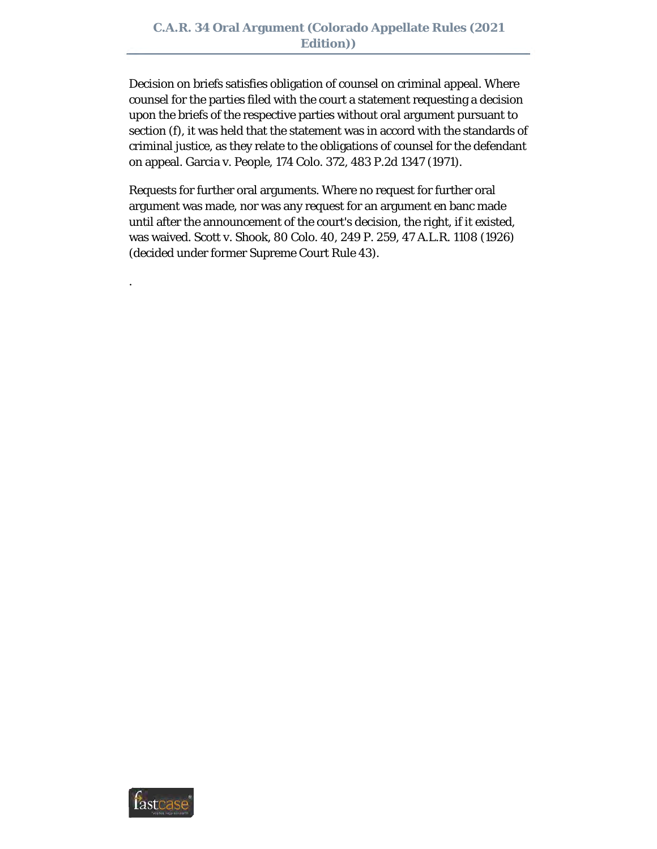Decision on briefs satisfies obligation of counsel on criminal appeal. Where counsel for the parties filed with the court a statement requesting a decision upon the briefs of the respective parties without oral argument pursuant to section (f), it was held that the statement was in accord with the standards of criminal justice, as they relate to the obligations of counsel for the defendant on appeal. Garcia v. People, 174 Colo. 372, 483 P.2d 1347 (1971).

Requests for further oral arguments. Where no request for further oral argument was made, nor was any request for an argument en banc made until after the announcement of the court's decision, the right, if it existed, was waived. Scott v. Shook, 80 Colo. 40, 249 P. 259, 47 A.L.R. 1108 (1926) (decided under former Supreme Court Rule 43).



.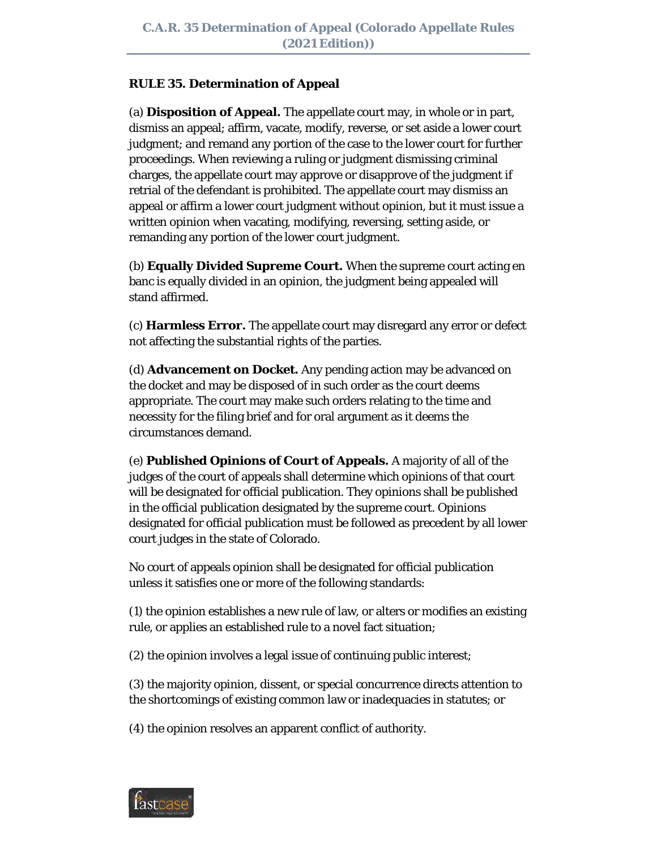### **RULE 35. Determination of Appeal**

(a) **Disposition of Appeal.** The appellate court may, in whole or in part, dismiss an appeal; affirm, vacate, modify, reverse, or set aside a lower court judgment; and remand any portion of the case to the lower court for further proceedings. When reviewing a ruling or judgment dismissing criminal charges, the appellate court may approve or disapprove of the judgment if retrial of the defendant is prohibited. The appellate court may dismiss an appeal or affirm a lower court judgment without opinion, but it must issue a written opinion when vacating, modifying, reversing, setting aside, or remanding any portion of the lower court judgment.

(b) **Equally Divided Supreme Court.** When the supreme court acting en banc is equally divided in an opinion, the judgment being appealed will stand affirmed.

(c) **Harmless Error.** The appellate court may disregard any error or defect not affecting the substantial rights of the parties.

(d) **Advancement on Docket.** Any pending action may be advanced on the docket and may be disposed of in such order as the court deems appropriate. The court may make such orders relating to the time and necessity for the filing brief and for oral argument as it deems the circumstances demand.

(e) **Published Opinions of Court of Appeals.** A majority of all of the judges of the court of appeals shall determine which opinions of that court will be designated for official publication. They opinions shall be published in the official publication designated by the supreme court. Opinions designated for official publication must be followed as precedent by all lower court judges in the state of Colorado.

No court of appeals opinion shall be designated for official publication unless it satisfies one or more of the following standards:

(1) the opinion establishes a new rule of law, or alters or modifies an existing rule, or applies an established rule to a novel fact situation;

(2) the opinion involves a legal issue of continuing public interest;

(3) the majority opinion, dissent, or special concurrence directs attention to the shortcomings of existing common law or inadequacies in statutes; or

(4) the opinion resolves an apparent conflict of authority.

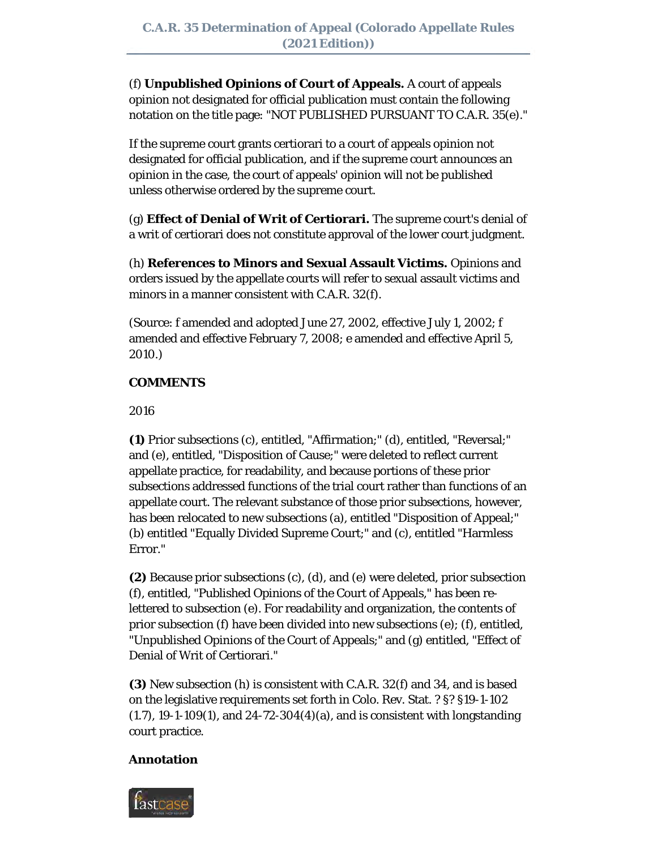(f) **Unpublished Opinions of Court of Appeals.** A court of appeals opinion not designated for official publication must contain the following notation on the title page: "NOT PUBLISHED PURSUANT TO C.A.R. 35(e)."

If the supreme court grants certiorari to a court of appeals opinion not designated for official publication, and if the supreme court announces an opinion in the case, the court of appeals' opinion will not be published unless otherwise ordered by the supreme court.

(g) **Effect of Denial of Writ of Certiorari.** The supreme court's denial of a writ of certiorari does not constitute approval of the lower court judgment.

(h) **References to Minors and Sexual Assault Victims.** Opinions and orders issued by the appellate courts will refer to sexual assault victims and minors in a manner consistent with C.A.R. 32(f).

(Source: f amended and adopted June 27, 2002, effective July 1, 2002; f amended and effective February 7, 2008; e amended and effective April 5, 2010.)

### **COMMENTS**

2016

**(1)** Prior subsections (c), entitled, "Affirmation;" (d), entitled, "Reversal;" and (e), entitled, "Disposition of Cause;" were deleted to reflect current appellate practice, for readability, and because portions of these prior subsections addressed functions of the trial court rather than functions of an appellate court. The relevant substance of those prior subsections, however, has been relocated to new subsections (a), entitled "Disposition of Appeal;" (b) entitled "Equally Divided Supreme Court;" and (c), entitled "Harmless Error."

**(2)** Because prior subsections (c), (d), and (e) were deleted, prior subsection (f), entitled, "Published Opinions of the Court of Appeals," has been relettered to subsection (e). For readability and organization, the contents of prior subsection (f) have been divided into new subsections (e); (f), entitled, "Unpublished Opinions of the Court of Appeals;" and (g) entitled, "Effect of Denial of Writ of Certiorari."

**(3)** New subsection (h) is consistent with C.A.R. 32(f) and 34, and is based on the legislative requirements set forth in Colo. Rev. Stat. ? §? §19-1-102 (1.7), 19-1-109(1), and 24-72-304(4)(a), and is consistent with longstanding court practice.

## **Annotation**

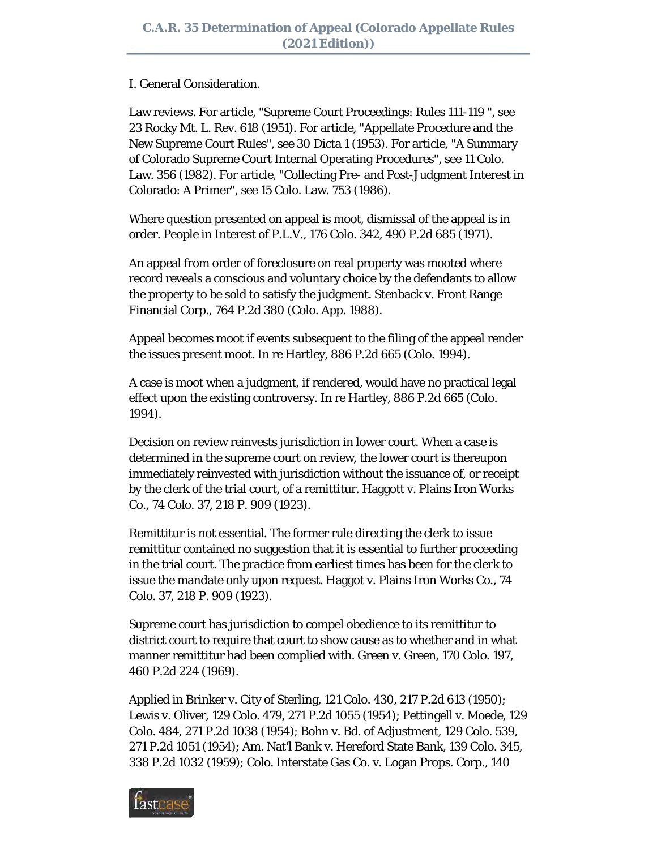#### I. General Consideration.

Law reviews. For article, "Supreme Court Proceedings: Rules 111-119 ", see 23 Rocky Mt. L. Rev. 618 (1951). For article, "Appellate Procedure and the New Supreme Court Rules", see 30 Dicta 1 (1953). For article, "A Summary of Colorado Supreme Court Internal Operating Procedures", see 11 Colo. Law. 356 (1982). For article, "Collecting Pre- and Post-Judgment Interest in Colorado: A Primer", see 15 Colo. Law. 753 (1986).

Where question presented on appeal is moot, dismissal of the appeal is in order. People in Interest of P.L.V., 176 Colo. 342, 490 P.2d 685 (1971).

An appeal from order of foreclosure on real property was mooted where record reveals a conscious and voluntary choice by the defendants to allow the property to be sold to satisfy the judgment. Stenback v. Front Range Financial Corp., 764 P.2d 380 (Colo. App. 1988).

Appeal becomes moot if events subsequent to the filing of the appeal render the issues present moot. In re Hartley, 886 P.2d 665 (Colo. 1994).

A case is moot when a judgment, if rendered, would have no practical legal effect upon the existing controversy. In re Hartley, 886 P.2d 665 (Colo. 1994).

Decision on review reinvests jurisdiction in lower court. When a case is determined in the supreme court on review, the lower court is thereupon immediately reinvested with jurisdiction without the issuance of, or receipt by the clerk of the trial court, of a remittitur. Haggott v. Plains Iron Works Co., 74 Colo. 37, 218 P. 909 (1923).

Remittitur is not essential. The former rule directing the clerk to issue remittitur contained no suggestion that it is essential to further proceeding in the trial court. The practice from earliest times has been for the clerk to issue the mandate only upon request. Haggot v. Plains Iron Works Co., 74 Colo. 37, 218 P. 909 (1923).

Supreme court has jurisdiction to compel obedience to its remittitur to district court to require that court to show cause as to whether and in what manner remittitur had been complied with. Green v. Green, 170 Colo. 197, 460 P.2d 224 (1969).

Applied in Brinker v. City of Sterling, 121 Colo. 430, 217 P.2d 613 (1950); Lewis v. Oliver, 129 Colo. 479, 271 P.2d 1055 (1954); Pettingell v. Moede, 129 Colo. 484, 271 P.2d 1038 (1954); Bohn v. Bd. of Adjustment, 129 Colo. 539, 271 P.2d 1051 (1954); Am. Nat'l Bank v. Hereford State Bank, 139 Colo. 345, 338 P.2d 1032 (1959); Colo. Interstate Gas Co. v. Logan Props. Corp., 140

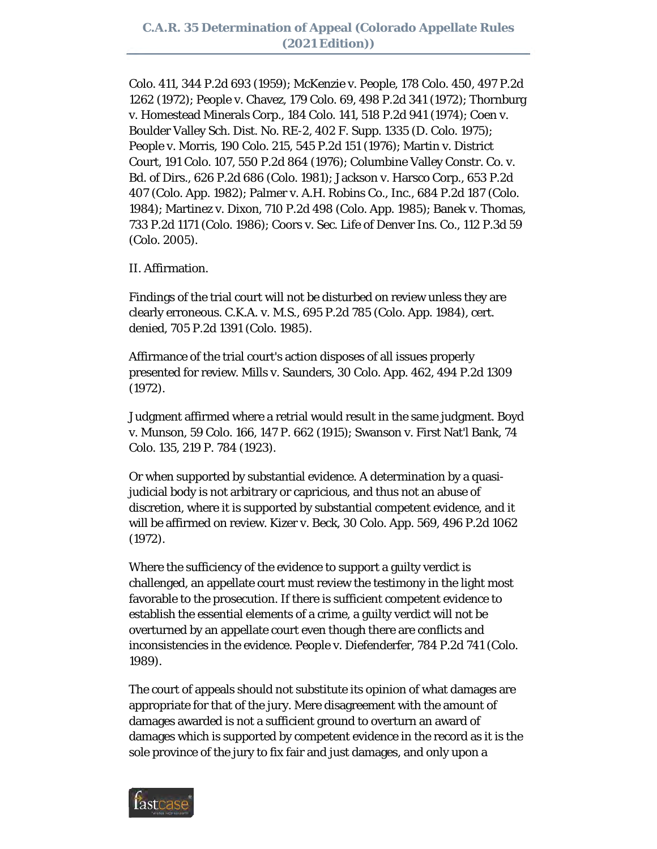Colo. 411, 344 P.2d 693 (1959); McKenzie v. People, 178 Colo. 450, 497 P.2d 1262 (1972); People v. Chavez, 179 Colo. 69, 498 P.2d 341 (1972); Thornburg v. Homestead Minerals Corp., 184 Colo. 141, 518 P.2d 941 (1974); Coen v. Boulder Valley Sch. Dist. No. RE-2, 402 F. Supp. 1335 (D. Colo. 1975); People v. Morris, 190 Colo. 215, 545 P.2d 151 (1976); Martin v. District Court, 191 Colo. 107, 550 P.2d 864 (1976); Columbine Valley Constr. Co. v. Bd. of Dirs., 626 P.2d 686 (Colo. 1981); Jackson v. Harsco Corp., 653 P.2d 407 (Colo. App. 1982); Palmer v. A.H. Robins Co., Inc., 684 P.2d 187 (Colo. 1984); Martinez v. Dixon, 710 P.2d 498 (Colo. App. 1985); Banek v. Thomas, 733 P.2d 1171 (Colo. 1986); Coors v. Sec. Life of Denver Ins. Co., 112 P.3d 59 (Colo. 2005).

II. Affirmation.

Findings of the trial court will not be disturbed on review unless they are clearly erroneous. C.K.A. v. M.S., 695 P.2d 785 (Colo. App. 1984), cert. denied, 705 P.2d 1391 (Colo. 1985).

Affirmance of the trial court's action disposes of all issues properly presented for review. Mills v. Saunders, 30 Colo. App. 462, 494 P.2d 1309 (1972).

Judgment affirmed where a retrial would result in the same judgment. Boyd v. Munson, 59 Colo. 166, 147 P. 662 (1915); Swanson v. First Nat'l Bank, 74 Colo. 135, 219 P. 784 (1923).

Or when supported by substantial evidence. A determination by a quasijudicial body is not arbitrary or capricious, and thus not an abuse of discretion, where it is supported by substantial competent evidence, and it will be affirmed on review. Kizer v. Beck, 30 Colo. App. 569, 496 P.2d 1062 (1972).

Where the sufficiency of the evidence to support a guilty verdict is challenged, an appellate court must review the testimony in the light most favorable to the prosecution. If there is sufficient competent evidence to establish the essential elements of a crime, a guilty verdict will not be overturned by an appellate court even though there are conflicts and inconsistencies in the evidence. People v. Diefenderfer, 784 P.2d 741 (Colo. 1989).

The court of appeals should not substitute its opinion of what damages are appropriate for that of the jury. Mere disagreement with the amount of damages awarded is not a sufficient ground to overturn an award of damages which is supported by competent evidence in the record as it is the sole province of the jury to fix fair and just damages, and only upon a

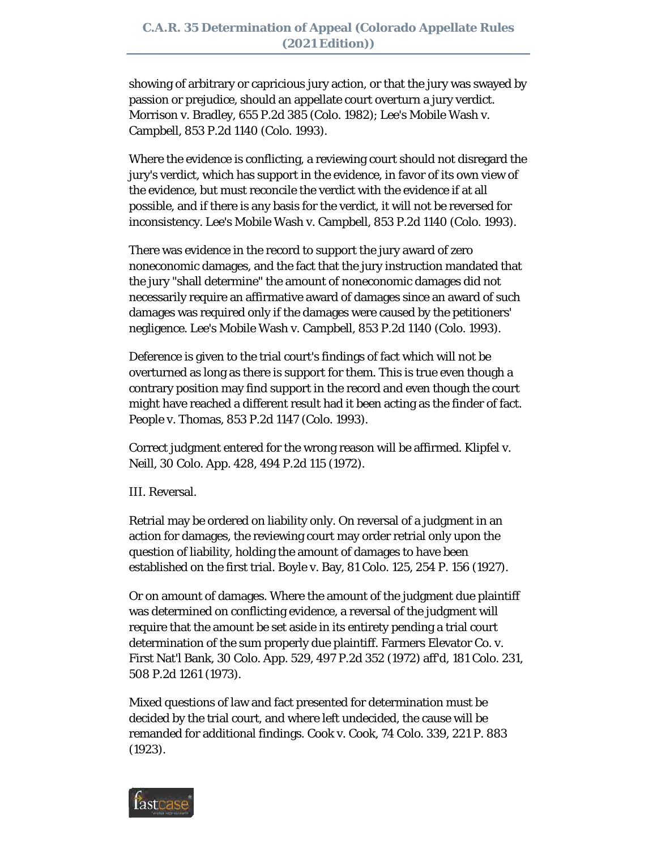showing of arbitrary or capricious jury action, or that the jury was swayed by passion or prejudice, should an appellate court overturn a jury verdict. Morrison v. Bradley, 655 P.2d 385 (Colo. 1982); Lee's Mobile Wash v. Campbell, 853 P.2d 1140 (Colo. 1993).

Where the evidence is conflicting, a reviewing court should not disregard the jury's verdict, which has support in the evidence, in favor of its own view of the evidence, but must reconcile the verdict with the evidence if at all possible, and if there is any basis for the verdict, it will not be reversed for inconsistency. Lee's Mobile Wash v. Campbell, 853 P.2d 1140 (Colo. 1993).

There was evidence in the record to support the jury award of zero noneconomic damages, and the fact that the jury instruction mandated that the jury "shall determine" the amount of noneconomic damages did not necessarily require an affirmative award of damages since an award of such damages was required only if the damages were caused by the petitioners' negligence. Lee's Mobile Wash v. Campbell, 853 P.2d 1140 (Colo. 1993).

Deference is given to the trial court's findings of fact which will not be overturned as long as there is support for them. This is true even though a contrary position may find support in the record and even though the court might have reached a different result had it been acting as the finder of fact. People v. Thomas, 853 P.2d 1147 (Colo. 1993).

Correct judgment entered for the wrong reason will be affirmed. Klipfel v. Neill, 30 Colo. App. 428, 494 P.2d 115 (1972).

III. Reversal.

Retrial may be ordered on liability only. On reversal of a judgment in an action for damages, the reviewing court may order retrial only upon the question of liability, holding the amount of damages to have been established on the first trial. Boyle v. Bay, 81 Colo. 125, 254 P. 156 (1927).

Or on amount of damages. Where the amount of the judgment due plaintiff was determined on conflicting evidence, a reversal of the judgment will require that the amount be set aside in its entirety pending a trial court determination of the sum properly due plaintiff. Farmers Elevator Co. v. First Nat'l Bank, 30 Colo. App. 529, 497 P.2d 352 (1972) aff'd, 181 Colo. 231, 508 P.2d 1261 (1973).

Mixed questions of law and fact presented for determination must be decided by the trial court, and where left undecided, the cause will be remanded for additional findings. Cook v. Cook, 74 Colo. 339, 221 P. 883 (1923).

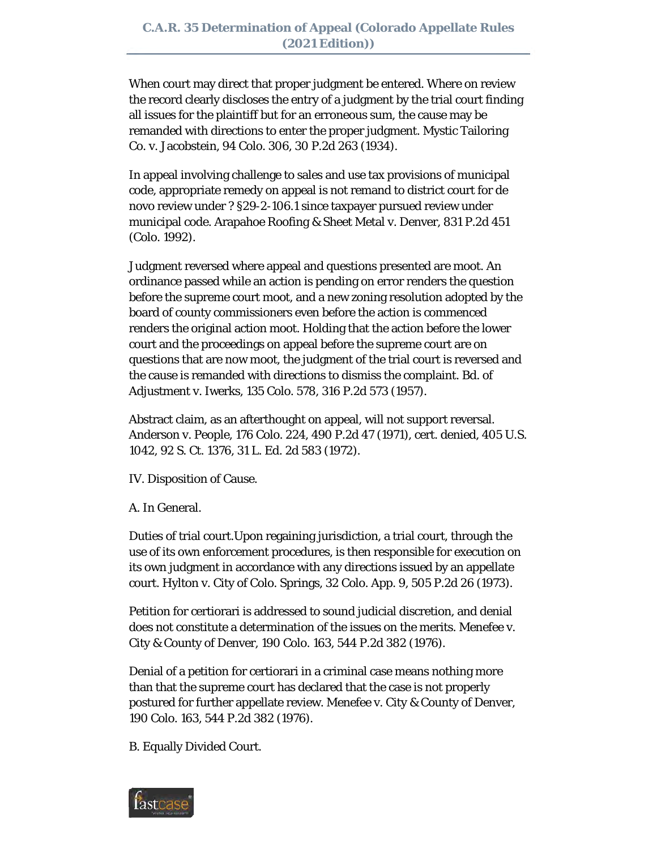When court may direct that proper judgment be entered. Where on review the record clearly discloses the entry of a judgment by the trial court finding all issues for the plaintiff but for an erroneous sum, the cause may be remanded with directions to enter the proper judgment. Mystic Tailoring Co. v. Jacobstein, 94 Colo. 306, 30 P.2d 263 (1934).

In appeal involving challenge to sales and use tax provisions of municipal code, appropriate remedy on appeal is not remand to district court for de novo review under ? §29-2-106.1 since taxpayer pursued review under municipal code. Arapahoe Roofing & Sheet Metal v. Denver, 831 P.2d 451 (Colo. 1992).

Judgment reversed where appeal and questions presented are moot. An ordinance passed while an action is pending on error renders the question before the supreme court moot, and a new zoning resolution adopted by the board of county commissioners even before the action is commenced renders the original action moot. Holding that the action before the lower court and the proceedings on appeal before the supreme court are on questions that are now moot, the judgment of the trial court is reversed and the cause is remanded with directions to dismiss the complaint. Bd. of Adjustment v. Iwerks, 135 Colo. 578, 316 P.2d 573 (1957).

Abstract claim, as an afterthought on appeal, will not support reversal. Anderson v. People, 176 Colo. 224, 490 P.2d 47 (1971), cert. denied, 405 U.S. 1042, 92 S. Ct. 1376, 31 L. Ed. 2d 583 (1972).

IV. Disposition of Cause.

A. In General.

Duties of trial court.Upon regaining jurisdiction, a trial court, through the use of its own enforcement procedures, is then responsible for execution on its own judgment in accordance with any directions issued by an appellate court. Hylton v. City of Colo. Springs, 32 Colo. App. 9, 505 P.2d 26 (1973).

Petition for certiorari is addressed to sound judicial discretion, and denial does not constitute a determination of the issues on the merits. Menefee v. City & County of Denver, 190 Colo. 163, 544 P.2d 382 (1976).

Denial of a petition for certiorari in a criminal case means nothing more than that the supreme court has declared that the case is not properly postured for further appellate review. Menefee v. City & County of Denver, 190 Colo. 163, 544 P.2d 382 (1976).

B. Equally Divided Court.

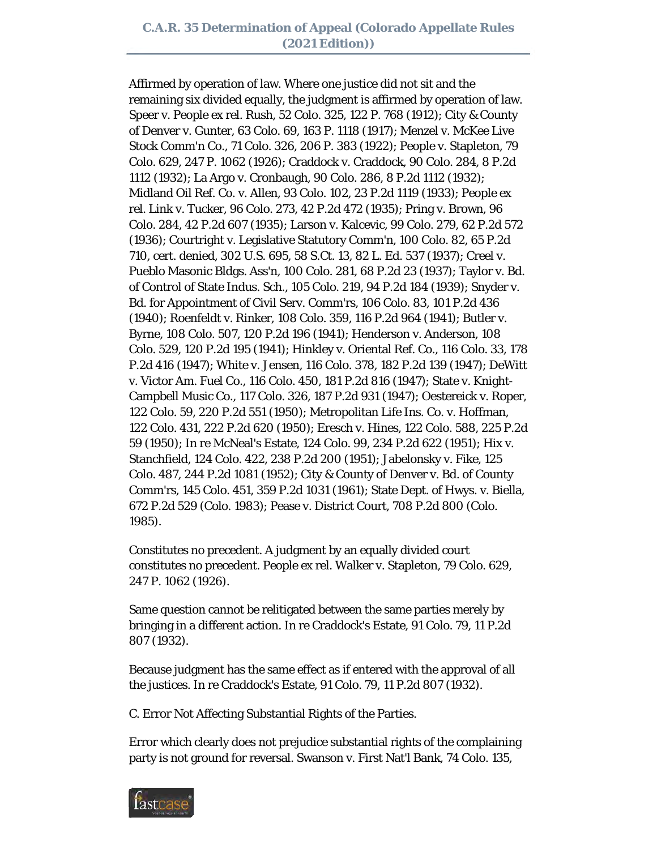Affirmed by operation of law. Where one justice did not sit and the remaining six divided equally, the judgment is affirmed by operation of law. Speer v. People ex rel. Rush, 52 Colo. 325, 122 P. 768 (1912); City & County of Denver v. Gunter, 63 Colo. 69, 163 P. 1118 (1917); Menzel v. McKee Live Stock Comm'n Co., 71 Colo. 326, 206 P. 383 (1922); People v. Stapleton, 79 Colo. 629, 247 P. 1062 (1926); Craddock v. Craddock, 90 Colo. 284, 8 P.2d 1112 (1932); La Argo v. Cronbaugh, 90 Colo. 286, 8 P.2d 1112 (1932); Midland Oil Ref. Co. v. Allen, 93 Colo. 102, 23 P.2d 1119 (1933); People ex rel. Link v. Tucker, 96 Colo. 273, 42 P.2d 472 (1935); Pring v. Brown, 96 Colo. 284, 42 P.2d 607 (1935); Larson v. Kalcevic, 99 Colo. 279, 62 P.2d 572 (1936); Courtright v. Legislative Statutory Comm'n, 100 Colo. 82, 65 P.2d 710, cert. denied, 302 U.S. 695, 58 S.Ct. 13, 82 L. Ed. 537 (1937); Creel v. Pueblo Masonic Bldgs. Ass'n, 100 Colo. 281, 68 P.2d 23 (1937); Taylor v. Bd. of Control of State Indus. Sch., 105 Colo. 219, 94 P.2d 184 (1939); Snyder v. Bd. for Appointment of Civil Serv. Comm'rs, 106 Colo. 83, 101 P.2d 436 (1940); Roenfeldt v. Rinker, 108 Colo. 359, 116 P.2d 964 (1941); Butler v. Byrne, 108 Colo. 507, 120 P.2d 196 (1941); Henderson v. Anderson, 108 Colo. 529, 120 P.2d 195 (1941); Hinkley v. Oriental Ref. Co., 116 Colo. 33, 178 P.2d 416 (1947); White v. Jensen, 116 Colo. 378, 182 P.2d 139 (1947); DeWitt v. Victor Am. Fuel Co., 116 Colo. 450, 181 P.2d 816 (1947); State v. Knight-Campbell Music Co., 117 Colo. 326, 187 P.2d 931 (1947); Oestereick v. Roper, 122 Colo. 59, 220 P.2d 551 (1950); Metropolitan Life Ins. Co. v. Hoffman, 122 Colo. 431, 222 P.2d 620 (1950); Eresch v. Hines, 122 Colo. 588, 225 P.2d 59 (1950); In re McNeal's Estate, 124 Colo. 99, 234 P.2d 622 (1951); Hix v. Stanchfield, 124 Colo. 422, 238 P.2d 200 (1951); Jabelonsky v. Fike, 125 Colo. 487, 244 P.2d 1081 (1952); City & County of Denver v. Bd. of County Comm'rs, 145 Colo. 451, 359 P.2d 1031 (1961); State Dept. of Hwys. v. Biella, 672 P.2d 529 (Colo. 1983); Pease v. District Court, 708 P.2d 800 (Colo. 1985).

Constitutes no precedent. A judgment by an equally divided court constitutes no precedent. People ex rel. Walker v. Stapleton, 79 Colo. 629, 247 P. 1062 (1926).

Same question cannot be relitigated between the same parties merely by bringing in a different action. In re Craddock's Estate, 91 Colo. 79, 11 P.2d 807 (1932).

Because judgment has the same effect as if entered with the approval of all the justices. In re Craddock's Estate, 91 Colo. 79, 11 P.2d 807 (1932).

C. Error Not Affecting Substantial Rights of the Parties.

Error which clearly does not prejudice substantial rights of the complaining party is not ground for reversal. Swanson v. First Nat'l Bank, 74 Colo. 135,

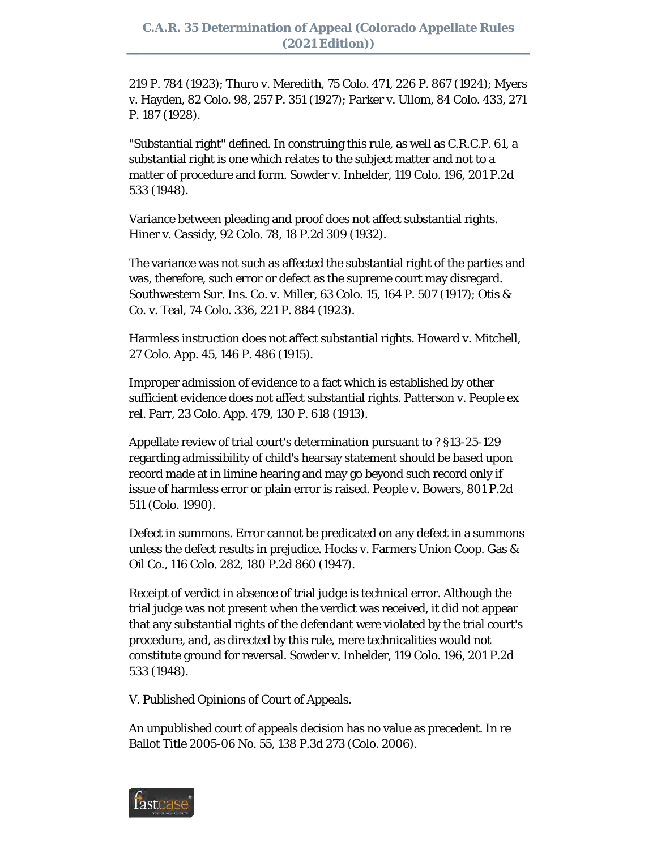219 P. 784 (1923); Thuro v. Meredith, 75 Colo. 471, 226 P. 867 (1924); Myers v. Hayden, 82 Colo. 98, 257 P. 351 (1927); Parker v. Ullom, 84 Colo. 433, 271 P. 187 (1928).

"Substantial right" defined. In construing this rule, as well as C.R.C.P. 61, a substantial right is one which relates to the subject matter and not to a matter of procedure and form. Sowder v. Inhelder, 119 Colo. 196, 201 P.2d 533 (1948).

Variance between pleading and proof does not affect substantial rights. Hiner v. Cassidy, 92 Colo. 78, 18 P.2d 309 (1932).

The variance was not such as affected the substantial right of the parties and was, therefore, such error or defect as the supreme court may disregard. Southwestern Sur. Ins. Co. v. Miller, 63 Colo. 15, 164 P. 507 (1917); Otis & Co. v. Teal, 74 Colo. 336, 221 P. 884 (1923).

Harmless instruction does not affect substantial rights. Howard v. Mitchell, 27 Colo. App. 45, 146 P. 486 (1915).

Improper admission of evidence to a fact which is established by other sufficient evidence does not affect substantial rights. Patterson v. People ex rel. Parr, 23 Colo. App. 479, 130 P. 618 (1913).

Appellate review of trial court's determination pursuant to ? §13-25-129 regarding admissibility of child's hearsay statement should be based upon record made at in limine hearing and may go beyond such record only if issue of harmless error or plain error is raised. People v. Bowers, 801 P.2d 511 (Colo. 1990).

Defect in summons. Error cannot be predicated on any defect in a summons unless the defect results in prejudice. Hocks v. Farmers Union Coop. Gas & Oil Co., 116 Colo. 282, 180 P.2d 860 (1947).

Receipt of verdict in absence of trial judge is technical error. Although the trial judge was not present when the verdict was received, it did not appear that any substantial rights of the defendant were violated by the trial court's procedure, and, as directed by this rule, mere technicalities would not constitute ground for reversal. Sowder v. Inhelder, 119 Colo. 196, 201 P.2d 533 (1948).

V. Published Opinions of Court of Appeals.

An unpublished court of appeals decision has no value as precedent. In re Ballot Title 2005-06 No. 55, 138 P.3d 273 (Colo. 2006).

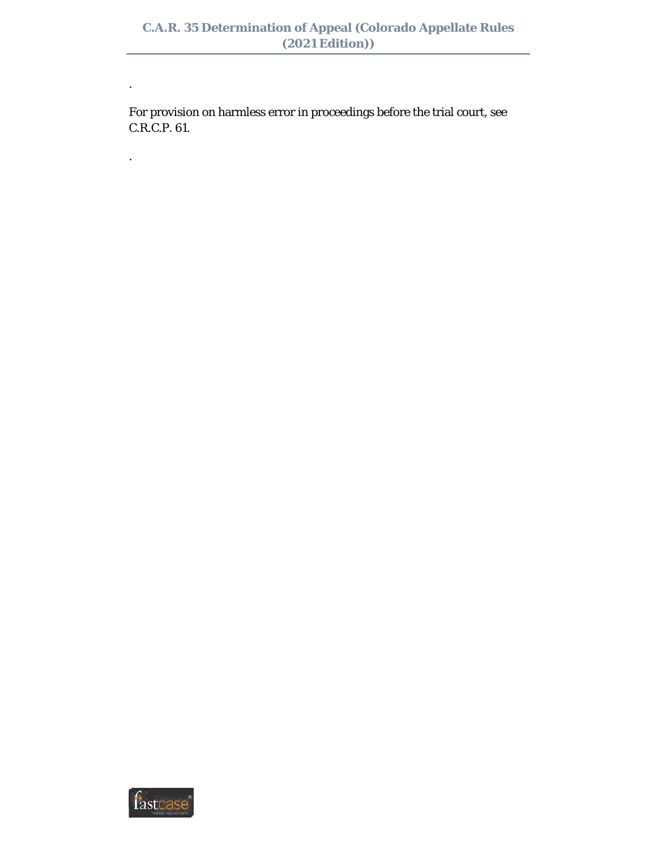For provision on harmless error in proceedings before the trial court, see C.R.C.P. 61.



.

.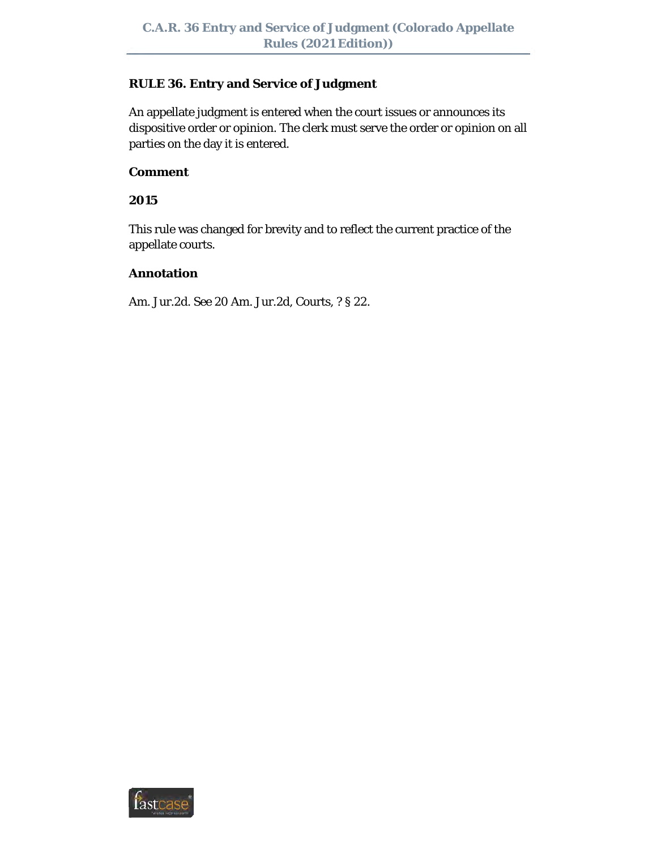## **RULE 36. Entry and Service of Judgment**

An appellate judgment is entered when the court issues or announces its dispositive order or opinion. The clerk must serve the order or opinion on all parties on the day it is entered.

**Comment**

**2015**

This rule was changed for brevity and to reflect the current practice of the appellate courts.

**Annotation**

Am. Jur.2d. See 20 Am. Jur.2d, Courts, ? § 22.

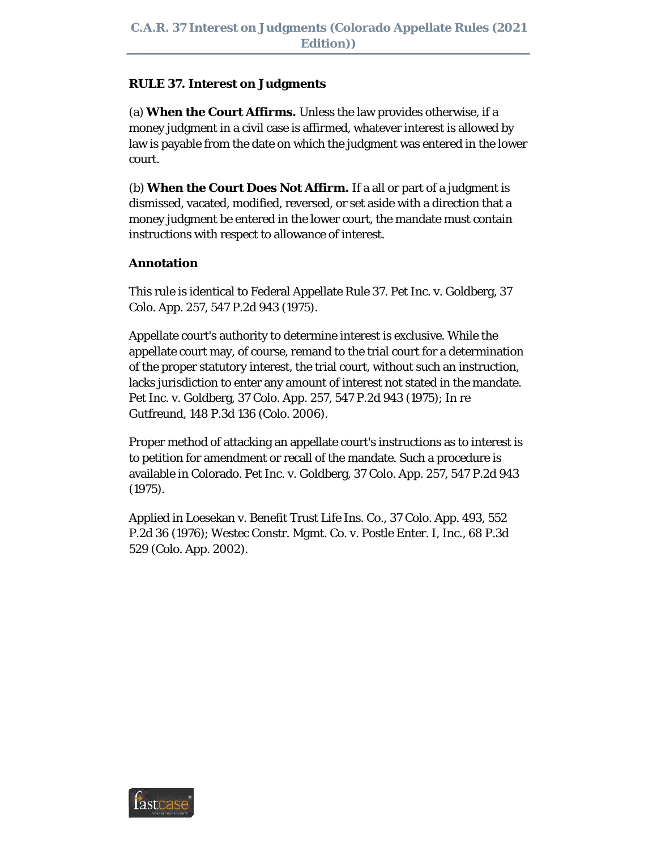#### **RULE 37. Interest on Judgments**

(a) **When the Court Affirms.** Unless the law provides otherwise, if a money judgment in a civil case is affirmed, whatever interest is allowed by law is payable from the date on which the judgment was entered in the lower court.

(b) **When the Court Does Not Affirm.** If a all or part of a judgment is dismissed, vacated, modified, reversed, or set aside with a direction that a money judgment be entered in the lower court, the mandate must contain instructions with respect to allowance of interest.

### **Annotation**

This rule is identical to Federal Appellate Rule 37. Pet Inc. v. Goldberg, 37 Colo. App. 257, 547 P.2d 943 (1975).

Appellate court's authority to determine interest is exclusive. While the appellate court may, of course, remand to the trial court for a determination of the proper statutory interest, the trial court, without such an instruction, lacks jurisdiction to enter any amount of interest not stated in the mandate. Pet Inc. v. Goldberg, 37 Colo. App. 257, 547 P.2d 943 (1975); In re Gutfreund, 148 P.3d 136 (Colo. 2006).

Proper method of attacking an appellate court's instructions as to interest is to petition for amendment or recall of the mandate. Such a procedure is available in Colorado. Pet Inc. v. Goldberg, 37 Colo. App. 257, 547 P.2d 943 (1975).

Applied in Loesekan v. Benefit Trust Life Ins. Co., 37 Colo. App. 493, 552 P.2d 36 (1976); Westec Constr. Mgmt. Co. v. Postle Enter. I, Inc., 68 P.3d 529 (Colo. App. 2002).

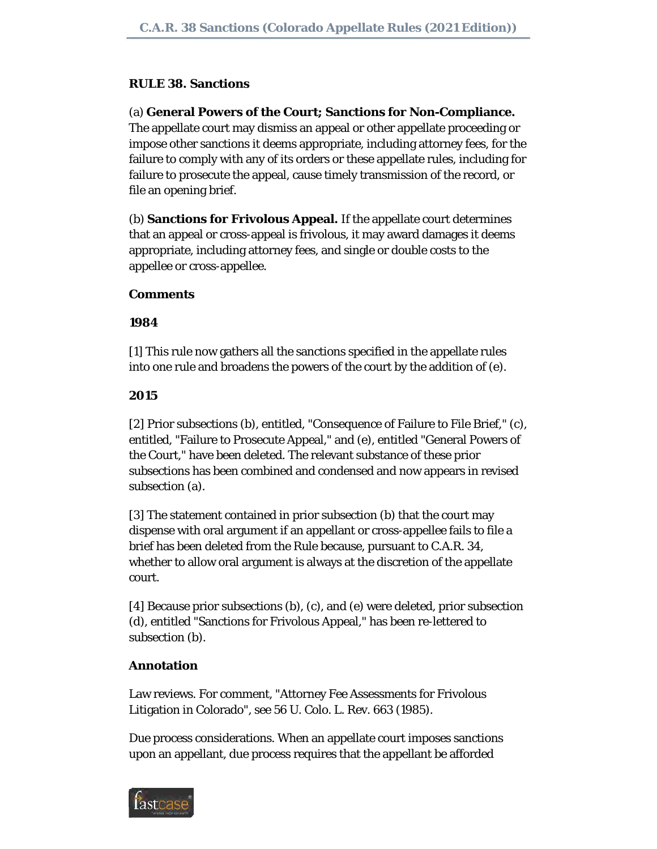### **RULE 38. Sanctions**

(a) **General Powers of the Court; Sanctions for Non-Compliance.** The appellate court may dismiss an appeal or other appellate proceeding or impose other sanctions it deems appropriate, including attorney fees, for the failure to comply with any of its orders or these appellate rules, including for failure to prosecute the appeal, cause timely transmission of the record, or file an opening brief.

(b) **Sanctions for Frivolous Appeal.** If the appellate court determines that an appeal or cross-appeal is frivolous, it may award damages it deems appropriate, including attorney fees, and single or double costs to the appellee or cross-appellee.

**Comments**

**1984**

[1] This rule now gathers all the sanctions specified in the appellate rules into one rule and broadens the powers of the court by the addition of (e).

**2015**

[2] Prior subsections (b), entitled, "Consequence of Failure to File Brief," (c), entitled, "Failure to Prosecute Appeal," and (e), entitled "General Powers of the Court," have been deleted. The relevant substance of these prior subsections has been combined and condensed and now appears in revised subsection (a).

[3] The statement contained in prior subsection (b) that the court may dispense with oral argument if an appellant or cross-appellee fails to file a brief has been deleted from the Rule because, pursuant to C.A.R. 34, whether to allow oral argument is always at the discretion of the appellate court.

[4] Because prior subsections (b), (c), and (e) were deleted, prior subsection (d), entitled "Sanctions for Frivolous Appeal," has been re-lettered to subsection (b).

#### **Annotation**

Law reviews. For comment, "Attorney Fee Assessments for Frivolous Litigation in Colorado", see 56 U. Colo. L. Rev. 663 (1985).

Due process considerations. When an appellate court imposes sanctions upon an appellant, due process requires that the appellant be afforded

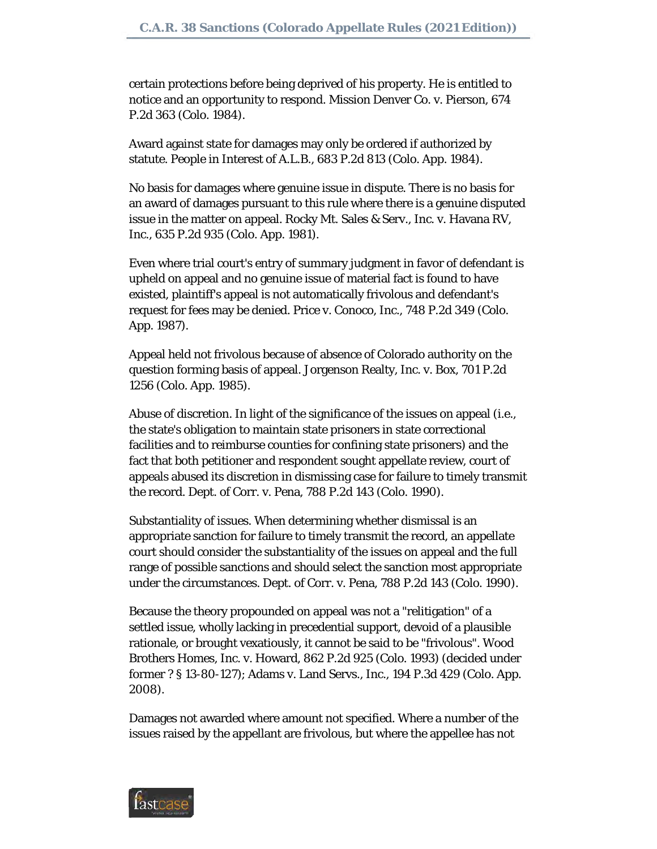certain protections before being deprived of his property. He is entitled to notice and an opportunity to respond. Mission Denver Co. v. Pierson, 674 P.2d 363 (Colo. 1984).

Award against state for damages may only be ordered if authorized by statute. People in Interest of A.L.B., 683 P.2d 813 (Colo. App. 1984).

No basis for damages where genuine issue in dispute. There is no basis for an award of damages pursuant to this rule where there is a genuine disputed issue in the matter on appeal. Rocky Mt. Sales & Serv., Inc. v. Havana RV, Inc., 635 P.2d 935 (Colo. App. 1981).

Even where trial court's entry of summary judgment in favor of defendant is upheld on appeal and no genuine issue of material fact is found to have existed, plaintiff's appeal is not automatically frivolous and defendant's request for fees may be denied. Price v. Conoco, Inc., 748 P.2d 349 (Colo. App. 1987).

Appeal held not frivolous because of absence of Colorado authority on the question forming basis of appeal. Jorgenson Realty, Inc. v. Box, 701 P.2d 1256 (Colo. App. 1985).

Abuse of discretion. In light of the significance of the issues on appeal (i.e., the state's obligation to maintain state prisoners in state correctional facilities and to reimburse counties for confining state prisoners) and the fact that both petitioner and respondent sought appellate review, court of appeals abused its discretion in dismissing case for failure to timely transmit the record. Dept. of Corr. v. Pena, 788 P.2d 143 (Colo. 1990).

Substantiality of issues. When determining whether dismissal is an appropriate sanction for failure to timely transmit the record, an appellate court should consider the substantiality of the issues on appeal and the full range of possible sanctions and should select the sanction most appropriate under the circumstances. Dept. of Corr. v. Pena, 788 P.2d 143 (Colo. 1990).

Because the theory propounded on appeal was not a "relitigation" of a settled issue, wholly lacking in precedential support, devoid of a plausible rationale, or brought vexatiously, it cannot be said to be "frivolous". Wood Brothers Homes, Inc. v. Howard, 862 P.2d 925 (Colo. 1993) (decided under former ? § 13-80-127); Adams v. Land Servs., Inc., 194 P.3d 429 (Colo. App. 2008).

Damages not awarded where amount not specified. Where a number of the issues raised by the appellant are frivolous, but where the appellee has not

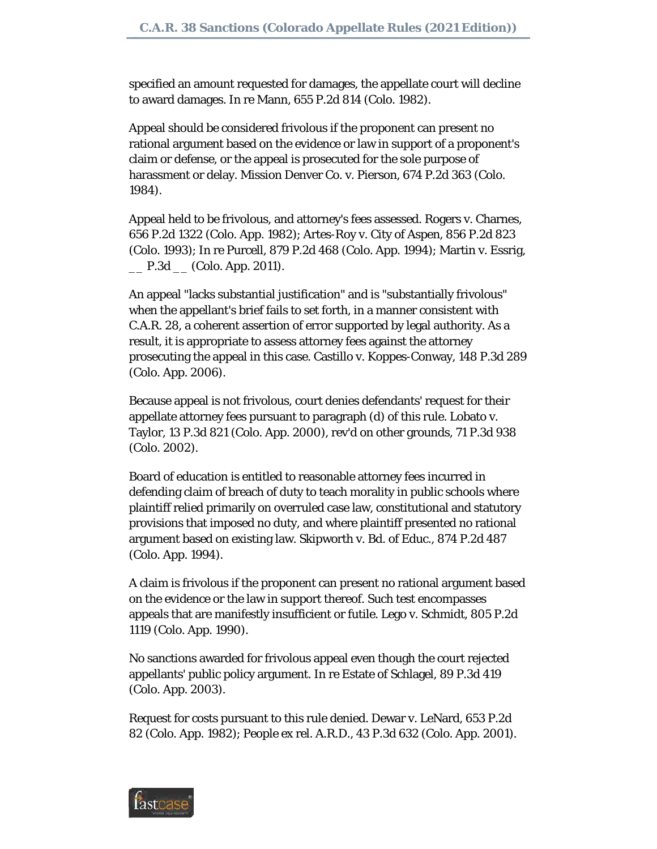specified an amount requested for damages, the appellate court will decline to award damages. In re Mann, 655 P.2d 814 (Colo. 1982).

Appeal should be considered frivolous if the proponent can present no rational argument based on the evidence or law in support of a proponent's claim or defense, or the appeal is prosecuted for the sole purpose of harassment or delay. Mission Denver Co. v. Pierson, 674 P.2d 363 (Colo. 1984).

Appeal held to be frivolous, and attorney's fees assessed. Rogers v. Charnes, 656 P.2d 1322 (Colo. App. 1982); Artes-Roy v. City of Aspen, 856 P.2d 823 (Colo. 1993); In re Purcell, 879 P.2d 468 (Colo. App. 1994); Martin v. Essrig, \_\_ P.3d \_\_ (Colo. App. 2011).

An appeal "lacks substantial justification" and is "substantially frivolous" when the appellant's brief fails to set forth, in a manner consistent with C.A.R. 28, a coherent assertion of error supported by legal authority. As a result, it is appropriate to assess attorney fees against the attorney prosecuting the appeal in this case. Castillo v. Koppes-Conway, 148 P.3d 289 (Colo. App. 2006).

Because appeal is not frivolous, court denies defendants' request for their appellate attorney fees pursuant to paragraph (d) of this rule. Lobato v. Taylor, 13 P.3d 821 (Colo. App. 2000), rev'd on other grounds, 71 P.3d 938 (Colo. 2002).

Board of education is entitled to reasonable attorney fees incurred in defending claim of breach of duty to teach morality in public schools where plaintiff relied primarily on overruled case law, constitutional and statutory provisions that imposed no duty, and where plaintiff presented no rational argument based on existing law. Skipworth v. Bd. of Educ., 874 P.2d 487 (Colo. App. 1994).

A claim is frivolous if the proponent can present no rational argument based on the evidence or the law in support thereof. Such test encompasses appeals that are manifestly insufficient or futile. Lego v. Schmidt, 805 P.2d 1119 (Colo. App. 1990).

No sanctions awarded for frivolous appeal even though the court rejected appellants' public policy argument. In re Estate of Schlagel, 89 P.3d 419 (Colo. App. 2003).

Request for costs pursuant to this rule denied. Dewar v. LeNard, 653 P.2d 82 (Colo. App. 1982); People ex rel. A.R.D., 43 P.3d 632 (Colo. App. 2001).

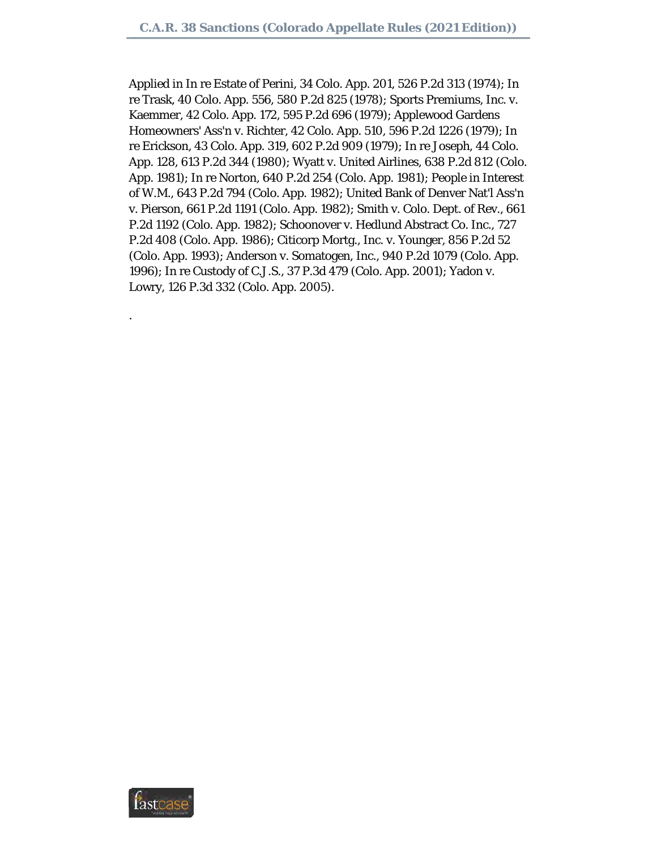Applied in In re Estate of Perini, 34 Colo. App. 201, 526 P.2d 313 (1974); In re Trask, 40 Colo. App. 556, 580 P.2d 825 (1978); Sports Premiums, Inc. v. Kaemmer, 42 Colo. App. 172, 595 P.2d 696 (1979); Applewood Gardens Homeowners' Ass'n v. Richter, 42 Colo. App. 510, 596 P.2d 1226 (1979); In re Erickson, 43 Colo. App. 319, 602 P.2d 909 (1979); In re Joseph, 44 Colo. App. 128, 613 P.2d 344 (1980); Wyatt v. United Airlines, 638 P.2d 812 (Colo. App. 1981); In re Norton, 640 P.2d 254 (Colo. App. 1981); People in Interest of W.M., 643 P.2d 794 (Colo. App. 1982); United Bank of Denver Nat'l Ass'n v. Pierson, 661 P.2d 1191 (Colo. App. 1982); Smith v. Colo. Dept. of Rev., 661 P.2d 1192 (Colo. App. 1982); Schoonover v. Hedlund Abstract Co. Inc., 727 P.2d 408 (Colo. App. 1986); Citicorp Mortg., Inc. v. Younger, 856 P.2d 52 (Colo. App. 1993); Anderson v. Somatogen, Inc., 940 P.2d 1079 (Colo. App. 1996); In re Custody of C.J.S., 37 P.3d 479 (Colo. App. 2001); Yadon v. Lowry, 126 P.3d 332 (Colo. App. 2005).



.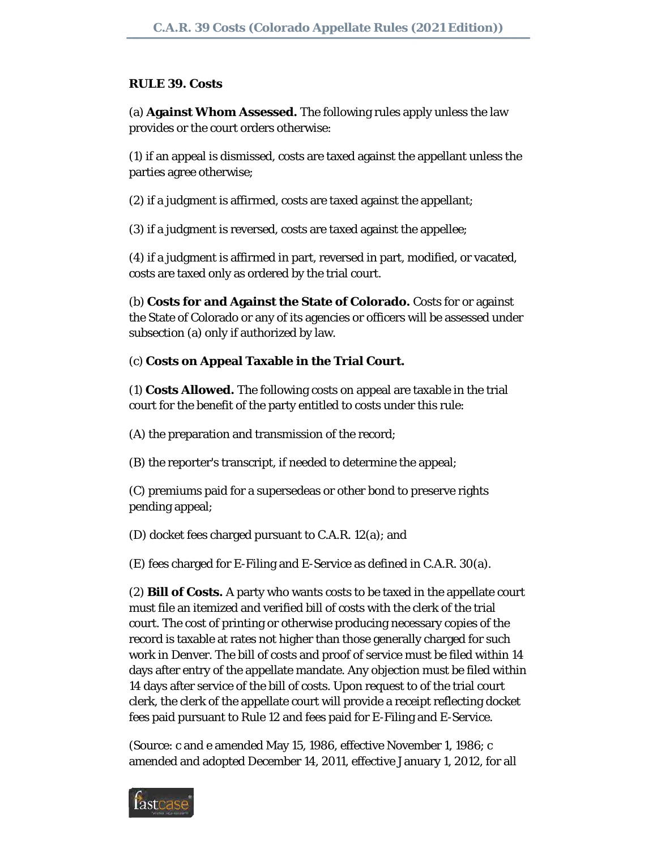#### **RULE 39. Costs**

(a) **Against Whom Assessed.** The following rules apply unless the law provides or the court orders otherwise:

(1) if an appeal is dismissed, costs are taxed against the appellant unless the parties agree otherwise;

(2) if a judgment is affirmed, costs are taxed against the appellant;

(3) if a judgment is reversed, costs are taxed against the appellee;

(4) if a judgment is affirmed in part, reversed in part, modified, or vacated, costs are taxed only as ordered by the trial court.

(b) **Costs for and Against the State of Colorado.** Costs for or against the State of Colorado or any of its agencies or officers will be assessed under subsection (a) only if authorized by law.

(c) **Costs on Appeal Taxable in the Trial Court.**

(1) **Costs Allowed.** The following costs on appeal are taxable in the trial court for the benefit of the party entitled to costs under this rule:

(A) the preparation and transmission of the record;

(B) the reporter's transcript, if needed to determine the appeal;

(C) premiums paid for a supersedeas or other bond to preserve rights pending appeal;

(D) docket fees charged pursuant to C.A.R. 12(a); and

(E) fees charged for E-Filing and E-Service as defined in C.A.R. 30(a).

(2) **Bill of Costs.** A party who wants costs to be taxed in the appellate court must file an itemized and verified bill of costs with the clerk of the trial court. The cost of printing or otherwise producing necessary copies of the record is taxable at rates not higher than those generally charged for such work in Denver. The bill of costs and proof of service must be filed within 14 days after entry of the appellate mandate. Any objection must be filed within 14 days after service of the bill of costs. Upon request to of the trial court clerk, the clerk of the appellate court will provide a receipt reflecting docket fees paid pursuant to Rule 12 and fees paid for E-Filing and E-Service.

(Source: c and e amended May 15, 1986, effective November 1, 1986; c amended and adopted December 14, 2011, effective January 1, 2012, for all

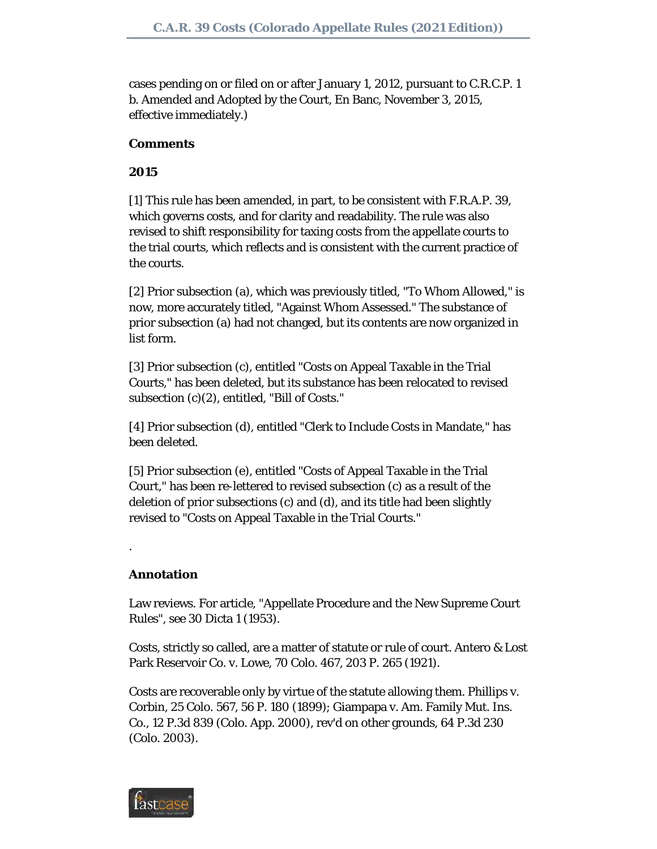cases pending on or filed on or after January 1, 2012, pursuant to C.R.C.P. 1 b. Amended and Adopted by the Court, En Banc, November 3, 2015, effective immediately.)

**Comments**

**2015**

[1] This rule has been amended, in part, to be consistent with F.R.A.P. 39, which governs costs, and for clarity and readability. The rule was also revised to shift responsibility for taxing costs from the appellate courts to the trial courts, which reflects and is consistent with the current practice of the courts.

[2] Prior subsection (a), which was previously titled, "To Whom Allowed," is now, more accurately titled, "Against Whom Assessed." The substance of prior subsection (a) had not changed, but its contents are now organized in list form.

[3] Prior subsection (c), entitled "Costs on Appeal Taxable in the Trial Courts," has been deleted, but its substance has been relocated to revised subsection (c)(2), entitled, "Bill of Costs."

[4] Prior subsection (d), entitled "Clerk to Include Costs in Mandate," has been deleted.

[5] Prior subsection (e), entitled "Costs of Appeal Taxable in the Trial Court," has been re-lettered to revised subsection (c) as a result of the deletion of prior subsections (c) and (d), and its title had been slightly revised to "Costs on Appeal Taxable in the Trial Courts."

**Annotation**

.

Law reviews. For article, "Appellate Procedure and the New Supreme Court Rules", see 30 Dicta 1 (1953).

Costs, strictly so called, are a matter of statute or rule of court. Antero & Lost Park Reservoir Co. v. Lowe, 70 Colo. 467, 203 P. 265 (1921).

Costs are recoverable only by virtue of the statute allowing them. Phillips v. Corbin, 25 Colo. 567, 56 P. 180 (1899); Giampapa v. Am. Family Mut. Ins. Co., 12 P.3d 839 (Colo. App. 2000), rev'd on other grounds, 64 P.3d 230 (Colo. 2003).

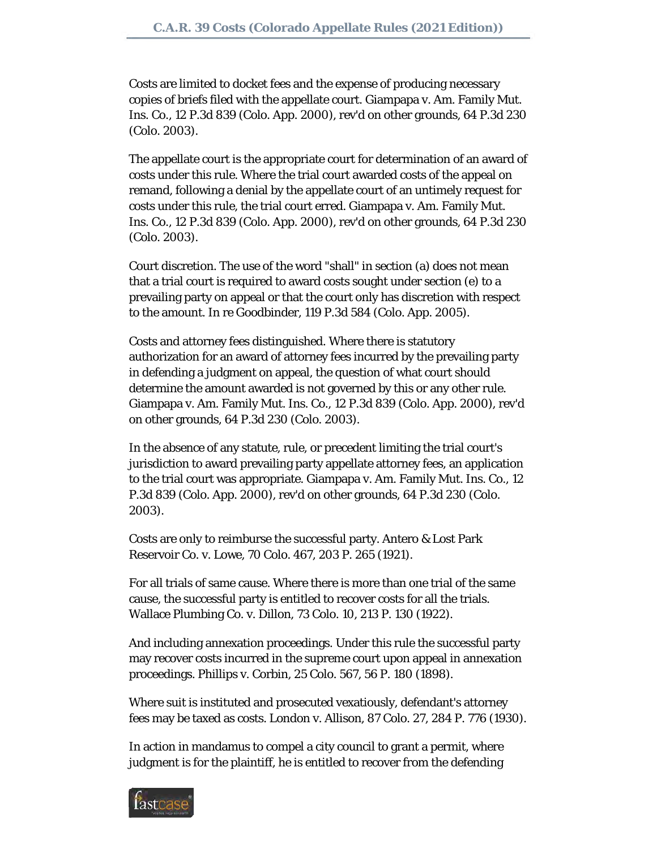Costs are limited to docket fees and the expense of producing necessary copies of briefs filed with the appellate court. Giampapa v. Am. Family Mut. Ins. Co., 12 P.3d 839 (Colo. App. 2000), rev'd on other grounds, 64 P.3d 230 (Colo. 2003).

The appellate court is the appropriate court for determination of an award of costs under this rule. Where the trial court awarded costs of the appeal on remand, following a denial by the appellate court of an untimely request for costs under this rule, the trial court erred. Giampapa v. Am. Family Mut. Ins. Co., 12 P.3d 839 (Colo. App. 2000), rev'd on other grounds, 64 P.3d 230 (Colo. 2003).

Court discretion. The use of the word "shall" in section (a) does not mean that a trial court is required to award costs sought under section (e) to a prevailing party on appeal or that the court only has discretion with respect to the amount. In re Goodbinder, 119 P.3d 584 (Colo. App. 2005).

Costs and attorney fees distinguished. Where there is statutory authorization for an award of attorney fees incurred by the prevailing party in defending a judgment on appeal, the question of what court should determine the amount awarded is not governed by this or any other rule. Giampapa v. Am. Family Mut. Ins. Co., 12 P.3d 839 (Colo. App. 2000), rev'd on other grounds, 64 P.3d 230 (Colo. 2003).

In the absence of any statute, rule, or precedent limiting the trial court's jurisdiction to award prevailing party appellate attorney fees, an application to the trial court was appropriate. Giampapa v. Am. Family Mut. Ins. Co., 12 P.3d 839 (Colo. App. 2000), rev'd on other grounds, 64 P.3d 230 (Colo. 2003).

Costs are only to reimburse the successful party. Antero & Lost Park Reservoir Co. v. Lowe, 70 Colo. 467, 203 P. 265 (1921).

For all trials of same cause. Where there is more than one trial of the same cause, the successful party is entitled to recover costs for all the trials. Wallace Plumbing Co. v. Dillon, 73 Colo. 10, 213 P. 130 (1922).

And including annexation proceedings. Under this rule the successful party may recover costs incurred in the supreme court upon appeal in annexation proceedings. Phillips v. Corbin, 25 Colo. 567, 56 P. 180 (1898).

Where suit is instituted and prosecuted vexatiously, defendant's attorney fees may be taxed as costs. London v. Allison, 87 Colo. 27, 284 P. 776 (1930).

In action in mandamus to compel a city council to grant a permit, where judgment is for the plaintiff, he is entitled to recover from the defending

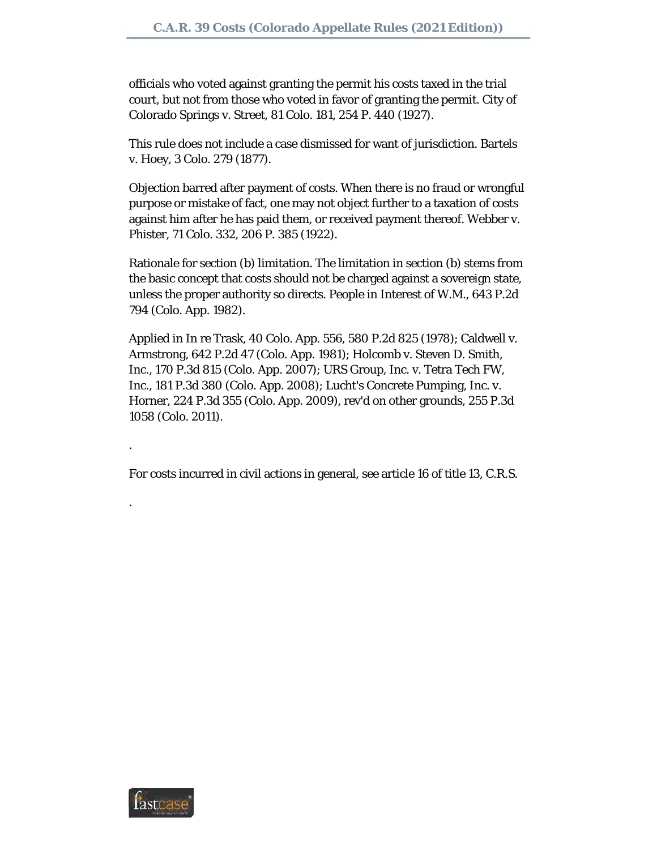officials who voted against granting the permit his costs taxed in the trial court, but not from those who voted in favor of granting the permit. City of Colorado Springs v. Street, 81 Colo. 181, 254 P. 440 (1927).

This rule does not include a case dismissed for want of jurisdiction. Bartels v. Hoey, 3 Colo. 279 (1877).

Objection barred after payment of costs. When there is no fraud or wrongful purpose or mistake of fact, one may not object further to a taxation of costs against him after he has paid them, or received payment thereof. Webber v. Phister, 71 Colo. 332, 206 P. 385 (1922).

Rationale for section (b) limitation. The limitation in section (b) stems from the basic concept that costs should not be charged against a sovereign state, unless the proper authority so directs. People in Interest of W.M., 643 P.2d 794 (Colo. App. 1982).

Applied in In re Trask, 40 Colo. App. 556, 580 P.2d 825 (1978); Caldwell v. Armstrong, 642 P.2d 47 (Colo. App. 1981); Holcomb v. Steven D. Smith, Inc., 170 P.3d 815 (Colo. App. 2007); URS Group, Inc. v. Tetra Tech FW, Inc., 181 P.3d 380 (Colo. App. 2008); Lucht's Concrete Pumping, Inc. v. Horner, 224 P.3d 355 (Colo. App. 2009), rev'd on other grounds, 255 P.3d 1058 (Colo. 2011).

For costs incurred in civil actions in general, see article 16 of title 13, C.R.S.



.

.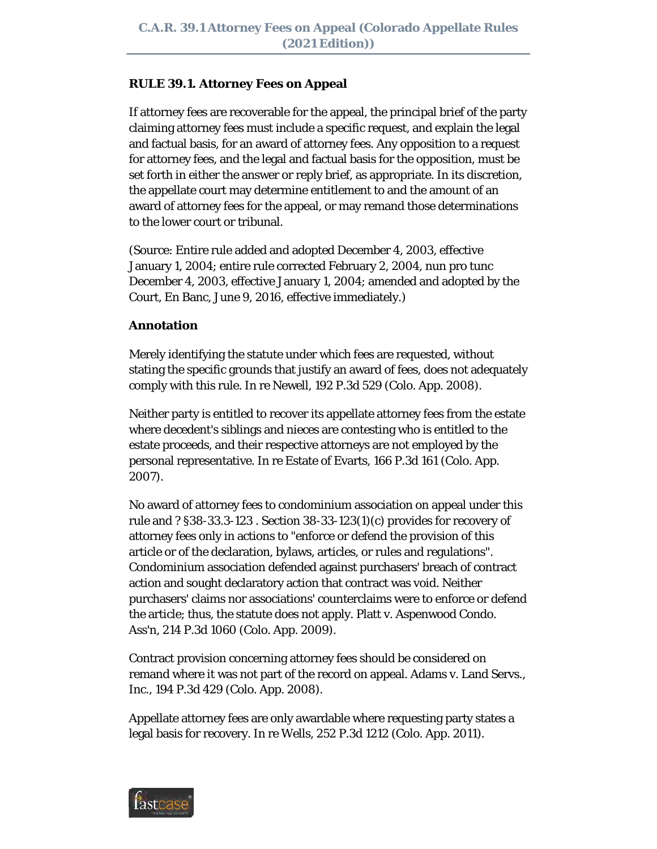## **RULE 39.1. Attorney Fees on Appeal**

If attorney fees are recoverable for the appeal, the principal brief of the party claiming attorney fees must include a specific request, and explain the legal and factual basis, for an award of attorney fees. Any opposition to a request for attorney fees, and the legal and factual basis for the opposition, must be set forth in either the answer or reply brief, as appropriate. In its discretion, the appellate court may determine entitlement to and the amount of an award of attorney fees for the appeal, or may remand those determinations to the lower court or tribunal.

(Source: Entire rule added and adopted December 4, 2003, effective January 1, 2004; entire rule corrected February 2, 2004, nun pro tunc December 4, 2003, effective January 1, 2004; amended and adopted by the Court, En Banc, June 9, 2016, effective immediately.)

#### **Annotation**

Merely identifying the statute under which fees are requested, without stating the specific grounds that justify an award of fees, does not adequately comply with this rule. In re Newell, 192 P.3d 529 (Colo. App. 2008).

Neither party is entitled to recover its appellate attorney fees from the estate where decedent's siblings and nieces are contesting who is entitled to the estate proceeds, and their respective attorneys are not employed by the personal representative. In re Estate of Evarts, 166 P.3d 161 (Colo. App. 2007).

No award of attorney fees to condominium association on appeal under this rule and ? §38-33.3-123 . Section 38-33-123(1)(c) provides for recovery of attorney fees only in actions to "enforce or defend the provision of this article or of the declaration, bylaws, articles, or rules and regulations". Condominium association defended against purchasers' breach of contract action and sought declaratory action that contract was void. Neither purchasers' claims nor associations' counterclaims were to enforce or defend the article; thus, the statute does not apply. Platt v. Aspenwood Condo. Ass'n, 214 P.3d 1060 (Colo. App. 2009).

Contract provision concerning attorney fees should be considered on remand where it was not part of the record on appeal. Adams v. Land Servs., Inc., 194 P.3d 429 (Colo. App. 2008).

Appellate attorney fees are only awardable where requesting party states a legal basis for recovery. In re Wells, 252 P.3d 1212 (Colo. App. 2011).

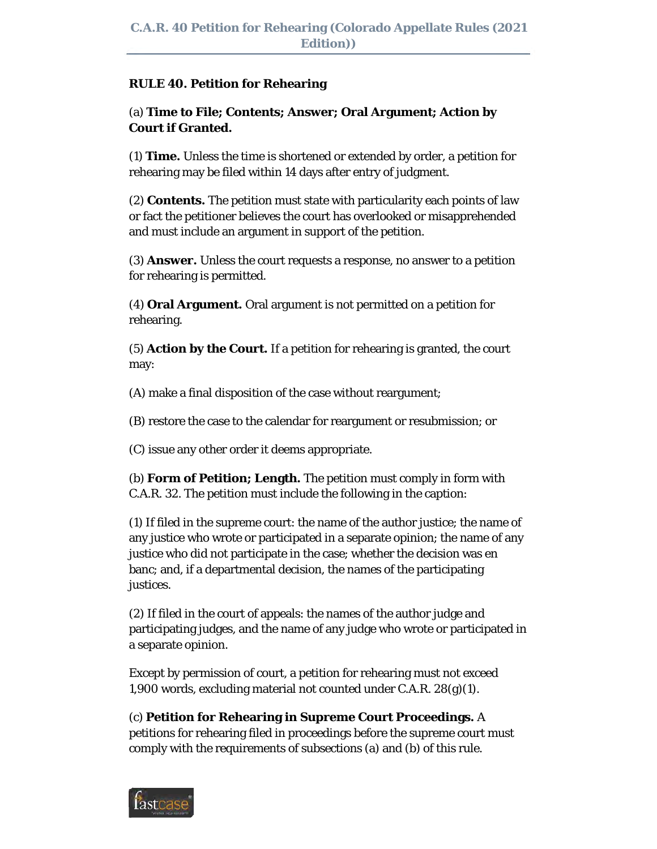## **RULE 40. Petition for Rehearing**

(a) **Time to File; Contents; Answer; Oral Argument; Action by Court if Granted.**

(1) **Time.** Unless the time is shortened or extended by order, a petition for rehearing may be filed within 14 days after entry of judgment.

(2) **Contents.** The petition must state with particularity each points of law or fact the petitioner believes the court has overlooked or misapprehended and must include an argument in support of the petition.

(3) **Answer.** Unless the court requests a response, no answer to a petition for rehearing is permitted.

(4) **Oral Argument.** Oral argument is not permitted on a petition for rehearing.

(5) **Action by the Court.** If a petition for rehearing is granted, the court may:

(A) make a final disposition of the case without reargument;

(B) restore the case to the calendar for reargument or resubmission; or

(C) issue any other order it deems appropriate.

(b) **Form of Petition; Length.** The petition must comply in form with C.A.R. 32. The petition must include the following in the caption:

(1) If filed in the supreme court: the name of the author justice; the name of any justice who wrote or participated in a separate opinion; the name of any justice who did not participate in the case; whether the decision was en banc; and, if a departmental decision, the names of the participating justices.

(2) If filed in the court of appeals: the names of the author judge and participating judges, and the name of any judge who wrote or participated in a separate opinion.

Except by permission of court, a petition for rehearing must not exceed 1,900 words, excluding material not counted under C.A.R. 28(g)(1).

(c) **Petition for Rehearing in Supreme Court Proceedings.** A petitions for rehearing filed in proceedings before the supreme court must comply with the requirements of subsections (a) and (b) of this rule.

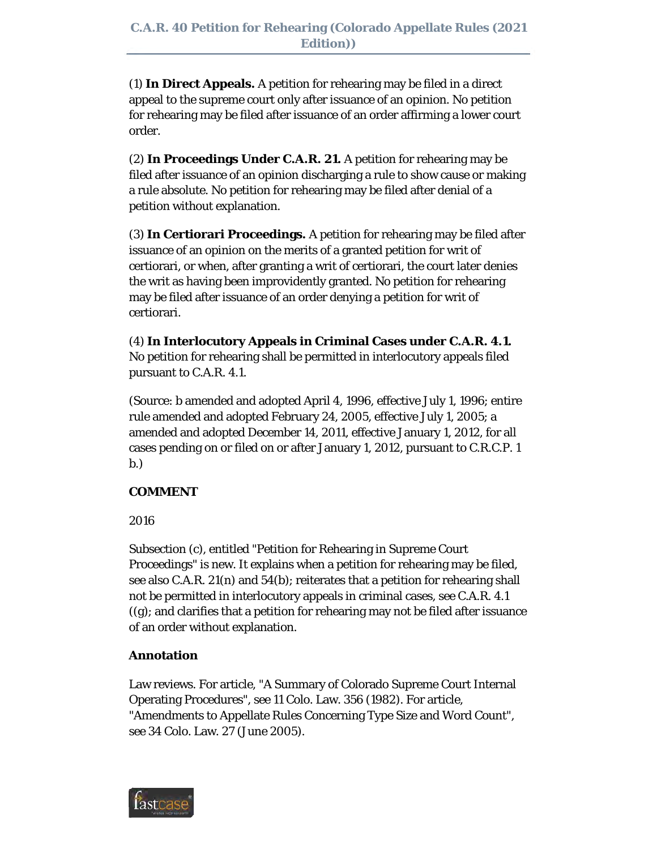(1) **In Direct Appeals.** A petition for rehearing may be filed in a direct appeal to the supreme court only after issuance of an opinion. No petition for rehearing may be filed after issuance of an order affirming a lower court order.

(2) **In Proceedings Under C.A.R. 21.** A petition for rehearing may be filed after issuance of an opinion discharging a rule to show cause or making a rule absolute. No petition for rehearing may be filed after denial of a petition without explanation.

(3) **In Certiorari Proceedings.** A petition for rehearing may be filed after issuance of an opinion on the merits of a granted petition for writ of certiorari, or when, after granting a writ of certiorari, the court later denies the writ as having been improvidently granted. No petition for rehearing may be filed after issuance of an order denying a petition for writ of certiorari.

(4) **In Interlocutory Appeals in Criminal Cases under C.A.R. 4.1.** No petition for rehearing shall be permitted in interlocutory appeals filed pursuant to C.A.R. 4.1.

(Source: b amended and adopted April 4, 1996, effective July 1, 1996; entire rule amended and adopted February 24, 2005, effective July 1, 2005; a amended and adopted December 14, 2011, effective January 1, 2012, for all cases pending on or filed on or after January 1, 2012, pursuant to C.R.C.P. 1 b.)

**COMMENT**

2016

Subsection (c), entitled "Petition for Rehearing in Supreme Court Proceedings" is new. It explains when a petition for rehearing may be filed, see also C.A.R. 21(n) and 54(b); reiterates that a petition for rehearing shall not be permitted in interlocutory appeals in criminal cases, see C.A.R. 4.1  $((g))$  and clarifies that a petition for rehearing may not be filed after issuance of an order without explanation.

## **Annotation**

Law reviews. For article, "A Summary of Colorado Supreme Court Internal Operating Procedures", see 11 Colo. Law. 356 (1982). For article, "Amendments to Appellate Rules Concerning Type Size and Word Count", see 34 Colo. Law. 27 (June 2005).

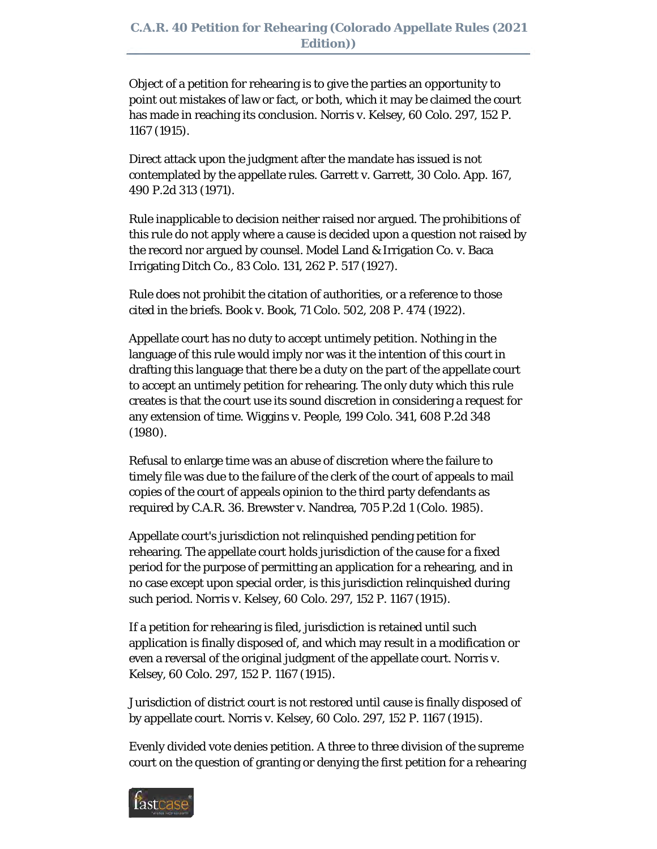Object of a petition for rehearing is to give the parties an opportunity to point out mistakes of law or fact, or both, which it may be claimed the court has made in reaching its conclusion. Norris v. Kelsey, 60 Colo. 297, 152 P. 1167 (1915).

Direct attack upon the judgment after the mandate has issued is not contemplated by the appellate rules. Garrett v. Garrett, 30 Colo. App. 167, 490 P.2d 313 (1971).

Rule inapplicable to decision neither raised nor argued. The prohibitions of this rule do not apply where a cause is decided upon a question not raised by the record nor argued by counsel. Model Land & Irrigation Co. v. Baca Irrigating Ditch Co., 83 Colo. 131, 262 P. 517 (1927).

Rule does not prohibit the citation of authorities, or a reference to those cited in the briefs. Book v. Book, 71 Colo. 502, 208 P. 474 (1922).

Appellate court has no duty to accept untimely petition. Nothing in the language of this rule would imply nor was it the intention of this court in drafting this language that there be a duty on the part of the appellate court to accept an untimely petition for rehearing. The only duty which this rule creates is that the court use its sound discretion in considering a request for any extension of time. Wiggins v. People, 199 Colo. 341, 608 P.2d 348 (1980).

Refusal to enlarge time was an abuse of discretion where the failure to timely file was due to the failure of the clerk of the court of appeals to mail copies of the court of appeals opinion to the third party defendants as required by C.A.R. 36. Brewster v. Nandrea, 705 P.2d 1 (Colo. 1985).

Appellate court's jurisdiction not relinquished pending petition for rehearing. The appellate court holds jurisdiction of the cause for a fixed period for the purpose of permitting an application for a rehearing, and in no case except upon special order, is this jurisdiction relinquished during such period. Norris v. Kelsey, 60 Colo. 297, 152 P. 1167 (1915).

If a petition for rehearing is filed, jurisdiction is retained until such application is finally disposed of, and which may result in a modification or even a reversal of the original judgment of the appellate court. Norris v. Kelsey, 60 Colo. 297, 152 P. 1167 (1915).

Jurisdiction of district court is not restored until cause is finally disposed of by appellate court. Norris v. Kelsey, 60 Colo. 297, 152 P. 1167 (1915).

Evenly divided vote denies petition. A three to three division of the supreme court on the question of granting or denying the first petition for a rehearing

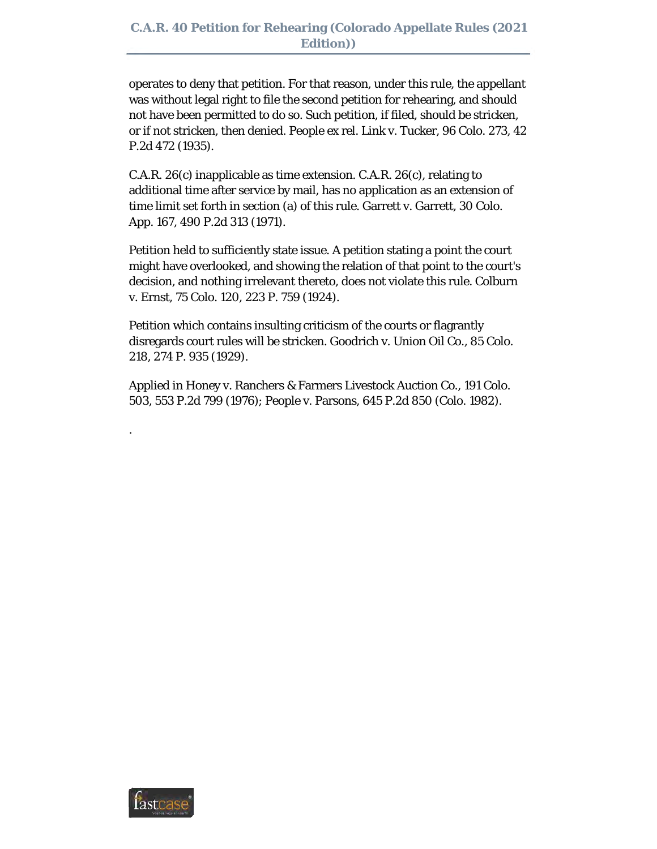operates to deny that petition. For that reason, under this rule, the appellant was without legal right to file the second petition for rehearing, and should not have been permitted to do so. Such petition, if filed, should be stricken, or if not stricken, then denied. People ex rel. Link v. Tucker, 96 Colo. 273, 42 P.2d 472 (1935).

C.A.R. 26(c) inapplicable as time extension. C.A.R. 26(c), relating to additional time after service by mail, has no application as an extension of time limit set forth in section (a) of this rule. Garrett v. Garrett, 30 Colo. App. 167, 490 P.2d 313 (1971).

Petition held to sufficiently state issue. A petition stating a point the court might have overlooked, and showing the relation of that point to the court's decision, and nothing irrelevant thereto, does not violate this rule. Colburn v. Ernst, 75 Colo. 120, 223 P. 759 (1924).

Petition which contains insulting criticism of the courts or flagrantly disregards court rules will be stricken. Goodrich v. Union Oil Co., 85 Colo. 218, 274 P. 935 (1929).

Applied in Honey v. Ranchers & Farmers Livestock Auction Co., 191 Colo. 503, 553 P.2d 799 (1976); People v. Parsons, 645 P.2d 850 (Colo. 1982).



.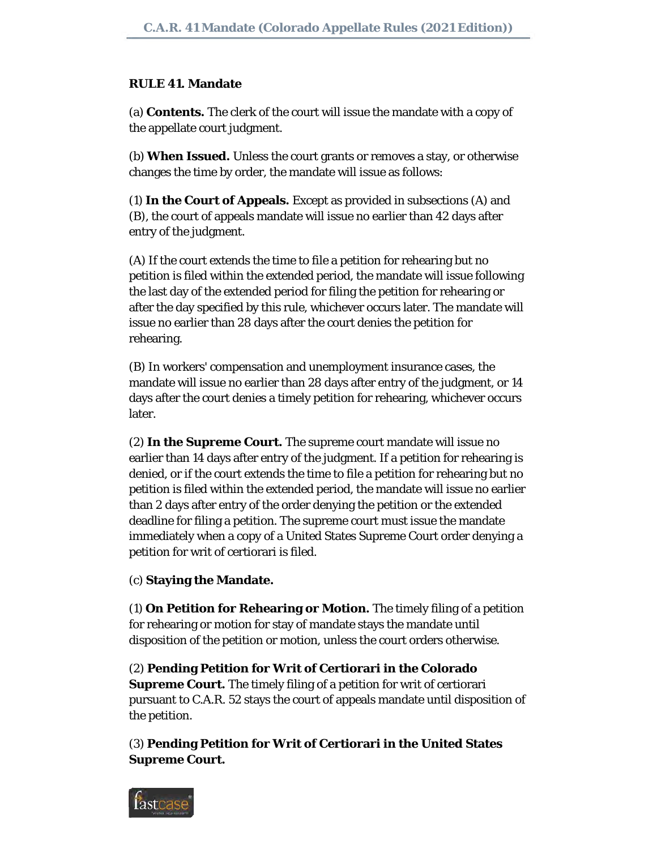#### **RULE 41. Mandate**

(a) **Contents.** The clerk of the court will issue the mandate with a copy of the appellate court judgment.

(b) **When Issued.** Unless the court grants or removes a stay, or otherwise changes the time by order, the mandate will issue as follows:

(1) **In the Court of Appeals.** Except as provided in subsections (A) and (B), the court of appeals mandate will issue no earlier than 42 days after entry of the judgment.

(A) If the court extends the time to file a petition for rehearing but no petition is filed within the extended period, the mandate will issue following the last day of the extended period for filing the petition for rehearing or after the day specified by this rule, whichever occurs later. The mandate will issue no earlier than 28 days after the court denies the petition for rehearing.

(B) In workers' compensation and unemployment insurance cases, the mandate will issue no earlier than 28 days after entry of the judgment, or 14 days after the court denies a timely petition for rehearing, whichever occurs later.

(2) **In the Supreme Court.** The supreme court mandate will issue no earlier than 14 days after entry of the judgment. If a petition for rehearing is denied, or if the court extends the time to file a petition for rehearing but no petition is filed within the extended period, the mandate will issue no earlier than 2 days after entry of the order denying the petition or the extended deadline for filing a petition. The supreme court must issue the mandate immediately when a copy of a United States Supreme Court order denying a petition for writ of certiorari is filed.

(c) **Staying the Mandate.**

(1) **On Petition for Rehearing or Motion.** The timely filing of a petition for rehearing or motion for stay of mandate stays the mandate until disposition of the petition or motion, unless the court orders otherwise.

(2) **Pending Petition for Writ of Certiorari in the Colorado Supreme Court.** The timely filing of a petition for writ of certiorari pursuant to C.A.R. 52 stays the court of appeals mandate until disposition of the petition.

(3) **Pending Petition for Writ of Certiorari in the United States Supreme Court.**

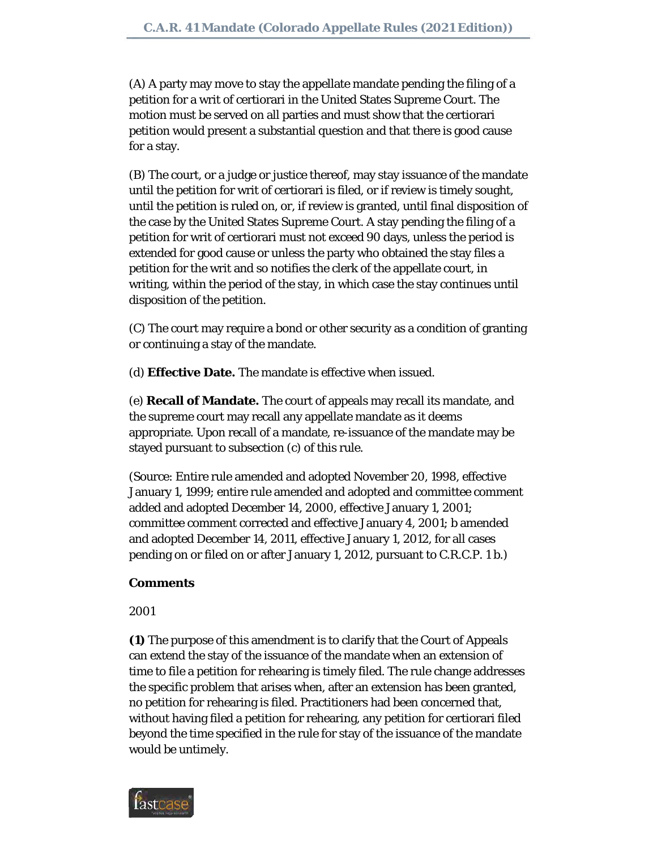(A) A party may move to stay the appellate mandate pending the filing of a petition for a writ of certiorari in the United States Supreme Court. The motion must be served on all parties and must show that the certiorari petition would present a substantial question and that there is good cause for a stay.

(B) The court, or a judge or justice thereof, may stay issuance of the mandate until the petition for writ of certiorari is filed, or if review is timely sought, until the petition is ruled on, or, if review is granted, until final disposition of the case by the United States Supreme Court. A stay pending the filing of a petition for writ of certiorari must not exceed 90 days, unless the period is extended for good cause or unless the party who obtained the stay files a petition for the writ and so notifies the clerk of the appellate court, in writing, within the period of the stay, in which case the stay continues until disposition of the petition.

(C) The court may require a bond or other security as a condition of granting or continuing a stay of the mandate.

(d) **Effective Date.** The mandate is effective when issued.

(e) **Recall of Mandate.** The court of appeals may recall its mandate, and the supreme court may recall any appellate mandate as it deems appropriate. Upon recall of a mandate, re-issuance of the mandate may be stayed pursuant to subsection (c) of this rule.

(Source: Entire rule amended and adopted November 20, 1998, effective January 1, 1999; entire rule amended and adopted and committee comment added and adopted December 14, 2000, effective January 1, 2001; committee comment corrected and effective January 4, 2001; b amended and adopted December 14, 2011, effective January 1, 2012, for all cases pending on or filed on or after January 1, 2012, pursuant to C.R.C.P. 1 b.)

## **Comments**

## 2001

**(1)** The purpose of this amendment is to clarify that the Court of Appeals can extend the stay of the issuance of the mandate when an extension of time to file a petition for rehearing is timely filed. The rule change addresses the specific problem that arises when, after an extension has been granted, no petition for rehearing is filed. Practitioners had been concerned that, without having filed a petition for rehearing, any petition for certiorari filed beyond the time specified in the rule for stay of the issuance of the mandate would be untimely.

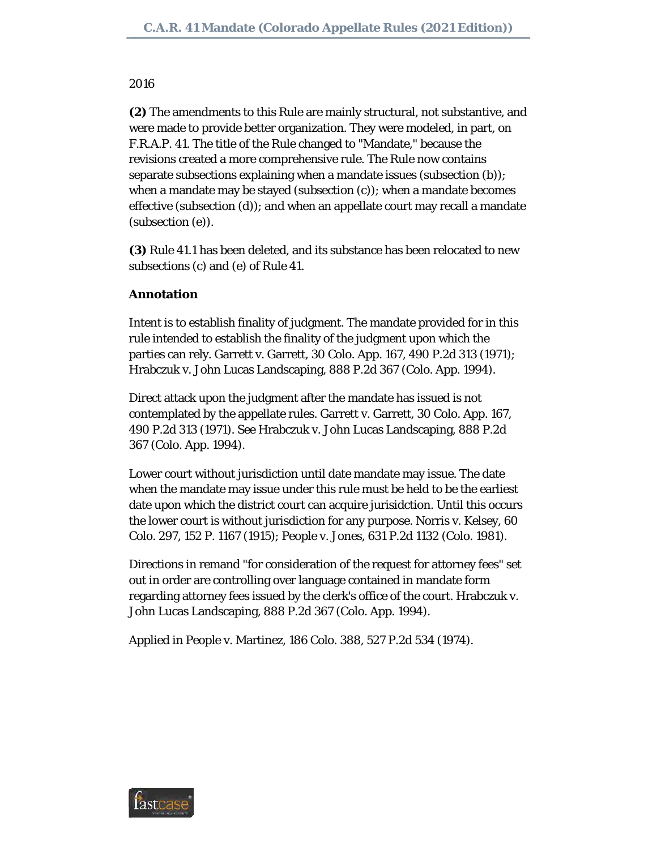### 2016

**(2)** The amendments to this Rule are mainly structural, not substantive, and were made to provide better organization. They were modeled, in part, on F.R.A.P. 41. The title of the Rule changed to "Mandate," because the revisions created a more comprehensive rule. The Rule now contains separate subsections explaining when a mandate issues (subsection  $(b)$ ); when a mandate may be stayed (subsection (c)); when a mandate becomes effective (subsection (d)); and when an appellate court may recall a mandate (subsection (e)).

**(3)** Rule 41.1 has been deleted, and its substance has been relocated to new subsections (c) and (e) of Rule 41.

### **Annotation**

Intent is to establish finality of judgment. The mandate provided for in this rule intended to establish the finality of the judgment upon which the parties can rely. Garrett v. Garrett, 30 Colo. App. 167, 490 P.2d 313 (1971); Hrabczuk v. John Lucas Landscaping, 888 P.2d 367 (Colo. App. 1994).

Direct attack upon the judgment after the mandate has issued is not contemplated by the appellate rules. Garrett v. Garrett, 30 Colo. App. 167, 490 P.2d 313 (1971). See Hrabczuk v. John Lucas Landscaping, 888 P.2d 367 (Colo. App. 1994).

Lower court without jurisdiction until date mandate may issue. The date when the mandate may issue under this rule must be held to be the earliest date upon which the district court can acquire jurisidction. Until this occurs the lower court is without jurisdiction for any purpose. Norris v. Kelsey, 60 Colo. 297, 152 P. 1167 (1915); People v. Jones, 631 P.2d 1132 (Colo. 1981).

Directions in remand "for consideration of the request for attorney fees" set out in order are controlling over language contained in mandate form regarding attorney fees issued by the clerk's office of the court. Hrabczuk v. John Lucas Landscaping, 888 P.2d 367 (Colo. App. 1994).

Applied in People v. Martinez, 186 Colo. 388, 527 P.2d 534 (1974).

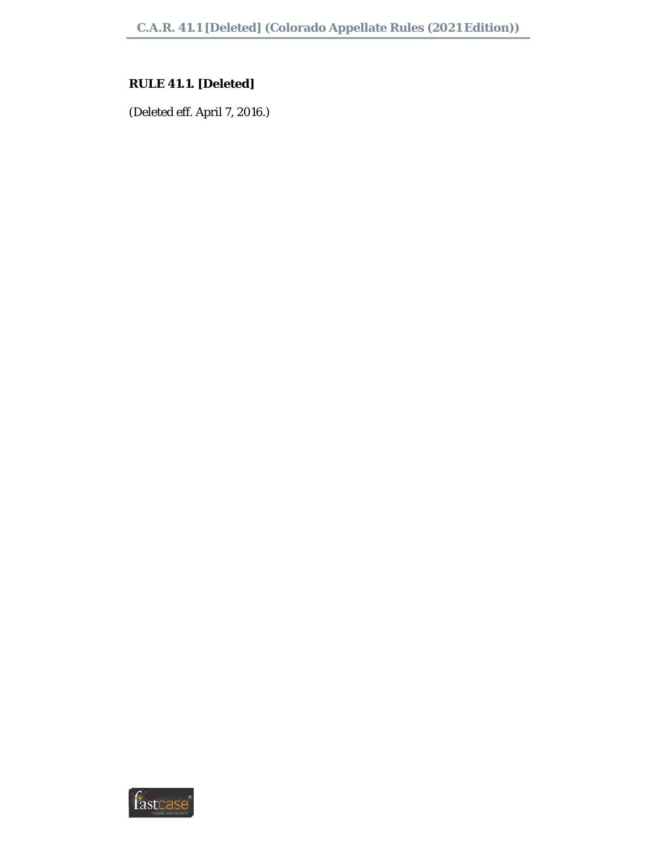**RULE 41.1. [Deleted]** 

(Deleted eff. April 7, 2016.)

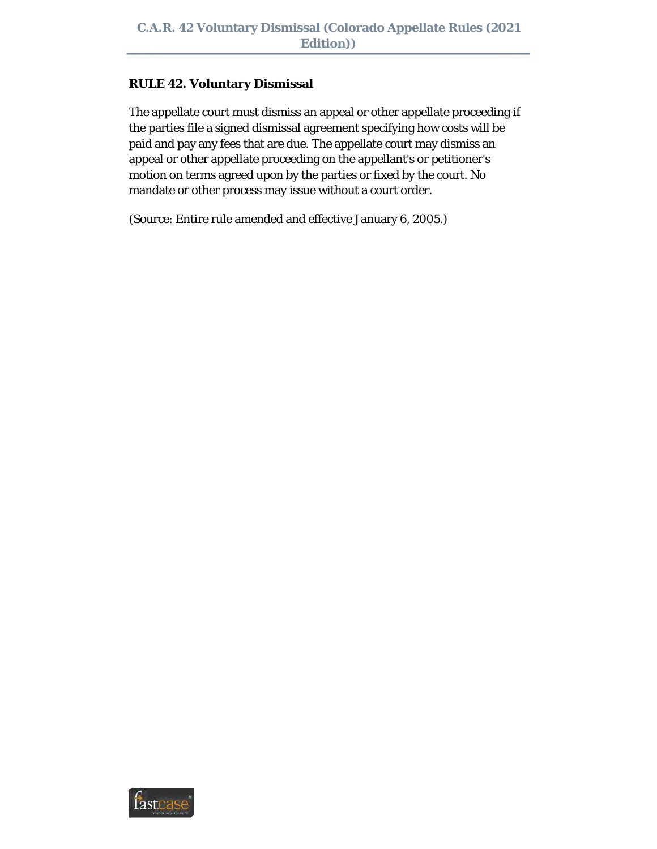# **RULE 42. Voluntary Dismissal**

The appellate court must dismiss an appeal or other appellate proceeding if the parties file a signed dismissal agreement specifying how costs will be paid and pay any fees that are due. The appellate court may dismiss an appeal or other appellate proceeding on the appellant's or petitioner's motion on terms agreed upon by the parties or fixed by the court. No mandate or other process may issue without a court order.

(Source: Entire rule amended and effective January 6, 2005.)

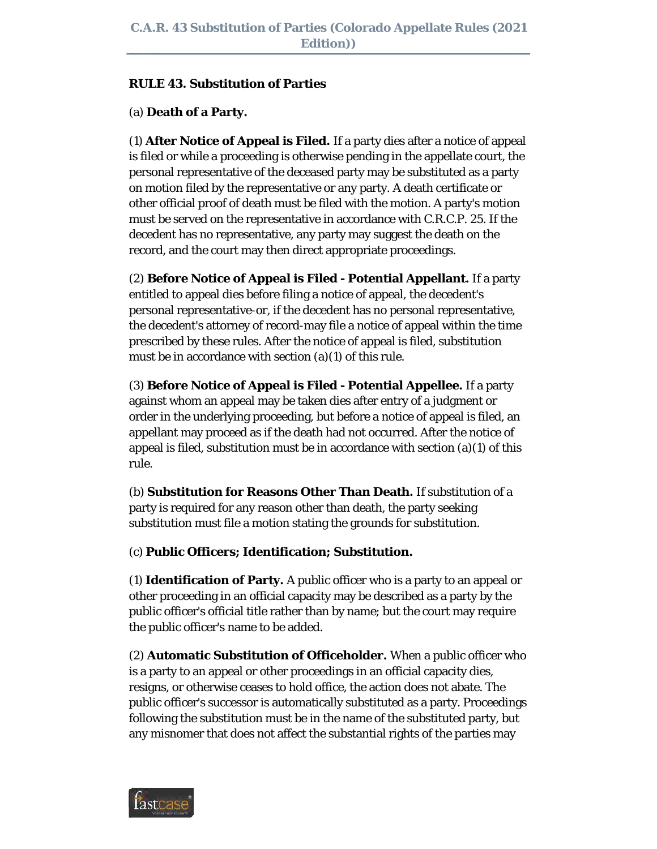### **RULE 43. Substitution of Parties**

## (a) **Death of a Party.**

(1) **After Notice of Appeal is Filed.** If a party dies after a notice of appeal is filed or while a proceeding is otherwise pending in the appellate court, the personal representative of the deceased party may be substituted as a party on motion filed by the representative or any party. A death certificate or other official proof of death must be filed with the motion. A party's motion must be served on the representative in accordance with C.R.C.P. 25. If the decedent has no representative, any party may suggest the death on the record, and the court may then direct appropriate proceedings.

(2) **Before Notice of Appeal is Filed - Potential Appellant.** If a party entitled to appeal dies before filing a notice of appeal, the decedent's personal representative-or, if the decedent has no personal representative, the decedent's attorney of record-may file a notice of appeal within the time prescribed by these rules. After the notice of appeal is filed, substitution must be in accordance with section (a)(1) of this rule.

(3) **Before Notice of Appeal is Filed - Potential Appellee.** If a party against whom an appeal may be taken dies after entry of a judgment or order in the underlying proceeding, but before a notice of appeal is filed, an appellant may proceed as if the death had not occurred. After the notice of appeal is filed, substitution must be in accordance with section (a)(1) of this rule.

(b) **Substitution for Reasons Other Than Death.** If substitution of a party is required for any reason other than death, the party seeking substitution must file a motion stating the grounds for substitution.

(c) **Public Officers; Identification; Substitution.** 

(1) **Identification of Party.** A public officer who is a party to an appeal or other proceeding in an official capacity may be described as a party by the public officer's official title rather than by name; but the court may require the public officer's name to be added.

(2) **Automatic Substitution of Officeholder.** When a public officer who is a party to an appeal or other proceedings in an official capacity dies, resigns, or otherwise ceases to hold office, the action does not abate. The public officer's successor is automatically substituted as a party. Proceedings following the substitution must be in the name of the substituted party, but any misnomer that does not affect the substantial rights of the parties may

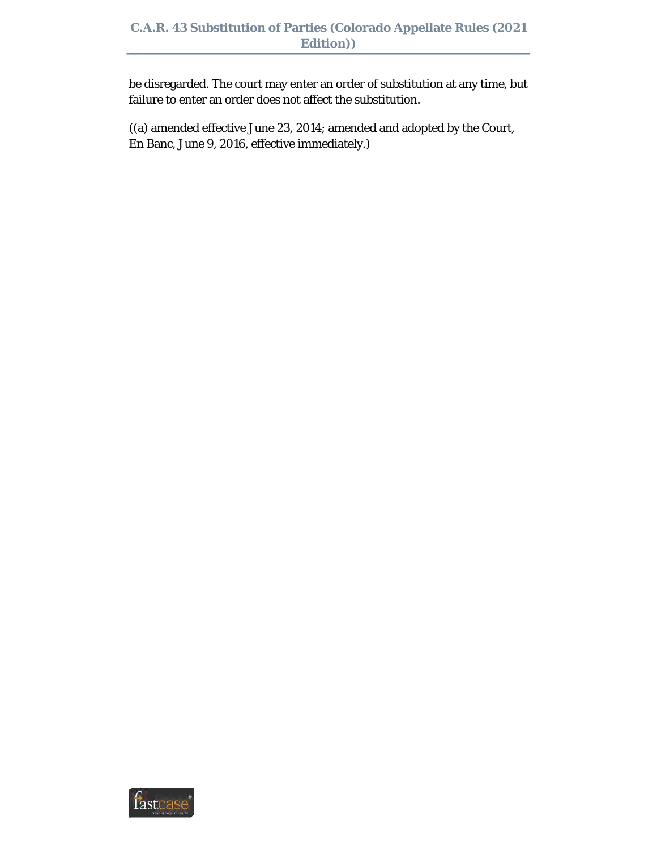be disregarded. The court may enter an order of substitution at any time, but failure to enter an order does not affect the substitution.

((a) amended effective June 23, 2014; amended and adopted by the Court, En Banc, June 9, 2016, effective immediately.)

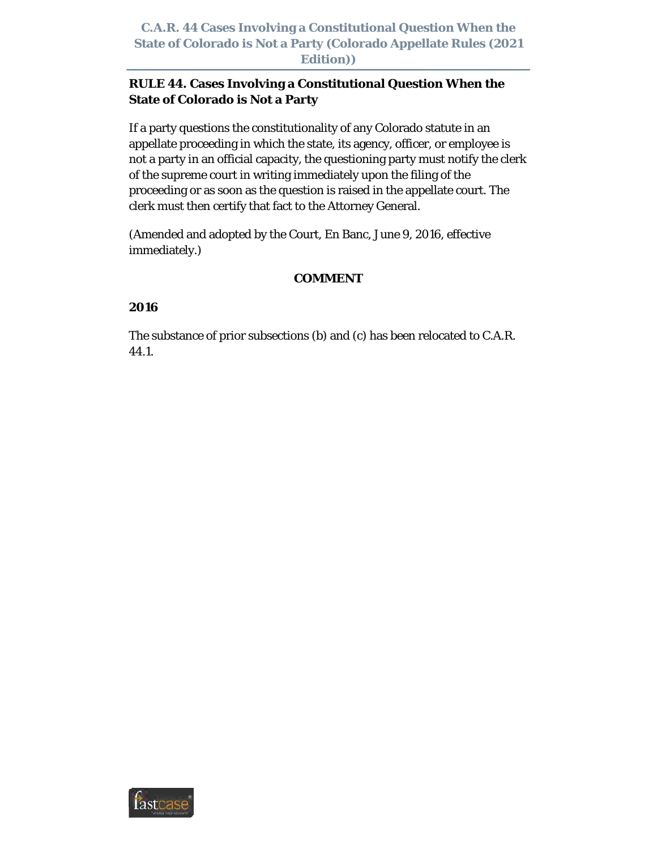**C.A.R. 44 Cases Involving a Constitutional Question When the State of Colorado is Not a Party (Colorado Appellate Rules (2021 Edition))**

## **RULE 44. Cases Involving a Constitutional Question When the State of Colorado is Not a Party**

If a party questions the constitutionality of any Colorado statute in an appellate proceeding in which the state, its agency, officer, or employee is not a party in an official capacity, the questioning party must notify the clerk of the supreme court in writing immediately upon the filing of the proceeding or as soon as the question is raised in the appellate court. The clerk must then certify that fact to the Attorney General.

(Amended and adopted by the Court, En Banc, June 9, 2016, effective immediately.)

# **COMMENT**

**2016**

The substance of prior subsections (b) and (c) has been relocated to C.A.R. 44.1.

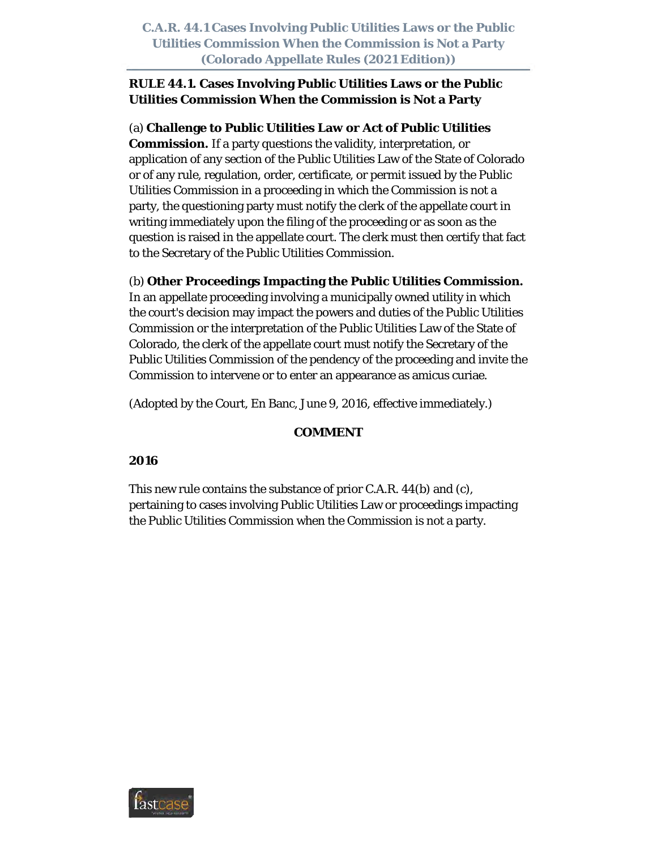**C.A.R. 44.1 Cases Involving Public Utilities Laws or the Public Utilities Commission When the Commission is Not a Party (Colorado Appellate Rules (2021 Edition))**

**RULE 44.1. Cases Involving Public Utilities Laws or the Public Utilities Commission When the Commission is Not a Party** 

(a) **Challenge to Public Utilities Law or Act of Public Utilities Commission.** If a party questions the validity, interpretation, or application of any section of the Public Utilities Law of the State of Colorado or of any rule, regulation, order, certificate, or permit issued by the Public Utilities Commission in a proceeding in which the Commission is not a party, the questioning party must notify the clerk of the appellate court in writing immediately upon the filing of the proceeding or as soon as the question is raised in the appellate court. The clerk must then certify that fact to the Secretary of the Public Utilities Commission.

(b) **Other Proceedings Impacting the Public Utilities Commission.**  In an appellate proceeding involving a municipally owned utility in which the court's decision may impact the powers and duties of the Public Utilities Commission or the interpretation of the Public Utilities Law of the State of Colorado, the clerk of the appellate court must notify the Secretary of the Public Utilities Commission of the pendency of the proceeding and invite the Commission to intervene or to enter an appearance as amicus curiae.

(Adopted by the Court, En Banc, June 9, 2016, effective immediately.)

## **COMMENT**

**2016**

This new rule contains the substance of prior C.A.R. 44(b) and (c), pertaining to cases involving Public Utilities Law or proceedings impacting the Public Utilities Commission when the Commission is not a party.

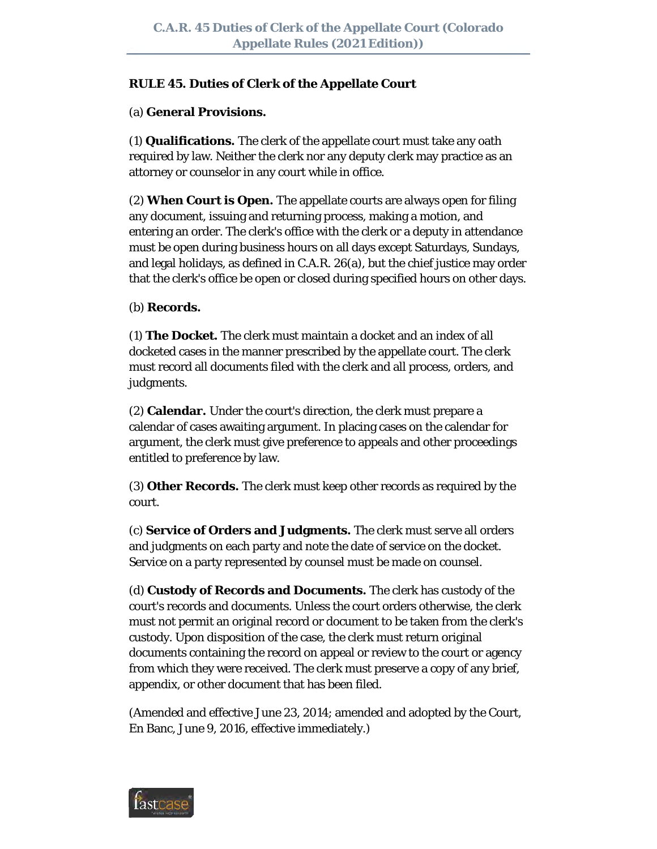## **RULE 45. Duties of Clerk of the Appellate Court**

(a) **General Provisions.**

(1) **Qualifications.** The clerk of the appellate court must take any oath required by law. Neither the clerk nor any deputy clerk may practice as an attorney or counselor in any court while in office.

(2) **When Court is Open.** The appellate courts are always open for filing any document, issuing and returning process, making a motion, and entering an order. The clerk's office with the clerk or a deputy in attendance must be open during business hours on all days except Saturdays, Sundays, and legal holidays, as defined in C.A.R. 26(a), but the chief justice may order that the clerk's office be open or closed during specified hours on other days.

(b) **Records.** 

(1) **The Docket.** The clerk must maintain a docket and an index of all docketed cases in the manner prescribed by the appellate court. The clerk must record all documents filed with the clerk and all process, orders, and judgments.

(2) **Calendar.** Under the court's direction, the clerk must prepare a calendar of cases awaiting argument. In placing cases on the calendar for argument, the clerk must give preference to appeals and other proceedings entitled to preference by law.

(3) **Other Records.** The clerk must keep other records as required by the court.

(c) **Service of Orders and Judgments.** The clerk must serve all orders and judgments on each party and note the date of service on the docket. Service on a party represented by counsel must be made on counsel.

(d) **Custody of Records and Documents.** The clerk has custody of the court's records and documents. Unless the court orders otherwise, the clerk must not permit an original record or document to be taken from the clerk's custody. Upon disposition of the case, the clerk must return original documents containing the record on appeal or review to the court or agency from which they were received. The clerk must preserve a copy of any brief, appendix, or other document that has been filed.

(Amended and effective June 23, 2014; amended and adopted by the Court, En Banc, June 9, 2016, effective immediately.)

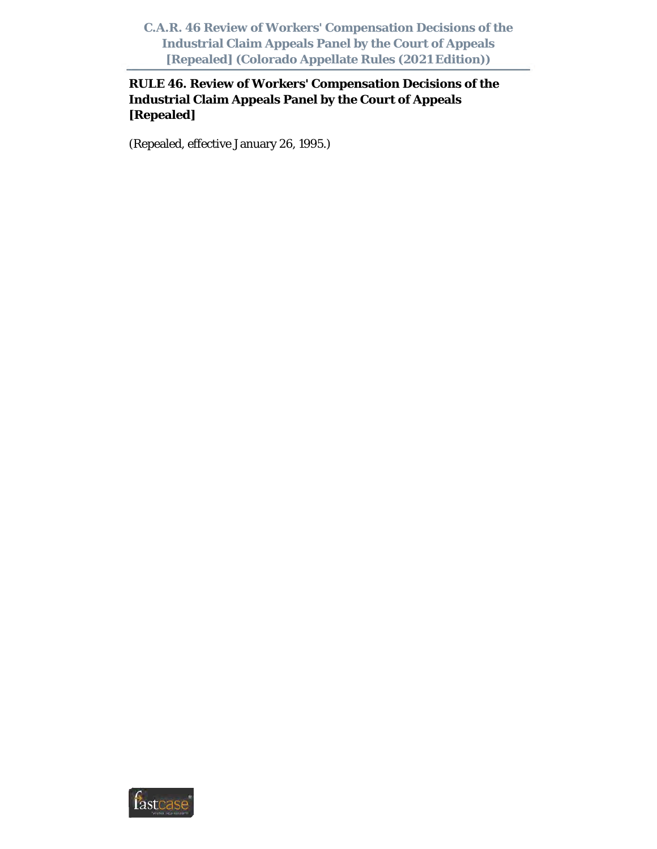**C.A.R. 46 Review of Workers' Compensation Decisions of the Industrial Claim Appeals Panel by the Court of Appeals [Repealed] (Colorado Appellate Rules (2021 Edition))**

**RULE 46. Review of Workers' Compensation Decisions of the Industrial Claim Appeals Panel by the Court of Appeals [Repealed]** 

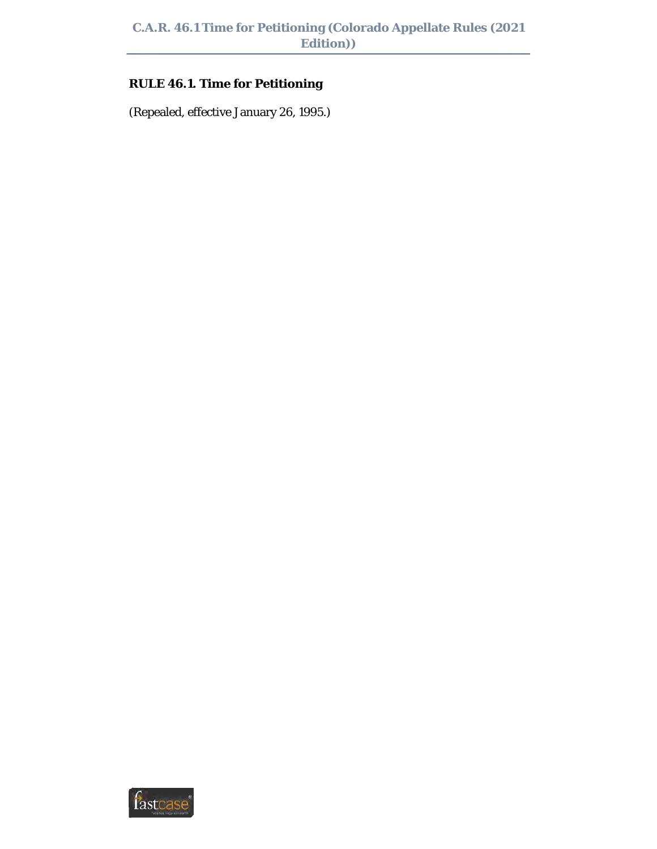## **RULE 46.1. Time for Petitioning**

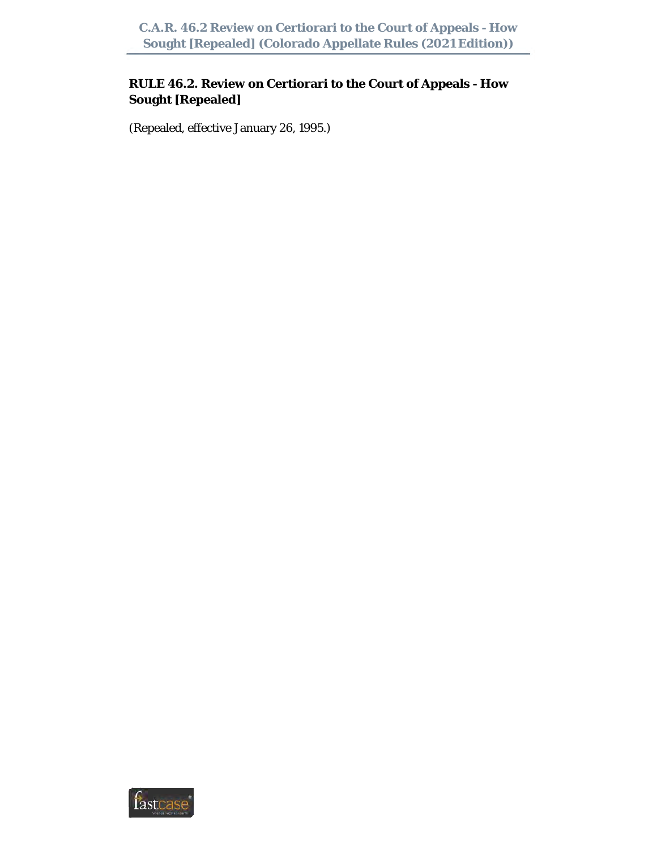**RULE 46.2. Review on Certiorari to the Court of Appeals - How Sought [Repealed]** 

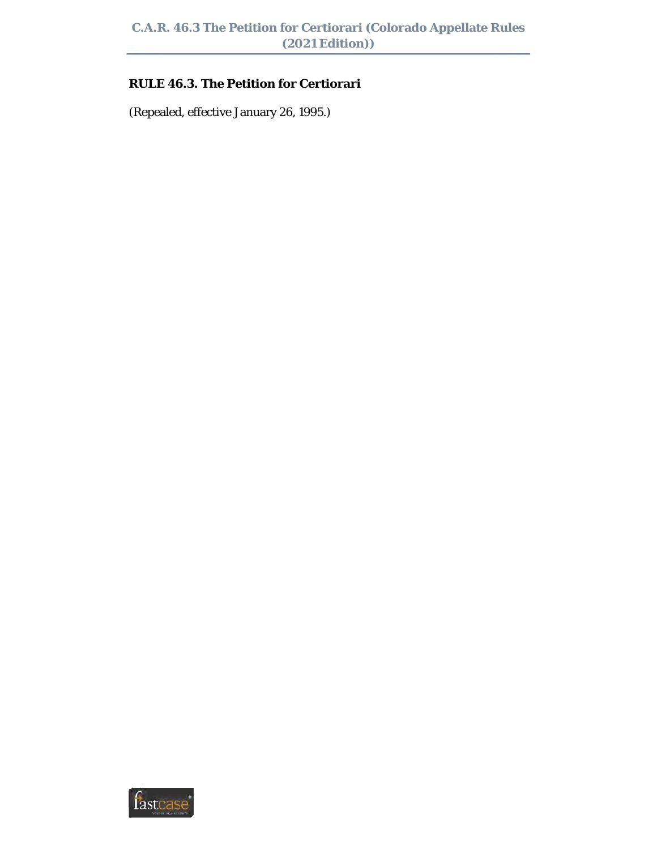## **RULE 46.3. The Petition for Certiorari**

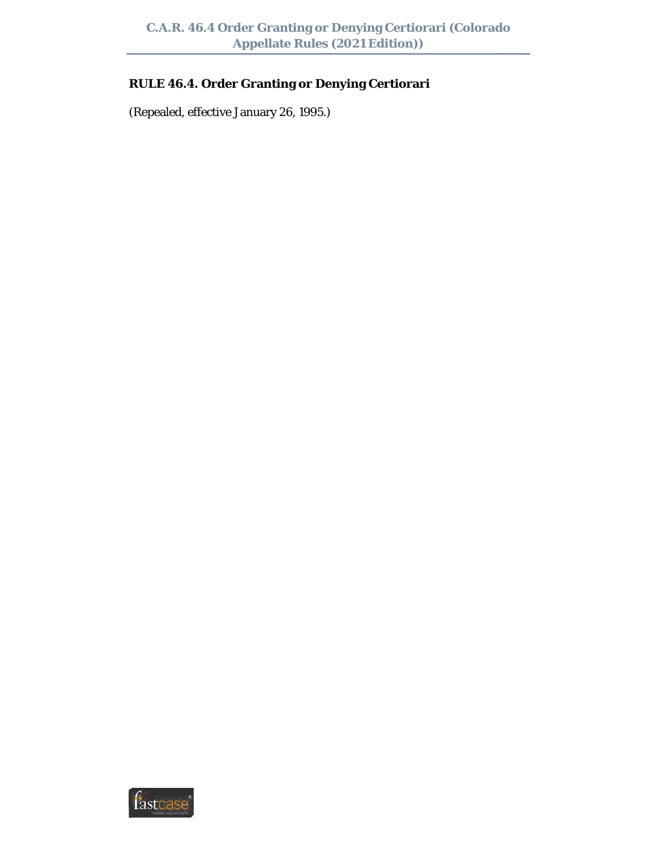# **RULE 46.4. Order Granting or Denying Certiorari**

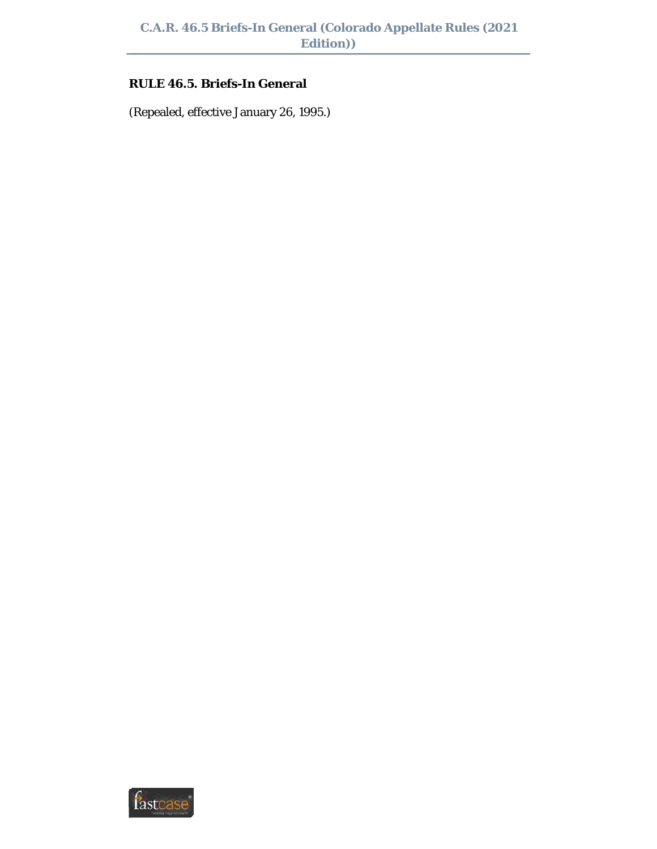## **RULE 46.5. Briefs-In General**

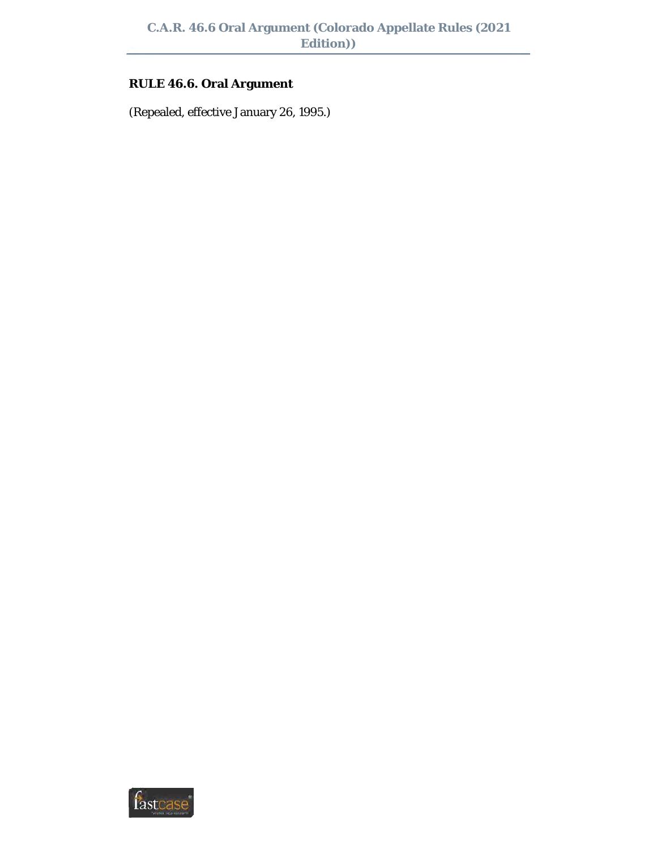## **RULE 46.6. Oral Argument**

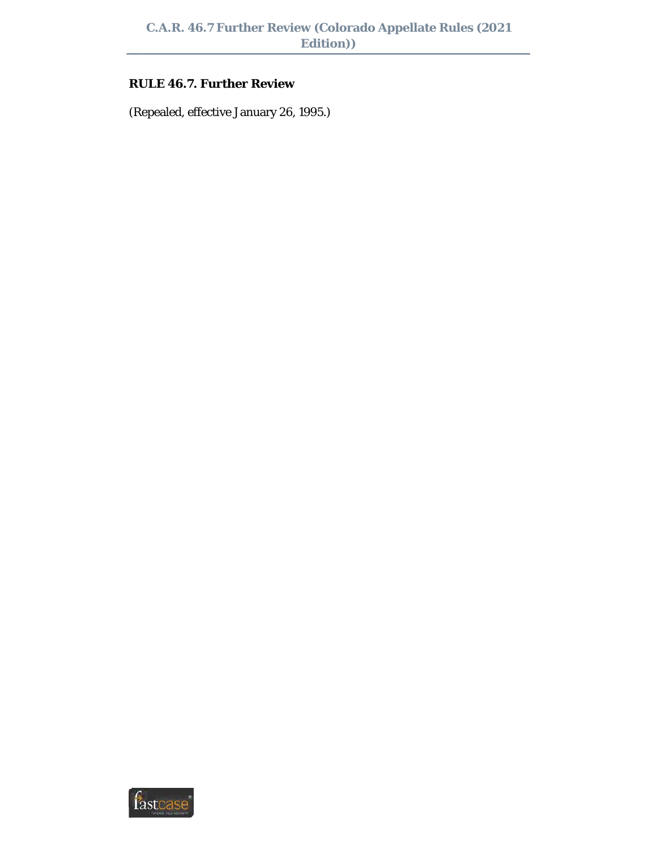## **RULE 46.7. Further Review**

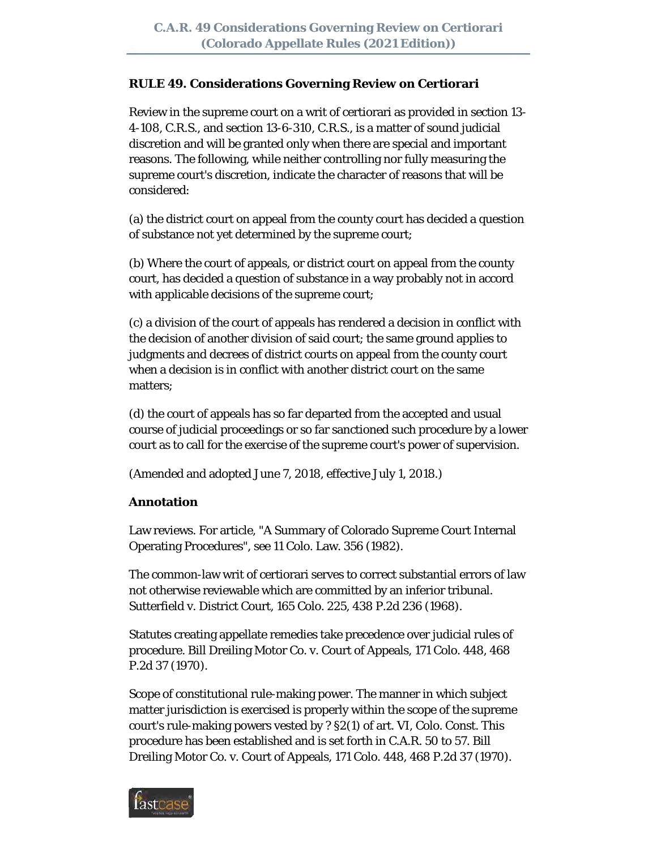### **RULE 49. Considerations Governing Review on Certiorari**

Review in the supreme court on a writ of certiorari as provided in section 13- 4-108, C.R.S., and section 13-6-310, C.R.S., is a matter of sound judicial discretion and will be granted only when there are special and important reasons. The following, while neither controlling nor fully measuring the supreme court's discretion, indicate the character of reasons that will be considered:

(a) the district court on appeal from the county court has decided a question of substance not yet determined by the supreme court;

(b) Where the court of appeals, or district court on appeal from the county court, has decided a question of substance in a way probably not in accord with applicable decisions of the supreme court;

(c) a division of the court of appeals has rendered a decision in conflict with the decision of another division of said court; the same ground applies to judgments and decrees of district courts on appeal from the county court when a decision is in conflict with another district court on the same matters;

(d) the court of appeals has so far departed from the accepted and usual course of judicial proceedings or so far sanctioned such procedure by a lower court as to call for the exercise of the supreme court's power of supervision.

(Amended and adopted June 7, 2018, effective July 1, 2018.)

## **Annotation**

Law reviews. For article, "A Summary of Colorado Supreme Court Internal Operating Procedures", see 11 Colo. Law. 356 (1982).

The common-law writ of certiorari serves to correct substantial errors of law not otherwise reviewable which are committed by an inferior tribunal. Sutterfield v. District Court, 165 Colo. 225, 438 P.2d 236 (1968).

Statutes creating appellate remedies take precedence over judicial rules of procedure. Bill Dreiling Motor Co. v. Court of Appeals, 171 Colo. 448, 468 P.2d 37 (1970).

Scope of constitutional rule-making power. The manner in which subject matter jurisdiction is exercised is properly within the scope of the supreme court's rule-making powers vested by ? §2(1) of art. VI, Colo. Const. This procedure has been established and is set forth in C.A.R. 50 to 57. Bill Dreiling Motor Co. v. Court of Appeals, 171 Colo. 448, 468 P.2d 37 (1970).

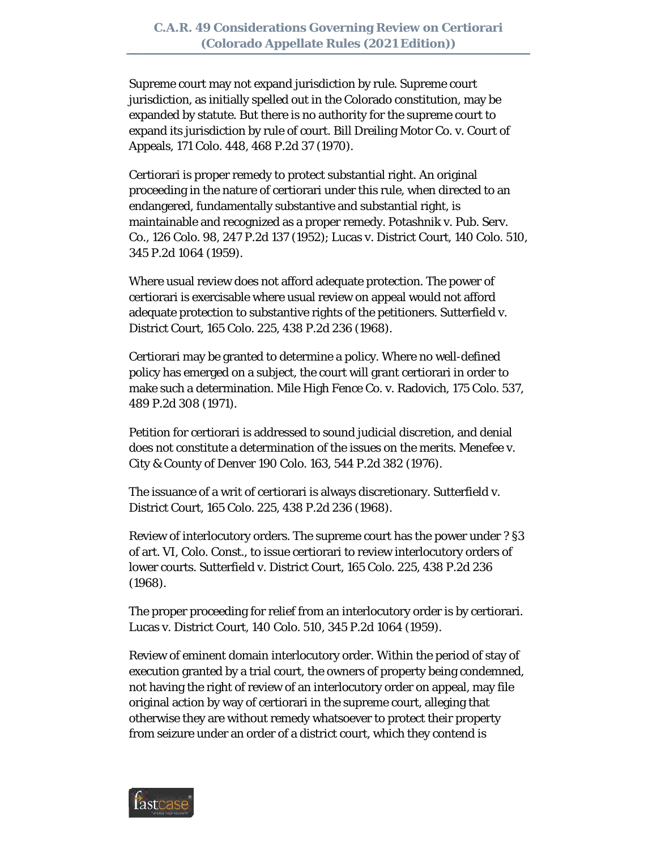Supreme court may not expand jurisdiction by rule. Supreme court jurisdiction, as initially spelled out in the Colorado constitution, may be expanded by statute. But there is no authority for the supreme court to expand its jurisdiction by rule of court. Bill Dreiling Motor Co. v. Court of Appeals, 171 Colo. 448, 468 P.2d 37 (1970).

Certiorari is proper remedy to protect substantial right. An original proceeding in the nature of certiorari under this rule, when directed to an endangered, fundamentally substantive and substantial right, is maintainable and recognized as a proper remedy. Potashnik v. Pub. Serv. Co., 126 Colo. 98, 247 P.2d 137 (1952); Lucas v. District Court, 140 Colo. 510, 345 P.2d 1064 (1959).

Where usual review does not afford adequate protection. The power of certiorari is exercisable where usual review on appeal would not afford adequate protection to substantive rights of the petitioners. Sutterfield v. District Court, 165 Colo. 225, 438 P.2d 236 (1968).

Certiorari may be granted to determine a policy. Where no well-defined policy has emerged on a subject, the court will grant certiorari in order to make such a determination. Mile High Fence Co. v. Radovich, 175 Colo. 537, 489 P.2d 308 (1971).

Petition for certiorari is addressed to sound judicial discretion, and denial does not constitute a determination of the issues on the merits. Menefee v. City & County of Denver 190 Colo. 163, 544 P.2d 382 (1976).

The issuance of a writ of certiorari is always discretionary. Sutterfield v. District Court, 165 Colo. 225, 438 P.2d 236 (1968).

Review of interlocutory orders. The supreme court has the power under ? §3 of art. VI, Colo. Const., to issue certiorari to review interlocutory orders of lower courts. Sutterfield v. District Court, 165 Colo. 225, 438 P.2d 236 (1968).

The proper proceeding for relief from an interlocutory order is by certiorari. Lucas v. District Court, 140 Colo. 510, 345 P.2d 1064 (1959).

Review of eminent domain interlocutory order. Within the period of stay of execution granted by a trial court, the owners of property being condemned, not having the right of review of an interlocutory order on appeal, may file original action by way of certiorari in the supreme court, alleging that otherwise they are without remedy whatsoever to protect their property from seizure under an order of a district court, which they contend is

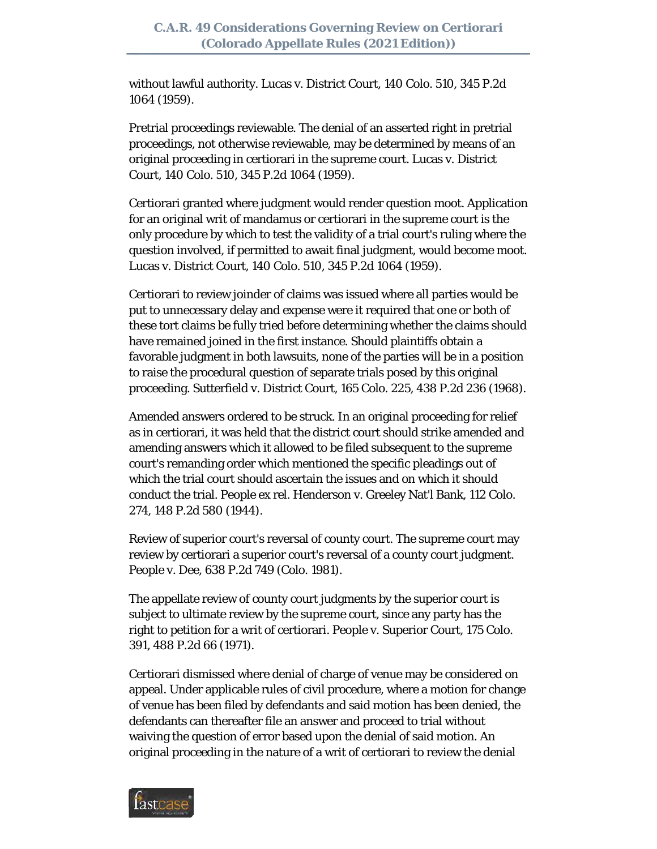without lawful authority. Lucas v. District Court, 140 Colo. 510, 345 P.2d 1064 (1959).

Pretrial proceedings reviewable. The denial of an asserted right in pretrial proceedings, not otherwise reviewable, may be determined by means of an original proceeding in certiorari in the supreme court. Lucas v. District Court, 140 Colo. 510, 345 P.2d 1064 (1959).

Certiorari granted where judgment would render question moot. Application for an original writ of mandamus or certiorari in the supreme court is the only procedure by which to test the validity of a trial court's ruling where the question involved, if permitted to await final judgment, would become moot. Lucas v. District Court, 140 Colo. 510, 345 P.2d 1064 (1959).

Certiorari to review joinder of claims was issued where all parties would be put to unnecessary delay and expense were it required that one or both of these tort claims be fully tried before determining whether the claims should have remained joined in the first instance. Should plaintiffs obtain a favorable judgment in both lawsuits, none of the parties will be in a position to raise the procedural question of separate trials posed by this original proceeding. Sutterfield v. District Court, 165 Colo. 225, 438 P.2d 236 (1968).

Amended answers ordered to be struck. In an original proceeding for relief as in certiorari, it was held that the district court should strike amended and amending answers which it allowed to be filed subsequent to the supreme court's remanding order which mentioned the specific pleadings out of which the trial court should ascertain the issues and on which it should conduct the trial. People ex rel. Henderson v. Greeley Nat'l Bank, 112 Colo. 274, 148 P.2d 580 (1944).

Review of superior court's reversal of county court. The supreme court may review by certiorari a superior court's reversal of a county court judgment. People v. Dee, 638 P.2d 749 (Colo. 1981).

The appellate review of county court judgments by the superior court is subject to ultimate review by the supreme court, since any party has the right to petition for a writ of certiorari. People v. Superior Court, 175 Colo. 391, 488 P.2d 66 (1971).

Certiorari dismissed where denial of charge of venue may be considered on appeal. Under applicable rules of civil procedure, where a motion for change of venue has been filed by defendants and said motion has been denied, the defendants can thereafter file an answer and proceed to trial without waiving the question of error based upon the denial of said motion. An original proceeding in the nature of a writ of certiorari to review the denial

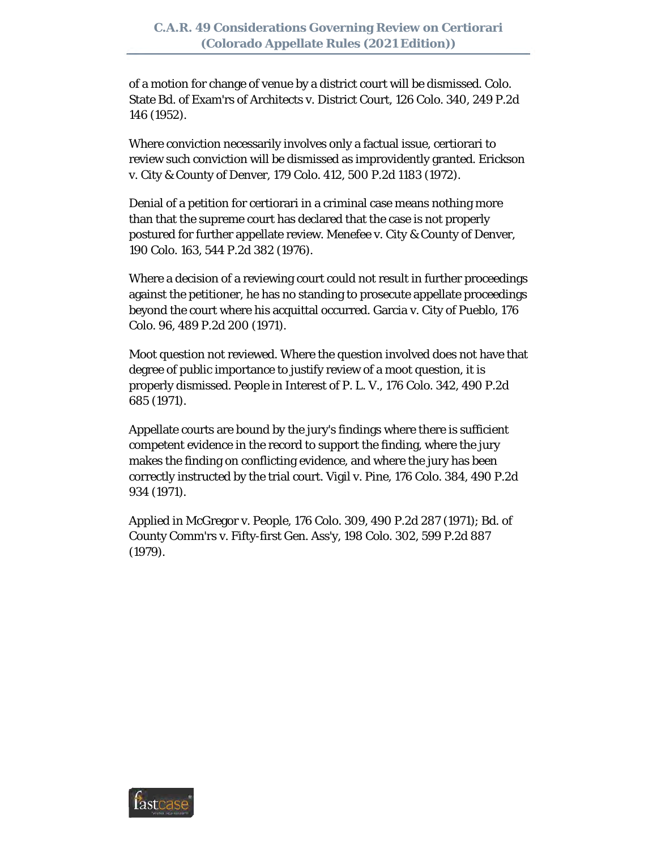of a motion for change of venue by a district court will be dismissed. Colo. State Bd. of Exam'rs of Architects v. District Court, 126 Colo. 340, 249 P.2d 146 (1952).

Where conviction necessarily involves only a factual issue, certiorari to review such conviction will be dismissed as improvidently granted. Erickson v. City & County of Denver, 179 Colo. 412, 500 P.2d 1183 (1972).

Denial of a petition for certiorari in a criminal case means nothing more than that the supreme court has declared that the case is not properly postured for further appellate review. Menefee v. City & County of Denver, 190 Colo. 163, 544 P.2d 382 (1976).

Where a decision of a reviewing court could not result in further proceedings against the petitioner, he has no standing to prosecute appellate proceedings beyond the court where his acquittal occurred. Garcia v. City of Pueblo, 176 Colo. 96, 489 P.2d 200 (1971).

Moot question not reviewed. Where the question involved does not have that degree of public importance to justify review of a moot question, it is properly dismissed. People in Interest of P. L. V., 176 Colo. 342, 490 P.2d 685 (1971).

Appellate courts are bound by the jury's findings where there is sufficient competent evidence in the record to support the finding, where the jury makes the finding on conflicting evidence, and where the jury has been correctly instructed by the trial court. Vigil v. Pine, 176 Colo. 384, 490 P.2d 934 (1971).

Applied in McGregor v. People, 176 Colo. 309, 490 P.2d 287 (1971); Bd. of County Comm'rs v. Fifty-first Gen. Ass'y, 198 Colo. 302, 599 P.2d 887 (1979).

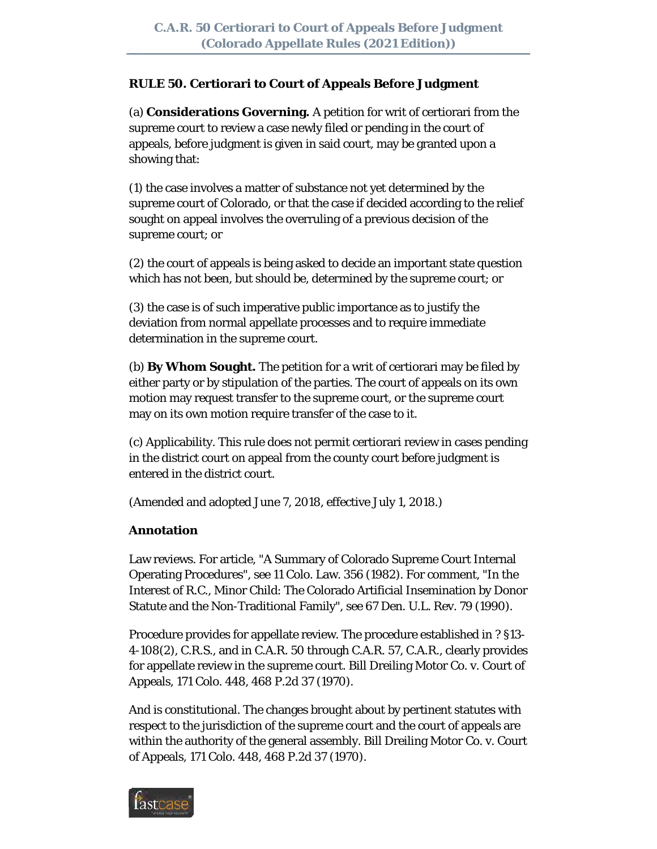#### **RULE 50. Certiorari to Court of Appeals Before Judgment**

(a) **Considerations Governing.** A petition for writ of certiorari from the supreme court to review a case newly filed or pending in the court of appeals, before judgment is given in said court, may be granted upon a showing that:

(1) the case involves a matter of substance not yet determined by the supreme court of Colorado, or that the case if decided according to the relief sought on appeal involves the overruling of a previous decision of the supreme court; or

(2) the court of appeals is being asked to decide an important state question which has not been, but should be, determined by the supreme court; or

(3) the case is of such imperative public importance as to justify the deviation from normal appellate processes and to require immediate determination in the supreme court.

(b) **By Whom Sought.** The petition for a writ of certiorari may be filed by either party or by stipulation of the parties. The court of appeals on its own motion may request transfer to the supreme court, or the supreme court may on its own motion require transfer of the case to it.

(c) Applicability. This rule does not permit certiorari review in cases pending in the district court on appeal from the county court before judgment is entered in the district court.

(Amended and adopted June 7, 2018, effective July 1, 2018.)

#### **Annotation**

Law reviews. For article, "A Summary of Colorado Supreme Court Internal Operating Procedures", see 11 Colo. Law. 356 (1982). For comment, "In the Interest of R.C., Minor Child: The Colorado Artificial Insemination by Donor Statute and the Non-Traditional Family", see 67 Den. U.L. Rev. 79 (1990).

Procedure provides for appellate review. The procedure established in ? §13- 4-108(2), C.R.S., and in C.A.R. 50 through C.A.R. 57, C.A.R., clearly provides for appellate review in the supreme court. Bill Dreiling Motor Co. v. Court of Appeals, 171 Colo. 448, 468 P.2d 37 (1970).

And is constitutional. The changes brought about by pertinent statutes with respect to the jurisdiction of the supreme court and the court of appeals are within the authority of the general assembly. Bill Dreiling Motor Co. v. Court of Appeals, 171 Colo. 448, 468 P.2d 37 (1970).

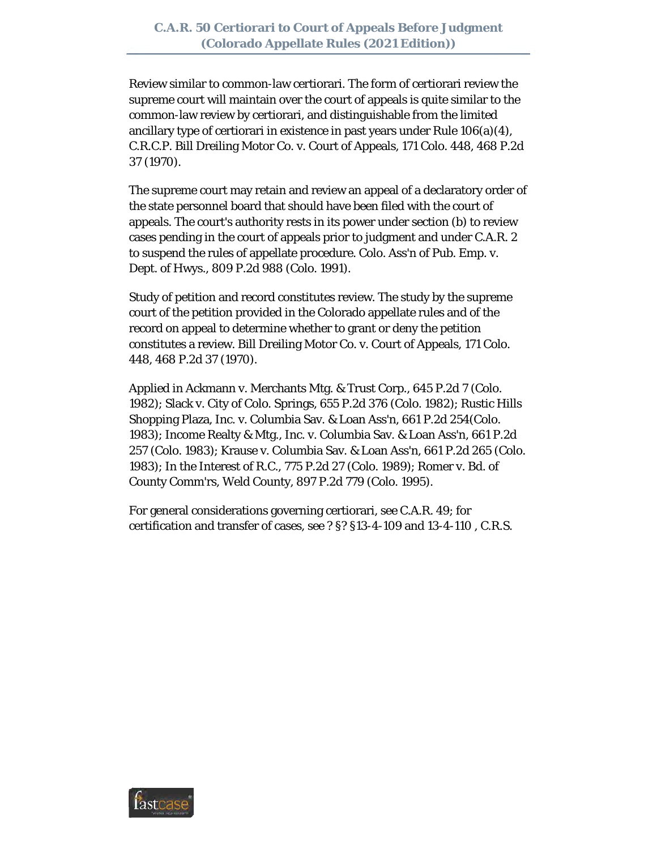Review similar to common-law certiorari. The form of certiorari review the supreme court will maintain over the court of appeals is quite similar to the common-law review by certiorari, and distinguishable from the limited ancillary type of certiorari in existence in past years under Rule 106(a)(4), C.R.C.P. Bill Dreiling Motor Co. v. Court of Appeals, 171 Colo. 448, 468 P.2d 37 (1970).

The supreme court may retain and review an appeal of a declaratory order of the state personnel board that should have been filed with the court of appeals. The court's authority rests in its power under section (b) to review cases pending in the court of appeals prior to judgment and under C.A.R. 2 to suspend the rules of appellate procedure. Colo. Ass'n of Pub. Emp. v. Dept. of Hwys., 809 P.2d 988 (Colo. 1991).

Study of petition and record constitutes review. The study by the supreme court of the petition provided in the Colorado appellate rules and of the record on appeal to determine whether to grant or deny the petition constitutes a review. Bill Dreiling Motor Co. v. Court of Appeals, 171 Colo. 448, 468 P.2d 37 (1970).

Applied in Ackmann v. Merchants Mtg. & Trust Corp., 645 P.2d 7 (Colo. 1982); Slack v. City of Colo. Springs, 655 P.2d 376 (Colo. 1982); Rustic Hills Shopping Plaza, Inc. v. Columbia Sav. & Loan Ass'n, 661 P.2d 254(Colo. 1983); Income Realty & Mtg., Inc. v. Columbia Sav. & Loan Ass'n, 661 P.2d 257 (Colo. 1983); Krause v. Columbia Sav. & Loan Ass'n, 661 P.2d 265 (Colo. 1983); In the Interest of R.C., 775 P.2d 27 (Colo. 1989); Romer v. Bd. of County Comm'rs, Weld County, 897 P.2d 779 (Colo. 1995).

For general considerations governing certiorari, see C.A.R. 49; for certification and transfer of cases, see ? §? §13-4-109 and 13-4-110 , C.R.S.

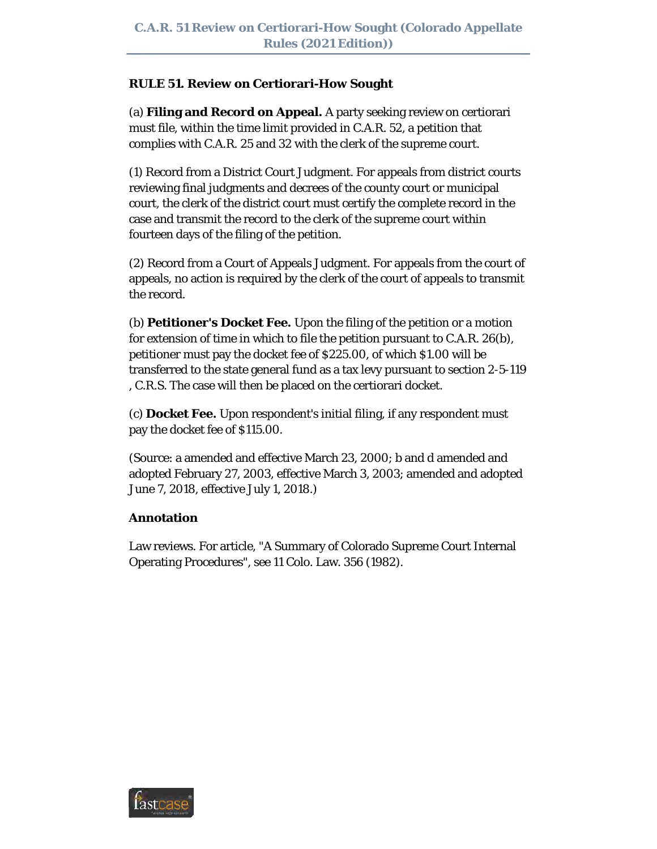### **RULE 51. Review on Certiorari-How Sought**

(a) **Filing and Record on Appeal.** A party seeking review on certiorari must file, within the time limit provided in C.A.R. 52, a petition that complies with C.A.R. 25 and 32 with the clerk of the supreme court.

(1) Record from a District Court Judgment. For appeals from district courts reviewing final judgments and decrees of the county court or municipal court, the clerk of the district court must certify the complete record in the case and transmit the record to the clerk of the supreme court within fourteen days of the filing of the petition.

(2) Record from a Court of Appeals Judgment. For appeals from the court of appeals, no action is required by the clerk of the court of appeals to transmit the record.

(b) **Petitioner's Docket Fee.** Upon the filing of the petition or a motion for extension of time in which to file the petition pursuant to C.A.R. 26(b), petitioner must pay the docket fee of \$225.00, of which \$1.00 will be transferred to the state general fund as a tax levy pursuant to section 2-5-119 , C.R.S. The case will then be placed on the certiorari docket.

(c) **Docket Fee.** Upon respondent's initial filing, if any respondent must pay the docket fee of \$115.00.

(Source: a amended and effective March 23, 2000; b and d amended and adopted February 27, 2003, effective March 3, 2003; amended and adopted June 7, 2018, effective July 1, 2018.)

#### **Annotation**

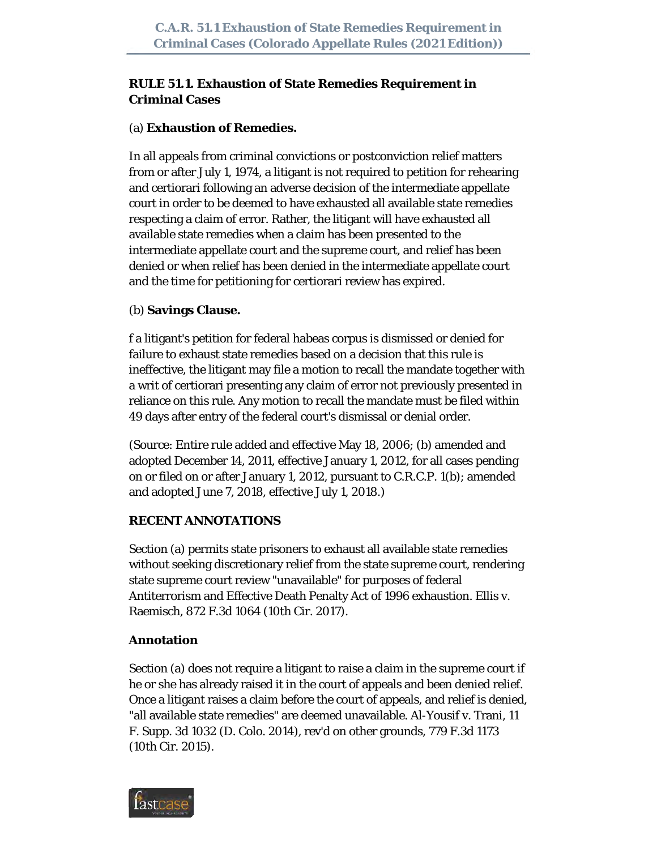# **RULE 51.1. Exhaustion of State Remedies Requirement in Criminal Cases**

#### (a) **Exhaustion of Remedies.**

In all appeals from criminal convictions or postconviction relief matters from or after July 1, 1974, a litigant is not required to petition for rehearing and certiorari following an adverse decision of the intermediate appellate court in order to be deemed to have exhausted all available state remedies respecting a claim of error. Rather, the litigant will have exhausted all available state remedies when a claim has been presented to the intermediate appellate court and the supreme court, and relief has been denied or when relief has been denied in the intermediate appellate court and the time for petitioning for certiorari review has expired.

(b) **Savings Clause.**

f a litigant's petition for federal habeas corpus is dismissed or denied for failure to exhaust state remedies based on a decision that this rule is ineffective, the litigant may file a motion to recall the mandate together with a writ of certiorari presenting any claim of error not previously presented in reliance on this rule. Any motion to recall the mandate must be filed within 49 days after entry of the federal court's dismissal or denial order.

(Source: Entire rule added and effective May 18, 2006; (b) amended and adopted December 14, 2011, effective January 1, 2012, for all cases pending on or filed on or after January 1, 2012, pursuant to C.R.C.P. 1(b); amended and adopted June 7, 2018, effective July 1, 2018.)

## **RECENT ANNOTATIONS**

Section (a) permits state prisoners to exhaust all available state remedies without seeking discretionary relief from the state supreme court, rendering state supreme court review "unavailable" for purposes of federal Antiterrorism and Effective Death Penalty Act of 1996 exhaustion. Ellis v. Raemisch, 872 F.3d 1064 (10th Cir. 2017).

## **Annotation**

Section (a) does not require a litigant to raise a claim in the supreme court if he or she has already raised it in the court of appeals and been denied relief. Once a litigant raises a claim before the court of appeals, and relief is denied, "all available state remedies" are deemed unavailable. Al-Yousif v. Trani, 11 F. Supp. 3d 1032 (D. Colo. 2014), rev'd on other grounds, 779 F.3d 1173 (10th Cir. 2015).

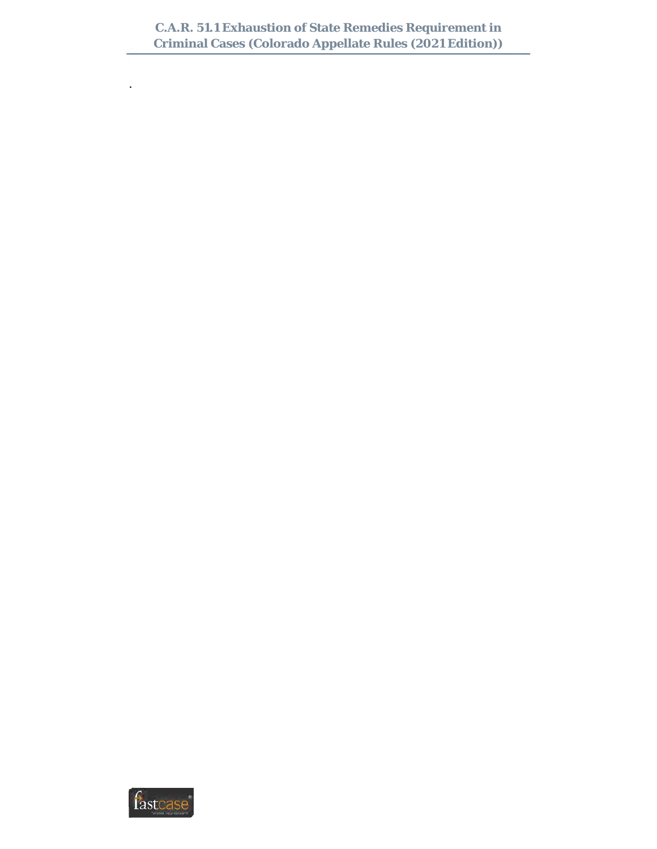

.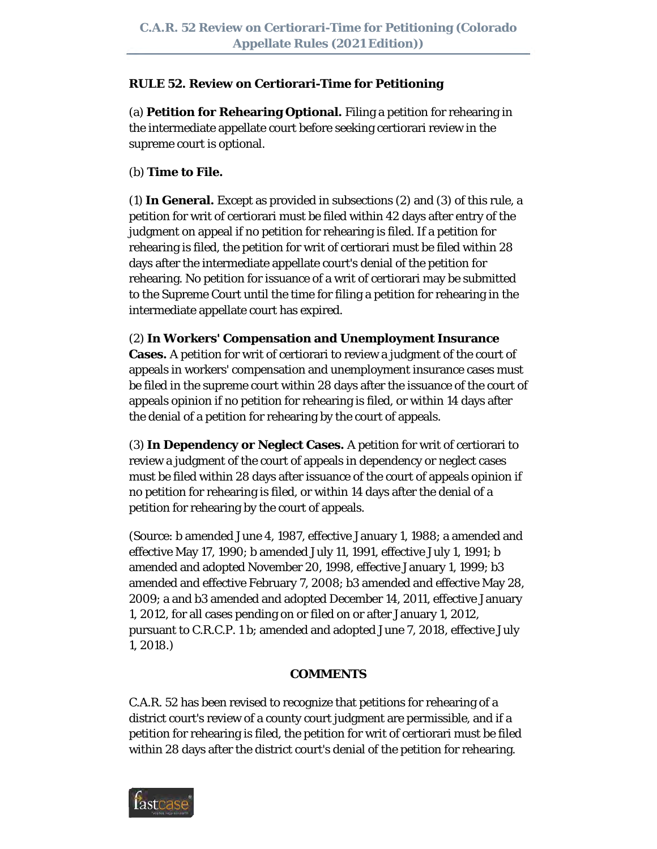# **RULE 52. Review on Certiorari-Time for Petitioning**

(a) **Petition for Rehearing Optional.** Filing a petition for rehearing in the intermediate appellate court before seeking certiorari review in the supreme court is optional.

(b) **Time to File.**

(1) **In General.** Except as provided in subsections (2) and (3) of this rule, a petition for writ of certiorari must be filed within 42 days after entry of the judgment on appeal if no petition for rehearing is filed. If a petition for rehearing is filed, the petition for writ of certiorari must be filed within 28 days after the intermediate appellate court's denial of the petition for rehearing. No petition for issuance of a writ of certiorari may be submitted to the Supreme Court until the time for filing a petition for rehearing in the intermediate appellate court has expired.

(2) **In Workers' Compensation and Unemployment Insurance Cases.** A petition for writ of certiorari to review a judgment of the court of appeals in workers' compensation and unemployment insurance cases must be filed in the supreme court within 28 days after the issuance of the court of appeals opinion if no petition for rehearing is filed, or within 14 days after the denial of a petition for rehearing by the court of appeals.

(3) **In Dependency or Neglect Cases.** A petition for writ of certiorari to review a judgment of the court of appeals in dependency or neglect cases must be filed within 28 days after issuance of the court of appeals opinion if no petition for rehearing is filed, or within 14 days after the denial of a petition for rehearing by the court of appeals.

(Source: b amended June 4, 1987, effective January 1, 1988; a amended and effective May 17, 1990; b amended July 11, 1991, effective July 1, 1991; b amended and adopted November 20, 1998, effective January 1, 1999; b3 amended and effective February 7, 2008; b3 amended and effective May 28, 2009; a and b3 amended and adopted December 14, 2011, effective January 1, 2012, for all cases pending on or filed on or after January 1, 2012, pursuant to C.R.C.P. 1 b; amended and adopted June 7, 2018, effective July 1, 2018.)

# **COMMENTS**

C.A.R. 52 has been revised to recognize that petitions for rehearing of a district court's review of a county court judgment are permissible, and if a petition for rehearing is filed, the petition for writ of certiorari must be filed within 28 days after the district court's denial of the petition for rehearing.

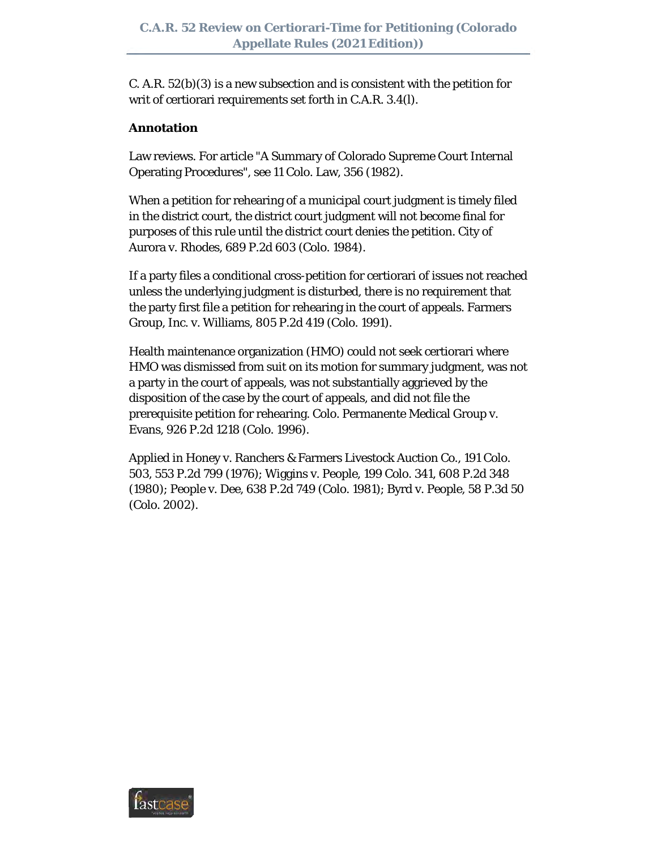C. A.R. 52(b)(3) is a new subsection and is consistent with the petition for writ of certiorari requirements set forth in C.A.R. 3.4(l).

#### **Annotation**

Law reviews. For article "A Summary of Colorado Supreme Court Internal Operating Procedures", see 11 Colo. Law, 356 (1982).

When a petition for rehearing of a municipal court judgment is timely filed in the district court, the district court judgment will not become final for purposes of this rule until the district court denies the petition. City of Aurora v. Rhodes, 689 P.2d 603 (Colo. 1984).

If a party files a conditional cross-petition for certiorari of issues not reached unless the underlying judgment is disturbed, there is no requirement that the party first file a petition for rehearing in the court of appeals. Farmers Group, Inc. v. Williams, 805 P.2d 419 (Colo. 1991).

Health maintenance organization (HMO) could not seek certiorari where HMO was dismissed from suit on its motion for summary judgment, was not a party in the court of appeals, was not substantially aggrieved by the disposition of the case by the court of appeals, and did not file the prerequisite petition for rehearing. Colo. Permanente Medical Group v. Evans, 926 P.2d 1218 (Colo. 1996).

Applied in Honey v. Ranchers & Farmers Livestock Auction Co., 191 Colo. 503, 553 P.2d 799 (1976); Wiggins v. People, 199 Colo. 341, 608 P.2d 348 (1980); People v. Dee, 638 P.2d 749 (Colo. 1981); Byrd v. People, 58 P.3d 50 (Colo. 2002).

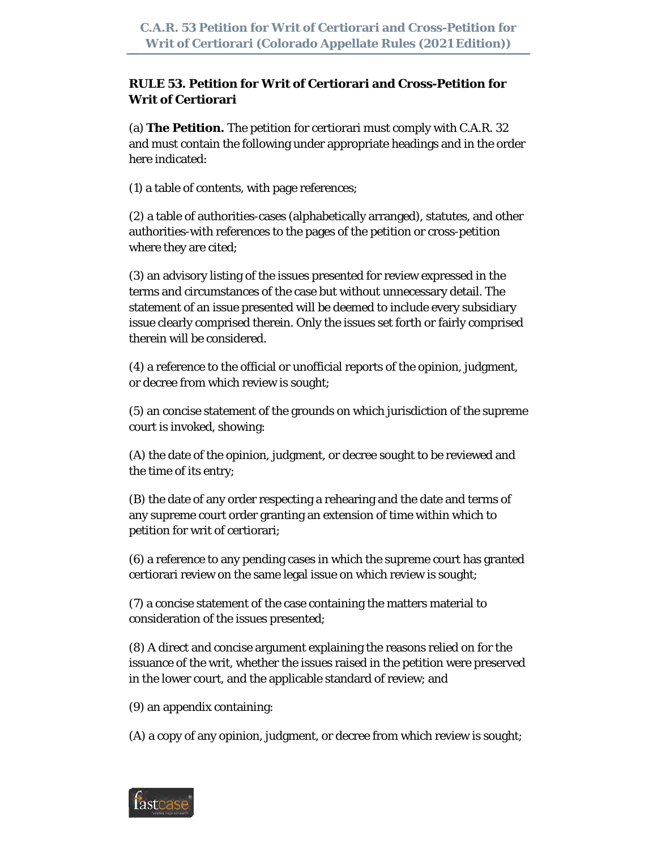**RULE 53. Petition for Writ of Certiorari and Cross-Petition for Writ of Certiorari** 

(a) **The Petition.** The petition for certiorari must comply with C.A.R. 32 and must contain the following under appropriate headings and in the order here indicated:

(1) a table of contents, with page references;

(2) a table of authorities-cases (alphabetically arranged), statutes, and other authorities-with references to the pages of the petition or cross-petition where they are cited;

(3) an advisory listing of the issues presented for review expressed in the terms and circumstances of the case but without unnecessary detail. The statement of an issue presented will be deemed to include every subsidiary issue clearly comprised therein. Only the issues set forth or fairly comprised therein will be considered.

(4) a reference to the official or unofficial reports of the opinion, judgment, or decree from which review is sought;

(5) an concise statement of the grounds on which jurisdiction of the supreme court is invoked, showing:

(A) the date of the opinion, judgment, or decree sought to be reviewed and the time of its entry;

(B) the date of any order respecting a rehearing and the date and terms of any supreme court order granting an extension of time within which to petition for writ of certiorari;

(6) a reference to any pending cases in which the supreme court has granted certiorari review on the same legal issue on which review is sought;

(7) a concise statement of the case containing the matters material to consideration of the issues presented;

(8) A direct and concise argument explaining the reasons relied on for the issuance of the writ, whether the issues raised in the petition were preserved in the lower court, and the applicable standard of review; and

(9) an appendix containing:

(A) a copy of any opinion, judgment, or decree from which review is sought;

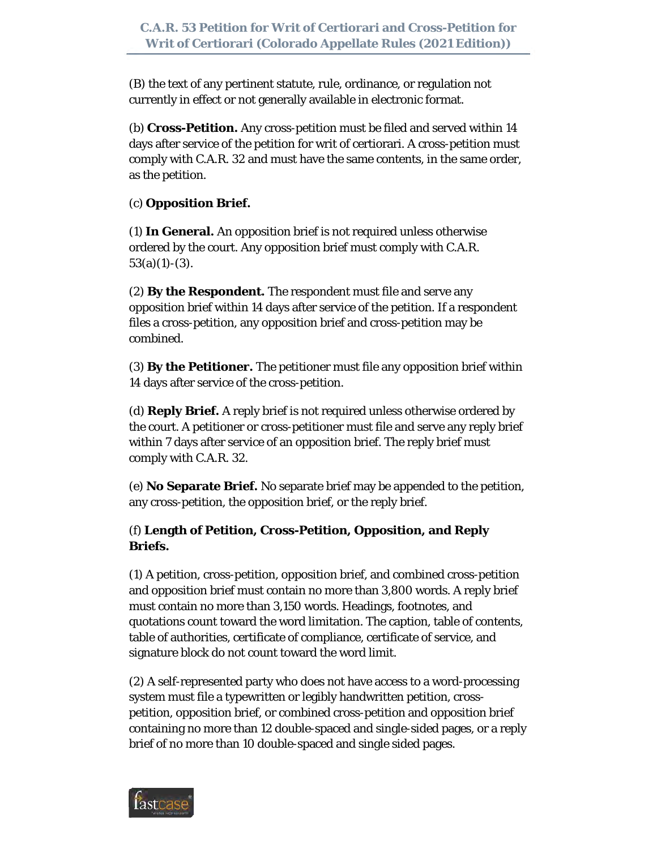(B) the text of any pertinent statute, rule, ordinance, or regulation not currently in effect or not generally available in electronic format.

(b) **Cross-Petition.** Any cross-petition must be filed and served within 14 days after service of the petition for writ of certiorari. A cross-petition must comply with C.A.R. 32 and must have the same contents, in the same order, as the petition.

(c) **Opposition Brief.**

(1) **In General.** An opposition brief is not required unless otherwise ordered by the court. Any opposition brief must comply with C.A.R.  $53(a)(1)-(3)$ .

(2) **By the Respondent.** The respondent must file and serve any opposition brief within 14 days after service of the petition. If a respondent files a cross-petition, any opposition brief and cross-petition may be combined.

(3) **By the Petitioner.** The petitioner must file any opposition brief within 14 days after service of the cross-petition.

(d) **Reply Brief.** A reply brief is not required unless otherwise ordered by the court. A petitioner or cross-petitioner must file and serve any reply brief within 7 days after service of an opposition brief. The reply brief must comply with C.A.R. 32.

(e) **No Separate Brief.** No separate brief may be appended to the petition, any cross-petition, the opposition brief, or the reply brief.

(f) **Length of Petition, Cross-Petition, Opposition, and Reply Briefs.**

(1) A petition, cross-petition, opposition brief, and combined cross-petition and opposition brief must contain no more than 3,800 words. A reply brief must contain no more than 3,150 words. Headings, footnotes, and quotations count toward the word limitation. The caption, table of contents, table of authorities, certificate of compliance, certificate of service, and signature block do not count toward the word limit.

(2) A self-represented party who does not have access to a word-processing system must file a typewritten or legibly handwritten petition, crosspetition, opposition brief, or combined cross-petition and opposition brief containing no more than 12 double-spaced and single-sided pages, or a reply brief of no more than 10 double-spaced and single sided pages.

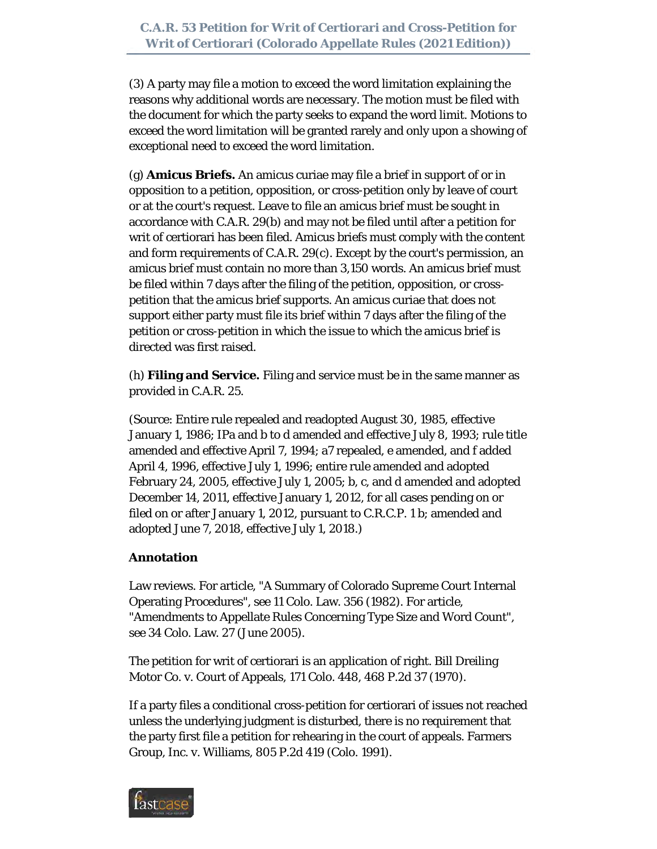(3) A party may file a motion to exceed the word limitation explaining the reasons why additional words are necessary. The motion must be filed with the document for which the party seeks to expand the word limit. Motions to exceed the word limitation will be granted rarely and only upon a showing of exceptional need to exceed the word limitation.

(g) **Amicus Briefs.** An amicus curiae may file a brief in support of or in opposition to a petition, opposition, or cross-petition only by leave of court or at the court's request. Leave to file an amicus brief must be sought in accordance with C.A.R. 29(b) and may not be filed until after a petition for writ of certiorari has been filed. Amicus briefs must comply with the content and form requirements of C.A.R. 29(c). Except by the court's permission, an amicus brief must contain no more than 3,150 words. An amicus brief must be filed within 7 days after the filing of the petition, opposition, or crosspetition that the amicus brief supports. An amicus curiae that does not support either party must file its brief within 7 days after the filing of the petition or cross-petition in which the issue to which the amicus brief is directed was first raised.

(h) **Filing and Service.** Filing and service must be in the same manner as provided in C.A.R. 25.

(Source: Entire rule repealed and readopted August 30, 1985, effective January 1, 1986; IPa and b to d amended and effective July 8, 1993; rule title amended and effective April 7, 1994; a7 repealed, e amended, and f added April 4, 1996, effective July 1, 1996; entire rule amended and adopted February 24, 2005, effective July 1, 2005; b, c, and d amended and adopted December 14, 2011, effective January 1, 2012, for all cases pending on or filed on or after January 1, 2012, pursuant to C.R.C.P. 1 b; amended and adopted June 7, 2018, effective July 1, 2018.)

#### **Annotation**

Law reviews. For article, "A Summary of Colorado Supreme Court Internal Operating Procedures", see 11 Colo. Law. 356 (1982). For article, "Amendments to Appellate Rules Concerning Type Size and Word Count", see 34 Colo. Law. 27 (June 2005).

The petition for writ of certiorari is an application of right. Bill Dreiling Motor Co. v. Court of Appeals, 171 Colo. 448, 468 P.2d 37 (1970).

If a party files a conditional cross-petition for certiorari of issues not reached unless the underlying judgment is disturbed, there is no requirement that the party first file a petition for rehearing in the court of appeals. Farmers Group, Inc. v. Williams, 805 P.2d 419 (Colo. 1991).

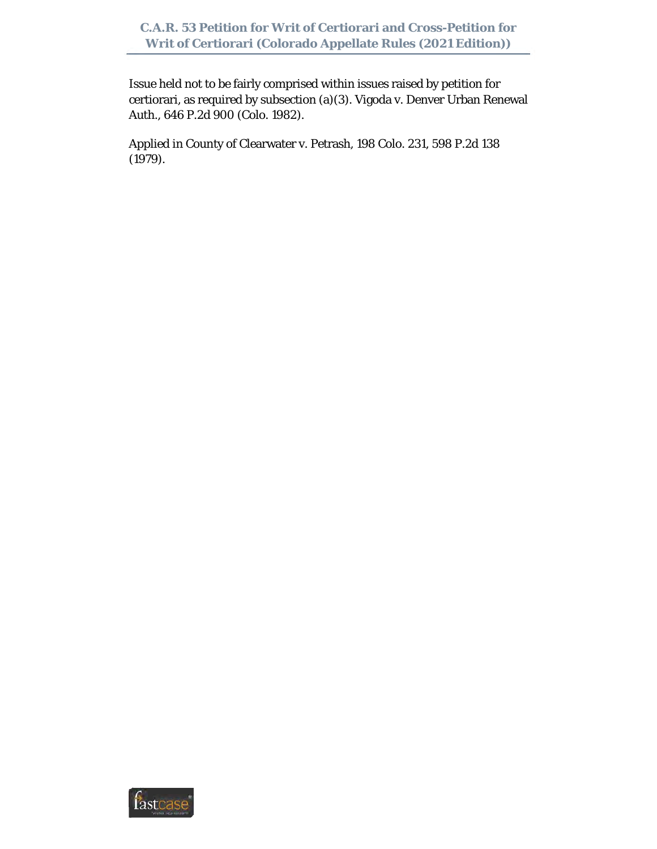Issue held not to be fairly comprised within issues raised by petition for certiorari, as required by subsection (a)(3). Vigoda v. Denver Urban Renewal Auth., 646 P.2d 900 (Colo. 1982).

Applied in County of Clearwater v. Petrash, 198 Colo. 231, 598 P.2d 138 (1979).

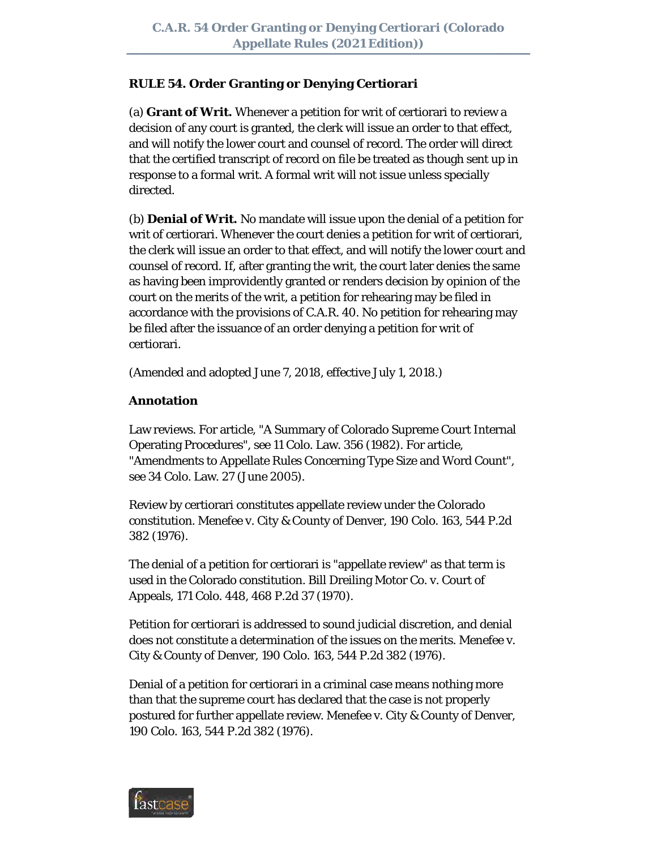## **RULE 54. Order Granting or Denying Certiorari**

(a) **Grant of Writ.** Whenever a petition for writ of certiorari to review a decision of any court is granted, the clerk will issue an order to that effect, and will notify the lower court and counsel of record. The order will direct that the certified transcript of record on file be treated as though sent up in response to a formal writ. A formal writ will not issue unless specially directed.

(b) **Denial of Writ.** No mandate will issue upon the denial of a petition for writ of certiorari. Whenever the court denies a petition for writ of certiorari, the clerk will issue an order to that effect, and will notify the lower court and counsel of record. If, after granting the writ, the court later denies the same as having been improvidently granted or renders decision by opinion of the court on the merits of the writ, a petition for rehearing may be filed in accordance with the provisions of C.A.R. 40. No petition for rehearing may be filed after the issuance of an order denying a petition for writ of certiorari.

(Amended and adopted June 7, 2018, effective July 1, 2018.)

## **Annotation**

Law reviews. For article, "A Summary of Colorado Supreme Court Internal Operating Procedures", see 11 Colo. Law. 356 (1982). For article, "Amendments to Appellate Rules Concerning Type Size and Word Count", see 34 Colo. Law. 27 (June 2005).

Review by certiorari constitutes appellate review under the Colorado constitution. Menefee v. City & County of Denver, 190 Colo. 163, 544 P.2d 382 (1976).

The denial of a petition for certiorari is "appellate review" as that term is used in the Colorado constitution. Bill Dreiling Motor Co. v. Court of Appeals, 171 Colo. 448, 468 P.2d 37 (1970).

Petition for certiorari is addressed to sound judicial discretion, and denial does not constitute a determination of the issues on the merits. Menefee v. City & County of Denver, 190 Colo. 163, 544 P.2d 382 (1976).

Denial of a petition for certiorari in a criminal case means nothing more than that the supreme court has declared that the case is not properly postured for further appellate review. Menefee v. City & County of Denver, 190 Colo. 163, 544 P.2d 382 (1976).

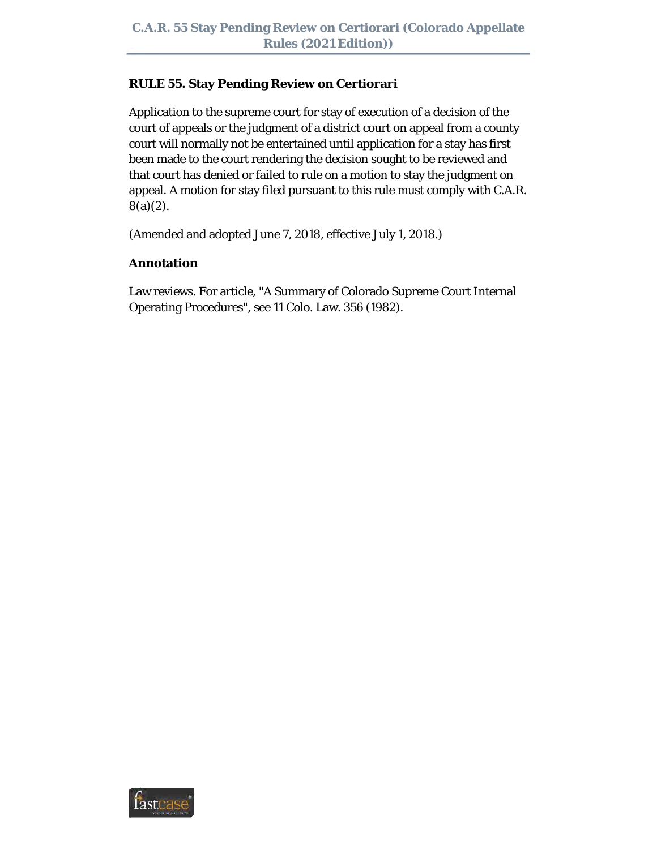## **RULE 55. Stay Pending Review on Certiorari**

Application to the supreme court for stay of execution of a decision of the court of appeals or the judgment of a district court on appeal from a county court will normally not be entertained until application for a stay has first been made to the court rendering the decision sought to be reviewed and that court has denied or failed to rule on a motion to stay the judgment on appeal. A motion for stay filed pursuant to this rule must comply with C.A.R.  $8(a)(2)$ .

(Amended and adopted June 7, 2018, effective July 1, 2018.)

**Annotation**

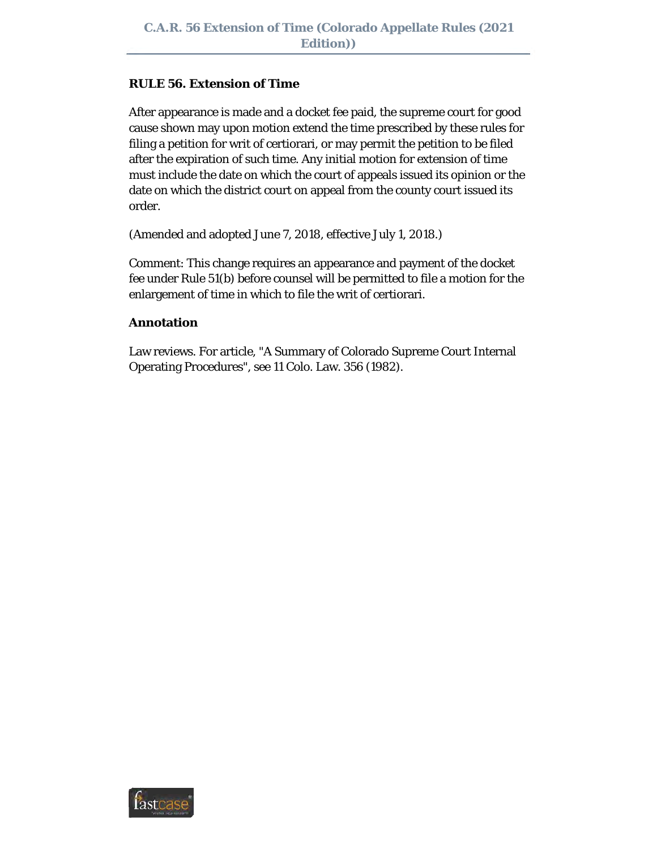### **RULE 56. Extension of Time**

After appearance is made and a docket fee paid, the supreme court for good cause shown may upon motion extend the time prescribed by these rules for filing a petition for writ of certiorari, or may permit the petition to be filed after the expiration of such time. Any initial motion for extension of time must include the date on which the court of appeals issued its opinion or the date on which the district court on appeal from the county court issued its order.

(Amended and adopted June 7, 2018, effective July 1, 2018.)

Comment: This change requires an appearance and payment of the docket fee under Rule 51(b) before counsel will be permitted to file a motion for the enlargement of time in which to file the writ of certiorari.

#### **Annotation**

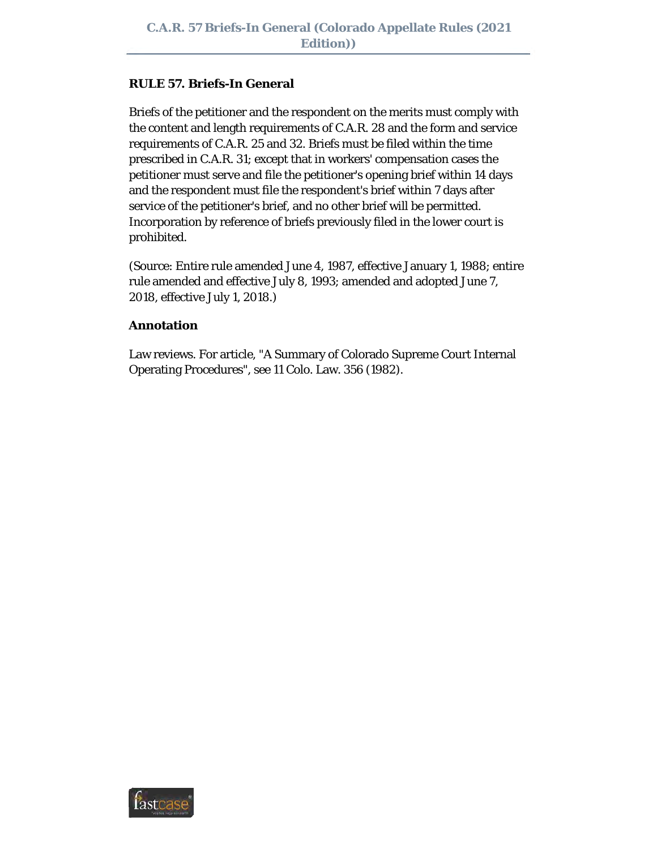#### **RULE 57. Briefs-In General**

Briefs of the petitioner and the respondent on the merits must comply with the content and length requirements of C.A.R. 28 and the form and service requirements of C.A.R. 25 and 32. Briefs must be filed within the time prescribed in C.A.R. 31; except that in workers' compensation cases the petitioner must serve and file the petitioner's opening brief within 14 days and the respondent must file the respondent's brief within 7 days after service of the petitioner's brief, and no other brief will be permitted. Incorporation by reference of briefs previously filed in the lower court is prohibited.

(Source: Entire rule amended June 4, 1987, effective January 1, 1988; entire rule amended and effective July 8, 1993; amended and adopted June 7, 2018, effective July 1, 2018.)

#### **Annotation**

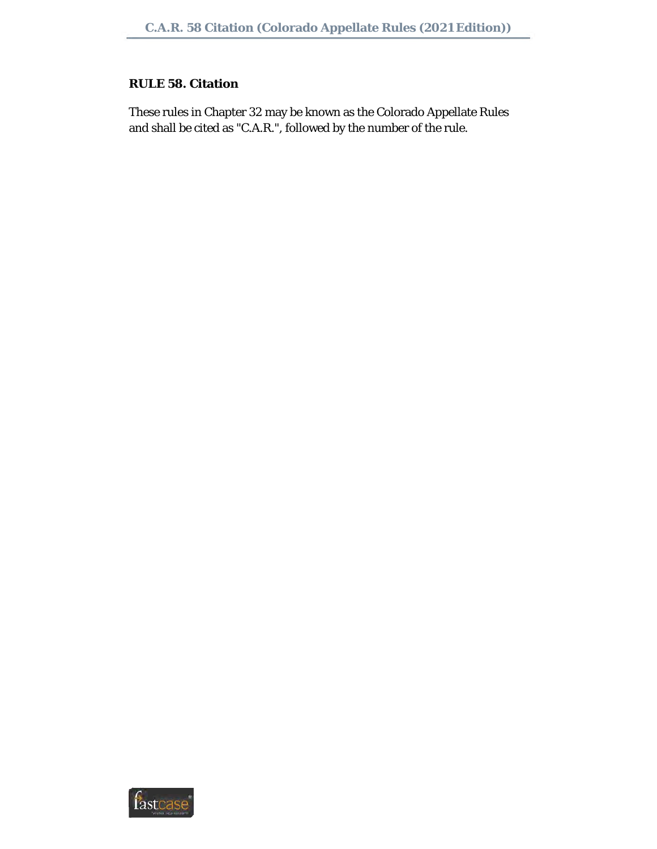#### **RULE 58. Citation**

These rules in Chapter 32 may be known as the Colorado Appellate Rules and shall be cited as "C.A.R.", followed by the number of the rule.

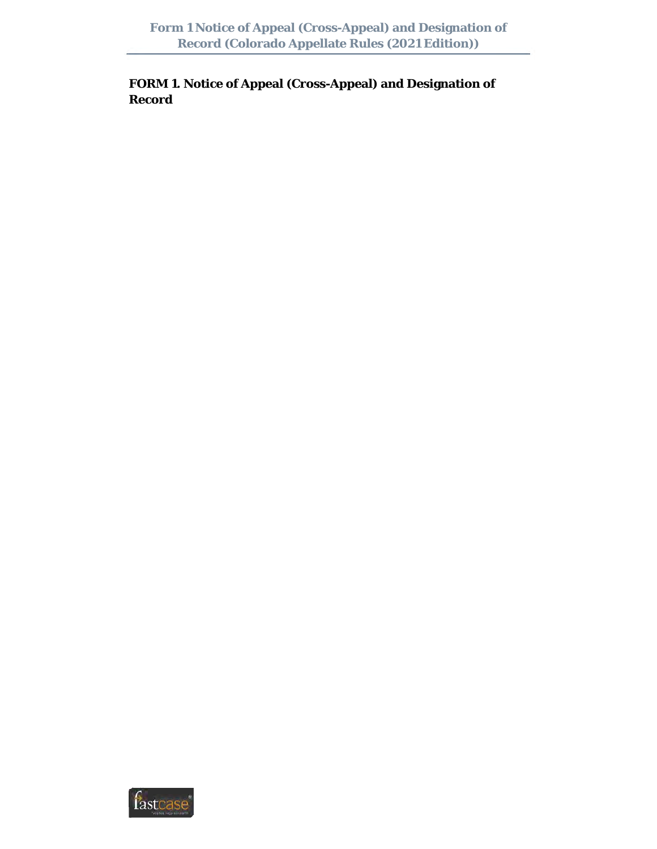**FORM 1. Notice of Appeal (Cross-Appeal) and Designation of Record** 

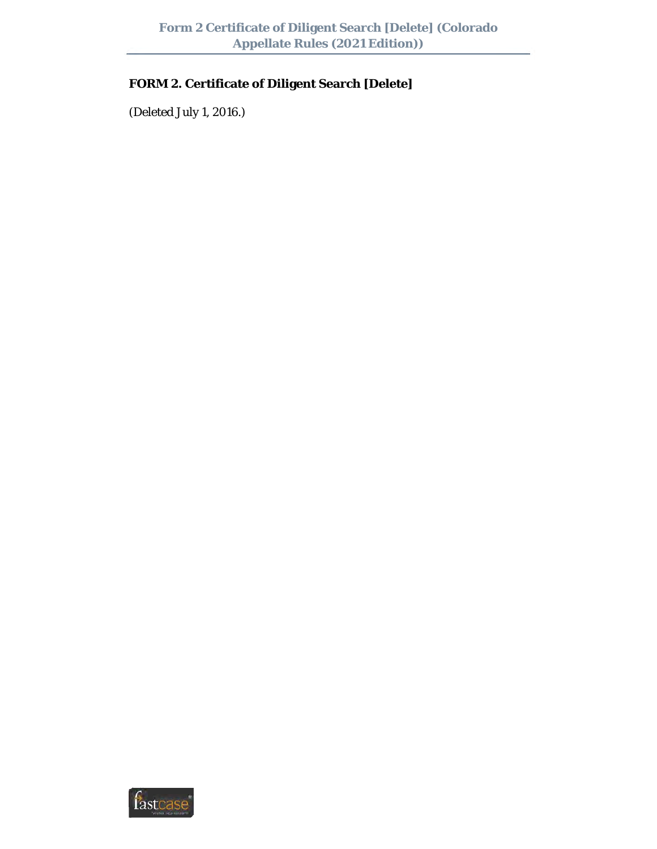# **FORM 2. Certificate of Diligent Search [Delete]**

(Deleted July 1, 2016.)

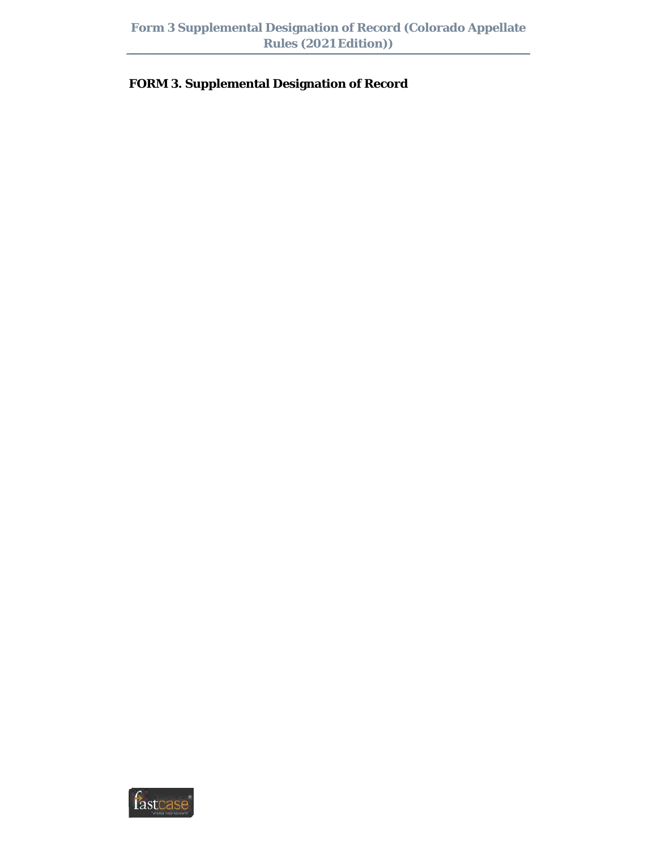# **FORM 3. Supplemental Designation of Record**

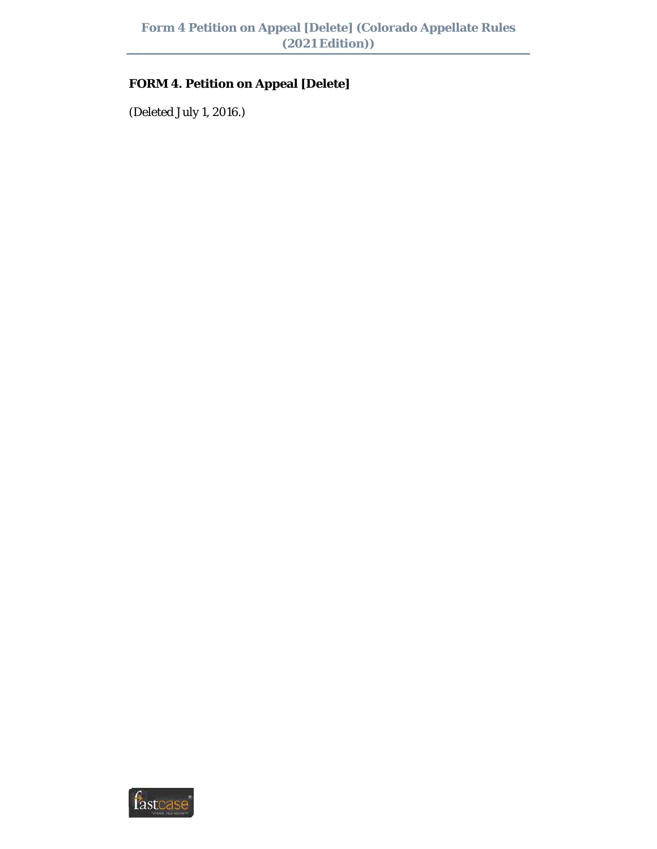# **FORM 4. Petition on Appeal [Delete]**

(Deleted July 1, 2016.)

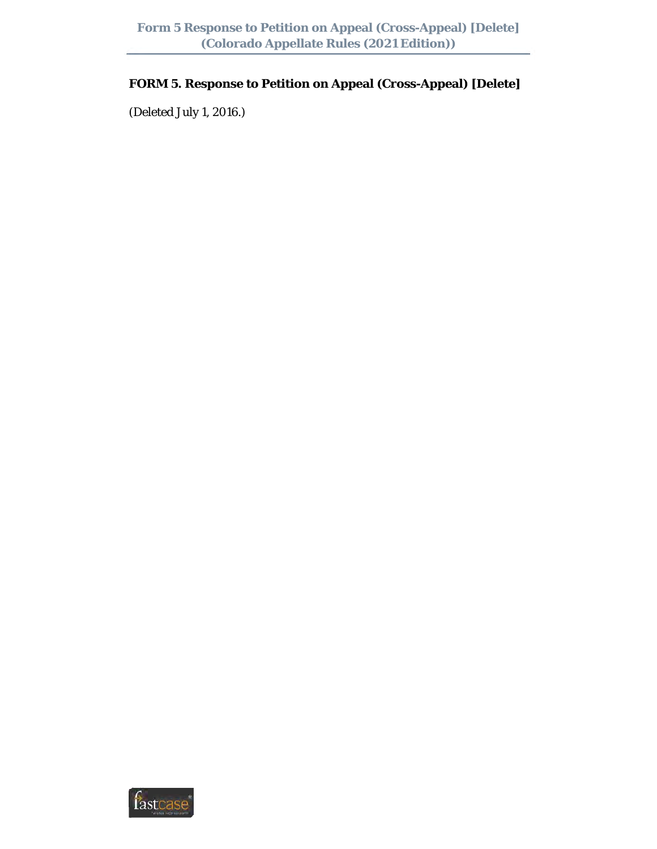# **FORM 5. Response to Petition on Appeal (Cross-Appeal) [Delete]**

(Deleted July 1, 2016.)

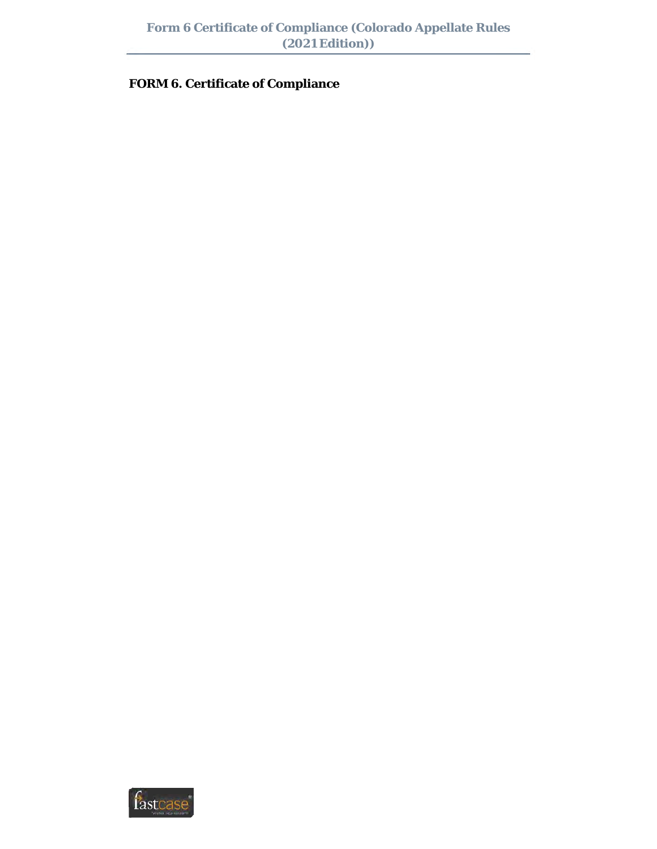**FORM 6. Certificate of Compliance** 

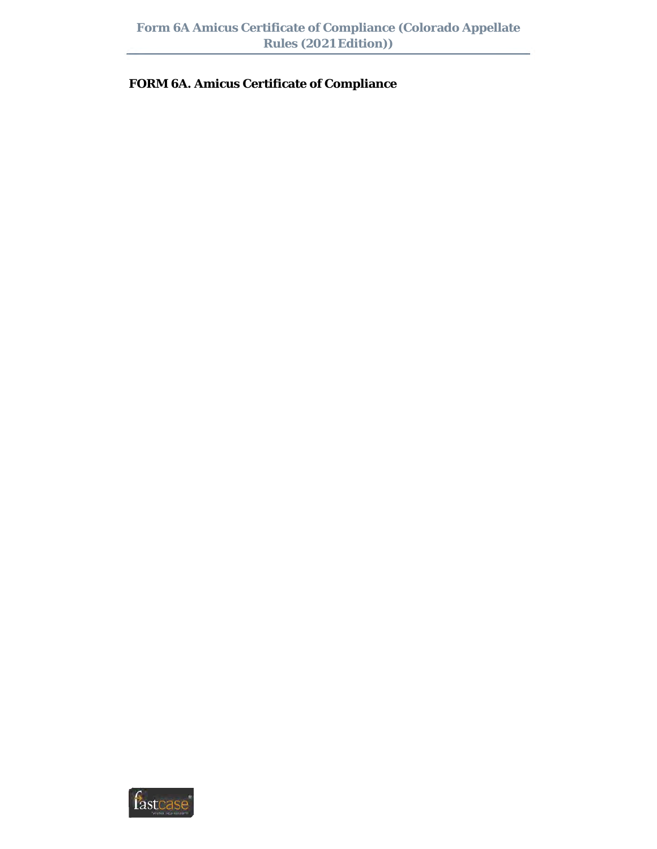# **FORM 6A. Amicus Certificate of Compliance**

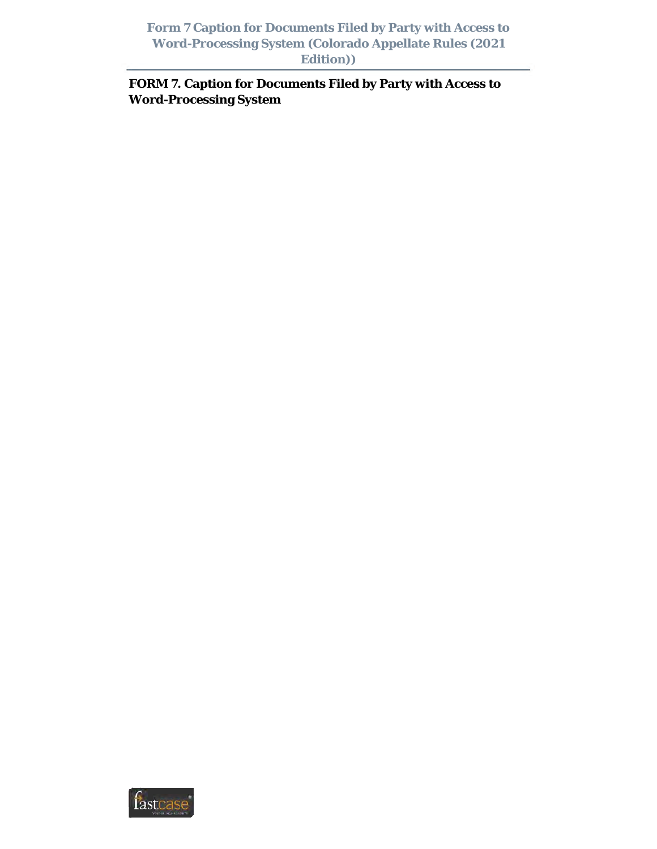**Form 7 Caption for Documents Filed by Party with Access to Word-Processing System (Colorado Appellate Rules (2021 Edition))**

**FORM 7. Caption for Documents Filed by Party with Access to Word-Processing System** 

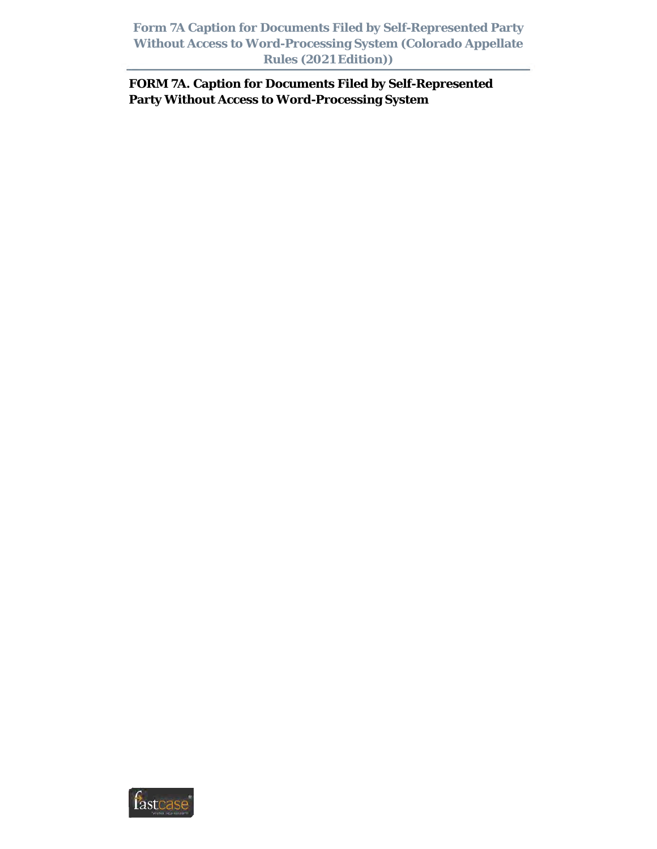**Form 7A Caption for Documents Filed by Self-Represented Party Without Access to Word-Processing System (Colorado Appellate Rules (2021 Edition))**

**FORM 7A. Caption for Documents Filed by Self-Represented Party Without Access to Word-Processing System** 

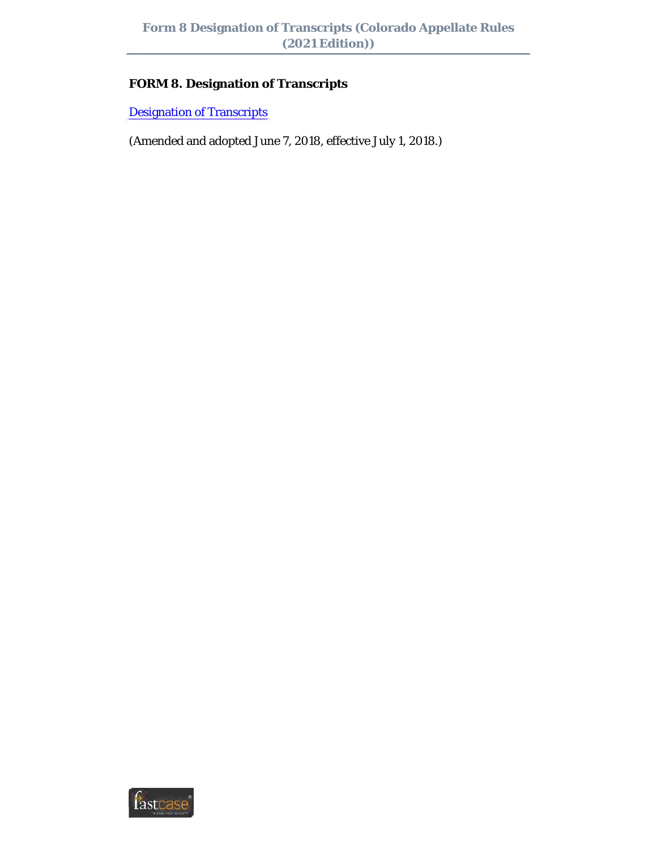# **FORM 8. Designation of Transcripts**

[Designation of Transcripts](https://resources.fastcase.com/Colorado%20Appellate%20Rules/Colorado%20Appellate%20Rules%20(2021%20Edition)/appform_8.pdf)

(Amended and adopted June 7, 2018, effective July 1, 2018.)